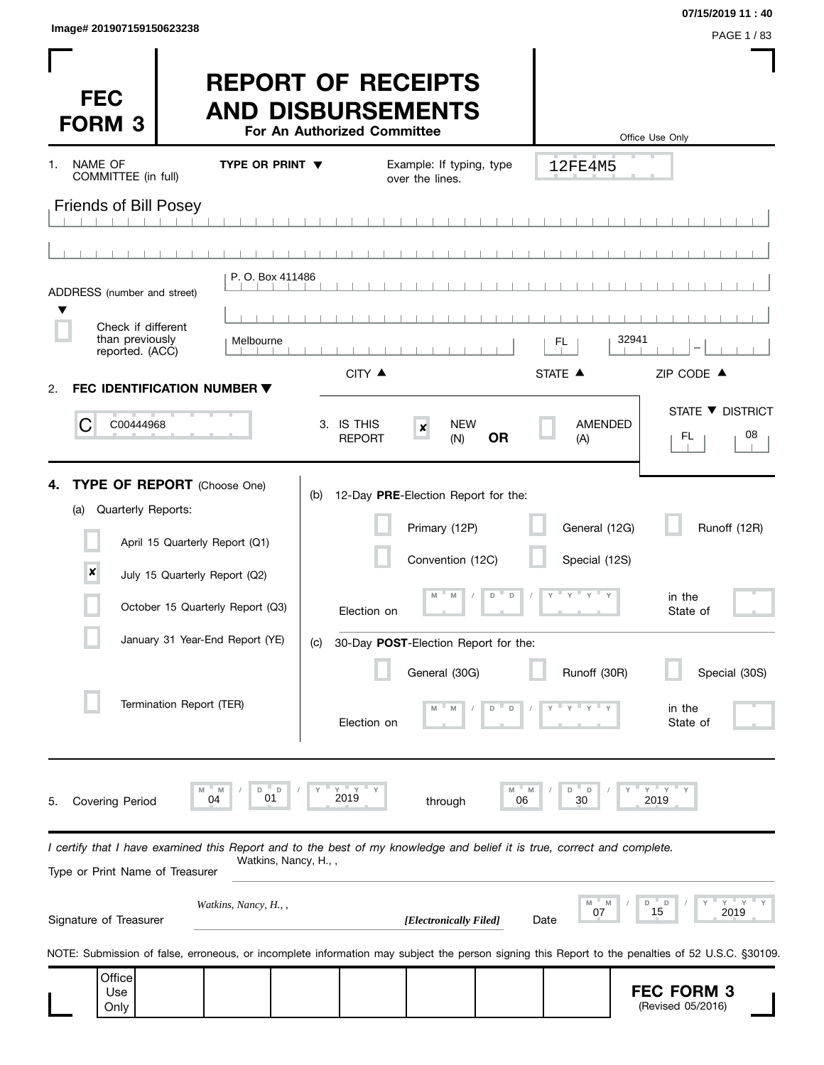| Image# 201907159150623238 | PAGE 1/83 |
|---------------------------|-----------|
|                           |           |

**07/15/2019 11 : 40**

 $\blacksquare$ 

| <b>FEC</b><br><b>FORM 3</b>                                                                                                                                | <b>REPORT OF RECEIPTS</b><br><b>AND DISBURSEMENTS</b><br>For An Authorized Committee |                                                                          |                                | Office Use Only                        |
|------------------------------------------------------------------------------------------------------------------------------------------------------------|--------------------------------------------------------------------------------------|--------------------------------------------------------------------------|--------------------------------|----------------------------------------|
| NAME OF<br>1.<br>COMMITTEE (in full)                                                                                                                       | TYPE OR PRINT $\blacktriangledown$                                                   | Example: If typing, type<br>over the lines.                              | 12FE4M5                        |                                        |
| <b>Friends of Bill Posey</b>                                                                                                                               |                                                                                      |                                                                          |                                |                                        |
|                                                                                                                                                            |                                                                                      |                                                                          |                                |                                        |
| ADDRESS (number and street)                                                                                                                                | P. O. Box 411486                                                                     |                                                                          |                                |                                        |
| Check if different                                                                                                                                         |                                                                                      |                                                                          |                                |                                        |
| than previously<br>reported. (ACC)                                                                                                                         | Melbourne                                                                            |                                                                          | 32941<br>FL.                   |                                        |
| FEC IDENTIFICATION NUMBER ▼<br>2.                                                                                                                          |                                                                                      | CITY ▲                                                                   | STATE A                        | ZIP CODE ▲                             |
| С<br>C00444968                                                                                                                                             | 3. IS THIS                                                                           | <b>NEW</b><br>$\pmb{\times}$<br><b>OR</b><br><b>REPORT</b><br>(N)        | <b>AMENDED</b><br>(A)          | STATE ▼ DISTRICT<br>08<br>FL.          |
| TYPE OF REPORT (Choose One)<br>4.<br>Quarterly Reports:<br>(a)<br>April 15 Quarterly Report (Q1)<br>$\pmb{\times}$<br>July 15 Quarterly Report (Q2)        | (b)                                                                                  | 12-Day PRE-Election Report for the:<br>Primary (12P)<br>Convention (12C) | General (12G)<br>Special (12S) | Runoff (12R)                           |
| October 15 Quarterly Report (Q3)                                                                                                                           |                                                                                      | $\mathsf D$<br>M<br>D<br>M<br>Election on                                | $Y$ $Y$ $Y$ $Y$ $Y$            | in the<br>State of                     |
| January 31 Year-End Report (YE)                                                                                                                            | (C)                                                                                  | 30-Day POST-Election Report for the:                                     |                                |                                        |
|                                                                                                                                                            |                                                                                      | General (30G)                                                            | Runoff (30R)                   | Special (30S)                          |
| Termination Report (TER)                                                                                                                                   |                                                                                      | D<br>D<br>Election on                                                    |                                | in the<br>State of                     |
| 04<br><b>Covering Period</b><br>5.                                                                                                                         | $Y = Y$<br>D<br>M<br>D<br>2019<br>01                                                 | M<br>06<br>through                                                       | D<br>D<br>M<br>30              | $Y$ $Y$<br>2019                        |
| I certify that I have examined this Report and to the best of my knowledge and belief it is true, correct and complete.<br>Type or Print Name of Treasurer | Watkins, Nancy, H.,,                                                                 |                                                                          |                                |                                        |
| Signature of Treasurer                                                                                                                                     | Watkins, Nancy, H.,,                                                                 | [Electronically Filed]                                                   | M<br>07<br>Date                | $Y'$ Y<br>D<br>D<br>15<br>2019         |
| NOTE: Submission of false, erroneous, or incomplete information may subject the person signing this Report to the penalties of 52 U.S.C. §30109.           |                                                                                      |                                                                          |                                |                                        |
| Office<br>Use<br>Only                                                                                                                                      |                                                                                      |                                                                          |                                | <b>FEC FORM 3</b><br>(Revised 05/2016) |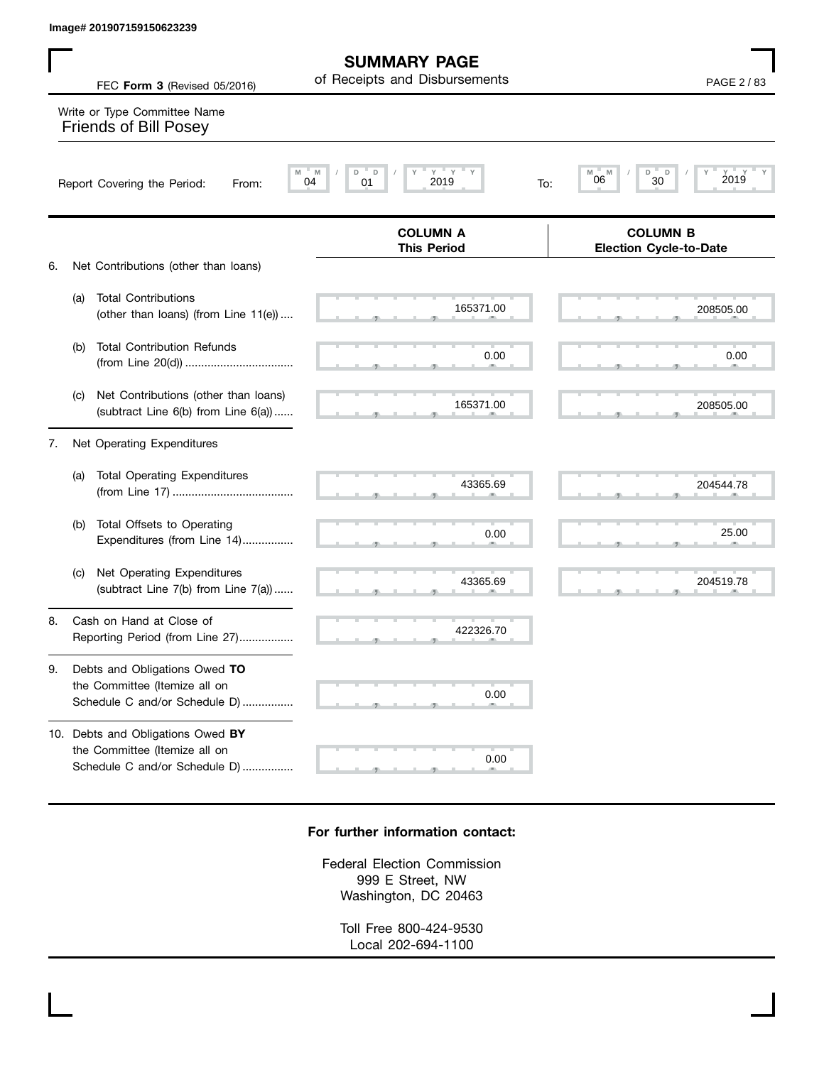|    |     | Image# 201907159150623239                                                                                  |                                                      |                                                  |
|----|-----|------------------------------------------------------------------------------------------------------------|------------------------------------------------------|--------------------------------------------------|
|    |     | FEC Form 3 (Revised 05/2016)                                                                               | <b>SUMMARY PAGE</b><br>of Receipts and Disbursements | PAGE 2 / 83                                      |
|    |     | Write or Type Committee Name<br><b>Friends of Bill Posey</b>                                               |                                                      |                                                  |
|    |     | M<br>Report Covering the Period:<br>From:                                                                  | $Y = Y$<br>M<br>D<br>D<br>2019<br>04<br>01<br>To:    | D<br>2019<br>M<br>M<br>D<br>06<br>30             |
|    |     |                                                                                                            | <b>COLUMN A</b><br><b>This Period</b>                | <b>COLUMN B</b><br><b>Election Cycle-to-Date</b> |
| 6. | (a) | Net Contributions (other than loans)<br><b>Total Contributions</b><br>(other than loans) (from Line 11(e)) | 165371.00                                            | 208505.00                                        |
|    | (b) | <b>Total Contribution Refunds</b>                                                                          | 0.00                                                 | 0.00                                             |
|    | (c) | Net Contributions (other than loans)<br>(subtract Line 6(b) from Line 6(a))                                | 165371.00                                            | 208505.00                                        |
| 7. |     | Net Operating Expenditures                                                                                 |                                                      |                                                  |
|    | (a) | <b>Total Operating Expenditures</b>                                                                        | 43365.69                                             | 204544.78                                        |
|    | (b) | Total Offsets to Operating<br>Expenditures (from Line 14)                                                  | 0.00                                                 | 25.00                                            |
|    | (c) | Net Operating Expenditures<br>(subtract Line 7(b) from Line 7(a))                                          | 43365.69                                             | 204519.78                                        |
| 8. |     | Cash on Hand at Close of<br>Reporting Period (from Line 27)                                                | 422326.70                                            |                                                  |
| 9. |     | Debts and Obligations Owed TO<br>the Committee (Itemize all on<br>Schedule C and/or Schedule D)            | 0.00                                                 |                                                  |
|    |     | 10. Debts and Obligations Owed BY<br>the Committee (Itemize all on<br>Schedule C and/or Schedule D)        | 0.00                                                 |                                                  |

## **For further information contact:**

Federal Election Commission 999 E Street, NW Washington, DC 20463

> Toll Free 800-424-9530 Local 202-694-1100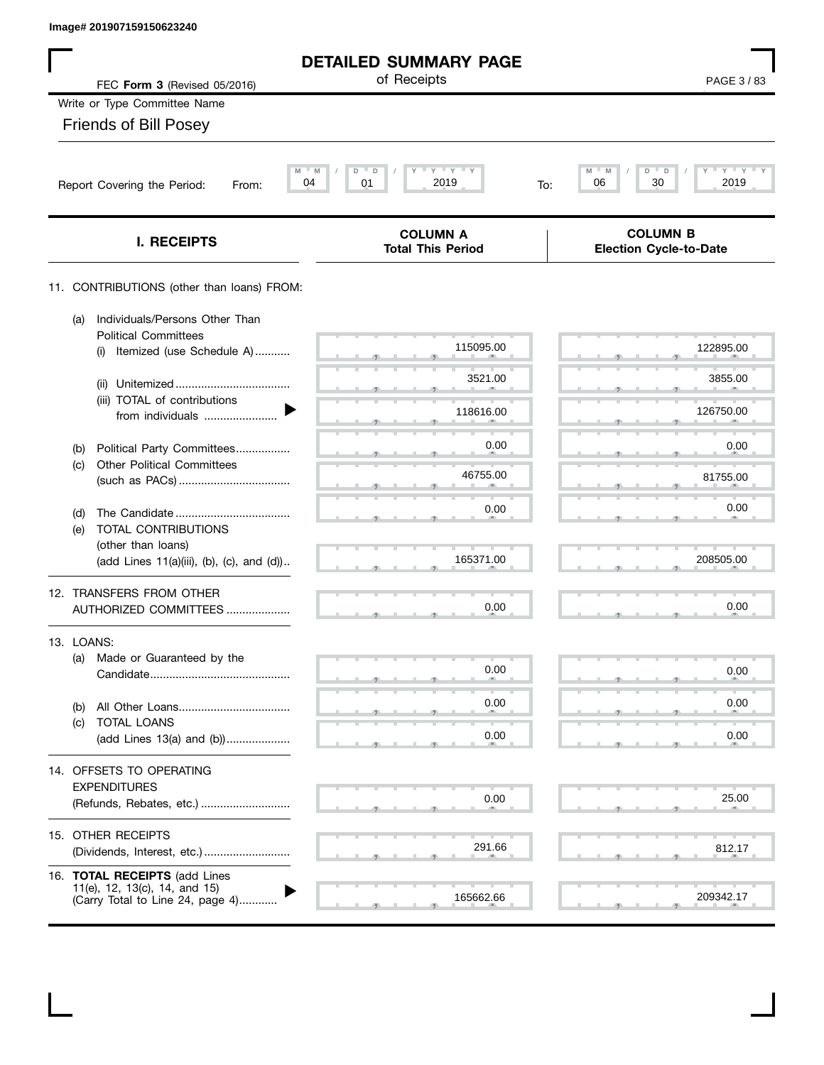| Image# 201907159150623240 |  |  |  |
|---------------------------|--|--|--|
|---------------------------|--|--|--|

| Image# 201907159150623240                                                                          |                                                 |                                                     |
|----------------------------------------------------------------------------------------------------|-------------------------------------------------|-----------------------------------------------------|
|                                                                                                    | <b>DETAILED SUMMARY PAGE</b>                    |                                                     |
| FEC Form 3 (Revised 05/2016)                                                                       | of Receipts                                     | PAGE 3/83                                           |
| Write or Type Committee Name                                                                       |                                                 |                                                     |
| <b>Friends of Bill Posey</b>                                                                       |                                                 |                                                     |
| M<br>04<br>Report Covering the Period:<br>From:                                                    | $Y + Y + Y$<br>M<br>D<br>D<br>01<br>2019<br>To: | $Y$ $Y$ $Y$<br>M<br>M<br>D<br>D<br>30<br>06<br>2019 |
| I. RECEIPTS                                                                                        | <b>COLUMN A</b><br><b>Total This Period</b>     | <b>COLUMN B</b><br><b>Election Cycle-to-Date</b>    |
| 11. CONTRIBUTIONS (other than loans) FROM:                                                         |                                                 |                                                     |
| Individuals/Persons Other Than<br>(a)<br><b>Political Committees</b>                               |                                                 |                                                     |
| Itemized (use Schedule A)<br>(i)                                                                   | 115095.00                                       | 122895.00                                           |
| (ii)                                                                                               | 3521.00                                         | 3855.00                                             |
| (iii) TOTAL of contributions<br>from individuals                                                   | 118616.00                                       | 126750.00                                           |
| Political Party Committees<br>(b)                                                                  | 0.00                                            | 0.00                                                |
| <b>Other Political Committees</b><br>(c)                                                           | 46755.00                                        | 81755.00                                            |
| (d)<br>TOTAL CONTRIBUTIONS<br>(e)                                                                  | 0.00                                            | 0.00                                                |
| (other than loans)<br>(add Lines 11(a)(iii), (b), (c), and (d))                                    | 165371.00                                       | 208505.00                                           |
| 12. TRANSFERS FROM OTHER<br>AUTHORIZED COMMITTEES                                                  | 0.00                                            | 0.00                                                |
| 13. LOANS:                                                                                         |                                                 |                                                     |
| Made or Guaranteed by the<br>(a)                                                                   | 0.00                                            | 0.00                                                |
| (b)<br>TOTAL LOANS<br>(c)                                                                          | 0.00                                            | 0.00                                                |
| (add Lines 13(a) and (b))                                                                          | 0.00                                            | 0.00                                                |
| 14. OFFSETS TO OPERATING<br><b>EXPENDITURES</b><br>(Refunds, Rebates, etc.)                        | 0.00                                            | 25.00                                               |
| 15. OTHER RECEIPTS<br>(Dividends, Interest, etc.)                                                  | 291.66                                          | 812.17                                              |
| 16. TOTAL RECEIPTS (add Lines<br>11(e), 12, 13(c), 14, and 15)<br>(Carry Total to Line 24, page 4) | 165662.66                                       | 209342.17                                           |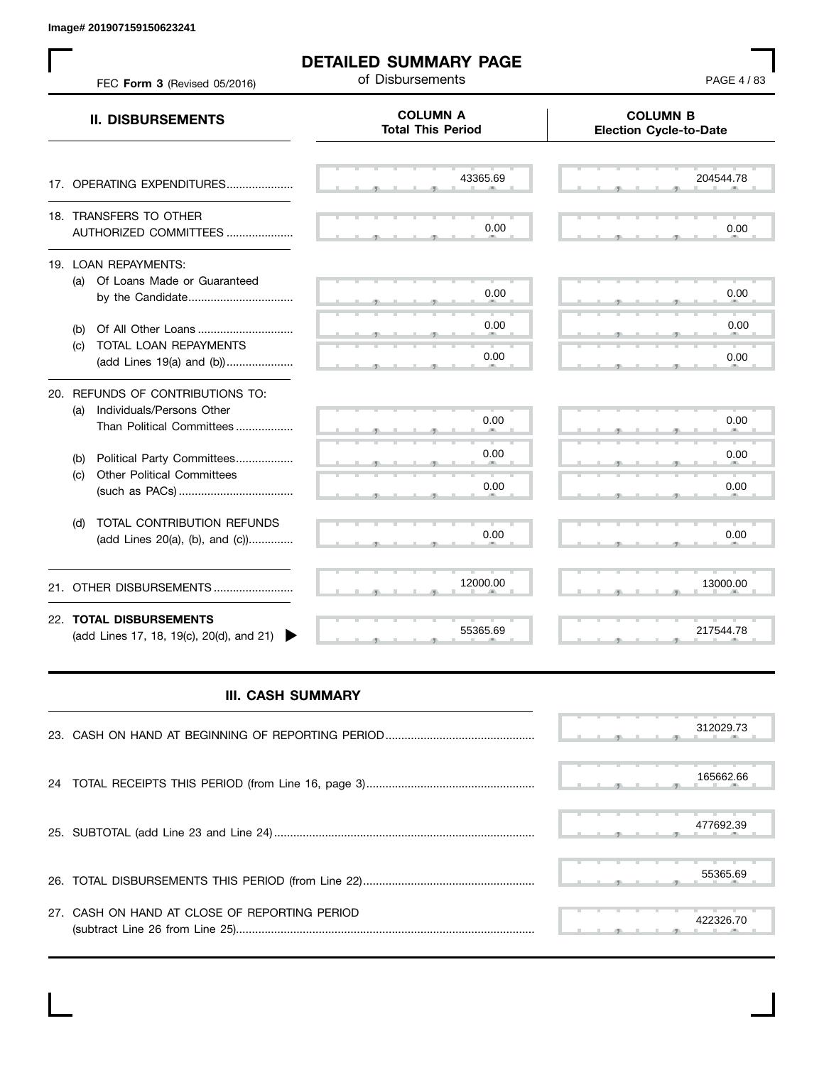**Image# 201907159150623241**

 $\mathbf{L}$ 

| FEC Form 3 (Revised 05/2016)                                                                      | <b>DETAILED SUMMARY PAGE</b><br>of Disbursements | PAGE 4/83                                        |  |
|---------------------------------------------------------------------------------------------------|--------------------------------------------------|--------------------------------------------------|--|
| <b>II. DISBURSEMENTS</b>                                                                          | <b>COLUMN A</b><br><b>Total This Period</b>      | <b>COLUMN B</b><br><b>Election Cycle-to-Date</b> |  |
| 17. OPERATING EXPENDITURES                                                                        | 43365.69                                         | 204544.78                                        |  |
| 18. TRANSFERS TO OTHER<br>AUTHORIZED COMMITTEES                                                   | 0.00                                             | 0.00                                             |  |
| 19. LOAN REPAYMENTS:<br>(a) Of Loans Made or Guaranteed                                           | 0.00                                             | 0.00                                             |  |
| (b)<br>TOTAL LOAN REPAYMENTS<br>(c)<br>(add Lines 19(a) and (b))                                  | 0.00<br>0.00                                     | 0.00<br>0.00                                     |  |
| 20. REFUNDS OF CONTRIBUTIONS TO:<br>Individuals/Persons Other<br>(a)<br>Than Political Committees | 0.00                                             | 0.00                                             |  |
| Political Party Committees<br>(b)<br><b>Other Political Committees</b><br>(c)                     | 0.00<br>0.00                                     | 0.00<br>0.00                                     |  |
| TOTAL CONTRIBUTION REFUNDS<br>(d)<br>(add Lines 20(a), (b), and (c))                              | 0.00                                             | 0.00                                             |  |
| OTHER DISBURSEMENTS<br>21.                                                                        | 12000.00                                         | 13000.00                                         |  |
| 22. TOTAL DISBURSEMENTS<br>(add Lines 17, 18, 19(c), 20(d), and 21)                               | 55365.69                                         | 217544.78                                        |  |

## **III. CASH SUMMARY**

|                                               | 312029.73 |
|-----------------------------------------------|-----------|
|                                               | 165662.66 |
|                                               | 477692.39 |
|                                               | 55365.69  |
| 27. CASH ON HAND AT CLOSE OF REPORTING PERIOD | 422326.70 |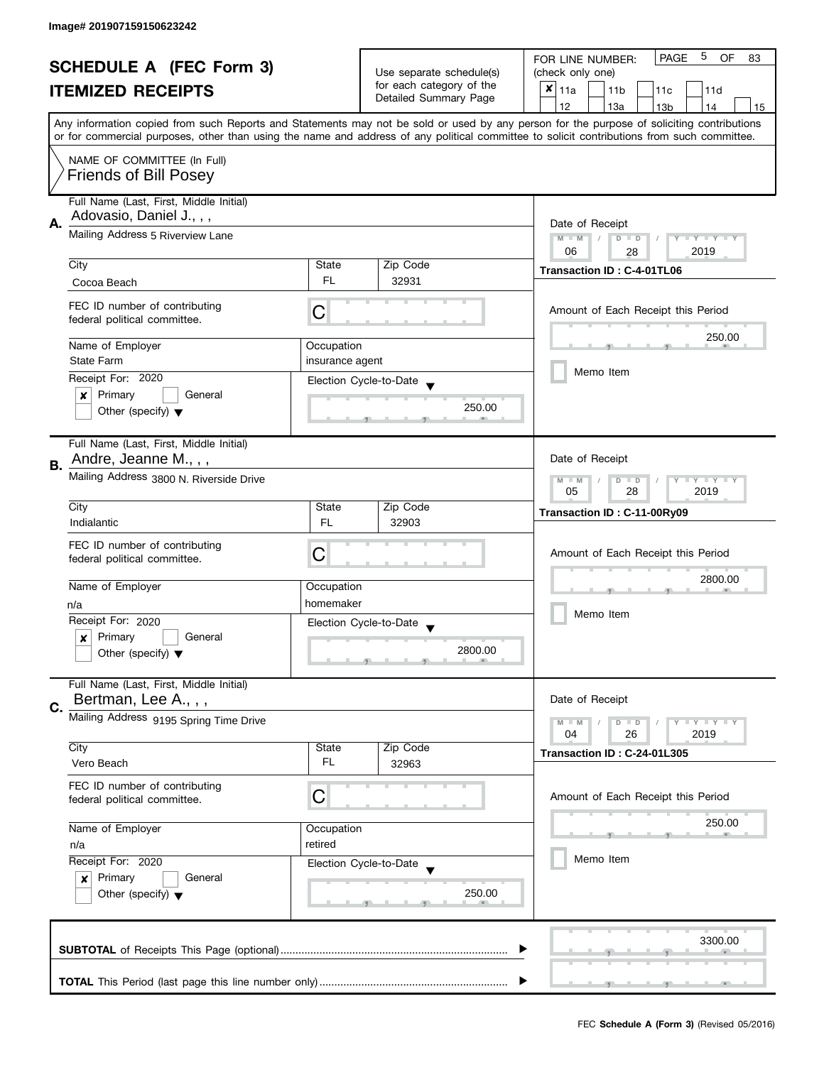| <b>SCHEDULE A (FEC Form 3)</b> |                                         |                  | 5<br><b>PAGE</b><br>OF<br>FOR LINE NUMBER:<br>83     |                                                                                                                                                                                                                                                                                         |  |  |
|--------------------------------|-----------------------------------------|------------------|------------------------------------------------------|-----------------------------------------------------------------------------------------------------------------------------------------------------------------------------------------------------------------------------------------------------------------------------------------|--|--|
|                                |                                         |                  | Use separate schedule(s)<br>for each category of the | (check only one)                                                                                                                                                                                                                                                                        |  |  |
|                                | <b>ITEMIZED RECEIPTS</b>                |                  | Detailed Summary Page                                | $x _{11a}$<br>11 <sub>b</sub><br>11c<br>11d                                                                                                                                                                                                                                             |  |  |
|                                |                                         |                  |                                                      | 12<br>13a<br>14<br>13 <sub>b</sub><br>15                                                                                                                                                                                                                                                |  |  |
|                                |                                         |                  |                                                      | Any information copied from such Reports and Statements may not be sold or used by any person for the purpose of soliciting contributions<br>or for commercial purposes, other than using the name and address of any political committee to solicit contributions from such committee. |  |  |
|                                | NAME OF COMMITTEE (In Full)             |                  |                                                      |                                                                                                                                                                                                                                                                                         |  |  |
|                                | <b>Friends of Bill Posey</b>            |                  |                                                      |                                                                                                                                                                                                                                                                                         |  |  |
|                                | Full Name (Last, First, Middle Initial) |                  |                                                      |                                                                                                                                                                                                                                                                                         |  |  |
| А.                             | Adovasio, Daniel J., , ,                |                  |                                                      | Date of Receipt                                                                                                                                                                                                                                                                         |  |  |
|                                | Mailing Address 5 Riverview Lane        |                  |                                                      | $M - M$<br>$\sqrt{2}$<br>$D$ $D$<br>Y I Y I Y I Y                                                                                                                                                                                                                                       |  |  |
|                                |                                         |                  |                                                      | 06<br>2019<br>28                                                                                                                                                                                                                                                                        |  |  |
|                                | City                                    | State            | Zip Code                                             | Transaction ID: C-4-01TL06                                                                                                                                                                                                                                                              |  |  |
|                                | Cocoa Beach                             | FL.              | 32931                                                |                                                                                                                                                                                                                                                                                         |  |  |
|                                | FEC ID number of contributing           |                  |                                                      |                                                                                                                                                                                                                                                                                         |  |  |
|                                | federal political committee.            | С                |                                                      | Amount of Each Receipt this Period                                                                                                                                                                                                                                                      |  |  |
|                                |                                         |                  |                                                      | 250.00                                                                                                                                                                                                                                                                                  |  |  |
|                                | Name of Employer                        | Occupation       |                                                      |                                                                                                                                                                                                                                                                                         |  |  |
|                                | <b>State Farm</b>                       | insurance agent  |                                                      | Memo Item                                                                                                                                                                                                                                                                               |  |  |
|                                | Receipt For: 2020                       |                  | Election Cycle-to-Date                               |                                                                                                                                                                                                                                                                                         |  |  |
|                                | Primary<br>General<br>×                 |                  | 250.00                                               |                                                                                                                                                                                                                                                                                         |  |  |
|                                | Other (specify) $\blacktriangledown$    |                  |                                                      |                                                                                                                                                                                                                                                                                         |  |  |
|                                | Full Name (Last, First, Middle Initial) |                  |                                                      |                                                                                                                                                                                                                                                                                         |  |  |
| В.                             | Andre, Jeanne M., , ,                   |                  |                                                      | Date of Receipt                                                                                                                                                                                                                                                                         |  |  |
|                                | Mailing Address 3800 N. Riverside Drive |                  |                                                      | Y LY LY<br>$M - M$<br>$D$ $D$                                                                                                                                                                                                                                                           |  |  |
|                                |                                         | 05<br>28<br>2019 |                                                      |                                                                                                                                                                                                                                                                                         |  |  |
|                                | City                                    | State            | Zip Code                                             | Transaction ID: C-11-00Ry09                                                                                                                                                                                                                                                             |  |  |
|                                | Indialantic                             | <b>FL</b>        | 32903                                                |                                                                                                                                                                                                                                                                                         |  |  |
|                                | FEC ID number of contributing           | C                |                                                      | Amount of Each Receipt this Period                                                                                                                                                                                                                                                      |  |  |
|                                | federal political committee.            |                  |                                                      |                                                                                                                                                                                                                                                                                         |  |  |
|                                | Name of Employer                        | Occupation       |                                                      | 2800.00                                                                                                                                                                                                                                                                                 |  |  |
|                                | n/a                                     | homemaker        |                                                      |                                                                                                                                                                                                                                                                                         |  |  |
|                                | Receipt For: 2020                       |                  | Election Cycle-to-Date                               | Memo Item                                                                                                                                                                                                                                                                               |  |  |
|                                | Primary<br>General<br>x                 |                  |                                                      |                                                                                                                                                                                                                                                                                         |  |  |
|                                | Other (specify) $\blacktriangledown$    |                  | 2800.00                                              |                                                                                                                                                                                                                                                                                         |  |  |
|                                |                                         |                  |                                                      |                                                                                                                                                                                                                                                                                         |  |  |
|                                | Full Name (Last, First, Middle Initial) |                  |                                                      |                                                                                                                                                                                                                                                                                         |  |  |
| C.                             | Bertman, Lee A.,,,                      |                  |                                                      | Date of Receipt                                                                                                                                                                                                                                                                         |  |  |
|                                | Mailing Address 9195 Spring Time Drive  |                  |                                                      | $M - M$<br>$Y \perp Y \perp Y$<br>$D$ $D$                                                                                                                                                                                                                                               |  |  |
|                                |                                         |                  |                                                      | 04<br>26<br>2019                                                                                                                                                                                                                                                                        |  |  |
|                                | City                                    | State            | Zip Code                                             | Transaction ID: C-24-01L305                                                                                                                                                                                                                                                             |  |  |
|                                | Vero Beach                              | FL               | 32963                                                |                                                                                                                                                                                                                                                                                         |  |  |
|                                | FEC ID number of contributing           |                  |                                                      |                                                                                                                                                                                                                                                                                         |  |  |
|                                | federal political committee.            | С                |                                                      | Amount of Each Receipt this Period                                                                                                                                                                                                                                                      |  |  |
|                                | Name of Employer                        | Occupation       |                                                      | 250.00                                                                                                                                                                                                                                                                                  |  |  |
|                                | retired<br>n/a<br>Receipt For: 2020     |                  |                                                      |                                                                                                                                                                                                                                                                                         |  |  |
|                                |                                         |                  | Election Cycle-to-Date                               | Memo Item                                                                                                                                                                                                                                                                               |  |  |
|                                | Primary<br>General<br>$\boldsymbol{x}$  |                  |                                                      |                                                                                                                                                                                                                                                                                         |  |  |
|                                | Other (specify) $\blacktriangledown$    |                  | 250.00                                               |                                                                                                                                                                                                                                                                                         |  |  |
|                                |                                         |                  |                                                      |                                                                                                                                                                                                                                                                                         |  |  |
|                                |                                         |                  |                                                      |                                                                                                                                                                                                                                                                                         |  |  |
|                                |                                         |                  |                                                      | 3300.00                                                                                                                                                                                                                                                                                 |  |  |
|                                |                                         |                  |                                                      |                                                                                                                                                                                                                                                                                         |  |  |
|                                |                                         |                  |                                                      |                                                                                                                                                                                                                                                                                         |  |  |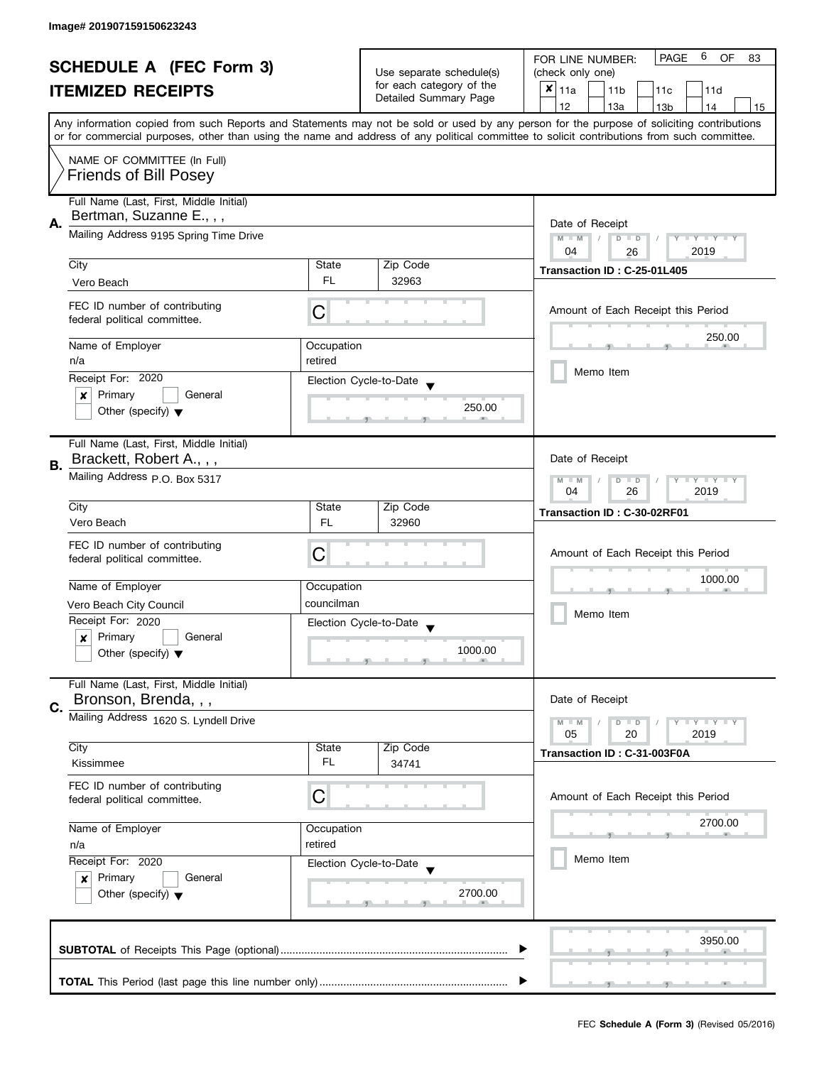|                                |                                                                       |                          |                          | 6<br><b>PAGE</b><br>OF<br>FOR LINE NUMBER:<br>83                                                                                           |  |
|--------------------------------|-----------------------------------------------------------------------|--------------------------|--------------------------|--------------------------------------------------------------------------------------------------------------------------------------------|--|
| <b>SCHEDULE A (FEC Form 3)</b> |                                                                       | Use separate schedule(s) | (check only one)         |                                                                                                                                            |  |
|                                | <b>ITEMIZED RECEIPTS</b>                                              |                          | for each category of the | $x _{11a}$<br>11 <sub>b</sub><br>11 <sub>c</sub><br>11d                                                                                    |  |
|                                |                                                                       |                          | Detailed Summary Page    | 12<br>13a<br>13 <sub>b</sub><br>14<br>15                                                                                                   |  |
|                                |                                                                       |                          |                          | Any information copied from such Reports and Statements may not be sold or used by any person for the purpose of soliciting contributions  |  |
|                                |                                                                       |                          |                          | or for commercial purposes, other than using the name and address of any political committee to solicit contributions from such committee. |  |
|                                | NAME OF COMMITTEE (In Full)                                           |                          |                          |                                                                                                                                            |  |
|                                | <b>Friends of Bill Posey</b>                                          |                          |                          |                                                                                                                                            |  |
|                                |                                                                       |                          |                          |                                                                                                                                            |  |
|                                | Full Name (Last, First, Middle Initial)                               |                          |                          |                                                                                                                                            |  |
|                                | Bertman, Suzanne E., , ,                                              |                          |                          |                                                                                                                                            |  |
| А.                             | Mailing Address 9195 Spring Time Drive                                |                          |                          | Date of Receipt<br>$M - M$<br>$D$ $D$<br>Y FY FY FY                                                                                        |  |
|                                |                                                                       |                          |                          | 04<br>2019<br>26                                                                                                                           |  |
|                                | City                                                                  | State                    | Zip Code                 |                                                                                                                                            |  |
|                                | Vero Beach                                                            | FL.                      | 32963                    | Transaction ID: C-25-01L405                                                                                                                |  |
|                                |                                                                       |                          |                          |                                                                                                                                            |  |
|                                | FEC ID number of contributing                                         | C                        |                          | Amount of Each Receipt this Period                                                                                                         |  |
|                                | federal political committee.                                          |                          |                          |                                                                                                                                            |  |
|                                | Name of Employer                                                      | Occupation               |                          | 250.00                                                                                                                                     |  |
|                                | n/a                                                                   | retired                  |                          |                                                                                                                                            |  |
|                                | Receipt For: 2020                                                     |                          | Election Cycle-to-Date   | Memo Item                                                                                                                                  |  |
|                                | Primary<br>General<br>×                                               |                          |                          |                                                                                                                                            |  |
|                                | Other (specify) $\blacktriangledown$                                  |                          | 250.00                   |                                                                                                                                            |  |
|                                |                                                                       |                          |                          |                                                                                                                                            |  |
|                                | Full Name (Last, First, Middle Initial)                               |                          |                          |                                                                                                                                            |  |
|                                | Brackett, Robert A.,,,                                                |                          |                          | Date of Receipt                                                                                                                            |  |
| В.                             | Mailing Address p.O. Box 5317                                         |                          |                          |                                                                                                                                            |  |
|                                |                                                                       |                          |                          | $Y = Y = Y$<br>$M - M$<br>D<br>$\Box$<br>26<br>2019<br>04                                                                                  |  |
|                                | City                                                                  | State                    | Zip Code                 | Transaction ID: C-30-02RF01                                                                                                                |  |
|                                | Vero Beach                                                            | <b>FL</b>                | 32960                    |                                                                                                                                            |  |
|                                |                                                                       |                          |                          |                                                                                                                                            |  |
|                                | FEC ID number of contributing<br>federal political committee.         | С                        |                          | Amount of Each Receipt this Period                                                                                                         |  |
|                                |                                                                       |                          |                          |                                                                                                                                            |  |
|                                | Name of Employer                                                      | Occupation               |                          | 1000.00                                                                                                                                    |  |
|                                | Vero Beach City Council                                               | councilman               |                          |                                                                                                                                            |  |
|                                | Receipt For: 2020                                                     |                          | Election Cycle-to-Date   | Memo Item                                                                                                                                  |  |
|                                | Primary<br>General<br>x                                               |                          |                          |                                                                                                                                            |  |
|                                | Other (specify) $\blacktriangledown$                                  |                          | 1000.00                  |                                                                                                                                            |  |
|                                |                                                                       |                          |                          |                                                                                                                                            |  |
|                                | Full Name (Last, First, Middle Initial)                               |                          |                          |                                                                                                                                            |  |
| C.                             | Bronson, Brenda, , ,                                                  |                          |                          | Date of Receipt                                                                                                                            |  |
|                                | Mailing Address 1620 S. Lyndell Drive                                 |                          |                          | $Y - Y - Y$<br>$M - M$<br>$D$ $D$                                                                                                          |  |
|                                |                                                                       |                          |                          | 05<br>2019<br>20                                                                                                                           |  |
|                                | City                                                                  | State                    | Zip Code                 | Transaction ID: C-31-003F0A                                                                                                                |  |
|                                | Kissimmee                                                             | FL                       | 34741                    |                                                                                                                                            |  |
|                                | FEC ID number of contributing                                         |                          |                          |                                                                                                                                            |  |
|                                | federal political committee.                                          | C                        |                          | Amount of Each Receipt this Period                                                                                                         |  |
|                                | Name of Employer<br>Occupation<br>retired<br>n/a<br>Receipt For: 2020 |                          |                          | 2700.00                                                                                                                                    |  |
|                                |                                                                       |                          |                          |                                                                                                                                            |  |
|                                |                                                                       |                          |                          | Memo Item                                                                                                                                  |  |
|                                |                                                                       |                          | Election Cycle-to-Date   |                                                                                                                                            |  |
|                                | Primary<br>General<br>x                                               |                          |                          |                                                                                                                                            |  |
|                                | Other (specify) $\blacktriangledown$                                  |                          | 2700.00                  |                                                                                                                                            |  |
|                                |                                                                       |                          |                          |                                                                                                                                            |  |
|                                |                                                                       |                          |                          | 3950.00                                                                                                                                    |  |
|                                |                                                                       |                          |                          |                                                                                                                                            |  |
|                                |                                                                       |                          |                          |                                                                                                                                            |  |
|                                |                                                                       |                          |                          |                                                                                                                                            |  |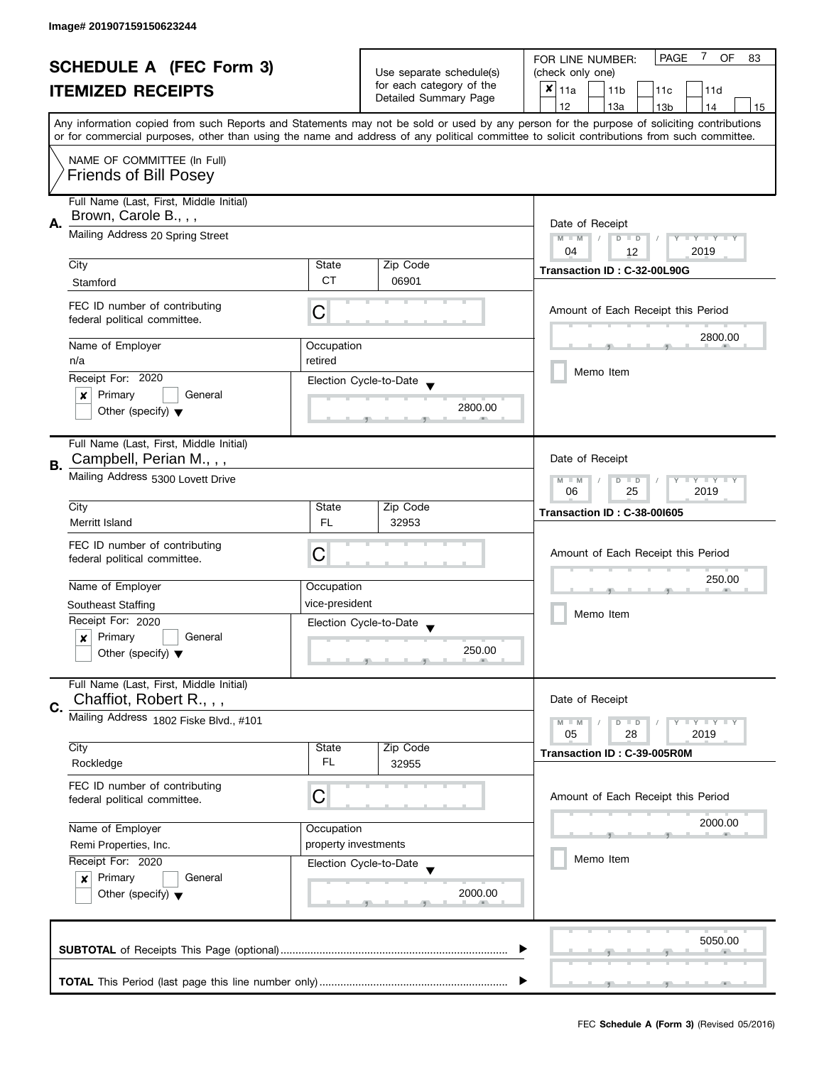| <b>SCHEDULE A (FEC Form 3)</b> |                                                                                                                                |                                                   | 7<br><b>PAGE</b><br>OF<br>FOR LINE NUMBER:<br>83  |                                                                                                                                                                                                                                                                                         |  |  |
|--------------------------------|--------------------------------------------------------------------------------------------------------------------------------|---------------------------------------------------|---------------------------------------------------|-----------------------------------------------------------------------------------------------------------------------------------------------------------------------------------------------------------------------------------------------------------------------------------------|--|--|
|                                |                                                                                                                                | Use separate schedule(s)                          | (check only one)                                  |                                                                                                                                                                                                                                                                                         |  |  |
|                                | <b>ITEMIZED RECEIPTS</b>                                                                                                       |                                                   | for each category of the<br>Detailed Summary Page | $x _{11a}$<br>11 <sub>b</sub><br>11c<br>11d                                                                                                                                                                                                                                             |  |  |
|                                |                                                                                                                                |                                                   |                                                   | 12<br>13a<br>14<br>13 <sub>b</sub><br>15                                                                                                                                                                                                                                                |  |  |
|                                |                                                                                                                                |                                                   |                                                   | Any information copied from such Reports and Statements may not be sold or used by any person for the purpose of soliciting contributions<br>or for commercial purposes, other than using the name and address of any political committee to solicit contributions from such committee. |  |  |
|                                |                                                                                                                                |                                                   |                                                   |                                                                                                                                                                                                                                                                                         |  |  |
|                                | NAME OF COMMITTEE (In Full)                                                                                                    |                                                   |                                                   |                                                                                                                                                                                                                                                                                         |  |  |
|                                | <b>Friends of Bill Posey</b>                                                                                                   |                                                   |                                                   |                                                                                                                                                                                                                                                                                         |  |  |
|                                | Full Name (Last, First, Middle Initial)                                                                                        |                                                   |                                                   |                                                                                                                                                                                                                                                                                         |  |  |
|                                | Brown, Carole B., , ,                                                                                                          |                                                   |                                                   |                                                                                                                                                                                                                                                                                         |  |  |
| А.                             | Mailing Address 20 Spring Street                                                                                               |                                                   |                                                   | Date of Receipt<br>$M - M$<br>$D$ $D$<br>Y I Y I Y I Y                                                                                                                                                                                                                                  |  |  |
|                                |                                                                                                                                |                                                   |                                                   | 2019<br>04<br>12                                                                                                                                                                                                                                                                        |  |  |
|                                | City                                                                                                                           | State                                             | Zip Code                                          | Transaction ID: C-32-00L90G                                                                                                                                                                                                                                                             |  |  |
|                                | Stamford                                                                                                                       | <b>CT</b>                                         | 06901                                             |                                                                                                                                                                                                                                                                                         |  |  |
|                                | FEC ID number of contributing                                                                                                  |                                                   |                                                   |                                                                                                                                                                                                                                                                                         |  |  |
|                                | federal political committee.                                                                                                   | С                                                 |                                                   | Amount of Each Receipt this Period                                                                                                                                                                                                                                                      |  |  |
|                                |                                                                                                                                |                                                   |                                                   | 2800.00                                                                                                                                                                                                                                                                                 |  |  |
|                                | Name of Employer                                                                                                               | Occupation                                        |                                                   |                                                                                                                                                                                                                                                                                         |  |  |
|                                | n/a                                                                                                                            | retired                                           |                                                   | Memo Item                                                                                                                                                                                                                                                                               |  |  |
|                                | Receipt For: 2020                                                                                                              |                                                   | Election Cycle-to-Date                            |                                                                                                                                                                                                                                                                                         |  |  |
|                                | Primary<br>General<br>x                                                                                                        |                                                   | 2800.00                                           |                                                                                                                                                                                                                                                                                         |  |  |
|                                | Other (specify) $\blacktriangledown$                                                                                           |                                                   |                                                   |                                                                                                                                                                                                                                                                                         |  |  |
|                                | Full Name (Last, First, Middle Initial)                                                                                        |                                                   |                                                   |                                                                                                                                                                                                                                                                                         |  |  |
|                                | Campbell, Perian M., , ,                                                                                                       |                                                   |                                                   | Date of Receipt                                                                                                                                                                                                                                                                         |  |  |
| <b>B.</b>                      | Mailing Address 5300 Lovett Drive                                                                                              |                                                   |                                                   |                                                                                                                                                                                                                                                                                         |  |  |
|                                |                                                                                                                                | Y LY LY<br>$M - M$<br>$D$ $D$<br>25<br>2019<br>06 |                                                   |                                                                                                                                                                                                                                                                                         |  |  |
|                                | City                                                                                                                           | State                                             | Zip Code                                          | <b>Transaction ID: C-38-001605</b>                                                                                                                                                                                                                                                      |  |  |
|                                | Merritt Island                                                                                                                 | FL                                                | 32953                                             |                                                                                                                                                                                                                                                                                         |  |  |
|                                | FEC ID number of contributing                                                                                                  |                                                   |                                                   |                                                                                                                                                                                                                                                                                         |  |  |
|                                | federal political committee.                                                                                                   | C                                                 |                                                   | Amount of Each Receipt this Period                                                                                                                                                                                                                                                      |  |  |
|                                |                                                                                                                                |                                                   |                                                   | 250.00                                                                                                                                                                                                                                                                                  |  |  |
|                                | Name of Employer                                                                                                               | Occupation                                        |                                                   |                                                                                                                                                                                                                                                                                         |  |  |
|                                | <b>Southeast Staffing</b>                                                                                                      | vice-president                                    |                                                   | Memo Item                                                                                                                                                                                                                                                                               |  |  |
|                                | Receipt For: 2020                                                                                                              |                                                   | Election Cycle-to-Date                            |                                                                                                                                                                                                                                                                                         |  |  |
|                                | Primary<br>General<br>$\boldsymbol{x}$                                                                                         |                                                   | 250.00                                            |                                                                                                                                                                                                                                                                                         |  |  |
|                                | Other (specify) $\blacktriangledown$                                                                                           |                                                   |                                                   |                                                                                                                                                                                                                                                                                         |  |  |
|                                | Full Name (Last, First, Middle Initial)                                                                                        |                                                   |                                                   |                                                                                                                                                                                                                                                                                         |  |  |
|                                | Chaffiot, Robert R.,,,                                                                                                         |                                                   |                                                   | Date of Receipt                                                                                                                                                                                                                                                                         |  |  |
| C.                             | Mailing Address 1802 Fiske Blvd., #101                                                                                         |                                                   |                                                   | $M - M$<br>Y L Y L Y<br>$D$ $D$                                                                                                                                                                                                                                                         |  |  |
|                                |                                                                                                                                |                                                   |                                                   | 05<br>28<br>2019                                                                                                                                                                                                                                                                        |  |  |
|                                | City                                                                                                                           | State                                             | Zip Code                                          | Transaction ID: C-39-005R0M                                                                                                                                                                                                                                                             |  |  |
|                                | Rockledge                                                                                                                      | FL                                                | 32955                                             |                                                                                                                                                                                                                                                                                         |  |  |
|                                | FEC ID number of contributing                                                                                                  |                                                   |                                                   |                                                                                                                                                                                                                                                                                         |  |  |
|                                | federal political committee.                                                                                                   | C                                                 |                                                   | Amount of Each Receipt this Period                                                                                                                                                                                                                                                      |  |  |
|                                |                                                                                                                                |                                                   |                                                   | 2000.00                                                                                                                                                                                                                                                                                 |  |  |
|                                | Name of Employer<br>Occupation<br>property investments<br>Remi Properties, Inc.<br>Receipt For: 2020<br>Election Cycle-to-Date |                                                   |                                                   |                                                                                                                                                                                                                                                                                         |  |  |
|                                |                                                                                                                                |                                                   |                                                   | Memo Item                                                                                                                                                                                                                                                                               |  |  |
|                                |                                                                                                                                |                                                   |                                                   |                                                                                                                                                                                                                                                                                         |  |  |
|                                | Primary<br>General<br>$\boldsymbol{x}$<br>Other (specify) $\blacktriangledown$                                                 |                                                   | 2000.00                                           |                                                                                                                                                                                                                                                                                         |  |  |
|                                |                                                                                                                                |                                                   |                                                   |                                                                                                                                                                                                                                                                                         |  |  |
|                                |                                                                                                                                |                                                   |                                                   |                                                                                                                                                                                                                                                                                         |  |  |
|                                |                                                                                                                                |                                                   |                                                   | 5050.00                                                                                                                                                                                                                                                                                 |  |  |
|                                |                                                                                                                                |                                                   |                                                   |                                                                                                                                                                                                                                                                                         |  |  |
|                                |                                                                                                                                |                                                   |                                                   |                                                                                                                                                                                                                                                                                         |  |  |
|                                |                                                                                                                                |                                                   |                                                   |                                                                                                                                                                                                                                                                                         |  |  |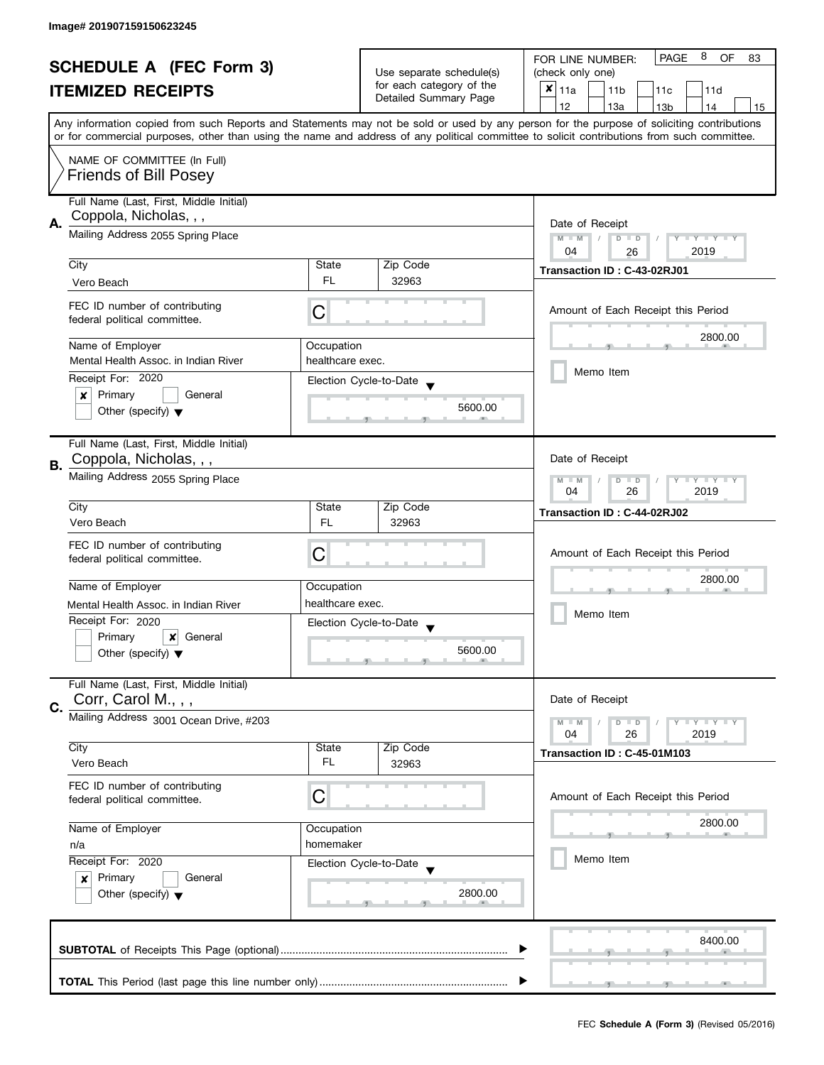| <b>SCHEDULE A (FEC Form 3)</b><br><b>ITEMIZED RECEIPTS</b> |                                                                                                                                                           |                                                      | 8<br><b>PAGE</b><br><b>OF</b><br>FOR LINE NUMBER:<br>83 |                                                                                                                                                                                                                                                                                         |  |
|------------------------------------------------------------|-----------------------------------------------------------------------------------------------------------------------------------------------------------|------------------------------------------------------|---------------------------------------------------------|-----------------------------------------------------------------------------------------------------------------------------------------------------------------------------------------------------------------------------------------------------------------------------------------|--|
|                                                            |                                                                                                                                                           | Use separate schedule(s)<br>for each category of the | (check only one)                                        |                                                                                                                                                                                                                                                                                         |  |
|                                                            |                                                                                                                                                           | Detailed Summary Page                                | $x _{11a}$<br>11 <sub>b</sub><br>11 <sub>c</sub><br>11d |                                                                                                                                                                                                                                                                                         |  |
|                                                            |                                                                                                                                                           |                                                      |                                                         | 12<br>13a<br>13 <sub>b</sub><br>14<br>15                                                                                                                                                                                                                                                |  |
|                                                            |                                                                                                                                                           |                                                      |                                                         | Any information copied from such Reports and Statements may not be sold or used by any person for the purpose of soliciting contributions<br>or for commercial purposes, other than using the name and address of any political committee to solicit contributions from such committee. |  |
|                                                            | NAME OF COMMITTEE (In Full)<br><b>Friends of Bill Posey</b>                                                                                               |                                                      |                                                         |                                                                                                                                                                                                                                                                                         |  |
|                                                            |                                                                                                                                                           |                                                      |                                                         |                                                                                                                                                                                                                                                                                         |  |
|                                                            | Full Name (Last, First, Middle Initial)                                                                                                                   |                                                      |                                                         |                                                                                                                                                                                                                                                                                         |  |
| А.                                                         | Coppola, Nicholas, , ,                                                                                                                                    | Date of Receipt                                      |                                                         |                                                                                                                                                                                                                                                                                         |  |
|                                                            | Mailing Address 2055 Spring Place                                                                                                                         |                                                      |                                                         | $M - M$<br>$D$ $D$<br>Y FY FY FY<br>$\sqrt{ }$                                                                                                                                                                                                                                          |  |
|                                                            |                                                                                                                                                           |                                                      |                                                         | 04<br>2019<br>26                                                                                                                                                                                                                                                                        |  |
|                                                            | City                                                                                                                                                      | State                                                | Zip Code                                                | Transaction ID: C-43-02RJ01                                                                                                                                                                                                                                                             |  |
|                                                            | Vero Beach                                                                                                                                                | FL.                                                  | 32963                                                   |                                                                                                                                                                                                                                                                                         |  |
|                                                            | FEC ID number of contributing<br>federal political committee.                                                                                             | С                                                    |                                                         | Amount of Each Receipt this Period                                                                                                                                                                                                                                                      |  |
|                                                            | Name of Employer                                                                                                                                          | Occupation                                           |                                                         | 2800.00                                                                                                                                                                                                                                                                                 |  |
|                                                            | Mental Health Assoc, in Indian River                                                                                                                      | healthcare exec.                                     |                                                         |                                                                                                                                                                                                                                                                                         |  |
|                                                            | Receipt For: 2020                                                                                                                                         |                                                      |                                                         | Memo Item                                                                                                                                                                                                                                                                               |  |
|                                                            | Primary<br>General<br>×                                                                                                                                   |                                                      | Election Cycle-to-Date                                  |                                                                                                                                                                                                                                                                                         |  |
|                                                            | Other (specify) $\blacktriangledown$                                                                                                                      |                                                      | 5600.00                                                 |                                                                                                                                                                                                                                                                                         |  |
|                                                            | Full Name (Last, First, Middle Initial)                                                                                                                   |                                                      |                                                         |                                                                                                                                                                                                                                                                                         |  |
|                                                            | Coppola, Nicholas, , ,                                                                                                                                    |                                                      |                                                         | Date of Receipt                                                                                                                                                                                                                                                                         |  |
| В.                                                         | Mailing Address 2055 Spring Place                                                                                                                         |                                                      |                                                         | $Y - Y - Y$<br>$M - M$<br>D<br>$\blacksquare$<br>2019<br>04<br>26                                                                                                                                                                                                                       |  |
|                                                            | City                                                                                                                                                      | State                                                | Zip Code                                                |                                                                                                                                                                                                                                                                                         |  |
|                                                            | Vero Beach                                                                                                                                                | <b>FL</b>                                            | 32963                                                   | Transaction ID: C-44-02RJ02                                                                                                                                                                                                                                                             |  |
|                                                            |                                                                                                                                                           |                                                      |                                                         |                                                                                                                                                                                                                                                                                         |  |
|                                                            | FEC ID number of contributing                                                                                                                             | C                                                    |                                                         | Amount of Each Receipt this Period                                                                                                                                                                                                                                                      |  |
|                                                            | federal political committee.                                                                                                                              |                                                      |                                                         |                                                                                                                                                                                                                                                                                         |  |
|                                                            | Name of Employer                                                                                                                                          | Occupation                                           |                                                         | 2800.00                                                                                                                                                                                                                                                                                 |  |
|                                                            | Mental Health Assoc, in Indian River                                                                                                                      | healthcare exec.                                     |                                                         |                                                                                                                                                                                                                                                                                         |  |
|                                                            | Receipt For: 2020                                                                                                                                         |                                                      | Election Cycle-to-Date                                  | Memo Item                                                                                                                                                                                                                                                                               |  |
|                                                            | Primary<br>×<br>General                                                                                                                                   |                                                      |                                                         |                                                                                                                                                                                                                                                                                         |  |
|                                                            | Other (specify) $\blacktriangledown$                                                                                                                      |                                                      | 5600.00                                                 |                                                                                                                                                                                                                                                                                         |  |
|                                                            |                                                                                                                                                           |                                                      |                                                         |                                                                                                                                                                                                                                                                                         |  |
|                                                            | Full Name (Last, First, Middle Initial)                                                                                                                   |                                                      |                                                         |                                                                                                                                                                                                                                                                                         |  |
|                                                            | Corr, Carol M., , ,                                                                                                                                       |                                                      |                                                         | Date of Receipt                                                                                                                                                                                                                                                                         |  |
| C.                                                         | Mailing Address 3001 Ocean Drive, #203                                                                                                                    |                                                      |                                                         | $M - M$<br>$Y = Y + Y$<br>D<br>$\blacksquare$                                                                                                                                                                                                                                           |  |
|                                                            |                                                                                                                                                           |                                                      |                                                         | 2019<br>04<br>26                                                                                                                                                                                                                                                                        |  |
|                                                            | City                                                                                                                                                      | State                                                | Zip Code                                                | Transaction ID: C-45-01M103                                                                                                                                                                                                                                                             |  |
|                                                            | Vero Beach                                                                                                                                                | FL.                                                  | 32963                                                   |                                                                                                                                                                                                                                                                                         |  |
|                                                            | FEC ID number of contributing                                                                                                                             |                                                      |                                                         |                                                                                                                                                                                                                                                                                         |  |
|                                                            | federal political committee.                                                                                                                              | C                                                    |                                                         | Amount of Each Receipt this Period                                                                                                                                                                                                                                                      |  |
|                                                            |                                                                                                                                                           |                                                      |                                                         |                                                                                                                                                                                                                                                                                         |  |
|                                                            | Name of Employer<br>Occupation<br>homemaker<br>n/a<br>Receipt For: 2020<br>Primary<br>General<br>$\boldsymbol{x}$<br>Other (specify) $\blacktriangledown$ |                                                      |                                                         | 2800.00                                                                                                                                                                                                                                                                                 |  |
|                                                            |                                                                                                                                                           |                                                      |                                                         |                                                                                                                                                                                                                                                                                         |  |
|                                                            |                                                                                                                                                           |                                                      | Election Cycle-to-Date                                  | Memo Item                                                                                                                                                                                                                                                                               |  |
|                                                            |                                                                                                                                                           |                                                      |                                                         |                                                                                                                                                                                                                                                                                         |  |
|                                                            |                                                                                                                                                           |                                                      | 2800.00                                                 |                                                                                                                                                                                                                                                                                         |  |
|                                                            |                                                                                                                                                           |                                                      |                                                         |                                                                                                                                                                                                                                                                                         |  |
|                                                            |                                                                                                                                                           |                                                      |                                                         | 8400.00                                                                                                                                                                                                                                                                                 |  |
|                                                            |                                                                                                                                                           |                                                      |                                                         |                                                                                                                                                                                                                                                                                         |  |
|                                                            |                                                                                                                                                           |                                                      |                                                         |                                                                                                                                                                                                                                                                                         |  |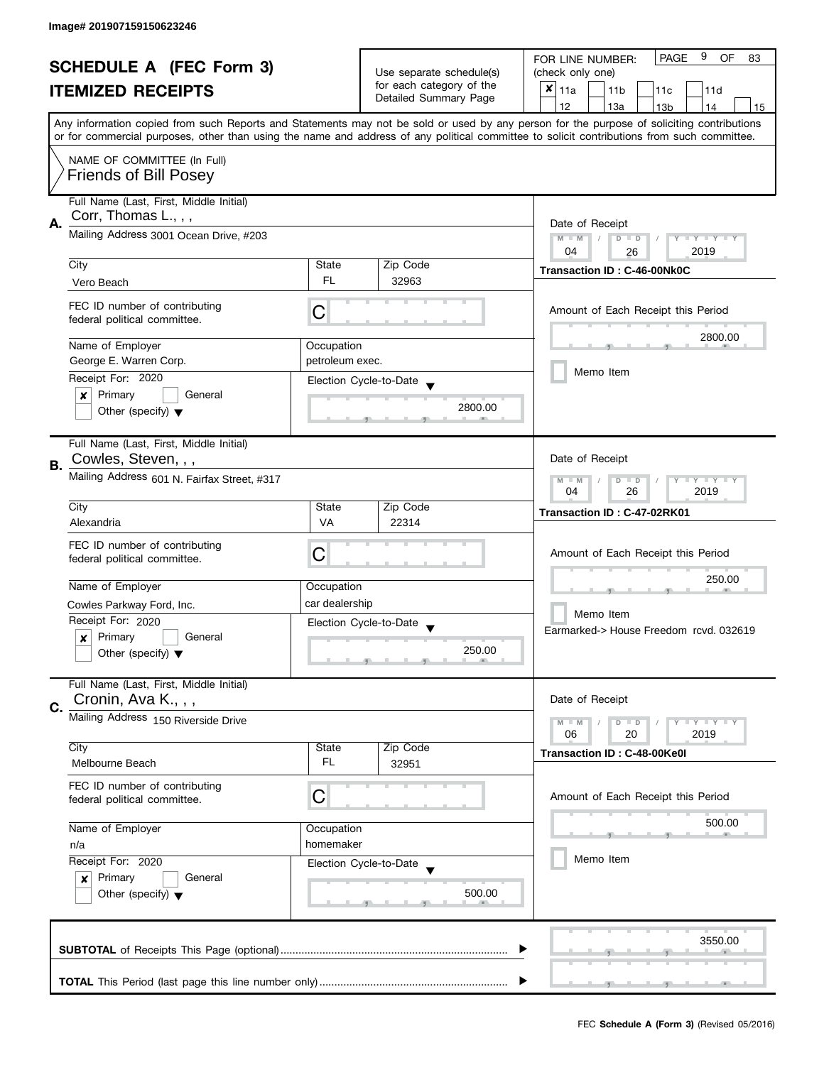| <b>SCHEDULE A (FEC Form 3)</b><br><b>ITEMIZED RECEIPTS</b> |                                                                                                                                                                                     |                                                      | 9<br><b>PAGE</b><br><b>OF</b><br>FOR LINE NUMBER:<br>83 |                                                                                                                                                                                                                                                                                         |  |
|------------------------------------------------------------|-------------------------------------------------------------------------------------------------------------------------------------------------------------------------------------|------------------------------------------------------|---------------------------------------------------------|-----------------------------------------------------------------------------------------------------------------------------------------------------------------------------------------------------------------------------------------------------------------------------------------|--|
|                                                            |                                                                                                                                                                                     | Use separate schedule(s)<br>for each category of the | (check only one)                                        |                                                                                                                                                                                                                                                                                         |  |
|                                                            |                                                                                                                                                                                     | Detailed Summary Page                                | $x _{11a}$<br>11 <sub>b</sub><br>11 <sub>c</sub><br>11d |                                                                                                                                                                                                                                                                                         |  |
|                                                            |                                                                                                                                                                                     |                                                      |                                                         | 12<br>13a<br>13 <sub>b</sub><br>14<br>15                                                                                                                                                                                                                                                |  |
|                                                            |                                                                                                                                                                                     |                                                      |                                                         | Any information copied from such Reports and Statements may not be sold or used by any person for the purpose of soliciting contributions<br>or for commercial purposes, other than using the name and address of any political committee to solicit contributions from such committee. |  |
|                                                            | NAME OF COMMITTEE (In Full)<br><b>Friends of Bill Posey</b>                                                                                                                         |                                                      |                                                         |                                                                                                                                                                                                                                                                                         |  |
|                                                            |                                                                                                                                                                                     |                                                      |                                                         |                                                                                                                                                                                                                                                                                         |  |
|                                                            | Full Name (Last, First, Middle Initial)                                                                                                                                             |                                                      |                                                         |                                                                                                                                                                                                                                                                                         |  |
| А.                                                         | Corr, Thomas L., , ,                                                                                                                                                                | Date of Receipt                                      |                                                         |                                                                                                                                                                                                                                                                                         |  |
|                                                            | Mailing Address 3001 Ocean Drive, #203                                                                                                                                              |                                                      |                                                         | $M - M$<br>$D$ $D$<br>Y FY FY FY<br>$\sqrt{ }$                                                                                                                                                                                                                                          |  |
|                                                            |                                                                                                                                                                                     |                                                      |                                                         | 04<br>2019<br>26                                                                                                                                                                                                                                                                        |  |
|                                                            | City                                                                                                                                                                                | State<br>FL.                                         | Zip Code                                                | Transaction ID: C-46-00Nk0C                                                                                                                                                                                                                                                             |  |
|                                                            | Vero Beach                                                                                                                                                                          |                                                      | 32963                                                   |                                                                                                                                                                                                                                                                                         |  |
|                                                            | FEC ID number of contributing<br>federal political committee.                                                                                                                       | С                                                    |                                                         | Amount of Each Receipt this Period                                                                                                                                                                                                                                                      |  |
|                                                            | Name of Employer                                                                                                                                                                    | Occupation                                           |                                                         | 2800.00                                                                                                                                                                                                                                                                                 |  |
|                                                            | George E. Warren Corp.                                                                                                                                                              | petroleum exec.                                      |                                                         |                                                                                                                                                                                                                                                                                         |  |
|                                                            | Receipt For: 2020                                                                                                                                                                   |                                                      | Election Cycle-to-Date                                  | Memo Item                                                                                                                                                                                                                                                                               |  |
|                                                            | Primary<br>$\pmb{\times}$<br>General                                                                                                                                                |                                                      |                                                         |                                                                                                                                                                                                                                                                                         |  |
|                                                            | Other (specify) $\blacktriangledown$                                                                                                                                                |                                                      | 2800.00                                                 |                                                                                                                                                                                                                                                                                         |  |
|                                                            | Full Name (Last, First, Middle Initial)                                                                                                                                             |                                                      |                                                         |                                                                                                                                                                                                                                                                                         |  |
| В.                                                         | Cowles, Steven, , ,                                                                                                                                                                 |                                                      |                                                         | Date of Receipt                                                                                                                                                                                                                                                                         |  |
|                                                            | Mailing Address 601 N. Fairfax Street, #317                                                                                                                                         |                                                      |                                                         | Y LY L<br>$M - M$<br>D<br>$\blacksquare$<br>2019<br>04<br>26                                                                                                                                                                                                                            |  |
|                                                            | City                                                                                                                                                                                | State                                                | Zip Code                                                | Transaction ID: C-47-02RK01                                                                                                                                                                                                                                                             |  |
|                                                            | Alexandria                                                                                                                                                                          | <b>VA</b>                                            | 22314                                                   |                                                                                                                                                                                                                                                                                         |  |
|                                                            | FEC ID number of contributing                                                                                                                                                       |                                                      |                                                         |                                                                                                                                                                                                                                                                                         |  |
|                                                            | federal political committee.                                                                                                                                                        | C                                                    |                                                         | Amount of Each Receipt this Period                                                                                                                                                                                                                                                      |  |
|                                                            |                                                                                                                                                                                     |                                                      |                                                         | 250.00                                                                                                                                                                                                                                                                                  |  |
|                                                            | Name of Employer                                                                                                                                                                    | Occupation                                           |                                                         |                                                                                                                                                                                                                                                                                         |  |
|                                                            | Cowles Parkway Ford, Inc.                                                                                                                                                           | car dealership                                       |                                                         | Memo Item                                                                                                                                                                                                                                                                               |  |
|                                                            | Receipt For: 2020                                                                                                                                                                   |                                                      | Election Cycle-to-Date                                  | Earmarked-> House Freedom rcvd. 032619                                                                                                                                                                                                                                                  |  |
|                                                            | Primary<br>General<br>x                                                                                                                                                             |                                                      | 250.00                                                  |                                                                                                                                                                                                                                                                                         |  |
|                                                            | Other (specify) $\blacktriangledown$                                                                                                                                                |                                                      |                                                         |                                                                                                                                                                                                                                                                                         |  |
|                                                            | Full Name (Last, First, Middle Initial)                                                                                                                                             |                                                      |                                                         |                                                                                                                                                                                                                                                                                         |  |
|                                                            | Cronin, Ava K.,,,                                                                                                                                                                   |                                                      |                                                         | Date of Receipt                                                                                                                                                                                                                                                                         |  |
| C.                                                         | Mailing Address 150 Riverside Drive                                                                                                                                                 |                                                      |                                                         | $M - M$<br>$Y - Y - Y$<br>D<br>$\blacksquare$                                                                                                                                                                                                                                           |  |
|                                                            |                                                                                                                                                                                     |                                                      |                                                         | 06<br>2019<br>20                                                                                                                                                                                                                                                                        |  |
|                                                            | City                                                                                                                                                                                | State                                                | Zip Code                                                | Transaction ID: C-48-00Ke0I                                                                                                                                                                                                                                                             |  |
|                                                            | Melbourne Beach                                                                                                                                                                     | FL.                                                  | 32951                                                   |                                                                                                                                                                                                                                                                                         |  |
|                                                            | FEC ID number of contributing                                                                                                                                                       |                                                      |                                                         |                                                                                                                                                                                                                                                                                         |  |
|                                                            | federal political committee.                                                                                                                                                        | C                                                    |                                                         | Amount of Each Receipt this Period                                                                                                                                                                                                                                                      |  |
|                                                            |                                                                                                                                                                                     |                                                      |                                                         | 500.00                                                                                                                                                                                                                                                                                  |  |
|                                                            | Name of Employer<br>Occupation<br>homemaker<br>n/a<br>Receipt For: 2020<br>Election Cycle-to-Date<br>Primary<br>General<br>$\boldsymbol{x}$<br>Other (specify) $\blacktriangledown$ |                                                      |                                                         |                                                                                                                                                                                                                                                                                         |  |
|                                                            |                                                                                                                                                                                     |                                                      |                                                         | Memo Item                                                                                                                                                                                                                                                                               |  |
|                                                            |                                                                                                                                                                                     |                                                      |                                                         |                                                                                                                                                                                                                                                                                         |  |
|                                                            |                                                                                                                                                                                     |                                                      | 500.00                                                  |                                                                                                                                                                                                                                                                                         |  |
|                                                            |                                                                                                                                                                                     |                                                      |                                                         |                                                                                                                                                                                                                                                                                         |  |
|                                                            |                                                                                                                                                                                     |                                                      |                                                         |                                                                                                                                                                                                                                                                                         |  |
|                                                            |                                                                                                                                                                                     |                                                      |                                                         | 3550.00                                                                                                                                                                                                                                                                                 |  |
|                                                            |                                                                                                                                                                                     |                                                      |                                                         |                                                                                                                                                                                                                                                                                         |  |
|                                                            |                                                                                                                                                                                     |                                                      |                                                         | $-1$                                                                                                                                                                                                                                                                                    |  |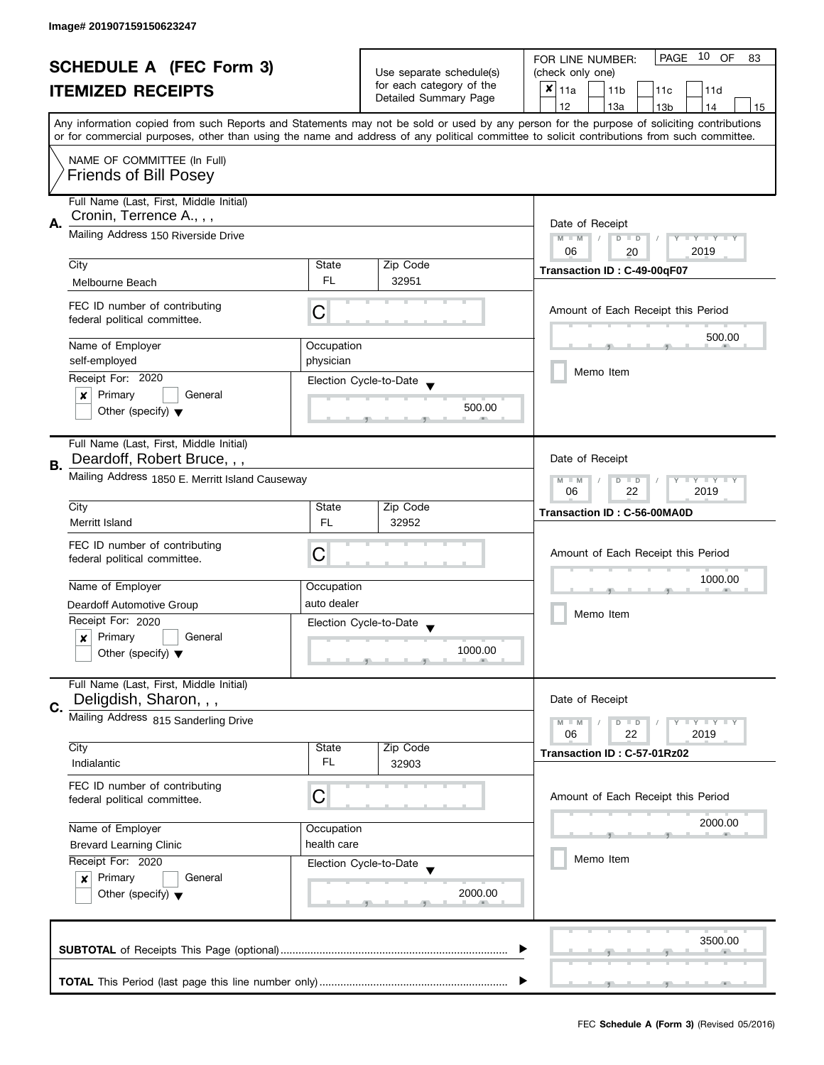|    | <b>SCHEDULE A (FEC Form 3)</b><br><b>ITEMIZED RECEIPTS</b>                                                                            |                         | Use separate schedule(s)<br>for each category of the<br>Detailed Summary Page | PAGE 10 OF<br>FOR LINE NUMBER:<br>83<br>(check only one)<br>$x _{11a}$<br>11 <sub>b</sub><br>11c<br>11d<br>12<br>13a<br>13 <sub>b</sub><br>14<br>15<br>Any information copied from such Reports and Statements may not be sold or used by any person for the purpose of soliciting contributions<br>or for commercial purposes, other than using the name and address of any political committee to solicit contributions from such committee. |
|----|---------------------------------------------------------------------------------------------------------------------------------------|-------------------------|-------------------------------------------------------------------------------|------------------------------------------------------------------------------------------------------------------------------------------------------------------------------------------------------------------------------------------------------------------------------------------------------------------------------------------------------------------------------------------------------------------------------------------------|
|    | NAME OF COMMITTEE (In Full)<br><b>Friends of Bill Posey</b>                                                                           |                         |                                                                               |                                                                                                                                                                                                                                                                                                                                                                                                                                                |
| А. | Full Name (Last, First, Middle Initial)<br>Cronin, Terrence A., , ,<br>Mailing Address 150 Riverside Drive                            |                         |                                                                               | Date of Receipt<br>$M - M$<br>$D$ $D$<br>Y I Y I Y I Y<br>$\sqrt{ }$<br>06<br>2019                                                                                                                                                                                                                                                                                                                                                             |
|    | City<br>Melbourne Beach                                                                                                               | State<br>FL.            | Zip Code<br>32951                                                             | 20<br>Transaction ID: C-49-00qF07                                                                                                                                                                                                                                                                                                                                                                                                              |
|    | FEC ID number of contributing<br>federal political committee.                                                                         | C                       |                                                                               | Amount of Each Receipt this Period                                                                                                                                                                                                                                                                                                                                                                                                             |
|    | Name of Employer<br>self-employed                                                                                                     | Occupation<br>physician |                                                                               | 500.00<br>Memo Item                                                                                                                                                                                                                                                                                                                                                                                                                            |
|    | Receipt For: 2020<br>Primary<br>General<br>×<br>Other (specify) $\blacktriangledown$                                                  |                         | Election Cycle-to-Date<br>500.00                                              |                                                                                                                                                                                                                                                                                                                                                                                                                                                |
| В. | Full Name (Last, First, Middle Initial)<br>Deardoff, Robert Bruce, , ,<br>Mailing Address 1850 E. Merritt Island Causeway             |                         |                                                                               | Date of Receipt<br>$M - M$<br>$\mathbf{y}$<br>Y<br>D<br>$\blacksquare$<br>22<br>06<br>2019                                                                                                                                                                                                                                                                                                                                                     |
|    | City<br>Merritt Island                                                                                                                | State<br><b>FL</b>      | Zip Code<br>32952                                                             | Transaction ID: C-56-00MA0D                                                                                                                                                                                                                                                                                                                                                                                                                    |
|    | FEC ID number of contributing<br>federal political committee.                                                                         | C                       |                                                                               | Amount of Each Receipt this Period                                                                                                                                                                                                                                                                                                                                                                                                             |
|    | Name of Employer                                                                                                                      | Occupation              |                                                                               | 1000.00                                                                                                                                                                                                                                                                                                                                                                                                                                        |
|    | Deardoff Automotive Group<br>Receipt For: 2020<br>Primary<br>General<br>$\pmb{\times}$<br>Other (specify) $\blacktriangledown$        | auto dealer             | Election Cycle-to-Date<br>1000.00                                             | Memo Item                                                                                                                                                                                                                                                                                                                                                                                                                                      |
| C. | Full Name (Last, First, Middle Initial)<br>Deligdish, Sharon, , ,                                                                     |                         |                                                                               | Date of Receipt                                                                                                                                                                                                                                                                                                                                                                                                                                |
|    | Mailing Address 815 Sanderling Drive                                                                                                  |                         |                                                                               | $M - M$<br>$\bot$ $\gamma$ $\bot$ $\gamma$ $\bot$ $\gamma$<br>$D$ $D$<br>06<br>22<br>2019                                                                                                                                                                                                                                                                                                                                                      |
|    | City<br>Indialantic                                                                                                                   | State<br>FL             | Zip Code<br>32903                                                             | Transaction ID: C-57-01Rz02                                                                                                                                                                                                                                                                                                                                                                                                                    |
|    | FEC ID number of contributing<br>federal political committee.                                                                         | C                       |                                                                               | Amount of Each Receipt this Period                                                                                                                                                                                                                                                                                                                                                                                                             |
|    | Name of Employer<br>Occupation                                                                                                        |                         |                                                                               | 2000.00                                                                                                                                                                                                                                                                                                                                                                                                                                        |
|    | <b>Brevard Learning Clinic</b><br>Receipt For: 2020<br>Primary<br>General<br>$\boldsymbol{x}$<br>Other (specify) $\blacktriangledown$ | health care             | Election Cycle-to-Date<br>2000.00                                             | Memo Item                                                                                                                                                                                                                                                                                                                                                                                                                                      |
|    |                                                                                                                                       |                         |                                                                               | 3500.00                                                                                                                                                                                                                                                                                                                                                                                                                                        |
|    |                                                                                                                                       |                         |                                                                               |                                                                                                                                                                                                                                                                                                                                                                                                                                                |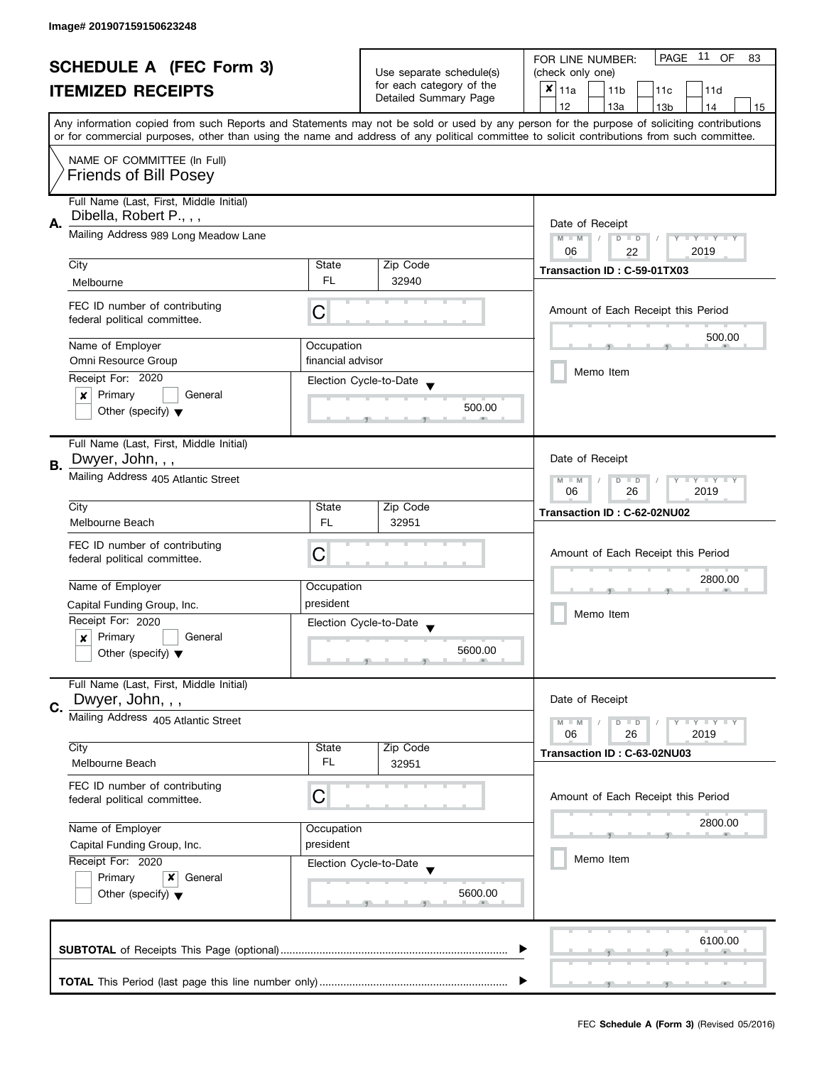| <b>SCHEDULE A (FEC Form 3)</b> |                                                                                                                                  |                                                     | Use separate schedule(s)<br>for each category of the | PAGE 11 OF<br>FOR LINE NUMBER:<br>83<br>(check only one)                                                                                                                                                                                                                                |  |
|--------------------------------|----------------------------------------------------------------------------------------------------------------------------------|-----------------------------------------------------|------------------------------------------------------|-----------------------------------------------------------------------------------------------------------------------------------------------------------------------------------------------------------------------------------------------------------------------------------------|--|
|                                |                                                                                                                                  |                                                     |                                                      |                                                                                                                                                                                                                                                                                         |  |
|                                | <b>ITEMIZED RECEIPTS</b>                                                                                                         |                                                     | Detailed Summary Page                                | $x _{11a}$<br>11 <sub>b</sub><br>11c<br>11d                                                                                                                                                                                                                                             |  |
|                                |                                                                                                                                  |                                                     |                                                      | 12<br>13a<br>14<br>13 <sub>b</sub><br>15                                                                                                                                                                                                                                                |  |
|                                |                                                                                                                                  |                                                     |                                                      | Any information copied from such Reports and Statements may not be sold or used by any person for the purpose of soliciting contributions<br>or for commercial purposes, other than using the name and address of any political committee to solicit contributions from such committee. |  |
|                                | NAME OF COMMITTEE (In Full)                                                                                                      |                                                     |                                                      |                                                                                                                                                                                                                                                                                         |  |
|                                | <b>Friends of Bill Posey</b>                                                                                                     |                                                     |                                                      |                                                                                                                                                                                                                                                                                         |  |
|                                | Full Name (Last, First, Middle Initial)<br>Dibella, Robert P., , ,                                                               |                                                     |                                                      |                                                                                                                                                                                                                                                                                         |  |
| А.                             | Mailing Address 989 Long Meadow Lane                                                                                             | Date of Receipt<br>$M - M$<br>$D$ $D$<br>Y FY FY FY |                                                      |                                                                                                                                                                                                                                                                                         |  |
|                                |                                                                                                                                  |                                                     |                                                      | 06<br>2019<br>22                                                                                                                                                                                                                                                                        |  |
|                                | City                                                                                                                             | State                                               | Zip Code                                             | Transaction ID: C-59-01TX03                                                                                                                                                                                                                                                             |  |
|                                | Melbourne                                                                                                                        | <b>FL</b>                                           | 32940                                                |                                                                                                                                                                                                                                                                                         |  |
|                                | FEC ID number of contributing<br>federal political committee.                                                                    | C                                                   |                                                      | Amount of Each Receipt this Period                                                                                                                                                                                                                                                      |  |
|                                | Name of Employer                                                                                                                 | Occupation                                          |                                                      | 500.00                                                                                                                                                                                                                                                                                  |  |
|                                | Omni Resource Group                                                                                                              | financial advisor                                   |                                                      |                                                                                                                                                                                                                                                                                         |  |
|                                | Receipt For: 2020                                                                                                                |                                                     |                                                      | Memo Item                                                                                                                                                                                                                                                                               |  |
|                                | Primary<br>General<br>×                                                                                                          |                                                     | Election Cycle-to-Date                               |                                                                                                                                                                                                                                                                                         |  |
|                                | Other (specify) $\blacktriangledown$                                                                                             |                                                     | 500.00                                               |                                                                                                                                                                                                                                                                                         |  |
|                                | Full Name (Last, First, Middle Initial)                                                                                          |                                                     |                                                      |                                                                                                                                                                                                                                                                                         |  |
| В.                             | Dwyer, John, , ,                                                                                                                 |                                                     |                                                      | Date of Receipt                                                                                                                                                                                                                                                                         |  |
|                                | Mailing Address 405 Atlantic Street                                                                                              |                                                     |                                                      | $\mathbf{y}$ $\mathbf{y}$<br>$M - M$<br>$D$ $D$<br>Y<br>26<br>2019<br>06                                                                                                                                                                                                                |  |
|                                | City                                                                                                                             | State                                               | Zip Code                                             | Transaction ID: C-62-02NU02                                                                                                                                                                                                                                                             |  |
|                                | Melbourne Beach                                                                                                                  | <b>FL</b>                                           | 32951                                                |                                                                                                                                                                                                                                                                                         |  |
|                                | FEC ID number of contributing                                                                                                    |                                                     |                                                      |                                                                                                                                                                                                                                                                                         |  |
|                                | federal political committee.                                                                                                     | С                                                   |                                                      | Amount of Each Receipt this Period                                                                                                                                                                                                                                                      |  |
|                                |                                                                                                                                  |                                                     |                                                      |                                                                                                                                                                                                                                                                                         |  |
|                                | Name of Employer                                                                                                                 | Occupation                                          |                                                      | 2800.00                                                                                                                                                                                                                                                                                 |  |
|                                | Capital Funding Group, Inc.                                                                                                      | president                                           |                                                      |                                                                                                                                                                                                                                                                                         |  |
|                                | Receipt For: 2020                                                                                                                |                                                     | Election Cycle-to-Date                               | Memo Item                                                                                                                                                                                                                                                                               |  |
|                                | Primary<br>General<br>x                                                                                                          |                                                     |                                                      |                                                                                                                                                                                                                                                                                         |  |
|                                | Other (specify) $\blacktriangledown$                                                                                             |                                                     | 5600.00                                              |                                                                                                                                                                                                                                                                                         |  |
|                                |                                                                                                                                  |                                                     |                                                      |                                                                                                                                                                                                                                                                                         |  |
|                                | Full Name (Last, First, Middle Initial)<br>Dwyer, John, , ,                                                                      |                                                     |                                                      | Date of Receipt                                                                                                                                                                                                                                                                         |  |
| C.                             | Mailing Address 405 Atlantic Street                                                                                              |                                                     |                                                      |                                                                                                                                                                                                                                                                                         |  |
|                                |                                                                                                                                  |                                                     |                                                      | $M - M$<br>$Y \perp Y \perp Y$<br>$D$ $D$<br>06<br>26<br>2019                                                                                                                                                                                                                           |  |
|                                | City                                                                                                                             | State                                               | Zip Code                                             | Transaction ID: C-63-02NU03                                                                                                                                                                                                                                                             |  |
|                                | Melbourne Beach                                                                                                                  | FL                                                  | 32951                                                |                                                                                                                                                                                                                                                                                         |  |
|                                | FEC ID number of contributing                                                                                                    |                                                     |                                                      |                                                                                                                                                                                                                                                                                         |  |
|                                | federal political committee.                                                                                                     | С                                                   |                                                      | Amount of Each Receipt this Period                                                                                                                                                                                                                                                      |  |
|                                | Name of Employer                                                                                                                 |                                                     |                                                      | 2800.00                                                                                                                                                                                                                                                                                 |  |
|                                | Occupation<br>president<br>Capital Funding Group, Inc.<br>Receipt For: 2020<br>Election Cycle-to-Date<br>Primary<br>General<br>x |                                                     |                                                      |                                                                                                                                                                                                                                                                                         |  |
|                                |                                                                                                                                  |                                                     |                                                      | Memo Item                                                                                                                                                                                                                                                                               |  |
|                                |                                                                                                                                  |                                                     |                                                      |                                                                                                                                                                                                                                                                                         |  |
|                                |                                                                                                                                  |                                                     |                                                      |                                                                                                                                                                                                                                                                                         |  |
|                                | Other (specify) $\blacktriangledown$                                                                                             |                                                     | 5600.00                                              |                                                                                                                                                                                                                                                                                         |  |
|                                |                                                                                                                                  |                                                     |                                                      |                                                                                                                                                                                                                                                                                         |  |
|                                |                                                                                                                                  |                                                     |                                                      | 6100.00                                                                                                                                                                                                                                                                                 |  |
|                                |                                                                                                                                  |                                                     |                                                      |                                                                                                                                                                                                                                                                                         |  |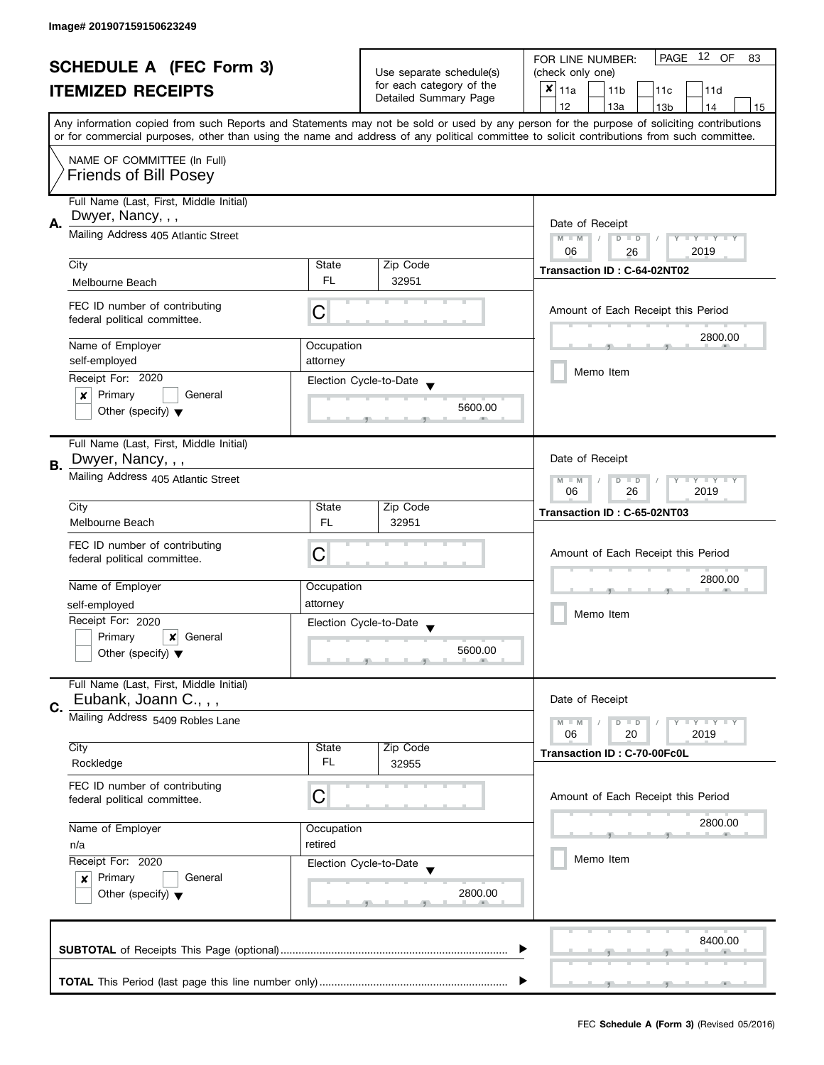| <b>SCHEDULE A (FEC Form 3)</b> |                                                               | Use separate schedule(s) | 12 OF<br>PAGE<br>FOR LINE NUMBER:<br>83            |                                                                                                                                                                                                                                                                                         |
|--------------------------------|---------------------------------------------------------------|--------------------------|----------------------------------------------------|-----------------------------------------------------------------------------------------------------------------------------------------------------------------------------------------------------------------------------------------------------------------------------------------|
|                                |                                                               |                          | (check only one)                                   |                                                                                                                                                                                                                                                                                         |
|                                | <b>ITEMIZED RECEIPTS</b>                                      |                          | for each category of the<br>Detailed Summary Page  | $x _{11a}$<br>11 <sub>b</sub><br>11c<br>11d                                                                                                                                                                                                                                             |
|                                |                                                               |                          |                                                    | 12<br>13a<br>13 <sub>b</sub><br>14<br>15                                                                                                                                                                                                                                                |
|                                |                                                               |                          |                                                    | Any information copied from such Reports and Statements may not be sold or used by any person for the purpose of soliciting contributions<br>or for commercial purposes, other than using the name and address of any political committee to solicit contributions from such committee. |
|                                | NAME OF COMMITTEE (In Full)                                   |                          |                                                    |                                                                                                                                                                                                                                                                                         |
|                                | <b>Friends of Bill Posey</b>                                  |                          |                                                    |                                                                                                                                                                                                                                                                                         |
|                                | Full Name (Last, First, Middle Initial)                       |                          |                                                    |                                                                                                                                                                                                                                                                                         |
| А.                             | Dwyer, Nancy, , ,                                             | Date of Receipt          |                                                    |                                                                                                                                                                                                                                                                                         |
|                                | Mailing Address 405 Atlantic Street                           |                          |                                                    | $M - M$<br>Y I Y I Y I Y<br>$D$ $D$                                                                                                                                                                                                                                                     |
|                                | City                                                          | State                    | Zip Code                                           | 2019<br>06<br>26                                                                                                                                                                                                                                                                        |
|                                | Melbourne Beach                                               | FL.                      | 32951                                              | Transaction ID: C-64-02NT02                                                                                                                                                                                                                                                             |
|                                |                                                               |                          |                                                    |                                                                                                                                                                                                                                                                                         |
|                                | FEC ID number of contributing<br>federal political committee. | С                        |                                                    | Amount of Each Receipt this Period                                                                                                                                                                                                                                                      |
|                                | Name of Employer                                              | Occupation               |                                                    | 2800.00                                                                                                                                                                                                                                                                                 |
|                                | self-employed                                                 | attorney                 |                                                    |                                                                                                                                                                                                                                                                                         |
|                                | Receipt For: 2020                                             |                          | Election Cycle-to-Date                             | Memo Item                                                                                                                                                                                                                                                                               |
|                                | Primary<br>General<br>×                                       |                          |                                                    |                                                                                                                                                                                                                                                                                         |
|                                | Other (specify) $\blacktriangledown$                          |                          | 5600.00                                            |                                                                                                                                                                                                                                                                                         |
|                                | Full Name (Last, First, Middle Initial)                       |                          |                                                    |                                                                                                                                                                                                                                                                                         |
| В.                             | Dwyer, Nancy, , ,                                             |                          |                                                    | Date of Receipt                                                                                                                                                                                                                                                                         |
|                                | Mailing Address 405 Atlantic Street                           |                          |                                                    | <b>LYLYLY</b><br>$M - M$<br>$D$ $D$<br>2019<br>06<br>26                                                                                                                                                                                                                                 |
|                                | City                                                          | State                    | Zip Code                                           | Transaction ID: C-65-02NT03                                                                                                                                                                                                                                                             |
|                                | Melbourne Beach                                               | FL.                      | 32951                                              |                                                                                                                                                                                                                                                                                         |
|                                | FEC ID number of contributing                                 |                          |                                                    |                                                                                                                                                                                                                                                                                         |
|                                | federal political committee.                                  | С                        |                                                    | Amount of Each Receipt this Period                                                                                                                                                                                                                                                      |
|                                | Name of Employer                                              |                          |                                                    | 2800.00                                                                                                                                                                                                                                                                                 |
|                                |                                                               | Occupation<br>attorney   |                                                    |                                                                                                                                                                                                                                                                                         |
|                                | self-employed<br>Receipt For: 2020                            |                          |                                                    | Memo Item                                                                                                                                                                                                                                                                               |
|                                | Primary<br>$\boldsymbol{x}$<br>General                        |                          | Election Cycle-to-Date<br>$\overline{\phantom{a}}$ |                                                                                                                                                                                                                                                                                         |
|                                | Other (specify) $\blacktriangledown$                          |                          | 5600.00                                            |                                                                                                                                                                                                                                                                                         |
|                                |                                                               |                          |                                                    |                                                                                                                                                                                                                                                                                         |
|                                | Full Name (Last, First, Middle Initial)                       |                          |                                                    |                                                                                                                                                                                                                                                                                         |
| C.                             | Eubank, Joann C., , ,                                         |                          |                                                    | Date of Receipt                                                                                                                                                                                                                                                                         |
|                                | Mailing Address 5409 Robles Lane                              |                          |                                                    | $Y = Y = Y$<br>$M - M$<br>$D$ $D$                                                                                                                                                                                                                                                       |
|                                |                                                               |                          |                                                    | 06<br>20<br>2019                                                                                                                                                                                                                                                                        |
|                                | City                                                          | State                    | Zip Code                                           | Transaction ID: C-70-00Fc0L                                                                                                                                                                                                                                                             |
|                                | Rockledge                                                     | FL                       | 32955                                              |                                                                                                                                                                                                                                                                                         |
|                                | FEC ID number of contributing                                 |                          |                                                    |                                                                                                                                                                                                                                                                                         |
|                                | federal political committee.                                  | С                        |                                                    | Amount of Each Receipt this Period                                                                                                                                                                                                                                                      |
|                                | Name of Employer                                              | Occupation               |                                                    | 2800.00                                                                                                                                                                                                                                                                                 |
|                                | n/a                                                           | retired                  |                                                    |                                                                                                                                                                                                                                                                                         |
|                                | Receipt For: 2020                                             |                          | Election Cycle-to-Date                             | Memo Item                                                                                                                                                                                                                                                                               |
|                                | Primary<br>General<br>$\boldsymbol{x}$                        |                          |                                                    |                                                                                                                                                                                                                                                                                         |
|                                | Other (specify) $\blacktriangledown$                          |                          | 2800.00                                            |                                                                                                                                                                                                                                                                                         |
|                                |                                                               |                          |                                                    |                                                                                                                                                                                                                                                                                         |
|                                |                                                               |                          |                                                    |                                                                                                                                                                                                                                                                                         |
|                                |                                                               |                          |                                                    | 8400.00                                                                                                                                                                                                                                                                                 |
|                                |                                                               |                          |                                                    |                                                                                                                                                                                                                                                                                         |
|                                |                                                               |                          |                                                    |                                                                                                                                                                                                                                                                                         |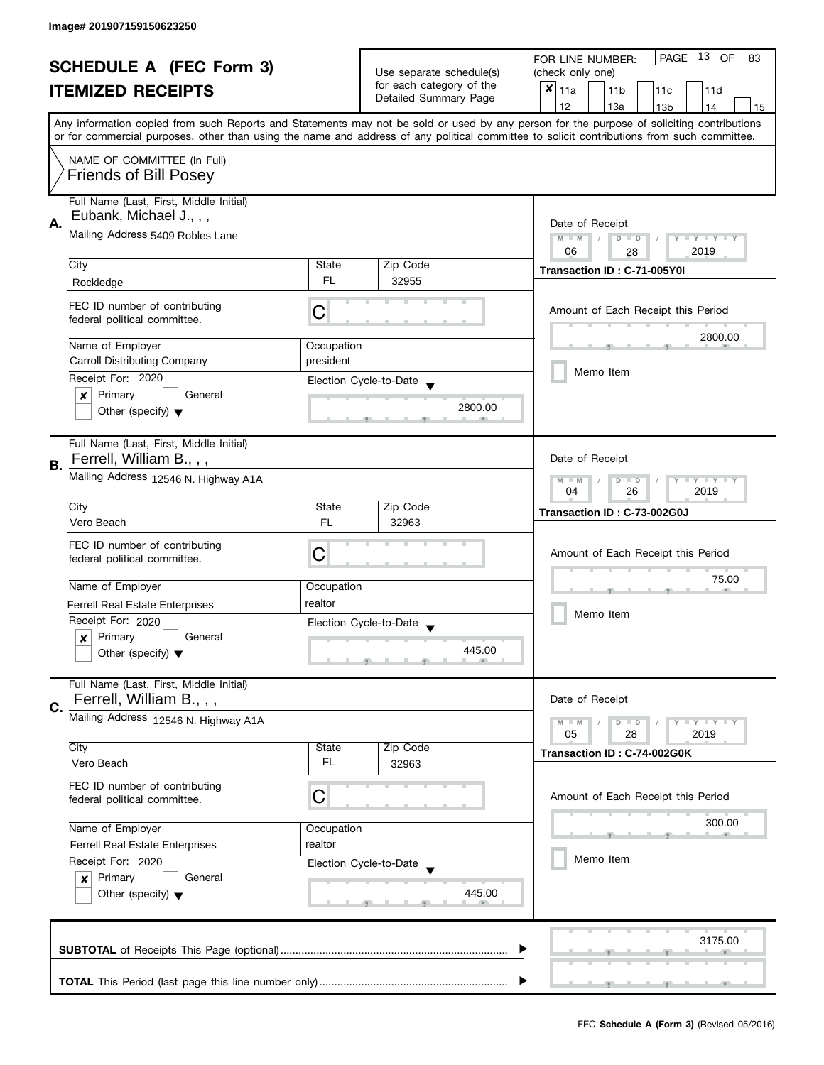| <b>SCHEDULE A (FEC Form 3)</b> |                                                               | Use separate schedule(s)                          | PAGE 13 OF<br>FOR LINE NUMBER:<br>83              |                                                                                                                                            |
|--------------------------------|---------------------------------------------------------------|---------------------------------------------------|---------------------------------------------------|--------------------------------------------------------------------------------------------------------------------------------------------|
|                                |                                                               |                                                   | (check only one)                                  |                                                                                                                                            |
|                                | <b>ITEMIZED RECEIPTS</b>                                      |                                                   | for each category of the<br>Detailed Summary Page | $x _{11a}$<br>11 <sub>b</sub><br>11d<br>11 <sub>c</sub>                                                                                    |
|                                |                                                               |                                                   |                                                   | 12<br>13a<br>13 <sub>b</sub><br>14<br>15                                                                                                   |
|                                |                                                               |                                                   |                                                   | Any information copied from such Reports and Statements may not be sold or used by any person for the purpose of soliciting contributions  |
|                                |                                                               |                                                   |                                                   | or for commercial purposes, other than using the name and address of any political committee to solicit contributions from such committee. |
|                                | NAME OF COMMITTEE (In Full)                                   |                                                   |                                                   |                                                                                                                                            |
|                                | <b>Friends of Bill Posey</b>                                  |                                                   |                                                   |                                                                                                                                            |
|                                |                                                               |                                                   |                                                   |                                                                                                                                            |
|                                | Full Name (Last, First, Middle Initial)                       |                                                   |                                                   |                                                                                                                                            |
| А.                             | Eubank, Michael J.,,,                                         | Date of Receipt                                   |                                                   |                                                                                                                                            |
|                                | Mailing Address 5409 Robles Lane                              | $M - M$<br>$\sqrt{ }$<br>$D$ $D$<br>Y I Y I Y I Y |                                                   |                                                                                                                                            |
|                                |                                                               |                                                   |                                                   | 06<br>2019<br>28                                                                                                                           |
|                                | City                                                          | State                                             | Zip Code                                          | Transaction ID: C-71-005Y0I                                                                                                                |
|                                | Rockledge                                                     | FL.                                               | 32955                                             |                                                                                                                                            |
|                                |                                                               |                                                   |                                                   |                                                                                                                                            |
|                                | FEC ID number of contributing<br>federal political committee. | С                                                 |                                                   | Amount of Each Receipt this Period                                                                                                         |
|                                |                                                               |                                                   |                                                   | 2800.00                                                                                                                                    |
|                                | Name of Employer                                              | Occupation                                        |                                                   |                                                                                                                                            |
|                                | <b>Carroll Distributing Company</b>                           | president                                         |                                                   |                                                                                                                                            |
|                                | Receipt For: 2020                                             |                                                   | Election Cycle-to-Date                            | Memo Item                                                                                                                                  |
|                                | General<br>Primary<br>×                                       |                                                   |                                                   |                                                                                                                                            |
|                                | Other (specify) $\blacktriangledown$                          |                                                   | 2800.00                                           |                                                                                                                                            |
|                                |                                                               |                                                   |                                                   |                                                                                                                                            |
|                                | Full Name (Last, First, Middle Initial)                       |                                                   |                                                   |                                                                                                                                            |
| В.                             | Ferrell, William B., , ,                                      |                                                   |                                                   | Date of Receipt                                                                                                                            |
|                                | Mailing Address 12546 N. Highway A1A                          |                                                   |                                                   | $M - M$<br><b>TEXT</b><br>D<br>$\Box$                                                                                                      |
|                                |                                                               |                                                   |                                                   | 2019<br>04<br>26                                                                                                                           |
|                                | City                                                          | State                                             | Zip Code                                          | Transaction ID: C-73-002G0J                                                                                                                |
|                                | Vero Beach                                                    | <b>FL</b>                                         | 32963                                             |                                                                                                                                            |
|                                | FEC ID number of contributing                                 |                                                   |                                                   |                                                                                                                                            |
|                                | federal political committee.                                  | С                                                 |                                                   | Amount of Each Receipt this Period                                                                                                         |
|                                |                                                               |                                                   |                                                   | 75.00                                                                                                                                      |
|                                | Name of Employer                                              | Occupation                                        |                                                   |                                                                                                                                            |
|                                | Ferrell Real Estate Enterprises                               | realtor                                           |                                                   | Memo Item                                                                                                                                  |
|                                | Receipt For: 2020                                             |                                                   | Election Cycle-to-Date                            |                                                                                                                                            |
|                                | Primary<br>General<br>x                                       |                                                   |                                                   |                                                                                                                                            |
|                                | Other (specify) $\blacktriangledown$                          |                                                   | 445.00                                            |                                                                                                                                            |
|                                |                                                               |                                                   |                                                   |                                                                                                                                            |
|                                | Full Name (Last, First, Middle Initial)                       |                                                   |                                                   |                                                                                                                                            |
| C.                             | Ferrell, William B., , ,                                      |                                                   |                                                   | Date of Receipt                                                                                                                            |
|                                | Mailing Address 12546 N. Highway A1A                          |                                                   |                                                   | $M - M$<br>$\bot$ $\gamma$ $\bot$ $\gamma$ $\bot$ $\gamma$<br>$D$ $D$                                                                      |
|                                |                                                               |                                                   |                                                   | 05<br>28<br>2019                                                                                                                           |
|                                | City<br>Vero Beach                                            | State<br>FL.                                      | Zip Code                                          | Transaction ID: C-74-002G0K                                                                                                                |
|                                |                                                               |                                                   | 32963                                             |                                                                                                                                            |
|                                | FEC ID number of contributing                                 |                                                   |                                                   |                                                                                                                                            |
|                                | federal political committee.                                  | С                                                 |                                                   | Amount of Each Receipt this Period                                                                                                         |
|                                |                                                               |                                                   |                                                   | 300.00                                                                                                                                     |
|                                | Name of Employer<br>Occupation<br>realtor                     |                                                   |                                                   |                                                                                                                                            |
|                                | Ferrell Real Estate Enterprises<br>Receipt For: 2020          |                                                   |                                                   | Memo Item                                                                                                                                  |
|                                | Primary                                                       |                                                   | Election Cycle-to-Date                            |                                                                                                                                            |
|                                | General<br>$\boldsymbol{x}$                                   |                                                   | 445.00                                            |                                                                                                                                            |
|                                | Other (specify) $\blacktriangledown$                          |                                                   |                                                   |                                                                                                                                            |
|                                |                                                               |                                                   |                                                   |                                                                                                                                            |
|                                |                                                               |                                                   |                                                   | 3175.00                                                                                                                                    |
|                                |                                                               |                                                   |                                                   |                                                                                                                                            |
|                                |                                                               |                                                   |                                                   |                                                                                                                                            |
|                                |                                                               |                                                   |                                                   |                                                                                                                                            |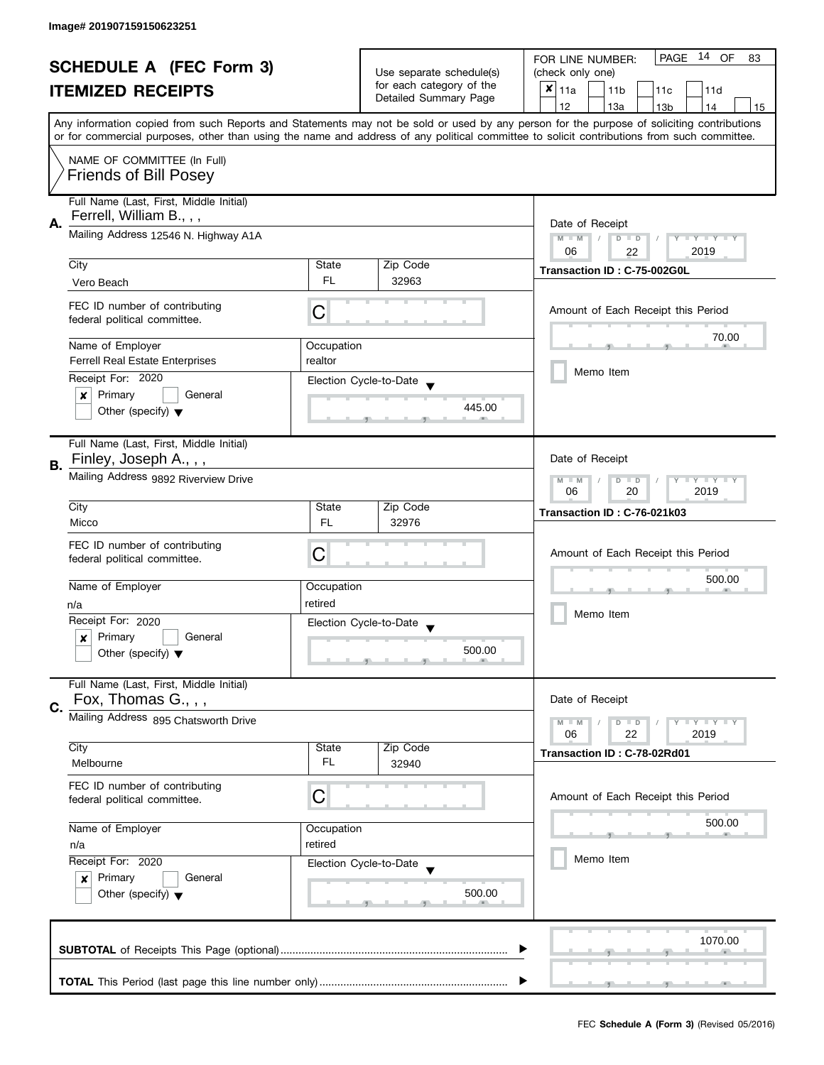| <b>SCHEDULE A (FEC Form 3)</b> |                                             |                                                      | PAGE 14 OF<br>FOR LINE NUMBER:<br>83        |                                                                                                                                            |  |
|--------------------------------|---------------------------------------------|------------------------------------------------------|---------------------------------------------|--------------------------------------------------------------------------------------------------------------------------------------------|--|
| <b>ITEMIZED RECEIPTS</b>       |                                             | Use separate schedule(s)<br>for each category of the | (check only one)                            |                                                                                                                                            |  |
|                                |                                             |                                                      | $x _{11a}$<br>11 <sub>b</sub><br>11c<br>11d |                                                                                                                                            |  |
|                                |                                             |                                                      | Detailed Summary Page                       | 12<br>13a<br>14<br>13 <sub>b</sub><br>15                                                                                                   |  |
|                                |                                             |                                                      |                                             | Any information copied from such Reports and Statements may not be sold or used by any person for the purpose of soliciting contributions  |  |
|                                |                                             |                                                      |                                             | or for commercial purposes, other than using the name and address of any political committee to solicit contributions from such committee. |  |
|                                | NAME OF COMMITTEE (In Full)                 |                                                      |                                             |                                                                                                                                            |  |
|                                | <b>Friends of Bill Posey</b>                |                                                      |                                             |                                                                                                                                            |  |
|                                |                                             |                                                      |                                             |                                                                                                                                            |  |
|                                | Full Name (Last, First, Middle Initial)     |                                                      |                                             |                                                                                                                                            |  |
| А.                             | Ferrell, William B., , ,                    | Date of Receipt                                      |                                             |                                                                                                                                            |  |
|                                | Mailing Address 12546 N. Highway A1A        |                                                      |                                             | $M - M$<br>$D$ $D$<br>Y FY FY FY                                                                                                           |  |
|                                |                                             |                                                      |                                             | 06<br>2019<br>22                                                                                                                           |  |
|                                | City                                        | State                                                | Zip Code                                    | Transaction ID: C-75-002G0L                                                                                                                |  |
|                                | Vero Beach                                  | FL.                                                  | 32963                                       |                                                                                                                                            |  |
|                                | FEC ID number of contributing               |                                                      |                                             |                                                                                                                                            |  |
|                                | federal political committee.                | C                                                    |                                             | Amount of Each Receipt this Period                                                                                                         |  |
|                                |                                             |                                                      |                                             | 70.00                                                                                                                                      |  |
|                                | Name of Employer                            | Occupation                                           |                                             |                                                                                                                                            |  |
|                                | <b>Ferrell Real Estate Enterprises</b>      | realtor                                              |                                             | Memo Item                                                                                                                                  |  |
|                                | Receipt For: 2020                           |                                                      | Election Cycle-to-Date                      |                                                                                                                                            |  |
|                                | $\boldsymbol{x}$<br>Primary<br>General      |                                                      |                                             |                                                                                                                                            |  |
|                                | Other (specify) $\blacktriangledown$        |                                                      | 445.00                                      |                                                                                                                                            |  |
|                                |                                             |                                                      |                                             |                                                                                                                                            |  |
|                                | Full Name (Last, First, Middle Initial)     |                                                      |                                             |                                                                                                                                            |  |
| <b>B.</b>                      | Finley, Joseph A., , ,                      |                                                      |                                             | Date of Receipt                                                                                                                            |  |
|                                | Mailing Address 9892 Riverview Drive        |                                                      |                                             | Y LY LY<br>$M - M$<br>$D$ $D$                                                                                                              |  |
|                                |                                             |                                                      |                                             | 2019<br>06<br>20                                                                                                                           |  |
|                                | City                                        | State                                                | Zip Code                                    | Transaction ID: C-76-021k03                                                                                                                |  |
|                                | Micco                                       | FL                                                   | 32976                                       |                                                                                                                                            |  |
|                                | FEC ID number of contributing               |                                                      |                                             |                                                                                                                                            |  |
|                                | federal political committee.                | C                                                    |                                             | Amount of Each Receipt this Period                                                                                                         |  |
|                                |                                             |                                                      |                                             | 500.00                                                                                                                                     |  |
|                                | Name of Employer                            | Occupation                                           |                                             |                                                                                                                                            |  |
|                                | n/a                                         | retired                                              |                                             |                                                                                                                                            |  |
|                                | Receipt For: 2020                           |                                                      | Election Cycle-to-Date                      | Memo Item                                                                                                                                  |  |
|                                | Primary<br>General<br>$\boldsymbol{x}$      |                                                      |                                             |                                                                                                                                            |  |
|                                | Other (specify) $\blacktriangledown$        |                                                      | 500.00                                      |                                                                                                                                            |  |
|                                |                                             |                                                      |                                             |                                                                                                                                            |  |
|                                | Full Name (Last, First, Middle Initial)     |                                                      |                                             |                                                                                                                                            |  |
| C.                             | Fox, Thomas G., , ,                         |                                                      |                                             | Date of Receipt                                                                                                                            |  |
|                                | Mailing Address 895 Chatsworth Drive        |                                                      |                                             | $M - M$<br>$Y \perp Y \perp Y$<br>$D$ $D$                                                                                                  |  |
|                                |                                             |                                                      |                                             | 06<br>22<br>2019                                                                                                                           |  |
|                                | City                                        | State                                                | Zip Code                                    | Transaction ID: C-78-02Rd01                                                                                                                |  |
|                                | Melbourne                                   | FL                                                   | 32940                                       |                                                                                                                                            |  |
|                                | FEC ID number of contributing               |                                                      |                                             |                                                                                                                                            |  |
|                                | federal political committee.                | C                                                    |                                             | Amount of Each Receipt this Period                                                                                                         |  |
|                                |                                             |                                                      |                                             |                                                                                                                                            |  |
|                                | Name of Employer<br>Occupation              |                                                      |                                             | 500.00                                                                                                                                     |  |
|                                | n/a                                         | retired                                              |                                             |                                                                                                                                            |  |
|                                | Receipt For: 2020<br>Election Cycle-to-Date |                                                      |                                             | Memo Item                                                                                                                                  |  |
|                                | Primary<br>General<br>$\boldsymbol{x}$      |                                                      |                                             |                                                                                                                                            |  |
|                                | Other (specify) $\blacktriangledown$        |                                                      | 500.00                                      |                                                                                                                                            |  |
|                                |                                             |                                                      |                                             |                                                                                                                                            |  |
|                                |                                             |                                                      |                                             |                                                                                                                                            |  |
|                                |                                             |                                                      |                                             | 1070.00                                                                                                                                    |  |
|                                |                                             |                                                      |                                             |                                                                                                                                            |  |
|                                |                                             |                                                      |                                             |                                                                                                                                            |  |
|                                |                                             |                                                      |                                             |                                                                                                                                            |  |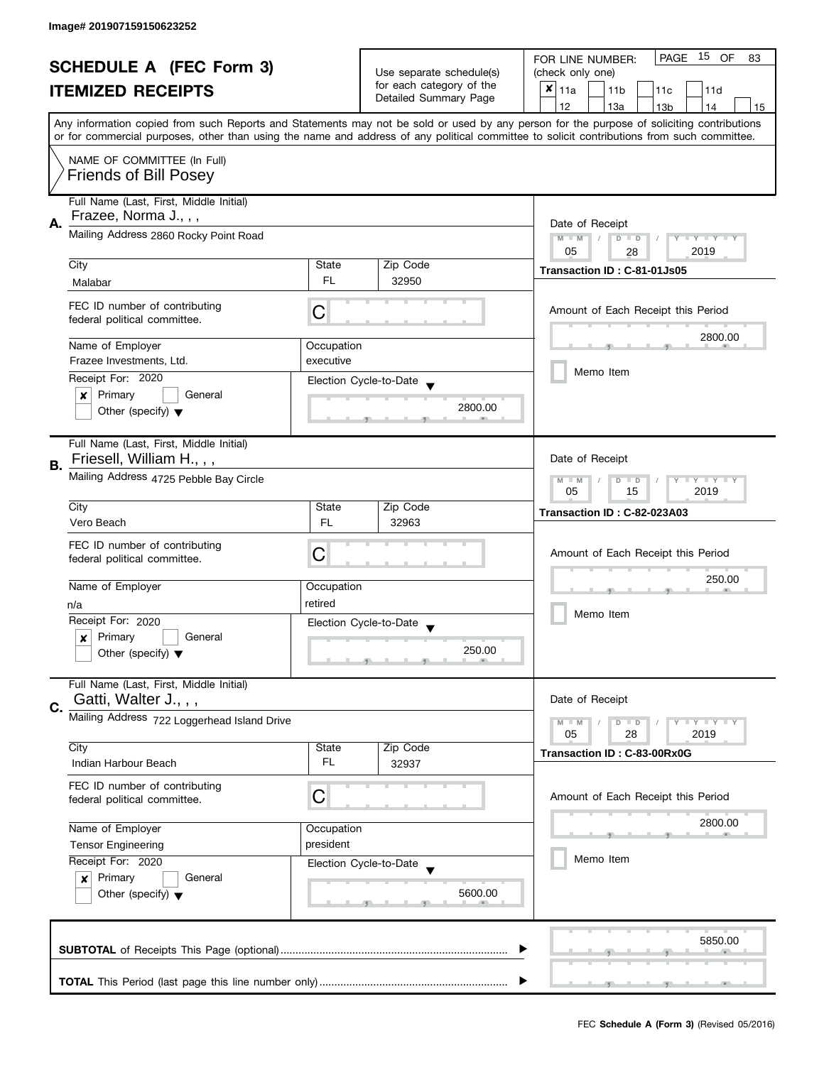| <b>SCHEDULE A (FEC Form 3)</b> |                                             |                 | Use separate schedule(s)<br>for each category of the<br>Detailed Summary Page | PAGE<br>15 OF<br>FOR LINE NUMBER:<br>83                                                                                                    |  |  |
|--------------------------------|---------------------------------------------|-----------------|-------------------------------------------------------------------------------|--------------------------------------------------------------------------------------------------------------------------------------------|--|--|
|                                |                                             |                 |                                                                               | (check only one)                                                                                                                           |  |  |
|                                | <b>ITEMIZED RECEIPTS</b>                    |                 |                                                                               | $x _{11a}$<br>11 <sub>b</sub><br>11c<br>11d                                                                                                |  |  |
|                                |                                             |                 |                                                                               | 12<br>13a<br>13 <sub>b</sub><br>14<br>15                                                                                                   |  |  |
|                                |                                             |                 |                                                                               | Any information copied from such Reports and Statements may not be sold or used by any person for the purpose of soliciting contributions  |  |  |
|                                |                                             |                 |                                                                               | or for commercial purposes, other than using the name and address of any political committee to solicit contributions from such committee. |  |  |
|                                | NAME OF COMMITTEE (In Full)                 |                 |                                                                               |                                                                                                                                            |  |  |
|                                | <b>Friends of Bill Posey</b>                |                 |                                                                               |                                                                                                                                            |  |  |
|                                |                                             |                 |                                                                               |                                                                                                                                            |  |  |
|                                | Full Name (Last, First, Middle Initial)     |                 |                                                                               |                                                                                                                                            |  |  |
|                                | Frazee, Norma J., , ,                       |                 |                                                                               |                                                                                                                                            |  |  |
| А.                             | Mailing Address 2860 Rocky Point Road       | Date of Receipt |                                                                               |                                                                                                                                            |  |  |
|                                |                                             |                 |                                                                               | $M - M$<br>$\sqrt{2}$<br>$D$ $D$<br>Y FY FY FY<br>05<br>2019                                                                               |  |  |
|                                | City                                        | State           | Zip Code                                                                      | 28                                                                                                                                         |  |  |
|                                |                                             | FL.             | 32950                                                                         | Transaction ID: C-81-01Js05                                                                                                                |  |  |
|                                | Malabar                                     |                 |                                                                               |                                                                                                                                            |  |  |
|                                | FEC ID number of contributing               |                 |                                                                               | Amount of Each Receipt this Period                                                                                                         |  |  |
|                                | federal political committee.                | С               |                                                                               |                                                                                                                                            |  |  |
|                                |                                             |                 |                                                                               | 2800.00                                                                                                                                    |  |  |
|                                | Name of Employer                            | Occupation      |                                                                               |                                                                                                                                            |  |  |
|                                | Frazee Investments, Ltd.                    | executive       |                                                                               | Memo Item                                                                                                                                  |  |  |
|                                | Receipt For: 2020                           |                 | Election Cycle-to-Date                                                        |                                                                                                                                            |  |  |
|                                | Primary<br>General<br>x                     |                 |                                                                               |                                                                                                                                            |  |  |
|                                | Other (specify) $\blacktriangledown$        |                 | 2800.00                                                                       |                                                                                                                                            |  |  |
|                                |                                             |                 |                                                                               |                                                                                                                                            |  |  |
|                                | Full Name (Last, First, Middle Initial)     |                 |                                                                               |                                                                                                                                            |  |  |
|                                | Friesell, William H., , ,                   |                 |                                                                               | Date of Receipt                                                                                                                            |  |  |
| В.                             | Mailing Address 4725 Pebble Bay Circle      |                 |                                                                               | Y LY LY                                                                                                                                    |  |  |
|                                |                                             |                 |                                                                               | $M - M$<br>$D$ $D$<br>15<br>2019<br>05                                                                                                     |  |  |
|                                | City                                        | State           | Zip Code                                                                      |                                                                                                                                            |  |  |
|                                | Vero Beach                                  | <b>FL</b>       | 32963                                                                         | Transaction ID: C-82-023A03                                                                                                                |  |  |
|                                |                                             |                 |                                                                               |                                                                                                                                            |  |  |
|                                | FEC ID number of contributing               | C               |                                                                               | Amount of Each Receipt this Period                                                                                                         |  |  |
|                                | federal political committee.                |                 |                                                                               |                                                                                                                                            |  |  |
|                                | Name of Employer                            | Occupation      |                                                                               | 250.00                                                                                                                                     |  |  |
|                                |                                             |                 |                                                                               |                                                                                                                                            |  |  |
|                                | n/a                                         | retired         |                                                                               | Memo Item                                                                                                                                  |  |  |
|                                | Receipt For: 2020                           |                 | Election Cycle-to-Date                                                        |                                                                                                                                            |  |  |
|                                | Primary<br>General<br>x                     |                 |                                                                               |                                                                                                                                            |  |  |
|                                | Other (specify) $\blacktriangledown$        |                 | 250.00                                                                        |                                                                                                                                            |  |  |
|                                |                                             |                 |                                                                               |                                                                                                                                            |  |  |
|                                | Full Name (Last, First, Middle Initial)     |                 |                                                                               |                                                                                                                                            |  |  |
| C.                             | Gatti, Walter J., , ,                       |                 |                                                                               | Date of Receipt                                                                                                                            |  |  |
|                                | Mailing Address 722 Loggerhead Island Drive |                 |                                                                               | $M - M$<br>$Y \perp Y \perp Y$<br>$D$ $D$                                                                                                  |  |  |
|                                |                                             |                 |                                                                               | 05<br>28<br>2019                                                                                                                           |  |  |
|                                | City                                        | State           | Zip Code                                                                      | Transaction ID: C-83-00Rx0G                                                                                                                |  |  |
|                                | Indian Harbour Beach                        | FL              | 32937                                                                         |                                                                                                                                            |  |  |
|                                | FEC ID number of contributing               |                 |                                                                               |                                                                                                                                            |  |  |
|                                | federal political committee.                | С               |                                                                               | Amount of Each Receipt this Period                                                                                                         |  |  |
|                                |                                             |                 |                                                                               |                                                                                                                                            |  |  |
|                                | Name of Employer                            | Occupation      |                                                                               | 2800.00                                                                                                                                    |  |  |
|                                | <b>Tensor Engineering</b>                   | president       |                                                                               |                                                                                                                                            |  |  |
|                                | Receipt For: 2020                           |                 | Election Cycle-to-Date                                                        | Memo Item                                                                                                                                  |  |  |
|                                | Primary<br>General<br>$\boldsymbol{x}$      |                 |                                                                               |                                                                                                                                            |  |  |
|                                | Other (specify) $\blacktriangledown$        |                 | 5600.00                                                                       |                                                                                                                                            |  |  |
|                                |                                             |                 |                                                                               |                                                                                                                                            |  |  |
|                                |                                             |                 |                                                                               |                                                                                                                                            |  |  |
|                                |                                             |                 |                                                                               | 5850.00                                                                                                                                    |  |  |
|                                |                                             |                 |                                                                               |                                                                                                                                            |  |  |
|                                |                                             |                 |                                                                               |                                                                                                                                            |  |  |
|                                |                                             |                 |                                                                               |                                                                                                                                            |  |  |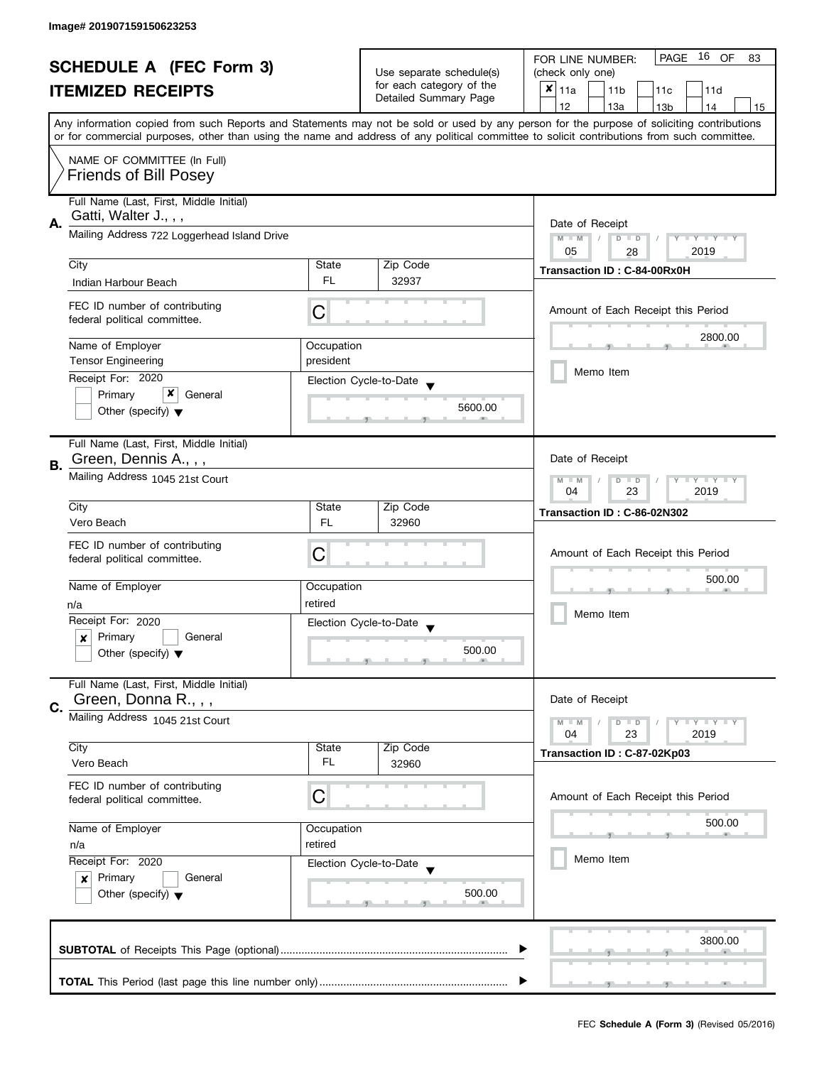| <b>SCHEDULE A (FEC Form 3)</b><br><b>ITEMIZED RECEIPTS</b> |                                             | Use separate schedule(s) | 16 OF<br>PAGE<br>FOR LINE NUMBER:<br>83     |                                                                                                                                            |  |
|------------------------------------------------------------|---------------------------------------------|--------------------------|---------------------------------------------|--------------------------------------------------------------------------------------------------------------------------------------------|--|
|                                                            |                                             |                          | (check only one)                            |                                                                                                                                            |  |
|                                                            |                                             | for each category of the | $x _{11a}$<br>11 <sub>b</sub><br>11c<br>11d |                                                                                                                                            |  |
|                                                            |                                             |                          | Detailed Summary Page                       | 12<br>13a<br>13 <sub>b</sub><br>14<br>15                                                                                                   |  |
|                                                            |                                             |                          |                                             | Any information copied from such Reports and Statements may not be sold or used by any person for the purpose of soliciting contributions  |  |
|                                                            |                                             |                          |                                             | or for commercial purposes, other than using the name and address of any political committee to solicit contributions from such committee. |  |
|                                                            | NAME OF COMMITTEE (In Full)                 |                          |                                             |                                                                                                                                            |  |
|                                                            | <b>Friends of Bill Posey</b>                |                          |                                             |                                                                                                                                            |  |
|                                                            |                                             |                          |                                             |                                                                                                                                            |  |
|                                                            | Full Name (Last, First, Middle Initial)     |                          |                                             |                                                                                                                                            |  |
|                                                            | Gatti, Walter J., , ,                       |                          |                                             |                                                                                                                                            |  |
| А.                                                         | Mailing Address 722 Loggerhead Island Drive |                          |                                             | Date of Receipt<br>$M - M$<br>Y I Y I Y I Y<br>$D$ $D$                                                                                     |  |
|                                                            |                                             |                          |                                             | 05<br>2019<br>28                                                                                                                           |  |
|                                                            | City                                        | State                    | Zip Code                                    |                                                                                                                                            |  |
|                                                            | Indian Harbour Beach                        | FL.                      | 32937                                       | Transaction ID: C-84-00Rx0H                                                                                                                |  |
|                                                            |                                             |                          |                                             |                                                                                                                                            |  |
|                                                            | FEC ID number of contributing               | С                        |                                             | Amount of Each Receipt this Period                                                                                                         |  |
|                                                            | federal political committee.                |                          |                                             |                                                                                                                                            |  |
|                                                            | Name of Employer                            | Occupation               |                                             | 2800.00                                                                                                                                    |  |
|                                                            | <b>Tensor Engineering</b>                   | president                |                                             |                                                                                                                                            |  |
|                                                            | Receipt For: 2020                           |                          |                                             | Memo Item                                                                                                                                  |  |
|                                                            | x<br>Primary<br>General                     |                          | Election Cycle-to-Date                      |                                                                                                                                            |  |
|                                                            | Other (specify) $\blacktriangledown$        |                          | 5600.00                                     |                                                                                                                                            |  |
|                                                            |                                             |                          |                                             |                                                                                                                                            |  |
|                                                            | Full Name (Last, First, Middle Initial)     |                          |                                             |                                                                                                                                            |  |
|                                                            | Green, Dennis A.,,,                         |                          |                                             | Date of Receipt                                                                                                                            |  |
| В.                                                         | Mailing Address 1045 21st Court             |                          |                                             |                                                                                                                                            |  |
|                                                            |                                             |                          |                                             | $Y = Y + Y$<br>$M - M$<br>$D$ $D$<br>T<br>23<br>2019<br>04                                                                                 |  |
|                                                            | City                                        | State                    | Zip Code                                    |                                                                                                                                            |  |
|                                                            | Vero Beach                                  | FL.                      | 32960                                       | Transaction ID: C-86-02N302                                                                                                                |  |
|                                                            |                                             |                          |                                             |                                                                                                                                            |  |
|                                                            | FEC ID number of contributing               | С                        |                                             | Amount of Each Receipt this Period                                                                                                         |  |
|                                                            | federal political committee.                |                          |                                             |                                                                                                                                            |  |
|                                                            | Name of Employer                            | Occupation               |                                             | 500.00                                                                                                                                     |  |
|                                                            | n/a                                         | retired                  |                                             |                                                                                                                                            |  |
|                                                            | Receipt For: 2020                           |                          | Election Cycle-to-Date                      | Memo Item                                                                                                                                  |  |
|                                                            | Primary<br>General<br>x                     |                          | $\blacktriangledown$                        |                                                                                                                                            |  |
|                                                            | Other (specify) $\blacktriangledown$        |                          | 500.00                                      |                                                                                                                                            |  |
|                                                            |                                             |                          |                                             |                                                                                                                                            |  |
|                                                            | Full Name (Last, First, Middle Initial)     |                          |                                             |                                                                                                                                            |  |
| C.                                                         | Green, Donna R.,,,                          |                          |                                             | Date of Receipt                                                                                                                            |  |
|                                                            | Mailing Address 1045 21st Court             |                          |                                             | <b>LYLYLY</b><br>$M - M$<br>$D$ $D$                                                                                                        |  |
|                                                            |                                             |                          |                                             | 04<br>23<br>2019                                                                                                                           |  |
|                                                            | City                                        | State                    | Zip Code                                    | Transaction ID: C-87-02Kp03                                                                                                                |  |
|                                                            | Vero Beach                                  | FL                       | 32960                                       |                                                                                                                                            |  |
|                                                            | FEC ID number of contributing               |                          |                                             |                                                                                                                                            |  |
|                                                            | federal political committee.                | С                        |                                             | Amount of Each Receipt this Period                                                                                                         |  |
|                                                            |                                             |                          |                                             |                                                                                                                                            |  |
|                                                            | Name of Employer                            | Occupation               |                                             | 500.00                                                                                                                                     |  |
|                                                            | retired<br>n/a                              |                          |                                             |                                                                                                                                            |  |
|                                                            | Receipt For: 2020                           |                          | Election Cycle-to-Date                      | Memo Item                                                                                                                                  |  |
|                                                            | Primary<br>General<br>$\boldsymbol{x}$      |                          |                                             |                                                                                                                                            |  |
|                                                            | Other (specify) $\blacktriangledown$        |                          | 500.00                                      |                                                                                                                                            |  |
|                                                            |                                             |                          |                                             |                                                                                                                                            |  |
|                                                            |                                             |                          |                                             |                                                                                                                                            |  |
|                                                            |                                             |                          |                                             | 3800.00                                                                                                                                    |  |
|                                                            |                                             |                          |                                             |                                                                                                                                            |  |
|                                                            |                                             |                          |                                             |                                                                                                                                            |  |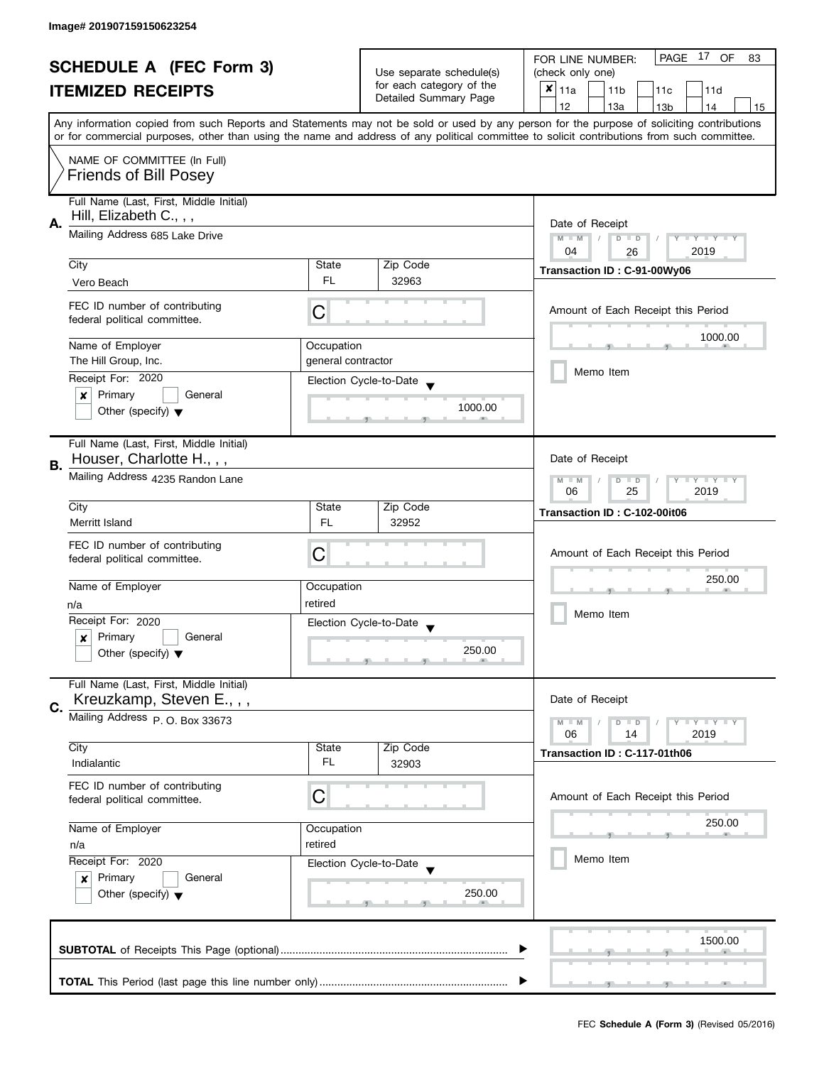| <b>SCHEDULE A (FEC Form 3)</b> |                                         |                                                      | PAGE 17 OF<br>FOR LINE NUMBER:<br>83 |                                                                                                                                                                                                                                                                                         |
|--------------------------------|-----------------------------------------|------------------------------------------------------|--------------------------------------|-----------------------------------------------------------------------------------------------------------------------------------------------------------------------------------------------------------------------------------------------------------------------------------------|
|                                |                                         | Use separate schedule(s)<br>for each category of the | (check only one)                     |                                                                                                                                                                                                                                                                                         |
|                                | <b>ITEMIZED RECEIPTS</b>                |                                                      | Detailed Summary Page                | $x _{11a}$<br>11 <sub>b</sub><br>11c<br>11d                                                                                                                                                                                                                                             |
|                                |                                         |                                                      |                                      | 12<br>13a<br>13 <sub>b</sub><br>14<br>15                                                                                                                                                                                                                                                |
|                                |                                         |                                                      |                                      | Any information copied from such Reports and Statements may not be sold or used by any person for the purpose of soliciting contributions<br>or for commercial purposes, other than using the name and address of any political committee to solicit contributions from such committee. |
|                                | NAME OF COMMITTEE (In Full)             |                                                      |                                      |                                                                                                                                                                                                                                                                                         |
|                                | <b>Friends of Bill Posey</b>            |                                                      |                                      |                                                                                                                                                                                                                                                                                         |
|                                |                                         |                                                      |                                      |                                                                                                                                                                                                                                                                                         |
|                                | Full Name (Last, First, Middle Initial) |                                                      |                                      |                                                                                                                                                                                                                                                                                         |
| А.                             | Hill, Elizabeth C., , ,                 |                                                      |                                      | Date of Receipt                                                                                                                                                                                                                                                                         |
|                                | Mailing Address 685 Lake Drive          |                                                      |                                      | $M - M$<br>$\sqrt{2}$<br>$D$ $D$<br>Y I Y I Y I Y                                                                                                                                                                                                                                       |
|                                |                                         | State                                                |                                      | 04<br>2019<br>26                                                                                                                                                                                                                                                                        |
|                                | City                                    | FL.                                                  | Zip Code<br>32963                    | Transaction ID: C-91-00Wy06                                                                                                                                                                                                                                                             |
|                                | Vero Beach                              |                                                      |                                      |                                                                                                                                                                                                                                                                                         |
|                                | FEC ID number of contributing           | С                                                    |                                      | Amount of Each Receipt this Period                                                                                                                                                                                                                                                      |
|                                | federal political committee.            |                                                      |                                      |                                                                                                                                                                                                                                                                                         |
|                                | Name of Employer                        | Occupation                                           |                                      | 1000.00                                                                                                                                                                                                                                                                                 |
|                                | The Hill Group, Inc.                    | general contractor                                   |                                      |                                                                                                                                                                                                                                                                                         |
|                                | Receipt For: 2020                       |                                                      | Election Cycle-to-Date               | Memo Item                                                                                                                                                                                                                                                                               |
|                                | Primary<br>General<br>×                 |                                                      |                                      |                                                                                                                                                                                                                                                                                         |
|                                | Other (specify) $\blacktriangledown$    |                                                      | 1000.00                              |                                                                                                                                                                                                                                                                                         |
|                                |                                         |                                                      |                                      |                                                                                                                                                                                                                                                                                         |
|                                | Full Name (Last, First, Middle Initial) |                                                      |                                      |                                                                                                                                                                                                                                                                                         |
| В.                             | Houser, Charlotte H.,,,                 |                                                      |                                      | Date of Receipt                                                                                                                                                                                                                                                                         |
|                                | Mailing Address 4235 Randon Lane        |                                                      |                                      | Y LY LY<br>$M - M$<br>$D$ $D$                                                                                                                                                                                                                                                           |
|                                |                                         |                                                      |                                      | 25<br>2019<br>06                                                                                                                                                                                                                                                                        |
|                                | City                                    | State                                                | Zip Code                             | Transaction ID: C-102-00it06                                                                                                                                                                                                                                                            |
|                                | Merritt Island                          | <b>FL</b>                                            | 32952                                |                                                                                                                                                                                                                                                                                         |
|                                | FEC ID number of contributing           |                                                      |                                      |                                                                                                                                                                                                                                                                                         |
|                                | federal political committee.            | C                                                    |                                      | Amount of Each Receipt this Period                                                                                                                                                                                                                                                      |
|                                | Name of Employer                        |                                                      |                                      | 250.00                                                                                                                                                                                                                                                                                  |
|                                |                                         | Occupation<br>retired                                |                                      |                                                                                                                                                                                                                                                                                         |
|                                | n/a<br>Receipt For: 2020                |                                                      |                                      | Memo Item                                                                                                                                                                                                                                                                               |
|                                | Primary<br>General<br>x                 |                                                      | Election Cycle-to-Date               |                                                                                                                                                                                                                                                                                         |
|                                | Other (specify) $\blacktriangledown$    |                                                      | 250.00                               |                                                                                                                                                                                                                                                                                         |
|                                |                                         |                                                      |                                      |                                                                                                                                                                                                                                                                                         |
|                                | Full Name (Last, First, Middle Initial) |                                                      |                                      |                                                                                                                                                                                                                                                                                         |
| C.                             | Kreuzkamp, Steven E.,,,                 |                                                      |                                      | Date of Receipt                                                                                                                                                                                                                                                                         |
|                                | Mailing Address P. O. Box 33673         |                                                      |                                      | $M - M$<br>$Y \perp Y \perp Y$<br>$D$ $D$                                                                                                                                                                                                                                               |
|                                |                                         |                                                      |                                      | 06<br>14<br>2019                                                                                                                                                                                                                                                                        |
|                                | City<br>Indialantic                     | State<br>FL                                          | Zip Code<br>32903                    | Transaction ID: C-117-01th06                                                                                                                                                                                                                                                            |
|                                |                                         |                                                      |                                      |                                                                                                                                                                                                                                                                                         |
|                                | FEC ID number of contributing           | С                                                    |                                      | Amount of Each Receipt this Period                                                                                                                                                                                                                                                      |
|                                | federal political committee.            |                                                      |                                      |                                                                                                                                                                                                                                                                                         |
|                                | Name of Employer                        | Occupation                                           |                                      | 250.00                                                                                                                                                                                                                                                                                  |
|                                | n/a                                     | retired                                              |                                      |                                                                                                                                                                                                                                                                                         |
|                                | Receipt For: 2020                       |                                                      | Election Cycle-to-Date               | Memo Item                                                                                                                                                                                                                                                                               |
|                                | Primary<br>General<br>$\boldsymbol{x}$  |                                                      |                                      |                                                                                                                                                                                                                                                                                         |
|                                | Other (specify) $\blacktriangledown$    |                                                      | 250.00                               |                                                                                                                                                                                                                                                                                         |
|                                |                                         |                                                      |                                      |                                                                                                                                                                                                                                                                                         |
|                                |                                         |                                                      |                                      |                                                                                                                                                                                                                                                                                         |
|                                |                                         |                                                      |                                      | 1500.00                                                                                                                                                                                                                                                                                 |
|                                |                                         |                                                      |                                      |                                                                                                                                                                                                                                                                                         |
|                                |                                         |                                                      |                                      |                                                                                                                                                                                                                                                                                         |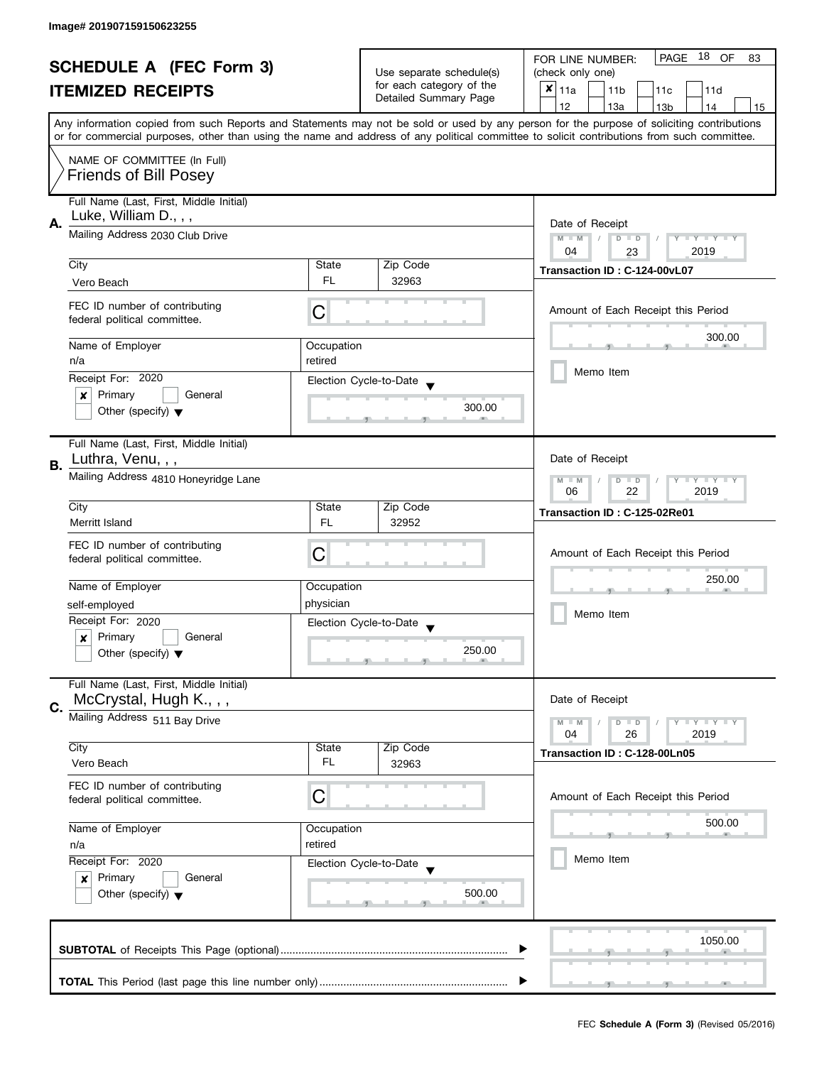| <b>SCHEDULE A (FEC Form 3)</b> |                                                               |                          | PAGE<br>18 OF<br>FOR LINE NUMBER:<br>83           |                                                                                                                                            |  |
|--------------------------------|---------------------------------------------------------------|--------------------------|---------------------------------------------------|--------------------------------------------------------------------------------------------------------------------------------------------|--|
|                                |                                                               | Use separate schedule(s) | (check only one)                                  |                                                                                                                                            |  |
|                                | <b>ITEMIZED RECEIPTS</b>                                      |                          | for each category of the<br>Detailed Summary Page | $x _{11a}$<br>11 <sub>b</sub><br>11c<br>11d                                                                                                |  |
|                                |                                                               |                          |                                                   | 12<br>13a<br>14<br>13 <sub>b</sub><br>15                                                                                                   |  |
|                                |                                                               |                          |                                                   | Any information copied from such Reports and Statements may not be sold or used by any person for the purpose of soliciting contributions  |  |
|                                |                                                               |                          |                                                   | or for commercial purposes, other than using the name and address of any political committee to solicit contributions from such committee. |  |
|                                | NAME OF COMMITTEE (In Full)                                   |                          |                                                   |                                                                                                                                            |  |
|                                | <b>Friends of Bill Posey</b>                                  |                          |                                                   |                                                                                                                                            |  |
|                                |                                                               |                          |                                                   |                                                                                                                                            |  |
|                                | Full Name (Last, First, Middle Initial)                       |                          |                                                   |                                                                                                                                            |  |
| А.                             | Luke, William D., , ,                                         |                          |                                                   | Date of Receipt                                                                                                                            |  |
|                                | Mailing Address 2030 Club Drive                               |                          |                                                   | Y I Y I Y I Y<br>$M - M$<br>$D$ $D$                                                                                                        |  |
|                                |                                                               |                          |                                                   | 04<br>2019<br>23                                                                                                                           |  |
|                                | City                                                          | State                    | Zip Code                                          |                                                                                                                                            |  |
|                                | Vero Beach                                                    | FL.                      | 32963                                             | Transaction ID: C-124-00vL07                                                                                                               |  |
|                                |                                                               |                          |                                                   |                                                                                                                                            |  |
|                                | FEC ID number of contributing                                 | С                        |                                                   | Amount of Each Receipt this Period                                                                                                         |  |
|                                | federal political committee.                                  |                          |                                                   |                                                                                                                                            |  |
|                                | Name of Employer                                              | Occupation               |                                                   | 300.00                                                                                                                                     |  |
|                                | n/a                                                           | retired                  |                                                   |                                                                                                                                            |  |
|                                | Receipt For: 2020                                             |                          |                                                   | Memo Item                                                                                                                                  |  |
|                                | Primary<br>General<br>×                                       |                          | Election Cycle-to-Date                            |                                                                                                                                            |  |
|                                | Other (specify) $\blacktriangledown$                          |                          | 300.00                                            |                                                                                                                                            |  |
|                                |                                                               |                          |                                                   |                                                                                                                                            |  |
|                                | Full Name (Last, First, Middle Initial)                       |                          |                                                   |                                                                                                                                            |  |
|                                | Luthra, Venu, , ,                                             |                          |                                                   | Date of Receipt                                                                                                                            |  |
| <b>B.</b>                      |                                                               |                          |                                                   |                                                                                                                                            |  |
|                                | Mailing Address 4810 Honeyridge Lane                          |                          |                                                   | <b>LYLYLY</b><br>$M - M$<br>$D$ $D$<br>22<br>2019<br>06                                                                                    |  |
|                                | City                                                          | State                    | Zip Code                                          |                                                                                                                                            |  |
|                                | Merritt Island                                                | <b>FL</b>                | 32952                                             | Transaction ID: C-125-02Re01                                                                                                               |  |
|                                |                                                               |                          |                                                   |                                                                                                                                            |  |
|                                | FEC ID number of contributing                                 | C                        |                                                   | Amount of Each Receipt this Period                                                                                                         |  |
|                                | federal political committee.                                  |                          |                                                   |                                                                                                                                            |  |
|                                | Name of Employer                                              | Occupation               |                                                   | 250.00                                                                                                                                     |  |
|                                |                                                               | physician                |                                                   |                                                                                                                                            |  |
|                                | self-employed<br>Receipt For: 2020                            |                          |                                                   | Memo Item                                                                                                                                  |  |
|                                | Primary<br>General                                            |                          | Election Cycle-to-Date                            |                                                                                                                                            |  |
|                                | $\boldsymbol{x}$<br>Other (specify) $\blacktriangledown$      |                          | 250.00                                            |                                                                                                                                            |  |
|                                |                                                               |                          |                                                   |                                                                                                                                            |  |
|                                | Full Name (Last, First, Middle Initial)                       |                          |                                                   |                                                                                                                                            |  |
|                                | McCrystal, Hugh K.,,,                                         |                          |                                                   | Date of Receipt                                                                                                                            |  |
| C.                             | Mailing Address 511 Bay Drive                                 |                          |                                                   |                                                                                                                                            |  |
|                                |                                                               |                          |                                                   | $M - M$<br>$Y \perp Y \perp Y$<br>$D$ $D$<br>04<br>26<br>2019                                                                              |  |
|                                | City                                                          | State                    | Zip Code                                          |                                                                                                                                            |  |
|                                | Vero Beach                                                    | FL                       | 32963                                             | Transaction ID: C-128-00Ln05                                                                                                               |  |
|                                |                                                               |                          |                                                   |                                                                                                                                            |  |
|                                | FEC ID number of contributing<br>federal political committee. | С                        |                                                   | Amount of Each Receipt this Period                                                                                                         |  |
|                                |                                                               |                          |                                                   |                                                                                                                                            |  |
|                                | Name of Employer                                              | Occupation               |                                                   | 500.00                                                                                                                                     |  |
|                                | n/a                                                           | retired                  |                                                   |                                                                                                                                            |  |
|                                | Receipt For: 2020                                             |                          | Election Cycle-to-Date                            | Memo Item                                                                                                                                  |  |
|                                | Primary<br>General<br>$\boldsymbol{x}$                        |                          |                                                   |                                                                                                                                            |  |
|                                | Other (specify) $\blacktriangledown$                          |                          | 500.00                                            |                                                                                                                                            |  |
|                                |                                                               |                          |                                                   |                                                                                                                                            |  |
|                                |                                                               |                          |                                                   |                                                                                                                                            |  |
|                                |                                                               |                          |                                                   | 1050.00                                                                                                                                    |  |
|                                |                                                               |                          |                                                   |                                                                                                                                            |  |
|                                |                                                               |                          |                                                   |                                                                                                                                            |  |
|                                |                                                               |                          |                                                   |                                                                                                                                            |  |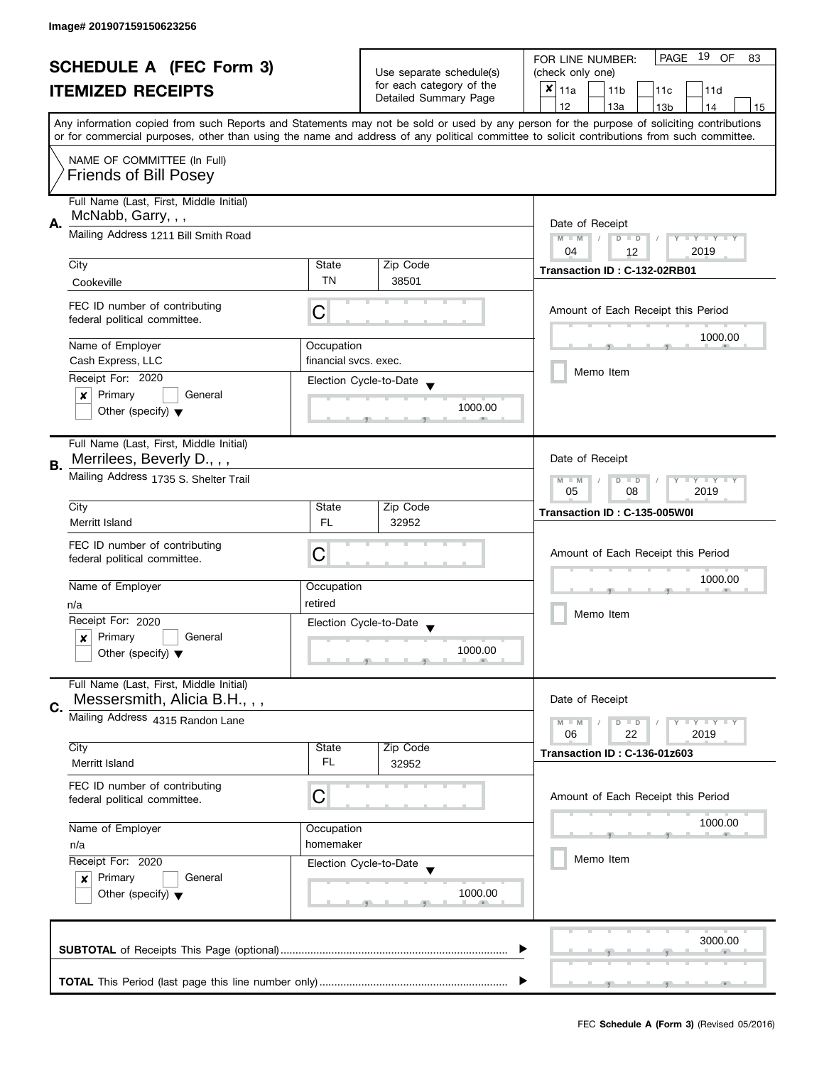| <b>SCHEDULE A (FEC Form 3)</b><br><b>ITEMIZED RECEIPTS</b> |                                                                        | Use separate schedule(s)<br>for each category of the<br>Detailed Summary Page | PAGE 19 OF<br>FOR LINE NUMBER:<br>83                     |                                                                                                                                                                                                                                                                                         |
|------------------------------------------------------------|------------------------------------------------------------------------|-------------------------------------------------------------------------------|----------------------------------------------------------|-----------------------------------------------------------------------------------------------------------------------------------------------------------------------------------------------------------------------------------------------------------------------------------------|
|                                                            |                                                                        |                                                                               | (check only one)                                         |                                                                                                                                                                                                                                                                                         |
|                                                            |                                                                        |                                                                               | $\boldsymbol{x}$<br>11a<br>11 <sub>b</sub><br>11c<br>11d |                                                                                                                                                                                                                                                                                         |
|                                                            |                                                                        |                                                                               |                                                          | 12<br>13a<br>14<br>15<br>13 <sub>b</sub>                                                                                                                                                                                                                                                |
|                                                            |                                                                        |                                                                               |                                                          | Any information copied from such Reports and Statements may not be sold or used by any person for the purpose of soliciting contributions<br>or for commercial purposes, other than using the name and address of any political committee to solicit contributions from such committee. |
|                                                            | NAME OF COMMITTEE (In Full)                                            |                                                                               |                                                          |                                                                                                                                                                                                                                                                                         |
|                                                            | <b>Friends of Bill Posey</b>                                           |                                                                               |                                                          |                                                                                                                                                                                                                                                                                         |
| Α.                                                         | Full Name (Last, First, Middle Initial)<br>McNabb, Garry, , ,          |                                                                               |                                                          | Date of Receipt                                                                                                                                                                                                                                                                         |
|                                                            | Mailing Address 1211 Bill Smith Road                                   | Y FY FY FY<br>$M - M$<br>$D$ $D$<br>2019<br>04<br>12                          |                                                          |                                                                                                                                                                                                                                                                                         |
|                                                            | City                                                                   | State                                                                         | Zip Code                                                 | Transaction ID: C-132-02RB01                                                                                                                                                                                                                                                            |
|                                                            | Cookeville                                                             | <b>TN</b>                                                                     | 38501                                                    |                                                                                                                                                                                                                                                                                         |
|                                                            | FEC ID number of contributing<br>federal political committee.          | С                                                                             |                                                          | Amount of Each Receipt this Period                                                                                                                                                                                                                                                      |
|                                                            | Name of Employer                                                       | Occupation                                                                    |                                                          | 1000.00                                                                                                                                                                                                                                                                                 |
|                                                            | Cash Express, LLC                                                      | financial sycs, exec.                                                         |                                                          |                                                                                                                                                                                                                                                                                         |
|                                                            | Receipt For: 2020                                                      |                                                                               | Election Cycle-to-Date                                   | Memo Item                                                                                                                                                                                                                                                                               |
|                                                            | Primary<br>General<br>×                                                |                                                                               |                                                          |                                                                                                                                                                                                                                                                                         |
|                                                            | Other (specify) $\blacktriangledown$                                   |                                                                               | 1000.00                                                  |                                                                                                                                                                                                                                                                                         |
|                                                            | Full Name (Last, First, Middle Initial)<br>Merrilees, Beverly D.,,,    |                                                                               |                                                          | Date of Receipt                                                                                                                                                                                                                                                                         |
| В.                                                         | Mailing Address 1735 S. Shelter Trail                                  |                                                                               |                                                          | <b>LYLYLY</b><br>$M - M$<br>$D$ $D$<br>2019<br>05<br>08                                                                                                                                                                                                                                 |
|                                                            | City                                                                   | State                                                                         | Zip Code                                                 | Transaction ID: C-135-005W0I                                                                                                                                                                                                                                                            |
|                                                            | Merritt Island                                                         | FL                                                                            | 32952                                                    |                                                                                                                                                                                                                                                                                         |
|                                                            | FEC ID number of contributing                                          |                                                                               |                                                          |                                                                                                                                                                                                                                                                                         |
|                                                            | federal political committee.                                           | C                                                                             |                                                          | Amount of Each Receipt this Period                                                                                                                                                                                                                                                      |
|                                                            |                                                                        |                                                                               |                                                          | 1000.00                                                                                                                                                                                                                                                                                 |
|                                                            | Name of Employer                                                       | Occupation                                                                    |                                                          |                                                                                                                                                                                                                                                                                         |
|                                                            | n/a                                                                    | retired                                                                       |                                                          | Memo Item                                                                                                                                                                                                                                                                               |
|                                                            | Receipt For: 2020                                                      |                                                                               | Election Cycle-to-Date<br>$\overline{\phantom{a}}$       |                                                                                                                                                                                                                                                                                         |
|                                                            | Primary<br>General<br>$\boldsymbol{x}$                                 |                                                                               | 1000.00                                                  |                                                                                                                                                                                                                                                                                         |
|                                                            | Other (specify) $\blacktriangledown$                                   |                                                                               |                                                          |                                                                                                                                                                                                                                                                                         |
|                                                            | Full Name (Last, First, Middle Initial)<br>Messersmith, Alicia B.H.,,, |                                                                               |                                                          | Date of Receipt                                                                                                                                                                                                                                                                         |
| C.                                                         | Mailing Address 4315 Randon Lane                                       |                                                                               |                                                          |                                                                                                                                                                                                                                                                                         |
|                                                            |                                                                        |                                                                               |                                                          | $Y = Y + Y$<br>$M - M$<br>$D$ $D$<br>06<br>22<br>2019                                                                                                                                                                                                                                   |
|                                                            | City                                                                   | State                                                                         | Zip Code                                                 | Transaction ID: C-136-01z603                                                                                                                                                                                                                                                            |
|                                                            | Merritt Island                                                         | FL                                                                            | 32952                                                    |                                                                                                                                                                                                                                                                                         |
|                                                            | FEC ID number of contributing<br>federal political committee.          | C                                                                             |                                                          | Amount of Each Receipt this Period                                                                                                                                                                                                                                                      |
|                                                            | Name of Employer                                                       | Occupation                                                                    |                                                          | 1000.00                                                                                                                                                                                                                                                                                 |
|                                                            | n/a                                                                    | homemaker                                                                     |                                                          |                                                                                                                                                                                                                                                                                         |
|                                                            | Receipt For: 2020                                                      |                                                                               | Election Cycle-to-Date                                   | Memo Item                                                                                                                                                                                                                                                                               |
|                                                            | Primary<br>General<br>$\boldsymbol{x}$                                 |                                                                               |                                                          |                                                                                                                                                                                                                                                                                         |
|                                                            | Other (specify) $\blacktriangledown$                                   |                                                                               | 1000.00                                                  |                                                                                                                                                                                                                                                                                         |
|                                                            |                                                                        |                                                                               |                                                          | 3000.00                                                                                                                                                                                                                                                                                 |
|                                                            |                                                                        |                                                                               |                                                          |                                                                                                                                                                                                                                                                                         |
|                                                            |                                                                        |                                                                               |                                                          |                                                                                                                                                                                                                                                                                         |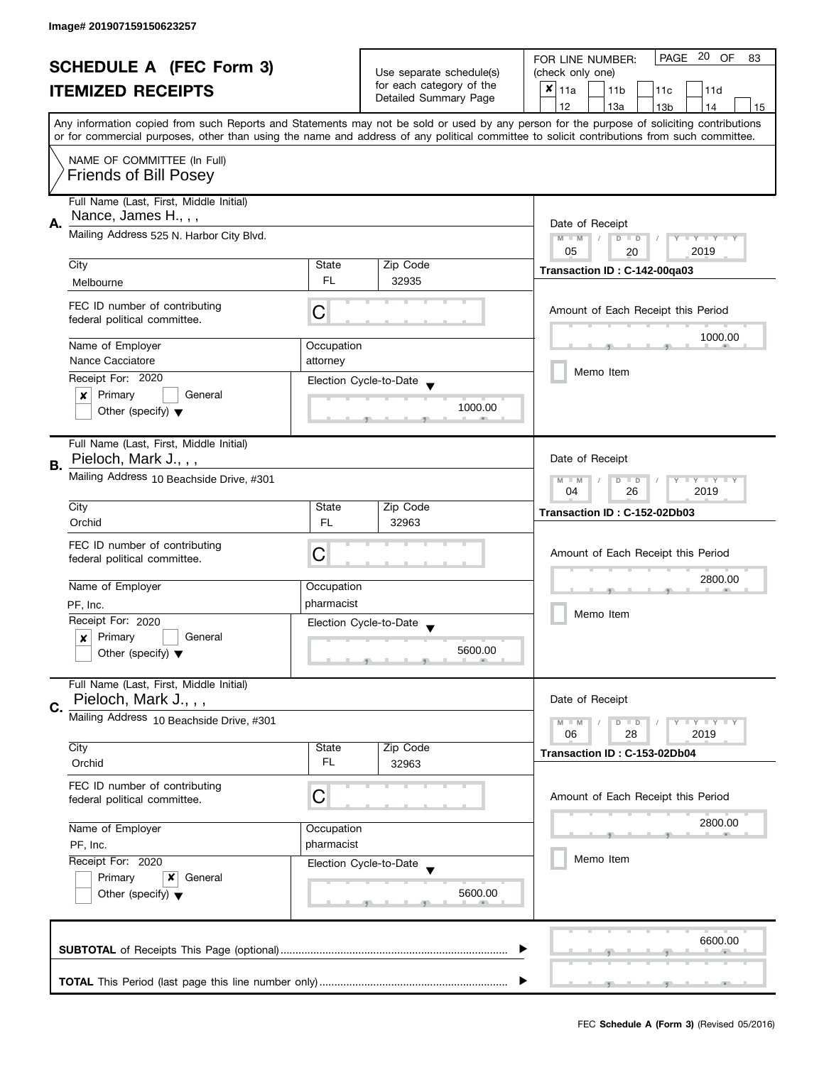| <b>SCHEDULE A (FEC Form 3)</b> |                                          |                 | PAGE 20 OF<br>FOR LINE NUMBER:<br>83 |                                                                                                                                            |  |  |
|--------------------------------|------------------------------------------|-----------------|--------------------------------------|--------------------------------------------------------------------------------------------------------------------------------------------|--|--|
|                                |                                          |                 | Use separate schedule(s)             | (check only one)                                                                                                                           |  |  |
|                                | <b>ITEMIZED RECEIPTS</b>                 |                 | for each category of the             | $x _{11a}$<br>11 <sub>b</sub><br>11d<br>11c                                                                                                |  |  |
|                                |                                          |                 | Detailed Summary Page                | 12<br>13a<br>14<br>13 <sub>b</sub><br>15                                                                                                   |  |  |
|                                |                                          |                 |                                      | Any information copied from such Reports and Statements may not be sold or used by any person for the purpose of soliciting contributions  |  |  |
|                                |                                          |                 |                                      | or for commercial purposes, other than using the name and address of any political committee to solicit contributions from such committee. |  |  |
|                                | NAME OF COMMITTEE (In Full)              |                 |                                      |                                                                                                                                            |  |  |
|                                | <b>Friends of Bill Posey</b>             |                 |                                      |                                                                                                                                            |  |  |
|                                |                                          |                 |                                      |                                                                                                                                            |  |  |
|                                | Full Name (Last, First, Middle Initial)  |                 |                                      |                                                                                                                                            |  |  |
|                                | Nance, James H., , ,                     |                 |                                      |                                                                                                                                            |  |  |
| А.                             | Mailing Address 525 N. Harbor City Blvd. | Date of Receipt |                                      |                                                                                                                                            |  |  |
|                                |                                          |                 |                                      | $M - M$<br>$D$ $D$<br>Y FY FY FY<br>05<br>2019                                                                                             |  |  |
|                                | City                                     | State           | Zip Code                             | 20                                                                                                                                         |  |  |
|                                |                                          | <b>FL</b>       | 32935                                | Transaction ID: C-142-00qa03                                                                                                               |  |  |
|                                | Melbourne                                |                 |                                      |                                                                                                                                            |  |  |
|                                | FEC ID number of contributing            |                 |                                      | Amount of Each Receipt this Period                                                                                                         |  |  |
|                                | federal political committee.             | C               |                                      |                                                                                                                                            |  |  |
|                                |                                          |                 |                                      | 1000.00                                                                                                                                    |  |  |
|                                | Name of Employer                         | Occupation      |                                      |                                                                                                                                            |  |  |
|                                | Nance Cacciatore                         | attorney        |                                      | Memo Item                                                                                                                                  |  |  |
|                                | Receipt For: 2020                        |                 | Election Cycle-to-Date               |                                                                                                                                            |  |  |
|                                | Primary<br>General<br>×                  |                 |                                      |                                                                                                                                            |  |  |
|                                | Other (specify) $\blacktriangledown$     |                 | 1000.00                              |                                                                                                                                            |  |  |
|                                |                                          |                 |                                      |                                                                                                                                            |  |  |
|                                | Full Name (Last, First, Middle Initial)  |                 |                                      |                                                                                                                                            |  |  |
|                                | Pieloch, Mark J., , ,                    |                 |                                      | Date of Receipt                                                                                                                            |  |  |
| В.                             | Mailing Address 10 Beachside Drive, #301 |                 |                                      |                                                                                                                                            |  |  |
|                                |                                          |                 |                                      | $\mathbf{I}$ $\mathbf{Y}$ $\mathbf{I}$ $\mathbf{Y}$<br>$M - M$<br>Y<br>$D$ $D$<br>26<br>2019<br>04                                         |  |  |
|                                | City                                     | State           | Zip Code                             |                                                                                                                                            |  |  |
|                                | Orchid                                   | <b>FL</b>       | 32963                                | Transaction ID: C-152-02Db03                                                                                                               |  |  |
|                                |                                          |                 |                                      |                                                                                                                                            |  |  |
|                                | FEC ID number of contributing            | С               |                                      | Amount of Each Receipt this Period                                                                                                         |  |  |
|                                | federal political committee.             |                 |                                      |                                                                                                                                            |  |  |
|                                | Name of Employer                         | Occupation      |                                      | 2800.00                                                                                                                                    |  |  |
|                                |                                          |                 |                                      |                                                                                                                                            |  |  |
|                                | PF, Inc.                                 | pharmacist      |                                      | Memo Item                                                                                                                                  |  |  |
|                                | Receipt For: 2020                        |                 | Election Cycle-to-Date               |                                                                                                                                            |  |  |
|                                | Primary<br>General<br>x                  |                 |                                      |                                                                                                                                            |  |  |
|                                | Other (specify) $\blacktriangledown$     |                 | 5600.00                              |                                                                                                                                            |  |  |
|                                |                                          |                 |                                      |                                                                                                                                            |  |  |
|                                | Full Name (Last, First, Middle Initial)  |                 |                                      |                                                                                                                                            |  |  |
| C.                             | Pieloch, Mark J.,,,                      |                 |                                      | Date of Receipt                                                                                                                            |  |  |
|                                | Mailing Address 10 Beachside Drive, #301 |                 |                                      | $M - M$<br>$Y - Y - Y$<br>$D$ $D$                                                                                                          |  |  |
|                                |                                          |                 |                                      | 06<br>28<br>2019                                                                                                                           |  |  |
|                                | City                                     | State           | Zip Code                             | Transaction ID: C-153-02Db04                                                                                                               |  |  |
|                                | Orchid                                   | FL              | 32963                                |                                                                                                                                            |  |  |
|                                | FEC ID number of contributing            |                 |                                      |                                                                                                                                            |  |  |
|                                | federal political committee.             | C               |                                      | Amount of Each Receipt this Period                                                                                                         |  |  |
|                                |                                          |                 |                                      |                                                                                                                                            |  |  |
|                                | Name of Employer                         | Occupation      |                                      | 2800.00                                                                                                                                    |  |  |
|                                | PF, Inc.                                 | pharmacist      |                                      |                                                                                                                                            |  |  |
|                                | Receipt For: 2020                        |                 | Election Cycle-to-Date               | Memo Item                                                                                                                                  |  |  |
|                                | Primary<br>x<br>General                  |                 |                                      |                                                                                                                                            |  |  |
|                                | Other (specify) $\blacktriangledown$     |                 | 5600.00                              |                                                                                                                                            |  |  |
|                                |                                          |                 |                                      |                                                                                                                                            |  |  |
|                                |                                          |                 |                                      |                                                                                                                                            |  |  |
|                                |                                          |                 |                                      | 6600.00                                                                                                                                    |  |  |
|                                |                                          |                 |                                      |                                                                                                                                            |  |  |
|                                |                                          |                 |                                      |                                                                                                                                            |  |  |
|                                |                                          |                 |                                      |                                                                                                                                            |  |  |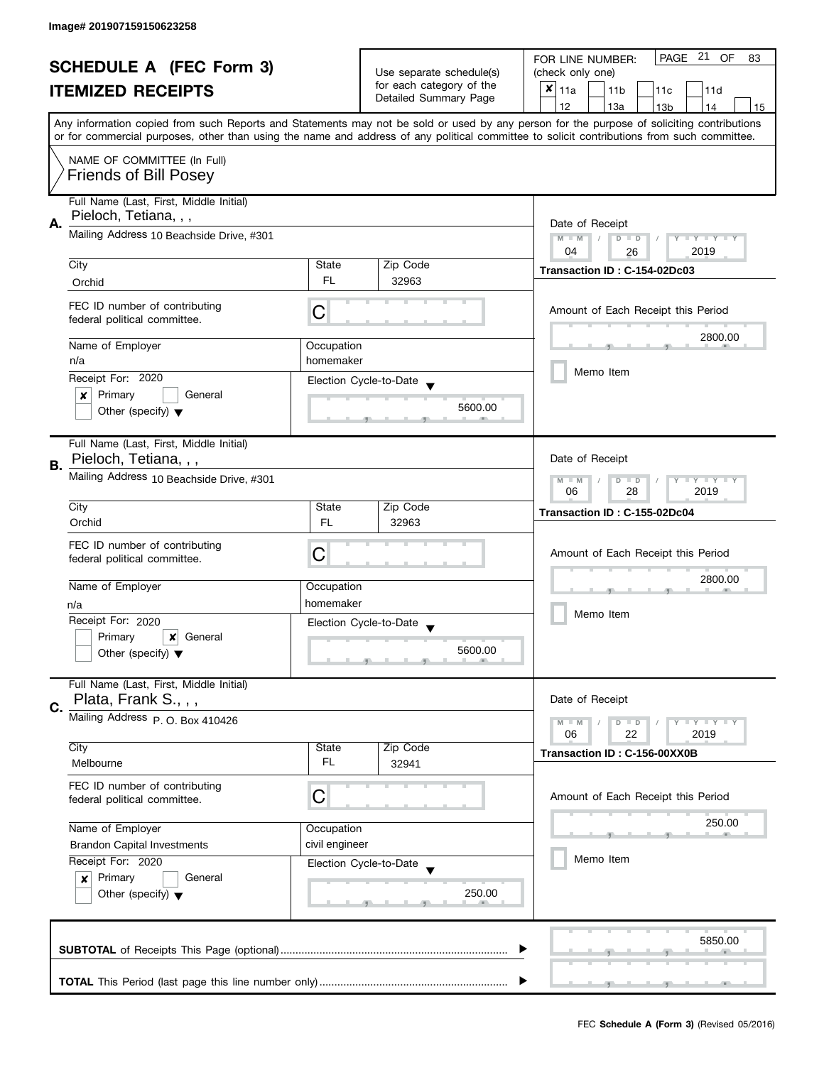| <b>SCHEDULE A (FEC Form 3)</b> |                                                               | Use separate schedule(s) | PAGE 21 OF<br>FOR LINE NUMBER:<br>83              |                                                                                                                                            |  |  |
|--------------------------------|---------------------------------------------------------------|--------------------------|---------------------------------------------------|--------------------------------------------------------------------------------------------------------------------------------------------|--|--|
|                                |                                                               |                          | (check only one)                                  |                                                                                                                                            |  |  |
|                                | <b>ITEMIZED RECEIPTS</b>                                      |                          | for each category of the<br>Detailed Summary Page | $x _{11a}$<br>11 <sub>b</sub><br>11c<br>11d                                                                                                |  |  |
|                                |                                                               |                          |                                                   | 12<br>13a<br>13 <sub>b</sub><br>14<br>15                                                                                                   |  |  |
|                                |                                                               |                          |                                                   | Any information copied from such Reports and Statements may not be sold or used by any person for the purpose of soliciting contributions  |  |  |
|                                |                                                               |                          |                                                   | or for commercial purposes, other than using the name and address of any political committee to solicit contributions from such committee. |  |  |
|                                | NAME OF COMMITTEE (In Full)                                   |                          |                                                   |                                                                                                                                            |  |  |
|                                |                                                               |                          |                                                   |                                                                                                                                            |  |  |
|                                | <b>Friends of Bill Posey</b>                                  |                          |                                                   |                                                                                                                                            |  |  |
|                                | Full Name (Last, First, Middle Initial)                       |                          |                                                   |                                                                                                                                            |  |  |
|                                | Pieloch, Tetiana, , ,                                         |                          |                                                   |                                                                                                                                            |  |  |
| А.                             | Mailing Address 10 Beachside Drive, #301                      |                          |                                                   | Date of Receipt                                                                                                                            |  |  |
|                                |                                                               |                          |                                                   | $M - M$<br>$\sqrt{2}$<br>$D$ $D$<br>Y I Y I Y I Y<br>04<br>2019                                                                            |  |  |
|                                | City                                                          | State                    | Zip Code                                          | 26                                                                                                                                         |  |  |
|                                |                                                               | FL.                      | 32963                                             | Transaction ID: C-154-02Dc03                                                                                                               |  |  |
|                                | Orchid                                                        |                          |                                                   |                                                                                                                                            |  |  |
|                                | FEC ID number of contributing                                 |                          |                                                   | Amount of Each Receipt this Period                                                                                                         |  |  |
|                                | federal political committee.                                  | С                        |                                                   |                                                                                                                                            |  |  |
|                                |                                                               |                          |                                                   | 2800.00                                                                                                                                    |  |  |
|                                | Name of Employer                                              | Occupation               |                                                   |                                                                                                                                            |  |  |
|                                | n/a                                                           | homemaker                |                                                   | Memo Item                                                                                                                                  |  |  |
|                                | Receipt For: 2020                                             |                          | Election Cycle-to-Date                            |                                                                                                                                            |  |  |
|                                | Primary<br>General<br>×                                       |                          |                                                   |                                                                                                                                            |  |  |
|                                | Other (specify) $\blacktriangledown$                          |                          | 5600.00                                           |                                                                                                                                            |  |  |
|                                |                                                               |                          |                                                   |                                                                                                                                            |  |  |
|                                | Full Name (Last, First, Middle Initial)                       |                          |                                                   |                                                                                                                                            |  |  |
| В.                             | Pieloch, Tetiana, , ,                                         |                          |                                                   | Date of Receipt                                                                                                                            |  |  |
|                                | Mailing Address 10 Beachside Drive, #301                      |                          |                                                   | $Y = Y + Y$<br>$M - M$<br>D<br>$\Box$                                                                                                      |  |  |
|                                |                                                               |                          |                                                   | 2019<br>06<br>28                                                                                                                           |  |  |
|                                | City                                                          | State                    | Zip Code                                          | Transaction ID: C-155-02Dc04                                                                                                               |  |  |
|                                | Orchid                                                        | <b>FL</b>                | 32963                                             |                                                                                                                                            |  |  |
|                                |                                                               |                          |                                                   |                                                                                                                                            |  |  |
|                                | FEC ID number of contributing<br>federal political committee. | С                        |                                                   | Amount of Each Receipt this Period                                                                                                         |  |  |
|                                |                                                               |                          |                                                   |                                                                                                                                            |  |  |
|                                | Name of Employer                                              | Occupation               |                                                   | 2800.00                                                                                                                                    |  |  |
|                                | n/a                                                           | homemaker                |                                                   |                                                                                                                                            |  |  |
|                                | Receipt For: 2020                                             |                          |                                                   | Memo Item                                                                                                                                  |  |  |
|                                | Primary<br>×<br>General                                       |                          | Election Cycle-to-Date                            |                                                                                                                                            |  |  |
|                                | Other (specify) $\blacktriangledown$                          |                          | 5600.00                                           |                                                                                                                                            |  |  |
|                                |                                                               |                          |                                                   |                                                                                                                                            |  |  |
|                                | Full Name (Last, First, Middle Initial)                       |                          |                                                   |                                                                                                                                            |  |  |
|                                | Plata, Frank S., , ,                                          |                          |                                                   | Date of Receipt                                                                                                                            |  |  |
| C.                             | Mailing Address P. O. Box 410426                              |                          |                                                   |                                                                                                                                            |  |  |
|                                |                                                               |                          |                                                   | $M - M$<br>$\mathsf{I} \mathsf{Y} \mathsf{I} \mathsf{Y} \mathsf{I}$<br>$\blacksquare$<br>06<br>22<br>2019                                  |  |  |
|                                | City                                                          | State                    | Zip Code                                          |                                                                                                                                            |  |  |
|                                | Melbourne                                                     | FL.                      | 32941                                             | Transaction ID: C-156-00XX0B                                                                                                               |  |  |
|                                |                                                               |                          |                                                   |                                                                                                                                            |  |  |
|                                | FEC ID number of contributing                                 | C                        |                                                   | Amount of Each Receipt this Period                                                                                                         |  |  |
|                                | federal political committee.                                  |                          |                                                   |                                                                                                                                            |  |  |
|                                | Name of Employer                                              | Occupation               |                                                   | 250.00                                                                                                                                     |  |  |
|                                |                                                               | civil engineer           |                                                   |                                                                                                                                            |  |  |
|                                | <b>Brandon Capital Investments</b>                            |                          |                                                   | Memo Item                                                                                                                                  |  |  |
|                                | Receipt For: 2020                                             |                          | Election Cycle-to-Date                            |                                                                                                                                            |  |  |
|                                | Primary<br>General<br>$\boldsymbol{x}$                        |                          |                                                   |                                                                                                                                            |  |  |
|                                | Other (specify) $\blacktriangledown$                          |                          | 250.00                                            |                                                                                                                                            |  |  |
|                                |                                                               |                          |                                                   |                                                                                                                                            |  |  |
|                                |                                                               |                          |                                                   |                                                                                                                                            |  |  |
|                                |                                                               |                          |                                                   | 5850.00                                                                                                                                    |  |  |
|                                |                                                               |                          |                                                   |                                                                                                                                            |  |  |
|                                |                                                               |                          |                                                   |                                                                                                                                            |  |  |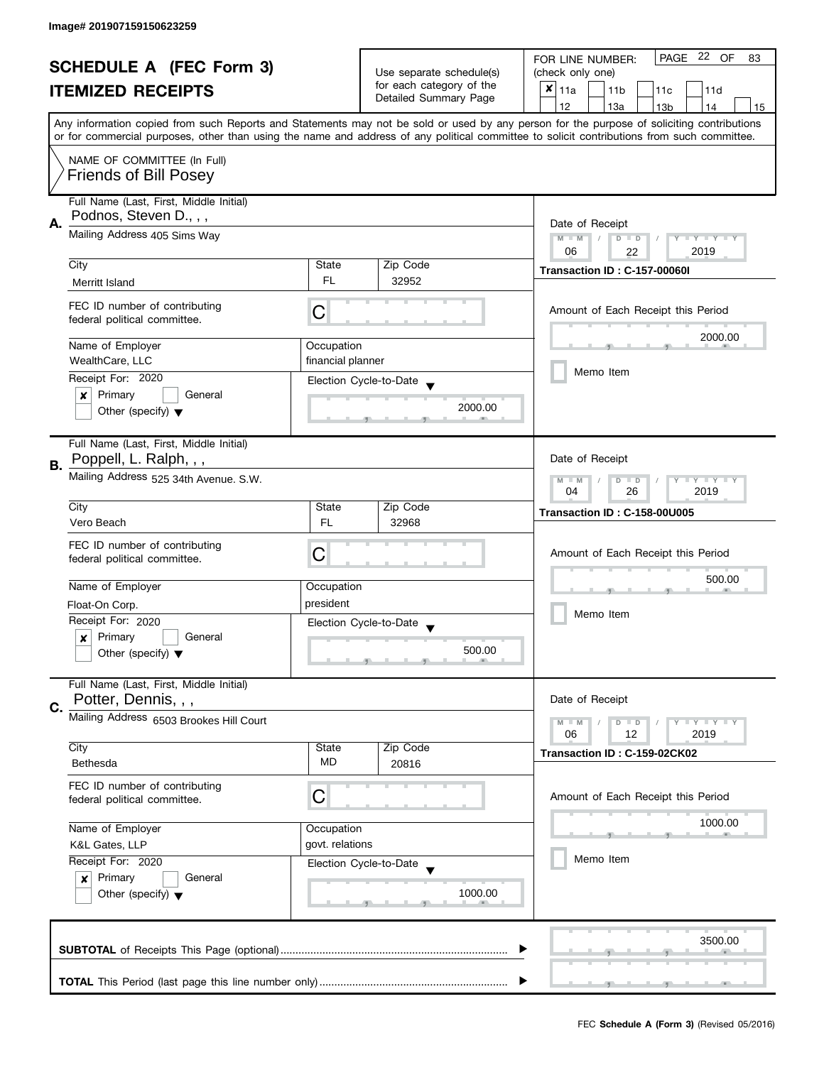| <b>SCHEDULE A (FEC Form 3)</b> |                                                                                                                                                              |                                       | PAGE 22 OF<br>FOR LINE NUMBER:<br>83              |                                                                                                                                            |  |  |
|--------------------------------|--------------------------------------------------------------------------------------------------------------------------------------------------------------|---------------------------------------|---------------------------------------------------|--------------------------------------------------------------------------------------------------------------------------------------------|--|--|
|                                |                                                                                                                                                              | Use separate schedule(s)              | (check only one)                                  |                                                                                                                                            |  |  |
|                                | <b>ITEMIZED RECEIPTS</b>                                                                                                                                     |                                       | for each category of the<br>Detailed Summary Page | $x _{11a}$<br>11 <sub>b</sub><br>11c<br>11d                                                                                                |  |  |
|                                |                                                                                                                                                              |                                       |                                                   | 12<br>13a<br>14<br>13 <sub>b</sub><br>15                                                                                                   |  |  |
|                                |                                                                                                                                                              |                                       |                                                   | Any information copied from such Reports and Statements may not be sold or used by any person for the purpose of soliciting contributions  |  |  |
|                                |                                                                                                                                                              |                                       |                                                   | or for commercial purposes, other than using the name and address of any political committee to solicit contributions from such committee. |  |  |
|                                | NAME OF COMMITTEE (In Full)                                                                                                                                  |                                       |                                                   |                                                                                                                                            |  |  |
|                                | <b>Friends of Bill Posey</b>                                                                                                                                 |                                       |                                                   |                                                                                                                                            |  |  |
|                                | Full Name (Last, First, Middle Initial)                                                                                                                      |                                       |                                                   |                                                                                                                                            |  |  |
|                                | Podnos, Steven D., , ,                                                                                                                                       |                                       | Date of Receipt                                   |                                                                                                                                            |  |  |
| А.                             |                                                                                                                                                              | Mailing Address 405 Sims Way          |                                                   |                                                                                                                                            |  |  |
|                                |                                                                                                                                                              |                                       |                                                   | $M - M$<br>$D$ $D$<br>Y TY TY TY<br>06<br>2019<br>22                                                                                       |  |  |
|                                | City                                                                                                                                                         | State                                 | Zip Code                                          | Transaction ID: C-157-00060I                                                                                                               |  |  |
|                                | Merritt Island                                                                                                                                               | <b>FL</b>                             | 32952                                             |                                                                                                                                            |  |  |
|                                |                                                                                                                                                              |                                       |                                                   |                                                                                                                                            |  |  |
|                                | FEC ID number of contributing<br>federal political committee.                                                                                                | C                                     |                                                   | Amount of Each Receipt this Period                                                                                                         |  |  |
|                                |                                                                                                                                                              |                                       |                                                   | 2000.00                                                                                                                                    |  |  |
|                                | Name of Employer                                                                                                                                             | Occupation                            |                                                   |                                                                                                                                            |  |  |
|                                | WealthCare, LLC                                                                                                                                              | financial planner                     |                                                   | Memo Item                                                                                                                                  |  |  |
|                                | Receipt For: 2020                                                                                                                                            |                                       | Election Cycle-to-Date                            |                                                                                                                                            |  |  |
|                                | $\boldsymbol{x}$<br>Primary<br>General                                                                                                                       |                                       |                                                   |                                                                                                                                            |  |  |
|                                | Other (specify) $\blacktriangledown$                                                                                                                         |                                       | 2000.00                                           |                                                                                                                                            |  |  |
|                                |                                                                                                                                                              |                                       |                                                   |                                                                                                                                            |  |  |
|                                | Full Name (Last, First, Middle Initial)                                                                                                                      |                                       |                                                   |                                                                                                                                            |  |  |
| В.                             | Poppell, L. Ralph, , ,                                                                                                                                       |                                       |                                                   | Date of Receipt                                                                                                                            |  |  |
|                                |                                                                                                                                                              | Mailing Address 525 34th Avenue. S.W. |                                                   |                                                                                                                                            |  |  |
|                                | City                                                                                                                                                         | State                                 | Zip Code                                          | 26<br>2019<br>04                                                                                                                           |  |  |
|                                | Vero Beach                                                                                                                                                   | FL                                    | 32968                                             | Transaction ID: C-158-00U005                                                                                                               |  |  |
|                                |                                                                                                                                                              |                                       |                                                   |                                                                                                                                            |  |  |
|                                | FEC ID number of contributing<br>federal political committee.                                                                                                | C                                     |                                                   | Amount of Each Receipt this Period                                                                                                         |  |  |
|                                |                                                                                                                                                              |                                       |                                                   |                                                                                                                                            |  |  |
|                                | Name of Employer                                                                                                                                             | Occupation                            |                                                   | 500.00                                                                                                                                     |  |  |
|                                | Float-On Corp.                                                                                                                                               | president                             |                                                   |                                                                                                                                            |  |  |
|                                | Receipt For: 2020                                                                                                                                            |                                       | Election Cycle-to-Date                            | Memo Item                                                                                                                                  |  |  |
|                                | Primary<br>General<br>$\boldsymbol{x}$                                                                                                                       |                                       |                                                   |                                                                                                                                            |  |  |
|                                | Other (specify) $\blacktriangledown$                                                                                                                         |                                       | 500.00                                            |                                                                                                                                            |  |  |
|                                |                                                                                                                                                              |                                       |                                                   |                                                                                                                                            |  |  |
|                                | Full Name (Last, First, Middle Initial)                                                                                                                      |                                       |                                                   |                                                                                                                                            |  |  |
| C.                             | Potter, Dennis, , ,                                                                                                                                          |                                       |                                                   | Date of Receipt                                                                                                                            |  |  |
|                                | Mailing Address 6503 Brookes Hill Court                                                                                                                      |                                       |                                                   | $M - M$<br>$\bot$ $\gamma$ $\bot$ $\gamma$ $\bot$ $\gamma$<br>$D$ $D$                                                                      |  |  |
|                                | City                                                                                                                                                         | State                                 | Zip Code                                          | 06<br>12<br>2019                                                                                                                           |  |  |
|                                | Bethesda                                                                                                                                                     | MD                                    | 20816                                             | Transaction ID: C-159-02CK02                                                                                                               |  |  |
|                                |                                                                                                                                                              |                                       |                                                   |                                                                                                                                            |  |  |
|                                | FEC ID number of contributing<br>federal political committee.                                                                                                | C                                     |                                                   | Amount of Each Receipt this Period                                                                                                         |  |  |
|                                |                                                                                                                                                              |                                       |                                                   |                                                                                                                                            |  |  |
|                                | Name of Employer<br>Occupation<br>govt. relations<br>K&L Gates, LLP<br>Receipt For: 2020<br>Election Cycle-to-Date<br>Primary<br>General<br>$\boldsymbol{x}$ |                                       |                                                   | 1000.00                                                                                                                                    |  |  |
|                                |                                                                                                                                                              |                                       |                                                   |                                                                                                                                            |  |  |
|                                |                                                                                                                                                              |                                       |                                                   | Memo Item                                                                                                                                  |  |  |
|                                |                                                                                                                                                              |                                       |                                                   |                                                                                                                                            |  |  |
|                                | Other (specify) $\blacktriangledown$                                                                                                                         |                                       | 1000.00                                           |                                                                                                                                            |  |  |
|                                |                                                                                                                                                              |                                       |                                                   |                                                                                                                                            |  |  |
|                                |                                                                                                                                                              |                                       |                                                   |                                                                                                                                            |  |  |
|                                |                                                                                                                                                              |                                       |                                                   | 3500.00                                                                                                                                    |  |  |
|                                |                                                                                                                                                              |                                       |                                                   |                                                                                                                                            |  |  |
|                                |                                                                                                                                                              |                                       |                                                   |                                                                                                                                            |  |  |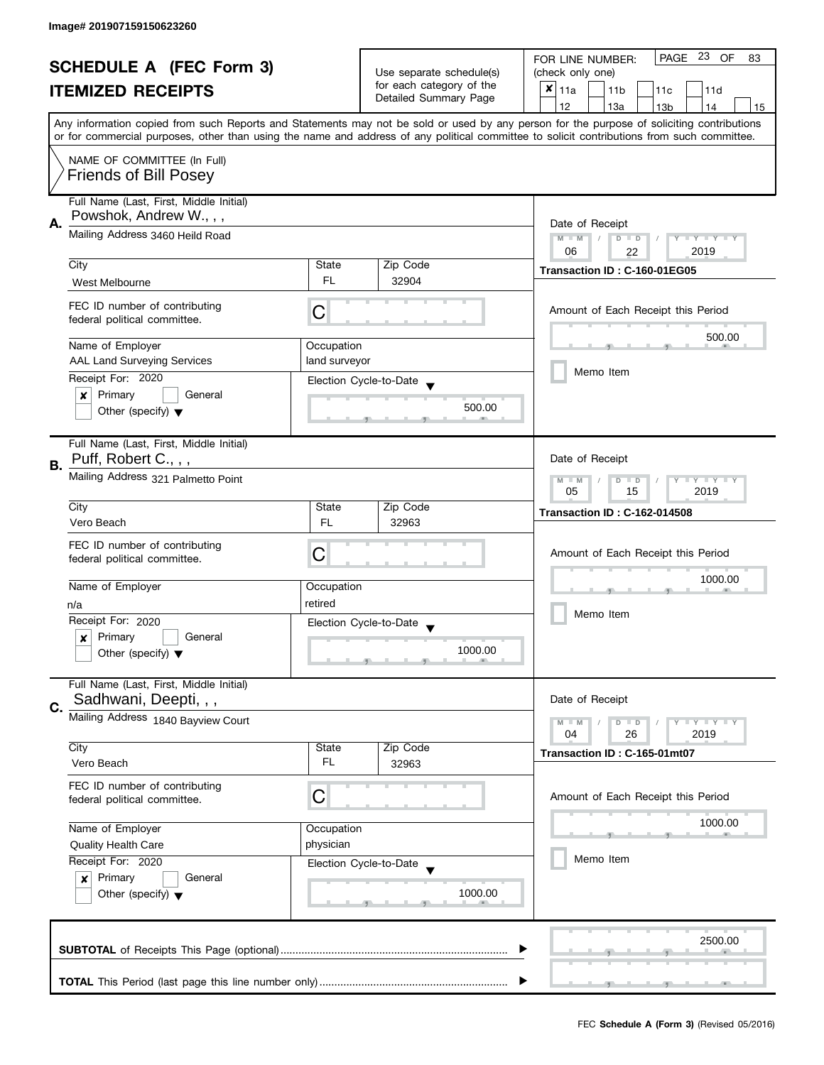| <b>SCHEDULE A (FEC Form 3)</b> |                                                               |                          | PAGE 23 OF<br>FOR LINE NUMBER:<br>83              |                                                                                                                                            |  |
|--------------------------------|---------------------------------------------------------------|--------------------------|---------------------------------------------------|--------------------------------------------------------------------------------------------------------------------------------------------|--|
|                                |                                                               | Use separate schedule(s) | (check only one)                                  |                                                                                                                                            |  |
|                                | <b>ITEMIZED RECEIPTS</b>                                      |                          | for each category of the<br>Detailed Summary Page | $x _{11a}$<br>11 <sub>b</sub><br>11 <sub>c</sub><br>11d                                                                                    |  |
|                                |                                                               |                          |                                                   | 12<br>13a<br>13 <sub>b</sub><br>14<br>15                                                                                                   |  |
|                                |                                                               |                          |                                                   | Any information copied from such Reports and Statements may not be sold or used by any person for the purpose of soliciting contributions  |  |
|                                |                                                               |                          |                                                   | or for commercial purposes, other than using the name and address of any political committee to solicit contributions from such committee. |  |
|                                | NAME OF COMMITTEE (In Full)                                   |                          |                                                   |                                                                                                                                            |  |
|                                | <b>Friends of Bill Posey</b>                                  |                          |                                                   |                                                                                                                                            |  |
|                                | Full Name (Last, First, Middle Initial)                       |                          |                                                   |                                                                                                                                            |  |
|                                | Powshok, Andrew W.,,,                                         |                          |                                                   |                                                                                                                                            |  |
| А.                             | Mailing Address 3460 Heild Road                               |                          |                                                   | Date of Receipt<br>$M - M$<br>$D$ $D$<br>Y FY FY FY                                                                                        |  |
|                                |                                                               |                          |                                                   | 06<br>2019<br>22                                                                                                                           |  |
|                                | City                                                          | State                    | Zip Code                                          | Transaction ID: C-160-01EG05                                                                                                               |  |
|                                | West Melbourne                                                | <b>FL</b>                | 32904                                             |                                                                                                                                            |  |
|                                |                                                               |                          |                                                   |                                                                                                                                            |  |
|                                | FEC ID number of contributing<br>federal political committee. | C                        |                                                   | Amount of Each Receipt this Period                                                                                                         |  |
|                                |                                                               |                          |                                                   | 500.00                                                                                                                                     |  |
|                                | Name of Employer                                              | Occupation               |                                                   |                                                                                                                                            |  |
|                                | <b>AAL Land Surveying Services</b>                            | land surveyor            |                                                   |                                                                                                                                            |  |
|                                | Receipt For: 2020                                             |                          | Election Cycle-to-Date                            | Memo Item                                                                                                                                  |  |
|                                | Primary<br>General<br>x                                       |                          |                                                   |                                                                                                                                            |  |
|                                | Other (specify) $\blacktriangledown$                          |                          | 500.00                                            |                                                                                                                                            |  |
|                                |                                                               |                          |                                                   |                                                                                                                                            |  |
|                                | Full Name (Last, First, Middle Initial)                       |                          |                                                   |                                                                                                                                            |  |
| В.                             | Puff, Robert C., , ,                                          |                          |                                                   | Date of Receipt                                                                                                                            |  |
|                                | Mailing Address 321 Palmetto Point                            |                          |                                                   | $Y = Y = Y$<br>$M - M$<br>$D$ $D$                                                                                                          |  |
|                                |                                                               | 15<br>2019<br>05         |                                                   |                                                                                                                                            |  |
|                                | City                                                          | State                    | Zip Code                                          | <b>Transaction ID: C-162-014508</b>                                                                                                        |  |
|                                | Vero Beach                                                    | <b>FL</b>                | 32963                                             |                                                                                                                                            |  |
|                                | FEC ID number of contributing                                 |                          |                                                   |                                                                                                                                            |  |
|                                | federal political committee.                                  | С                        |                                                   | Amount of Each Receipt this Period                                                                                                         |  |
|                                | Name of Employer                                              |                          |                                                   | 1000.00                                                                                                                                    |  |
|                                |                                                               | Occupation<br>retired    |                                                   |                                                                                                                                            |  |
|                                | n/a                                                           |                          |                                                   | Memo Item                                                                                                                                  |  |
|                                | Receipt For: 2020                                             |                          | Election Cycle-to-Date                            |                                                                                                                                            |  |
|                                | Primary<br>General<br>x                                       |                          | 1000.00                                           |                                                                                                                                            |  |
|                                | Other (specify) $\blacktriangledown$                          |                          |                                                   |                                                                                                                                            |  |
|                                | Full Name (Last, First, Middle Initial)                       |                          |                                                   |                                                                                                                                            |  |
|                                | Sadhwani, Deepti, , ,                                         |                          |                                                   | Date of Receipt                                                                                                                            |  |
| C.                             | Mailing Address 1840 Bayview Court                            |                          |                                                   | $Y = Y = Y$<br>$M - M$<br>$D$ $D$                                                                                                          |  |
|                                |                                                               |                          |                                                   | 2019<br>04<br>26                                                                                                                           |  |
|                                | City                                                          | State                    | Zip Code                                          | Transaction ID: C-165-01mt07                                                                                                               |  |
|                                | Vero Beach                                                    | FL                       | 32963                                             |                                                                                                                                            |  |
|                                | FEC ID number of contributing                                 |                          |                                                   |                                                                                                                                            |  |
|                                | federal political committee.                                  | C                        |                                                   | Amount of Each Receipt this Period                                                                                                         |  |
|                                |                                                               |                          |                                                   | 1000.00                                                                                                                                    |  |
|                                | Name of Employer                                              | Occupation               |                                                   |                                                                                                                                            |  |
|                                | <b>Quality Health Care</b>                                    | physician                |                                                   |                                                                                                                                            |  |
|                                | Receipt For: 2020                                             |                          | Election Cycle-to-Date                            | Memo Item                                                                                                                                  |  |
|                                | Primary<br>General<br>$\boldsymbol{x}$                        |                          |                                                   |                                                                                                                                            |  |
|                                | Other (specify) $\blacktriangledown$                          |                          | 1000.00                                           |                                                                                                                                            |  |
|                                |                                                               |                          |                                                   |                                                                                                                                            |  |
|                                |                                                               |                          |                                                   |                                                                                                                                            |  |
|                                |                                                               |                          |                                                   | 2500.00                                                                                                                                    |  |
|                                |                                                               |                          |                                                   |                                                                                                                                            |  |
|                                |                                                               |                          |                                                   |                                                                                                                                            |  |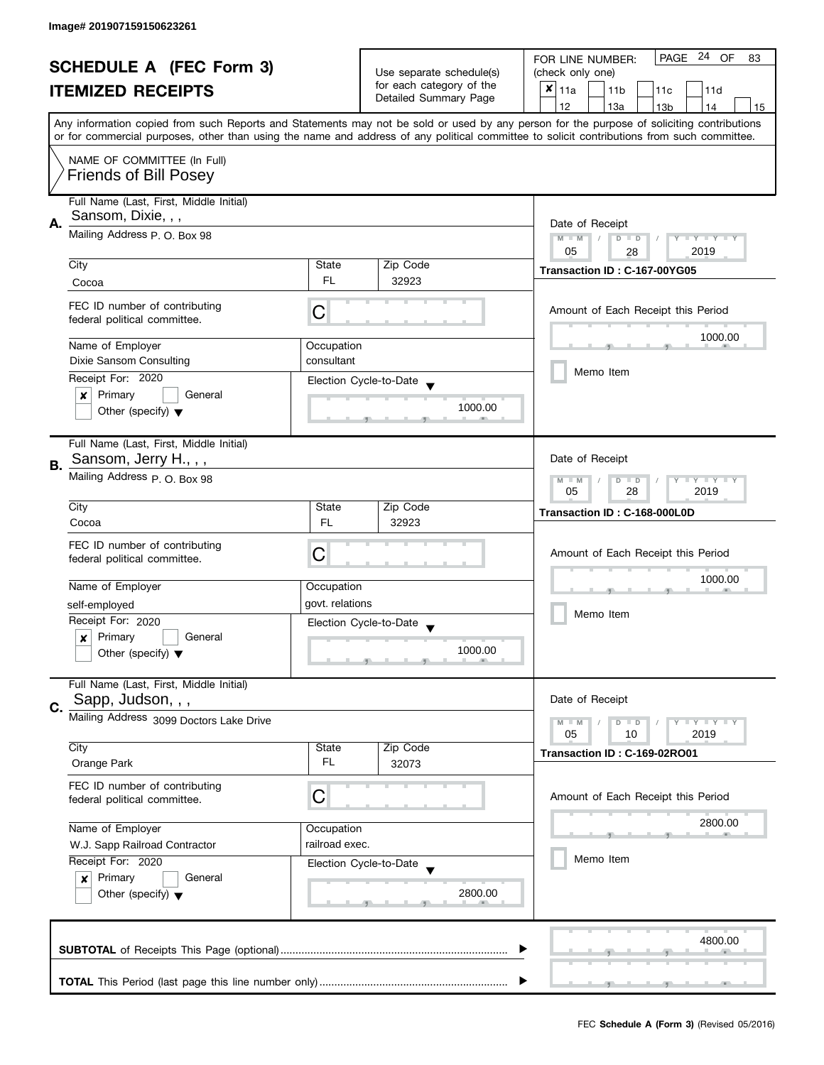| <b>SCHEDULE A (FEC Form 3)</b> |                                                                        |                 | PAGE 24 OF<br>FOR LINE NUMBER:<br>83 |                                                                                                                                            |
|--------------------------------|------------------------------------------------------------------------|-----------------|--------------------------------------|--------------------------------------------------------------------------------------------------------------------------------------------|
|                                |                                                                        |                 | Use separate schedule(s)             | (check only one)                                                                                                                           |
|                                | <b>ITEMIZED RECEIPTS</b>                                               |                 | for each category of the             | $x _{11a}$<br>11 <sub>b</sub><br>11c<br>11d                                                                                                |
|                                |                                                                        |                 | Detailed Summary Page                | 12<br>13a<br>14<br>13 <sub>b</sub><br>15                                                                                                   |
|                                |                                                                        |                 |                                      | Any information copied from such Reports and Statements may not be sold or used by any person for the purpose of soliciting contributions  |
|                                |                                                                        |                 |                                      | or for commercial purposes, other than using the name and address of any political committee to solicit contributions from such committee. |
|                                | NAME OF COMMITTEE (In Full)                                            |                 |                                      |                                                                                                                                            |
|                                | <b>Friends of Bill Posey</b>                                           |                 |                                      |                                                                                                                                            |
|                                |                                                                        |                 |                                      |                                                                                                                                            |
|                                | Full Name (Last, First, Middle Initial)                                |                 |                                      |                                                                                                                                            |
|                                | Sansom, Dixie, , ,                                                     |                 |                                      |                                                                                                                                            |
| А.                             | Mailing Address P. O. Box 98                                           |                 |                                      | Date of Receipt                                                                                                                            |
|                                |                                                                        |                 |                                      | $M - M$<br>Y I Y I Y I Y<br>$D$ $D$<br>05<br>2019<br>28                                                                                    |
|                                | City                                                                   | State           | Zip Code                             |                                                                                                                                            |
|                                |                                                                        | FL.             | 32923                                | Transaction ID: C-167-00YG05                                                                                                               |
|                                | Cocoa                                                                  |                 |                                      |                                                                                                                                            |
|                                | FEC ID number of contributing                                          |                 |                                      | Amount of Each Receipt this Period                                                                                                         |
|                                | federal political committee.                                           | С               |                                      |                                                                                                                                            |
|                                |                                                                        |                 |                                      | 1000.00                                                                                                                                    |
|                                | Name of Employer                                                       | Occupation      |                                      |                                                                                                                                            |
|                                | Dixie Sansom Consulting                                                | consultant      |                                      | Memo Item                                                                                                                                  |
|                                | Receipt For: 2020                                                      |                 | Election Cycle-to-Date               |                                                                                                                                            |
|                                | Primary<br>General<br>×                                                |                 |                                      |                                                                                                                                            |
|                                | Other (specify) $\blacktriangledown$                                   |                 | 1000.00                              |                                                                                                                                            |
|                                |                                                                        |                 |                                      |                                                                                                                                            |
|                                | Full Name (Last, First, Middle Initial)                                |                 |                                      |                                                                                                                                            |
| <b>B.</b>                      | Sansom, Jerry H.,,,                                                    |                 |                                      | Date of Receipt                                                                                                                            |
|                                | Mailing Address P.O. Box 98                                            |                 |                                      | Y LY LY                                                                                                                                    |
|                                |                                                                        |                 |                                      | $M - M$<br>$D$ $D$<br>28<br>2019<br>05                                                                                                     |
|                                | City                                                                   | State           | Zip Code                             |                                                                                                                                            |
|                                | Cocoa                                                                  | <b>FL</b>       | 32923                                | Transaction ID: C-168-000L0D                                                                                                               |
|                                |                                                                        |                 |                                      |                                                                                                                                            |
|                                | FEC ID number of contributing                                          | C               |                                      | Amount of Each Receipt this Period                                                                                                         |
|                                | federal political committee.                                           |                 |                                      |                                                                                                                                            |
|                                | Name of Employer                                                       | Occupation      |                                      | 1000.00                                                                                                                                    |
|                                |                                                                        |                 |                                      |                                                                                                                                            |
|                                | self-employed                                                          | govt. relations |                                      | Memo Item                                                                                                                                  |
|                                | Receipt For: 2020                                                      |                 | Election Cycle-to-Date               |                                                                                                                                            |
|                                | Primary<br>General<br>$\boldsymbol{x}$                                 |                 |                                      |                                                                                                                                            |
|                                | Other (specify) $\blacktriangledown$                                   |                 | 1000.00                              |                                                                                                                                            |
|                                |                                                                        |                 |                                      |                                                                                                                                            |
|                                | Full Name (Last, First, Middle Initial)                                |                 |                                      |                                                                                                                                            |
| C.                             | Sapp, Judson, , ,                                                      |                 |                                      | Date of Receipt                                                                                                                            |
|                                | Mailing Address 3099 Doctors Lake Drive                                |                 |                                      | $M - M$<br>$Y \perp Y \perp Y$<br>$D$ $D$                                                                                                  |
|                                |                                                                        |                 |                                      | 05<br>2019<br>10                                                                                                                           |
|                                | City                                                                   | State           | Zip Code                             | Transaction ID: C-169-02RO01                                                                                                               |
|                                | Orange Park                                                            | FL              | 32073                                |                                                                                                                                            |
|                                | FEC ID number of contributing                                          |                 |                                      |                                                                                                                                            |
|                                | federal political committee.                                           | С               |                                      | Amount of Each Receipt this Period                                                                                                         |
|                                |                                                                        |                 |                                      |                                                                                                                                            |
|                                | Name of Employer                                                       | Occupation      |                                      | 2800.00                                                                                                                                    |
|                                | W.J. Sapp Railroad Contractor                                          | railroad exec.  |                                      |                                                                                                                                            |
|                                | Receipt For: 2020<br>Election Cycle-to-Date<br>Primary<br>General<br>x |                 |                                      | Memo Item                                                                                                                                  |
|                                |                                                                        |                 |                                      |                                                                                                                                            |
|                                | Other (specify) $\blacktriangledown$                                   |                 | 2800.00                              |                                                                                                                                            |
|                                |                                                                        |                 |                                      |                                                                                                                                            |
|                                |                                                                        |                 |                                      |                                                                                                                                            |
|                                |                                                                        |                 |                                      | 4800.00                                                                                                                                    |
|                                |                                                                        |                 |                                      |                                                                                                                                            |
|                                |                                                                        |                 |                                      |                                                                                                                                            |
|                                |                                                                        |                 |                                      |                                                                                                                                            |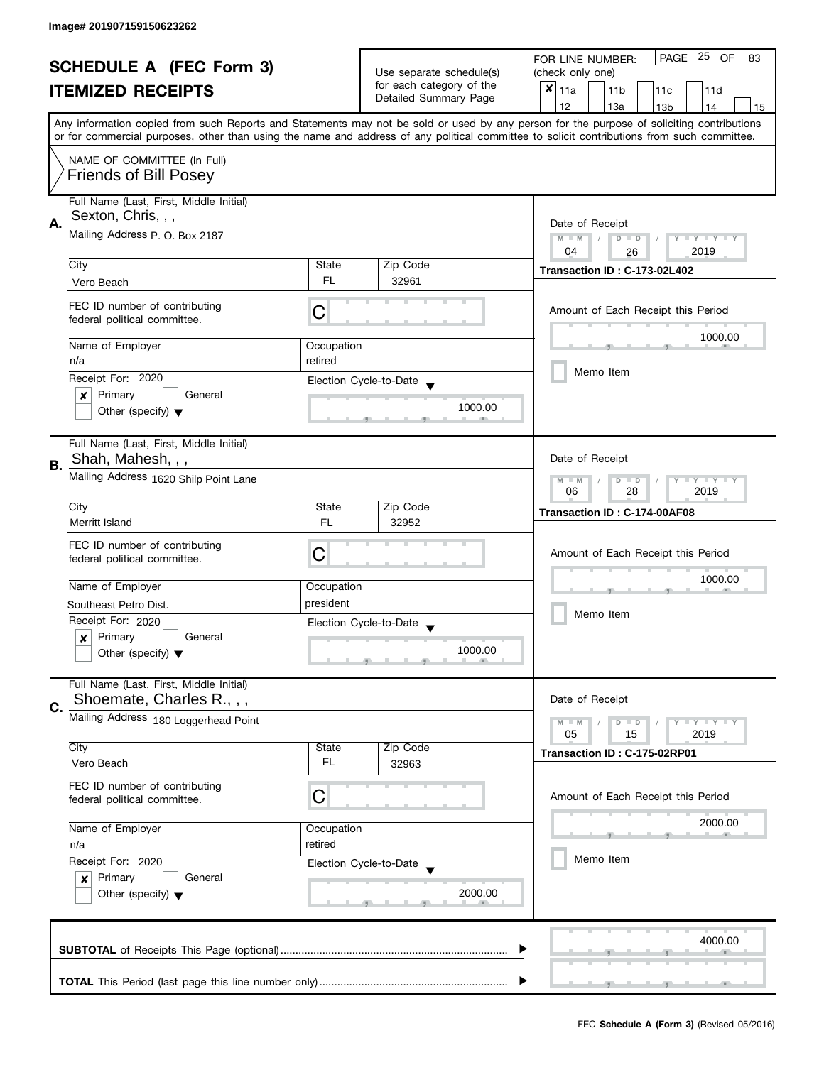|                                                               | <b>SCHEDULE A (FEC Form 3)</b>          |                          |                          | PAGE 25 OF<br>FOR LINE NUMBER:<br>83                                                                                                       |
|---------------------------------------------------------------|-----------------------------------------|--------------------------|--------------------------|--------------------------------------------------------------------------------------------------------------------------------------------|
|                                                               |                                         | Use separate schedule(s) | (check only one)         |                                                                                                                                            |
|                                                               | <b>ITEMIZED RECEIPTS</b>                |                          | for each category of the | $x _{11a}$<br>11 <sub>b</sub><br>11c<br>11d                                                                                                |
|                                                               |                                         |                          | Detailed Summary Page    | 12<br>13a<br>13 <sub>b</sub><br>14<br>15                                                                                                   |
|                                                               |                                         |                          |                          | Any information copied from such Reports and Statements may not be sold or used by any person for the purpose of soliciting contributions  |
|                                                               |                                         |                          |                          | or for commercial purposes, other than using the name and address of any political committee to solicit contributions from such committee. |
|                                                               | NAME OF COMMITTEE (In Full)             |                          |                          |                                                                                                                                            |
|                                                               | <b>Friends of Bill Posey</b>            |                          |                          |                                                                                                                                            |
|                                                               |                                         |                          |                          |                                                                                                                                            |
| Full Name (Last, First, Middle Initial)<br>Sexton, Chris, , , |                                         |                          |                          |                                                                                                                                            |
| Α.                                                            |                                         | Date of Receipt          |                          |                                                                                                                                            |
|                                                               | Mailing Address P. O. Box 2187          |                          |                          | $M - M$<br>$D$ $D$<br>Y I Y I Y I Y                                                                                                        |
|                                                               | City                                    | State                    | Zip Code                 | 04<br>2019<br>26                                                                                                                           |
|                                                               |                                         | FL.                      |                          | Transaction ID: C-173-02L402                                                                                                               |
|                                                               | Vero Beach                              |                          | 32961                    |                                                                                                                                            |
|                                                               | FEC ID number of contributing           | C                        |                          | Amount of Each Receipt this Period                                                                                                         |
|                                                               | federal political committee.            |                          |                          |                                                                                                                                            |
|                                                               | Name of Employer                        | Occupation               |                          | 1000.00                                                                                                                                    |
|                                                               | n/a                                     | retired                  |                          |                                                                                                                                            |
|                                                               | Receipt For: 2020                       |                          |                          | Memo Item                                                                                                                                  |
|                                                               | Primary<br>General<br>×                 |                          | Election Cycle-to-Date   |                                                                                                                                            |
|                                                               | Other (specify) $\blacktriangledown$    |                          | 1000.00                  |                                                                                                                                            |
|                                                               |                                         |                          |                          |                                                                                                                                            |
|                                                               | Full Name (Last, First, Middle Initial) |                          |                          |                                                                                                                                            |
| В.                                                            | Shah, Mahesh, , ,                       |                          |                          | Date of Receipt                                                                                                                            |
|                                                               | Mailing Address 1620 Shilp Point Lane   |                          |                          | $\mathbf{y}$ $\mathbf{y}$<br>$M - M$<br>Y<br>$D$ $D$                                                                                       |
|                                                               |                                         |                          |                          | 28<br>2019<br>06                                                                                                                           |
|                                                               | City                                    | State                    | Zip Code                 | Transaction ID: C-174-00AF08                                                                                                               |
|                                                               | Merritt Island                          | <b>FL</b>                | 32952                    |                                                                                                                                            |
|                                                               | FEC ID number of contributing           |                          |                          |                                                                                                                                            |
|                                                               | federal political committee.            | C                        |                          | Amount of Each Receipt this Period                                                                                                         |
|                                                               |                                         |                          |                          | 1000.00                                                                                                                                    |
|                                                               | Name of Employer                        | Occupation               |                          |                                                                                                                                            |
|                                                               | Southeast Petro Dist.                   | president                |                          | Memo Item                                                                                                                                  |
|                                                               | Receipt For: 2020                       |                          | Election Cycle-to-Date   |                                                                                                                                            |
|                                                               | Primary<br>General<br>x                 |                          | 1000.00                  |                                                                                                                                            |
|                                                               | Other (specify) $\blacktriangledown$    |                          |                          |                                                                                                                                            |
|                                                               | Full Name (Last, First, Middle Initial) |                          |                          |                                                                                                                                            |
|                                                               | Shoemate, Charles R., , ,               |                          |                          | Date of Receipt                                                                                                                            |
| C.                                                            | Mailing Address 180 Loggerhead Point    |                          |                          | $M - M$<br>$Y - Y - Y$<br>$D$ $D$                                                                                                          |
|                                                               |                                         |                          |                          | 05<br>2019<br>15                                                                                                                           |
|                                                               | City                                    | State                    | Zip Code                 | Transaction ID: C-175-02RP01                                                                                                               |
|                                                               | Vero Beach                              | FL                       | 32963                    |                                                                                                                                            |
|                                                               | FEC ID number of contributing           |                          |                          |                                                                                                                                            |
|                                                               | federal political committee.            | С                        |                          | Amount of Each Receipt this Period                                                                                                         |
|                                                               |                                         |                          |                          | 2000.00                                                                                                                                    |
|                                                               | Name of Employer                        | Occupation               |                          |                                                                                                                                            |
|                                                               | retired<br>n/a                          |                          |                          |                                                                                                                                            |
|                                                               | Receipt For: 2020                       |                          | Election Cycle-to-Date   | Memo Item                                                                                                                                  |
|                                                               | Primary<br>General<br>x                 |                          |                          |                                                                                                                                            |
|                                                               | Other (specify) $\blacktriangledown$    |                          | 2000.00                  |                                                                                                                                            |
|                                                               |                                         |                          |                          |                                                                                                                                            |
|                                                               |                                         |                          |                          | 4000.00                                                                                                                                    |
|                                                               |                                         |                          |                          |                                                                                                                                            |
|                                                               |                                         |                          |                          |                                                                                                                                            |
|                                                               |                                         |                          |                          |                                                                                                                                            |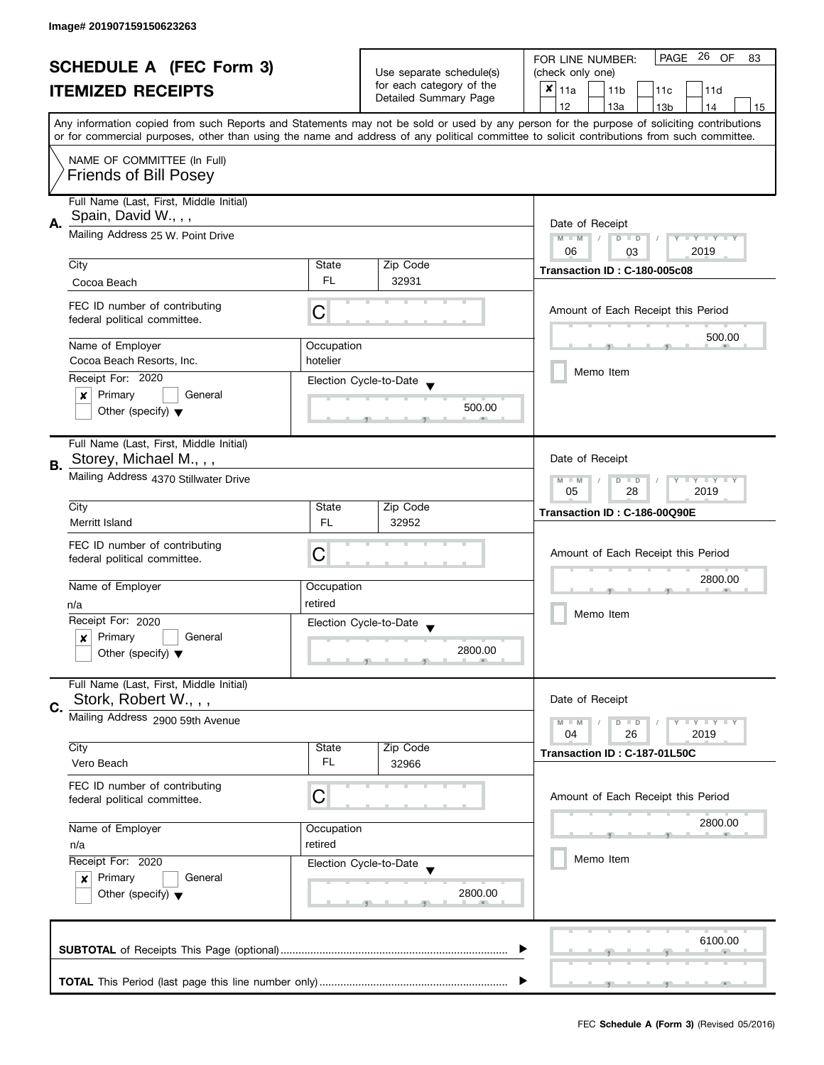| <b>SCHEDULE A (FEC Form 3)</b> |                                                               |                          | PAGE 26 OF<br>FOR LINE NUMBER:<br>83               |                                                                                                                                            |
|--------------------------------|---------------------------------------------------------------|--------------------------|----------------------------------------------------|--------------------------------------------------------------------------------------------------------------------------------------------|
|                                |                                                               | Use separate schedule(s) | (check only one)                                   |                                                                                                                                            |
|                                | <b>ITEMIZED RECEIPTS</b>                                      |                          | for each category of the                           | $\boldsymbol{x}$<br>11a<br>11 <sub>b</sub><br>11c<br>11d                                                                                   |
|                                |                                                               |                          | Detailed Summary Page                              | 12<br>13a<br>13 <sub>b</sub><br>14<br>15                                                                                                   |
|                                |                                                               |                          |                                                    | Any information copied from such Reports and Statements may not be sold or used by any person for the purpose of soliciting contributions  |
|                                |                                                               |                          |                                                    | or for commercial purposes, other than using the name and address of any political committee to solicit contributions from such committee. |
|                                |                                                               |                          |                                                    |                                                                                                                                            |
|                                | NAME OF COMMITTEE (In Full)                                   |                          |                                                    |                                                                                                                                            |
|                                | <b>Friends of Bill Posey</b>                                  |                          |                                                    |                                                                                                                                            |
|                                | Full Name (Last, First, Middle Initial)                       |                          |                                                    |                                                                                                                                            |
|                                | Spain, David W., , ,                                          |                          |                                                    |                                                                                                                                            |
| А.                             | Mailing Address 25 W. Point Drive                             | Date of Receipt          |                                                    |                                                                                                                                            |
|                                |                                                               |                          |                                                    | $M - M$<br>$D$ $D$<br>Y I Y I Y I Y<br>2019<br>06<br>03                                                                                    |
|                                | City                                                          | State                    | Zip Code                                           |                                                                                                                                            |
|                                | Cocoa Beach                                                   | FL                       | 32931                                              | Transaction ID: C-180-005c08                                                                                                               |
|                                |                                                               |                          |                                                    |                                                                                                                                            |
|                                | FEC ID number of contributing                                 | C                        |                                                    | Amount of Each Receipt this Period                                                                                                         |
|                                | federal political committee.                                  |                          |                                                    |                                                                                                                                            |
|                                | Name of Employer                                              | Occupation               |                                                    | 500.00                                                                                                                                     |
|                                | Cocoa Beach Resorts, Inc.                                     | hotelier                 |                                                    |                                                                                                                                            |
|                                | Receipt For: 2020                                             |                          |                                                    | Memo Item                                                                                                                                  |
|                                | Primary<br>General<br>×                                       |                          | Election Cycle-to-Date                             |                                                                                                                                            |
|                                | Other (specify) $\blacktriangledown$                          |                          | 500.00                                             |                                                                                                                                            |
|                                |                                                               |                          |                                                    |                                                                                                                                            |
|                                | Full Name (Last, First, Middle Initial)                       |                          |                                                    |                                                                                                                                            |
|                                | Storey, Michael M., , ,                                       |                          |                                                    | Date of Receipt                                                                                                                            |
| В.                             | Mailing Address 4370 Stillwater Drive                         |                          |                                                    |                                                                                                                                            |
|                                |                                                               |                          |                                                    | <b>LY LY LY</b><br>$M - M$<br>$D$ $D$<br>28<br>2019<br>05                                                                                  |
|                                | City                                                          | State                    | Zip Code                                           |                                                                                                                                            |
|                                | Merritt Island                                                | <b>FL</b>                | 32952                                              | Transaction ID: C-186-00Q90E                                                                                                               |
|                                |                                                               |                          |                                                    |                                                                                                                                            |
|                                | FEC ID number of contributing<br>federal political committee. | C                        |                                                    | Amount of Each Receipt this Period                                                                                                         |
|                                |                                                               |                          |                                                    |                                                                                                                                            |
|                                | Name of Employer                                              | Occupation               |                                                    | 2800.00                                                                                                                                    |
|                                | n/a                                                           | retired                  |                                                    |                                                                                                                                            |
|                                | Receipt For: 2020                                             |                          | Election Cycle-to-Date<br>$\overline{\phantom{a}}$ | Memo Item                                                                                                                                  |
|                                | Primary<br>General<br>x                                       |                          |                                                    |                                                                                                                                            |
|                                | Other (specify) $\blacktriangledown$                          |                          | 2800.00                                            |                                                                                                                                            |
|                                |                                                               |                          |                                                    |                                                                                                                                            |
|                                | Full Name (Last, First, Middle Initial)                       |                          |                                                    |                                                                                                                                            |
| C.                             | Stork, Robert W., , ,                                         |                          |                                                    | Date of Receipt                                                                                                                            |
|                                | Mailing Address 2900 59th Avenue                              |                          |                                                    | <b>LEY LEY LEY</b><br>$M - M$<br>$D$ $D$                                                                                                   |
|                                |                                                               |                          |                                                    | 04<br>26<br>2019                                                                                                                           |
|                                | City                                                          | State                    | Zip Code                                           | Transaction ID: C-187-01L50C                                                                                                               |
|                                | Vero Beach                                                    | FL                       | 32966                                              |                                                                                                                                            |
|                                | FEC ID number of contributing                                 |                          |                                                    |                                                                                                                                            |
|                                | federal political committee.                                  | С                        |                                                    | Amount of Each Receipt this Period                                                                                                         |
|                                | Name of Employer                                              |                          |                                                    | 2800.00                                                                                                                                    |
|                                | n/a                                                           | Occupation<br>retired    |                                                    |                                                                                                                                            |
|                                |                                                               |                          |                                                    | Memo Item                                                                                                                                  |
|                                | Receipt For: 2020<br>Primary<br>General                       |                          | Election Cycle-to-Date                             |                                                                                                                                            |
|                                | x<br>Other (specify) $\blacktriangledown$                     |                          | 2800.00                                            |                                                                                                                                            |
|                                |                                                               |                          |                                                    |                                                                                                                                            |
|                                |                                                               |                          |                                                    |                                                                                                                                            |
|                                |                                                               |                          |                                                    | 6100.00                                                                                                                                    |
|                                |                                                               |                          |                                                    |                                                                                                                                            |
|                                |                                                               |                          |                                                    |                                                                                                                                            |
|                                |                                                               |                          |                                                    |                                                                                                                                            |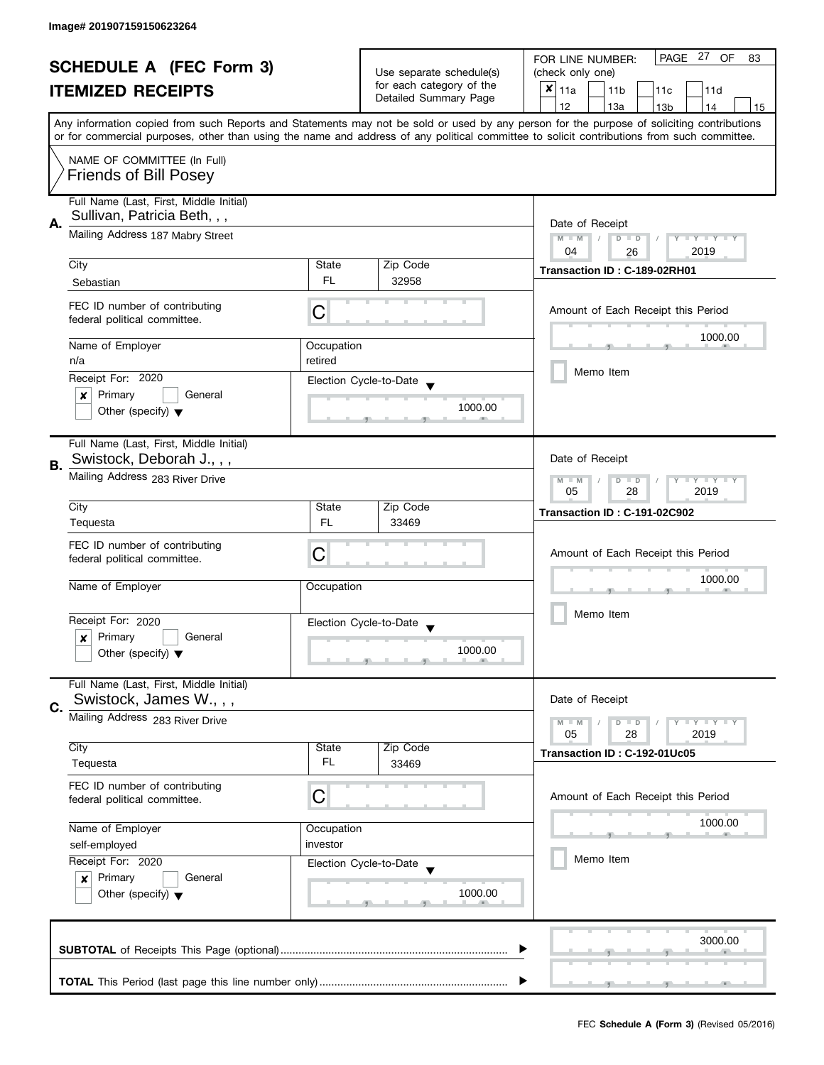| <b>SCHEDULE A (FEC Form 3)</b> |                                                                  |                 | PAGE 27 OF<br>FOR LINE NUMBER:<br>83              |                                                                                                                                            |  |
|--------------------------------|------------------------------------------------------------------|-----------------|---------------------------------------------------|--------------------------------------------------------------------------------------------------------------------------------------------|--|
|                                | <b>ITEMIZED RECEIPTS</b>                                         |                 | Use separate schedule(s)                          | (check only one)                                                                                                                           |  |
|                                |                                                                  |                 | for each category of the<br>Detailed Summary Page | $x _{11a}$<br>11 <sub>b</sub><br>11c<br>11d                                                                                                |  |
|                                |                                                                  |                 |                                                   | 12<br>13a<br>13 <sub>b</sub><br>14<br>15                                                                                                   |  |
|                                |                                                                  |                 |                                                   | Any information copied from such Reports and Statements may not be sold or used by any person for the purpose of soliciting contributions  |  |
|                                |                                                                  |                 |                                                   | or for commercial purposes, other than using the name and address of any political committee to solicit contributions from such committee. |  |
| NAME OF COMMITTEE (In Full)    |                                                                  |                 |                                                   |                                                                                                                                            |  |
|                                | <b>Friends of Bill Posey</b>                                     |                 |                                                   |                                                                                                                                            |  |
|                                |                                                                  |                 |                                                   |                                                                                                                                            |  |
|                                | Full Name (Last, First, Middle Initial)                          |                 |                                                   |                                                                                                                                            |  |
| А.                             | Sullivan, Patricia Beth, , ,                                     | Date of Receipt |                                                   |                                                                                                                                            |  |
|                                | Mailing Address 187 Mabry Street                                 |                 |                                                   | $M - M$<br>Y I Y I Y I Y<br>$D$ $D$                                                                                                        |  |
|                                |                                                                  |                 |                                                   | 2019<br>04<br>26                                                                                                                           |  |
|                                | City                                                             | State           | Zip Code                                          | Transaction ID: C-189-02RH01                                                                                                               |  |
|                                | Sebastian                                                        | FL.             | 32958                                             |                                                                                                                                            |  |
|                                | FEC ID number of contributing                                    |                 |                                                   |                                                                                                                                            |  |
|                                | federal political committee.                                     | С               |                                                   | Amount of Each Receipt this Period                                                                                                         |  |
|                                |                                                                  |                 |                                                   | 1000.00                                                                                                                                    |  |
|                                | Name of Employer                                                 | Occupation      |                                                   |                                                                                                                                            |  |
|                                | n/a                                                              | retired         |                                                   | Memo Item                                                                                                                                  |  |
|                                | Receipt For: 2020                                                |                 | Election Cycle-to-Date                            |                                                                                                                                            |  |
|                                | Primary<br>General<br>×                                          |                 |                                                   |                                                                                                                                            |  |
|                                | Other (specify) $\blacktriangledown$                             |                 | 1000.00                                           |                                                                                                                                            |  |
|                                |                                                                  |                 |                                                   |                                                                                                                                            |  |
|                                | Full Name (Last, First, Middle Initial)                          |                 |                                                   |                                                                                                                                            |  |
| В.                             | Swistock, Deborah J.,,,                                          |                 |                                                   | Date of Receipt                                                                                                                            |  |
|                                | Mailing Address 283 River Drive                                  |                 |                                                   | $T - Y = T - Y$<br>$M - M$<br>$D$ $D$                                                                                                      |  |
|                                |                                                                  |                 |                                                   | 28<br>2019<br>05                                                                                                                           |  |
|                                | City                                                             | State           | Zip Code                                          | Transaction ID: C-191-02C902                                                                                                               |  |
|                                | Tequesta                                                         | FL.             | 33469                                             |                                                                                                                                            |  |
|                                | FEC ID number of contributing                                    |                 |                                                   |                                                                                                                                            |  |
|                                | federal political committee.                                     | С               |                                                   | Amount of Each Receipt this Period                                                                                                         |  |
|                                |                                                                  |                 |                                                   | 1000.00                                                                                                                                    |  |
|                                | Name of Employer                                                 | Occupation      |                                                   |                                                                                                                                            |  |
|                                |                                                                  |                 |                                                   | Memo Item                                                                                                                                  |  |
|                                | Receipt For: 2020                                                |                 | Election Cycle-to-Date<br>$\blacktriangledown$    |                                                                                                                                            |  |
|                                | Primary<br>General<br>x                                          |                 |                                                   |                                                                                                                                            |  |
|                                | Other (specify) $\blacktriangledown$                             |                 | 1000.00                                           |                                                                                                                                            |  |
|                                |                                                                  |                 |                                                   |                                                                                                                                            |  |
|                                | Full Name (Last, First, Middle Initial)<br>Swistock, James W.,,, |                 |                                                   | Date of Receipt                                                                                                                            |  |
| C.                             |                                                                  |                 |                                                   |                                                                                                                                            |  |
|                                | Mailing Address 283 River Drive                                  |                 |                                                   | <b>LYLY LY</b><br>$M - M$<br>$D$ $D$                                                                                                       |  |
|                                | City                                                             | State           | Zip Code                                          | 05<br>28<br>2019                                                                                                                           |  |
|                                | Tequesta                                                         | FL              | 33469                                             | Transaction ID: C-192-01Uc05                                                                                                               |  |
|                                |                                                                  |                 |                                                   |                                                                                                                                            |  |
|                                | FEC ID number of contributing                                    | С               |                                                   | Amount of Each Receipt this Period                                                                                                         |  |
|                                | federal political committee.                                     |                 |                                                   |                                                                                                                                            |  |
|                                | Name of Employer<br>Occupation                                   |                 |                                                   | 1000.00                                                                                                                                    |  |
|                                | self-employed                                                    | investor        |                                                   |                                                                                                                                            |  |
|                                | Receipt For: 2020                                                |                 | Election Cycle-to-Date                            | Memo Item                                                                                                                                  |  |
|                                | Primary<br>General<br>$\mathbf{x}$                               |                 |                                                   |                                                                                                                                            |  |
|                                | Other (specify) $\blacktriangledown$                             |                 | 1000.00                                           |                                                                                                                                            |  |
|                                |                                                                  |                 |                                                   |                                                                                                                                            |  |
|                                |                                                                  |                 |                                                   |                                                                                                                                            |  |
|                                |                                                                  |                 |                                                   | 3000.00                                                                                                                                    |  |
|                                |                                                                  |                 |                                                   |                                                                                                                                            |  |
|                                |                                                                  |                 |                                                   |                                                                                                                                            |  |
|                                |                                                                  |                 |                                                   |                                                                                                                                            |  |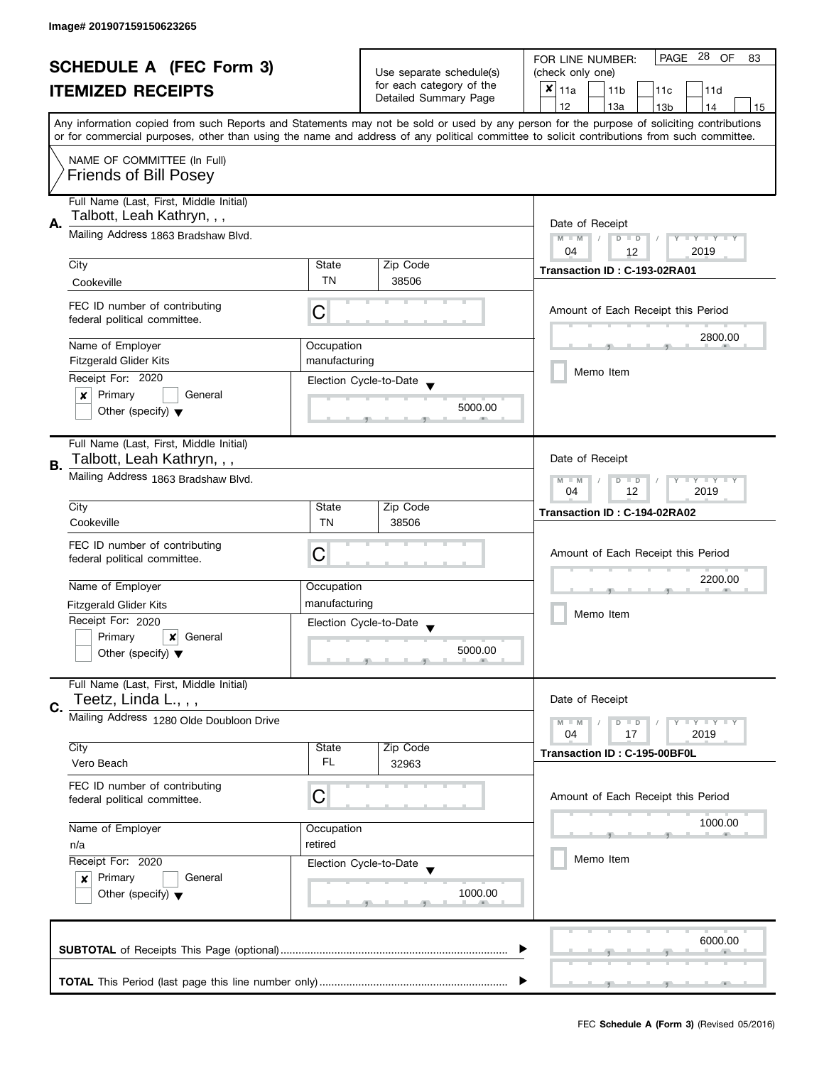| <b>SCHEDULE A (FEC Form 3)</b>       |                                             | Use separate schedule(s) | PAGE 28<br>OF<br>FOR LINE NUMBER:<br>83           |                                                                                                                                            |  |
|--------------------------------------|---------------------------------------------|--------------------------|---------------------------------------------------|--------------------------------------------------------------------------------------------------------------------------------------------|--|
|                                      |                                             |                          | (check only one)                                  |                                                                                                                                            |  |
| <b>ITEMIZED RECEIPTS</b>             |                                             |                          | for each category of the<br>Detailed Summary Page | $x _{11a}$<br>11 <sub>b</sub><br>11c<br>11d                                                                                                |  |
|                                      |                                             |                          |                                                   | 12<br>13a<br>13 <sub>b</sub><br>14<br>15                                                                                                   |  |
|                                      |                                             |                          |                                                   | Any information copied from such Reports and Statements may not be sold or used by any person for the purpose of soliciting contributions  |  |
|                                      |                                             |                          |                                                   | or for commercial purposes, other than using the name and address of any political committee to solicit contributions from such committee. |  |
|                                      | NAME OF COMMITTEE (In Full)                 |                          |                                                   |                                                                                                                                            |  |
| <b>Friends of Bill Posey</b>         |                                             |                          |                                                   |                                                                                                                                            |  |
|                                      |                                             |                          |                                                   |                                                                                                                                            |  |
|                                      | Full Name (Last, First, Middle Initial)     |                          |                                                   |                                                                                                                                            |  |
| Talbott, Leah Kathryn, , ,           |                                             |                          |                                                   |                                                                                                                                            |  |
| А.                                   | Mailing Address 1863 Bradshaw Blvd.         | Date of Receipt          |                                                   |                                                                                                                                            |  |
|                                      |                                             |                          |                                                   | $M - M$<br>$D$ $D$<br>Y I Y I Y I Y<br>$\sqrt{2}$<br>04<br>2019                                                                            |  |
| City                                 |                                             | State                    | Zip Code                                          | 12                                                                                                                                         |  |
|                                      |                                             | <b>TN</b>                | 38506                                             | Transaction ID: C-193-02RA01                                                                                                               |  |
| Cookeville                           |                                             |                          |                                                   |                                                                                                                                            |  |
|                                      | FEC ID number of contributing               |                          |                                                   | Amount of Each Receipt this Period                                                                                                         |  |
| federal political committee.         |                                             | С                        |                                                   |                                                                                                                                            |  |
|                                      |                                             |                          |                                                   | 2800.00                                                                                                                                    |  |
| Name of Employer                     |                                             | Occupation               |                                                   |                                                                                                                                            |  |
| <b>Fitzgerald Glider Kits</b>        |                                             | manufacturing            |                                                   | Memo Item                                                                                                                                  |  |
| Receipt For: 2020                    |                                             |                          | Election Cycle-to-Date                            |                                                                                                                                            |  |
| Primary<br>×                         | General                                     |                          |                                                   |                                                                                                                                            |  |
| Other (specify) $\blacktriangledown$ |                                             |                          | 5000.00                                           |                                                                                                                                            |  |
|                                      |                                             |                          |                                                   |                                                                                                                                            |  |
|                                      | Full Name (Last, First, Middle Initial)     |                          |                                                   |                                                                                                                                            |  |
|                                      | Talbott, Leah Kathryn, , ,                  |                          |                                                   | Date of Receipt                                                                                                                            |  |
| В.                                   | Mailing Address 1863 Bradshaw Blvd.         |                          |                                                   |                                                                                                                                            |  |
|                                      |                                             |                          |                                                   | Y LY LY<br>$M - M$<br>D<br>$\Box$<br>12<br>2019<br>04                                                                                      |  |
| City                                 |                                             | State                    | Zip Code                                          |                                                                                                                                            |  |
| Cookeville                           |                                             | TN                       | 38506                                             | Transaction ID: C-194-02RA02                                                                                                               |  |
|                                      |                                             |                          |                                                   |                                                                                                                                            |  |
|                                      | FEC ID number of contributing               |                          |                                                   | Amount of Each Receipt this Period                                                                                                         |  |
| federal political committee.         |                                             | C                        |                                                   |                                                                                                                                            |  |
|                                      |                                             |                          |                                                   | 2200.00                                                                                                                                    |  |
| Name of Employer                     |                                             | Occupation               |                                                   |                                                                                                                                            |  |
| <b>Fitzgerald Glider Kits</b>        |                                             | manufacturing            |                                                   | Memo Item                                                                                                                                  |  |
| Receipt For: 2020                    |                                             |                          | Election Cycle-to-Date                            |                                                                                                                                            |  |
| Primary                              | x<br>General                                |                          |                                                   |                                                                                                                                            |  |
| Other (specify) $\blacktriangledown$ |                                             |                          | 5000.00                                           |                                                                                                                                            |  |
|                                      |                                             |                          |                                                   |                                                                                                                                            |  |
|                                      | Full Name (Last, First, Middle Initial)     |                          |                                                   |                                                                                                                                            |  |
| Teetz, Linda L., , ,<br>C.           |                                             |                          |                                                   | Date of Receipt                                                                                                                            |  |
|                                      | Mailing Address 1280 Olde Doubloon Drive    |                          |                                                   | $M - M$<br>$\bot$ $\gamma$ $\bot$ $\gamma$ $\bot$ $\gamma$<br>$D$ $D$                                                                      |  |
|                                      |                                             |                          |                                                   | 04<br>17<br>2019                                                                                                                           |  |
| City                                 |                                             | State                    | Zip Code                                          | Transaction ID: C-195-00BF0L                                                                                                               |  |
| Vero Beach                           |                                             | FL                       | 32963                                             |                                                                                                                                            |  |
|                                      |                                             |                          |                                                   |                                                                                                                                            |  |
| federal political committee.         | FEC ID number of contributing               | С                        |                                                   | Amount of Each Receipt this Period                                                                                                         |  |
|                                      |                                             |                          |                                                   |                                                                                                                                            |  |
| Name of Employer                     |                                             | Occupation               |                                                   | 1000.00                                                                                                                                    |  |
| n/a                                  |                                             | retired                  |                                                   |                                                                                                                                            |  |
|                                      | Receipt For: 2020<br>Election Cycle-to-Date |                          |                                                   | Memo Item                                                                                                                                  |  |
|                                      |                                             |                          |                                                   |                                                                                                                                            |  |
| Primary<br>$\boldsymbol{x}$          | General                                     |                          |                                                   |                                                                                                                                            |  |
| Other (specify) $\blacktriangledown$ |                                             |                          | 1000.00                                           |                                                                                                                                            |  |
|                                      |                                             |                          |                                                   |                                                                                                                                            |  |
|                                      |                                             |                          |                                                   |                                                                                                                                            |  |
|                                      |                                             |                          |                                                   | 6000.00                                                                                                                                    |  |
|                                      |                                             |                          |                                                   |                                                                                                                                            |  |
|                                      |                                             |                          |                                                   |                                                                                                                                            |  |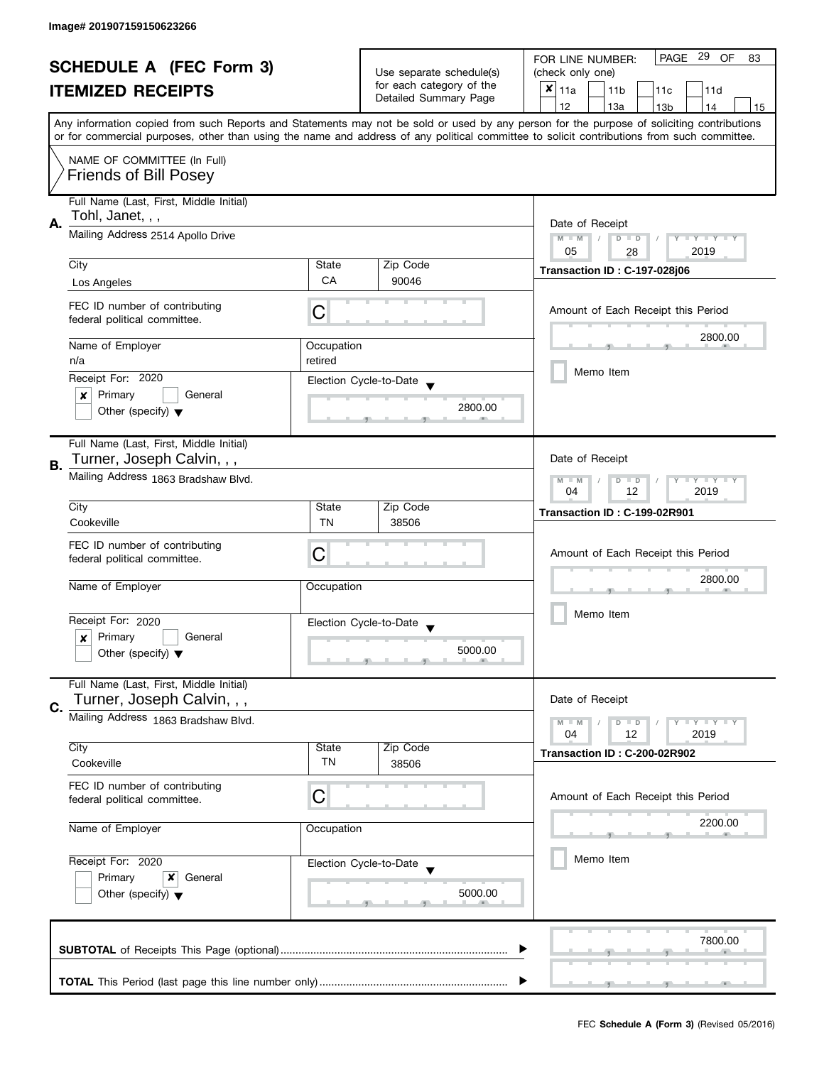| <b>SCHEDULE A (FEC Form 3)</b><br><b>ITEMIZED RECEIPTS</b> |                                                                                                                                                  |                          | PAGE 29 OF<br>FOR LINE NUMBER:<br>83        |                                                                                                                                            |
|------------------------------------------------------------|--------------------------------------------------------------------------------------------------------------------------------------------------|--------------------------|---------------------------------------------|--------------------------------------------------------------------------------------------------------------------------------------------|
|                                                            |                                                                                                                                                  | Use separate schedule(s) | (check only one)                            |                                                                                                                                            |
|                                                            |                                                                                                                                                  | for each category of the | $x _{11a}$<br>11 <sub>b</sub><br>11c<br>11d |                                                                                                                                            |
|                                                            |                                                                                                                                                  |                          | Detailed Summary Page                       | 12<br>13a<br>13 <sub>b</sub><br>14<br>15                                                                                                   |
|                                                            | Any information copied from such Reports and Statements may not be sold or used by any person for the purpose of soliciting contributions        |                          |                                             |                                                                                                                                            |
|                                                            |                                                                                                                                                  |                          |                                             | or for commercial purposes, other than using the name and address of any political committee to solicit contributions from such committee. |
|                                                            | NAME OF COMMITTEE (In Full)<br><b>Friends of Bill Posey</b>                                                                                      |                          |                                             |                                                                                                                                            |
|                                                            | Full Name (Last, First, Middle Initial)                                                                                                          |                          |                                             |                                                                                                                                            |
|                                                            | Tohl, Janet, , ,<br>Mailing Address 2514 Apollo Drive                                                                                            |                          |                                             |                                                                                                                                            |
| А.                                                         |                                                                                                                                                  |                          |                                             | Date of Receipt                                                                                                                            |
|                                                            |                                                                                                                                                  |                          |                                             | $M - M$<br>$D$ $D$<br>Y TY TY TY<br>05<br>2019<br>28                                                                                       |
|                                                            | City                                                                                                                                             | State                    | Zip Code                                    |                                                                                                                                            |
|                                                            | Los Angeles                                                                                                                                      | CA                       | 90046                                       | Transaction ID: C-197-028j06                                                                                                               |
|                                                            |                                                                                                                                                  |                          |                                             |                                                                                                                                            |
|                                                            | FEC ID number of contributing<br>federal political committee.                                                                                    | C                        |                                             | Amount of Each Receipt this Period                                                                                                         |
|                                                            | Name of Employer                                                                                                                                 | Occupation               |                                             | 2800.00                                                                                                                                    |
|                                                            | n/a                                                                                                                                              | retired                  |                                             |                                                                                                                                            |
|                                                            | Receipt For: 2020                                                                                                                                |                          | Election Cycle-to-Date                      | Memo Item                                                                                                                                  |
|                                                            | Primary<br>General<br>x                                                                                                                          |                          |                                             |                                                                                                                                            |
|                                                            | Other (specify) $\blacktriangledown$                                                                                                             |                          | 2800.00                                     |                                                                                                                                            |
|                                                            |                                                                                                                                                  |                          |                                             |                                                                                                                                            |
|                                                            | Full Name (Last, First, Middle Initial)                                                                                                          |                          |                                             |                                                                                                                                            |
|                                                            | Turner, Joseph Calvin, , ,                                                                                                                       |                          |                                             | Date of Receipt                                                                                                                            |
| В.                                                         | Mailing Address 1863 Bradshaw Blvd.                                                                                                              |                          |                                             | Y LY LY<br>$M - M$<br>D<br>$\Box$<br>12<br>2019<br>04                                                                                      |
|                                                            | City                                                                                                                                             | Zip Code<br>State        |                                             |                                                                                                                                            |
|                                                            | Cookeville                                                                                                                                       | TN                       | 38506                                       | Transaction ID: C-199-02R901                                                                                                               |
|                                                            |                                                                                                                                                  |                          |                                             |                                                                                                                                            |
|                                                            | FEC ID number of contributing                                                                                                                    | C                        |                                             | Amount of Each Receipt this Period                                                                                                         |
|                                                            | federal political committee.                                                                                                                     |                          |                                             |                                                                                                                                            |
|                                                            | Name of Employer                                                                                                                                 | Occupation               |                                             | 2800.00                                                                                                                                    |
|                                                            |                                                                                                                                                  |                          |                                             |                                                                                                                                            |
|                                                            | Receipt For: 2020                                                                                                                                |                          | Election Cycle-to-Date                      | Memo Item                                                                                                                                  |
|                                                            | Primary<br>General<br>x                                                                                                                          |                          |                                             |                                                                                                                                            |
|                                                            | Other (specify) $\blacktriangledown$                                                                                                             |                          | 5000.00                                     |                                                                                                                                            |
|                                                            |                                                                                                                                                  |                          |                                             |                                                                                                                                            |
|                                                            | Full Name (Last, First, Middle Initial)                                                                                                          |                          |                                             |                                                                                                                                            |
| C.                                                         | Turner, Joseph Calvin, , ,                                                                                                                       |                          |                                             | Date of Receipt                                                                                                                            |
|                                                            | Mailing Address 1863 Bradshaw Blvd.                                                                                                              |                          |                                             | $Y \perp Y \perp Y$<br>$M - M$<br>$D$ $D$                                                                                                  |
|                                                            |                                                                                                                                                  |                          |                                             | 12<br>2019<br>04                                                                                                                           |
|                                                            | City                                                                                                                                             | State                    | Zip Code                                    | Transaction ID: C-200-02R902                                                                                                               |
|                                                            | Cookeville                                                                                                                                       | TN                       | 38506                                       |                                                                                                                                            |
|                                                            | FEC ID number of contributing                                                                                                                    |                          |                                             |                                                                                                                                            |
|                                                            | federal political committee.                                                                                                                     | C                        |                                             | Amount of Each Receipt this Period                                                                                                         |
|                                                            | Name of Employer<br>Occupation<br>Receipt For: 2020<br>Election Cycle-to-Date<br>Primary<br>x<br>General<br>Other (specify) $\blacktriangledown$ |                          |                                             | 2200.00                                                                                                                                    |
|                                                            |                                                                                                                                                  |                          |                                             |                                                                                                                                            |
|                                                            |                                                                                                                                                  |                          |                                             |                                                                                                                                            |
|                                                            |                                                                                                                                                  |                          |                                             | Memo Item                                                                                                                                  |
|                                                            |                                                                                                                                                  |                          |                                             |                                                                                                                                            |
|                                                            |                                                                                                                                                  |                          | 5000.00                                     |                                                                                                                                            |
|                                                            |                                                                                                                                                  |                          |                                             |                                                                                                                                            |
|                                                            |                                                                                                                                                  |                          |                                             |                                                                                                                                            |
|                                                            |                                                                                                                                                  |                          |                                             | 7800.00                                                                                                                                    |
|                                                            |                                                                                                                                                  |                          |                                             |                                                                                                                                            |
|                                                            |                                                                                                                                                  |                          |                                             |                                                                                                                                            |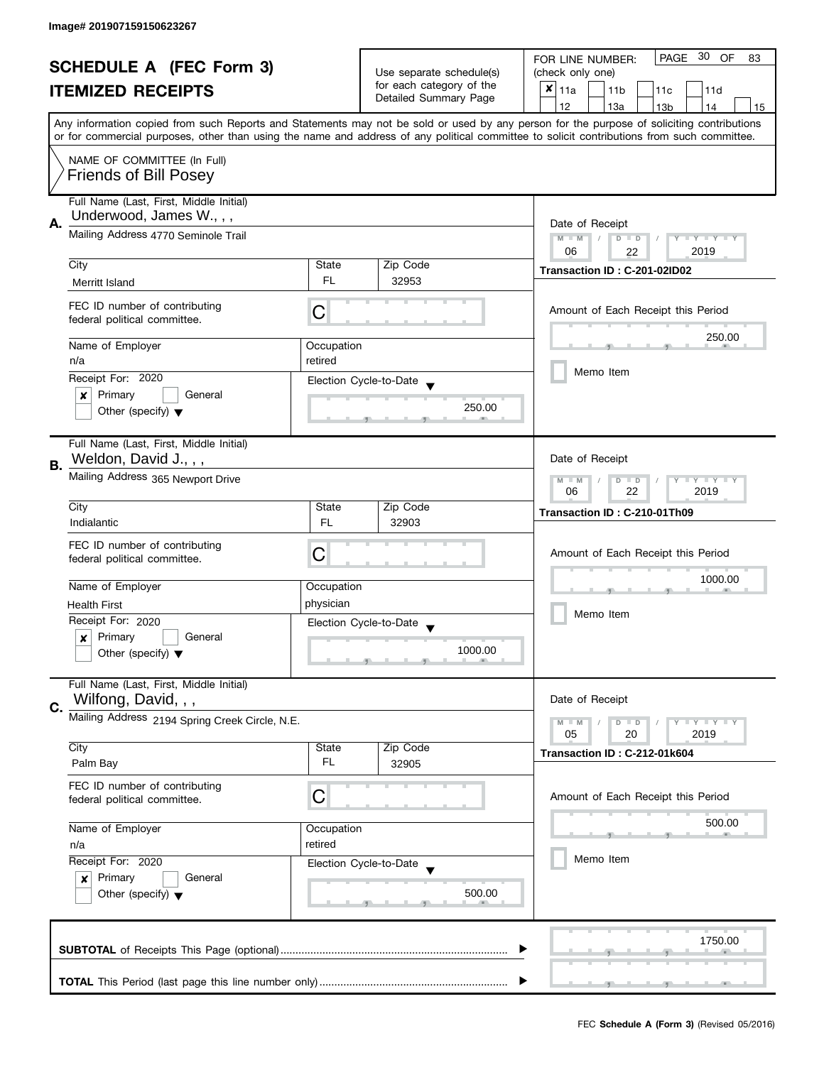|    | <b>SCHEDULE A (FEC Form 3)</b>                                        |                                                                          |                                                   | PAGE 30 OF<br>FOR LINE NUMBER:<br>83                                                                                                                                                                                                                                                    |  |  |
|----|-----------------------------------------------------------------------|--------------------------------------------------------------------------|---------------------------------------------------|-----------------------------------------------------------------------------------------------------------------------------------------------------------------------------------------------------------------------------------------------------------------------------------------|--|--|
|    |                                                                       | Use separate schedule(s)                                                 | (check only one)                                  |                                                                                                                                                                                                                                                                                         |  |  |
|    | <b>ITEMIZED RECEIPTS</b>                                              |                                                                          | for each category of the<br>Detailed Summary Page | $x _{11a}$<br>11 <sub>b</sub><br>11c<br>11d                                                                                                                                                                                                                                             |  |  |
|    |                                                                       |                                                                          |                                                   | 12<br>13a<br>13 <sub>b</sub><br>14<br>15                                                                                                                                                                                                                                                |  |  |
|    |                                                                       |                                                                          |                                                   | Any information copied from such Reports and Statements may not be sold or used by any person for the purpose of soliciting contributions<br>or for commercial purposes, other than using the name and address of any political committee to solicit contributions from such committee. |  |  |
|    |                                                                       |                                                                          |                                                   |                                                                                                                                                                                                                                                                                         |  |  |
|    | NAME OF COMMITTEE (In Full)<br><b>Friends of Bill Posey</b>           |                                                                          |                                                   |                                                                                                                                                                                                                                                                                         |  |  |
|    |                                                                       |                                                                          |                                                   |                                                                                                                                                                                                                                                                                         |  |  |
|    | Full Name (Last, First, Middle Initial)<br>Underwood, James W., , ,   |                                                                          |                                                   |                                                                                                                                                                                                                                                                                         |  |  |
| Α. | Mailing Address 4770 Seminole Trail                                   | Date of Receipt                                                          |                                                   |                                                                                                                                                                                                                                                                                         |  |  |
|    |                                                                       |                                                                          |                                                   | $M - M$<br>$D$ $D$<br>Y I Y I Y I Y<br>06<br>2019                                                                                                                                                                                                                                       |  |  |
|    | City                                                                  | State                                                                    | Zip Code                                          | 22                                                                                                                                                                                                                                                                                      |  |  |
|    | Merritt Island                                                        | FL.                                                                      | 32953                                             | Transaction ID: C-201-02ID02                                                                                                                                                                                                                                                            |  |  |
|    |                                                                       |                                                                          |                                                   |                                                                                                                                                                                                                                                                                         |  |  |
|    | FEC ID number of contributing<br>federal political committee.         | C                                                                        |                                                   | Amount of Each Receipt this Period                                                                                                                                                                                                                                                      |  |  |
|    | Name of Employer                                                      | Occupation                                                               |                                                   | 250.00                                                                                                                                                                                                                                                                                  |  |  |
|    | n/a                                                                   | retired                                                                  |                                                   |                                                                                                                                                                                                                                                                                         |  |  |
|    | Receipt For: 2020                                                     |                                                                          | Election Cycle-to-Date                            | Memo Item                                                                                                                                                                                                                                                                               |  |  |
|    | Primary<br>General<br>×                                               |                                                                          |                                                   |                                                                                                                                                                                                                                                                                         |  |  |
|    | Other (specify) $\blacktriangledown$                                  |                                                                          | 250.00                                            |                                                                                                                                                                                                                                                                                         |  |  |
|    |                                                                       |                                                                          |                                                   |                                                                                                                                                                                                                                                                                         |  |  |
|    | Full Name (Last, First, Middle Initial)                               |                                                                          |                                                   |                                                                                                                                                                                                                                                                                         |  |  |
| В. | Weldon, David J., , ,                                                 |                                                                          |                                                   | Date of Receipt                                                                                                                                                                                                                                                                         |  |  |
|    | Mailing Address 365 Newport Drive                                     | $\mathbf{y}$ $\mathbf{y}$<br>$M - M$<br>$D$ $D$<br>Ÿ<br>22<br>2019<br>06 |                                                   |                                                                                                                                                                                                                                                                                         |  |  |
|    | City                                                                  | State                                                                    | Zip Code                                          | Transaction ID: C-210-01Th09                                                                                                                                                                                                                                                            |  |  |
|    | Indialantic                                                           | <b>FL</b>                                                                | 32903                                             |                                                                                                                                                                                                                                                                                         |  |  |
|    | FEC ID number of contributing                                         |                                                                          |                                                   |                                                                                                                                                                                                                                                                                         |  |  |
|    | federal political committee.                                          | С                                                                        |                                                   | Amount of Each Receipt this Period                                                                                                                                                                                                                                                      |  |  |
|    |                                                                       |                                                                          |                                                   | 1000.00                                                                                                                                                                                                                                                                                 |  |  |
|    | Name of Employer                                                      | Occupation                                                               |                                                   |                                                                                                                                                                                                                                                                                         |  |  |
|    | <b>Health First</b>                                                   | physician                                                                |                                                   | Memo Item                                                                                                                                                                                                                                                                               |  |  |
|    | Receipt For: 2020                                                     |                                                                          | Election Cycle-to-Date                            |                                                                                                                                                                                                                                                                                         |  |  |
|    | Primary<br>General<br>x<br>Other (specify) $\blacktriangledown$       |                                                                          | 1000.00                                           |                                                                                                                                                                                                                                                                                         |  |  |
|    |                                                                       |                                                                          |                                                   |                                                                                                                                                                                                                                                                                         |  |  |
|    | Full Name (Last, First, Middle Initial)                               |                                                                          |                                                   |                                                                                                                                                                                                                                                                                         |  |  |
|    | Wilfong, David, , ,                                                   |                                                                          |                                                   | Date of Receipt                                                                                                                                                                                                                                                                         |  |  |
| C. | Mailing Address 2194 Spring Creek Circle, N.E.                        |                                                                          |                                                   | $Y \perp Y \perp Y$<br>$M - M$<br>$D$ $D$                                                                                                                                                                                                                                               |  |  |
|    |                                                                       |                                                                          |                                                   | 05<br>20<br>2019                                                                                                                                                                                                                                                                        |  |  |
|    | City                                                                  | State                                                                    | Zip Code                                          | Transaction ID: C-212-01k604                                                                                                                                                                                                                                                            |  |  |
|    | Palm Bay                                                              | FL                                                                       | 32905                                             |                                                                                                                                                                                                                                                                                         |  |  |
|    | FEC ID number of contributing                                         |                                                                          |                                                   |                                                                                                                                                                                                                                                                                         |  |  |
|    | federal political committee.                                          | С                                                                        |                                                   | Amount of Each Receipt this Period                                                                                                                                                                                                                                                      |  |  |
|    | Name of Employer<br>Occupation<br>retired<br>n/a<br>Receipt For: 2020 |                                                                          |                                                   | 500.00                                                                                                                                                                                                                                                                                  |  |  |
|    |                                                                       |                                                                          |                                                   |                                                                                                                                                                                                                                                                                         |  |  |
|    |                                                                       |                                                                          |                                                   | Memo Item                                                                                                                                                                                                                                                                               |  |  |
|    | Primary<br>General<br>x                                               |                                                                          | Election Cycle-to-Date                            |                                                                                                                                                                                                                                                                                         |  |  |
|    | Other (specify) $\blacktriangledown$                                  |                                                                          | 500.00                                            |                                                                                                                                                                                                                                                                                         |  |  |
|    |                                                                       |                                                                          |                                                   |                                                                                                                                                                                                                                                                                         |  |  |
|    |                                                                       |                                                                          |                                                   |                                                                                                                                                                                                                                                                                         |  |  |
|    |                                                                       |                                                                          |                                                   | 1750.00                                                                                                                                                                                                                                                                                 |  |  |
|    |                                                                       |                                                                          |                                                   |                                                                                                                                                                                                                                                                                         |  |  |
|    |                                                                       |                                                                          |                                                   |                                                                                                                                                                                                                                                                                         |  |  |
|    |                                                                       |                                                                          |                                                   |                                                                                                                                                                                                                                                                                         |  |  |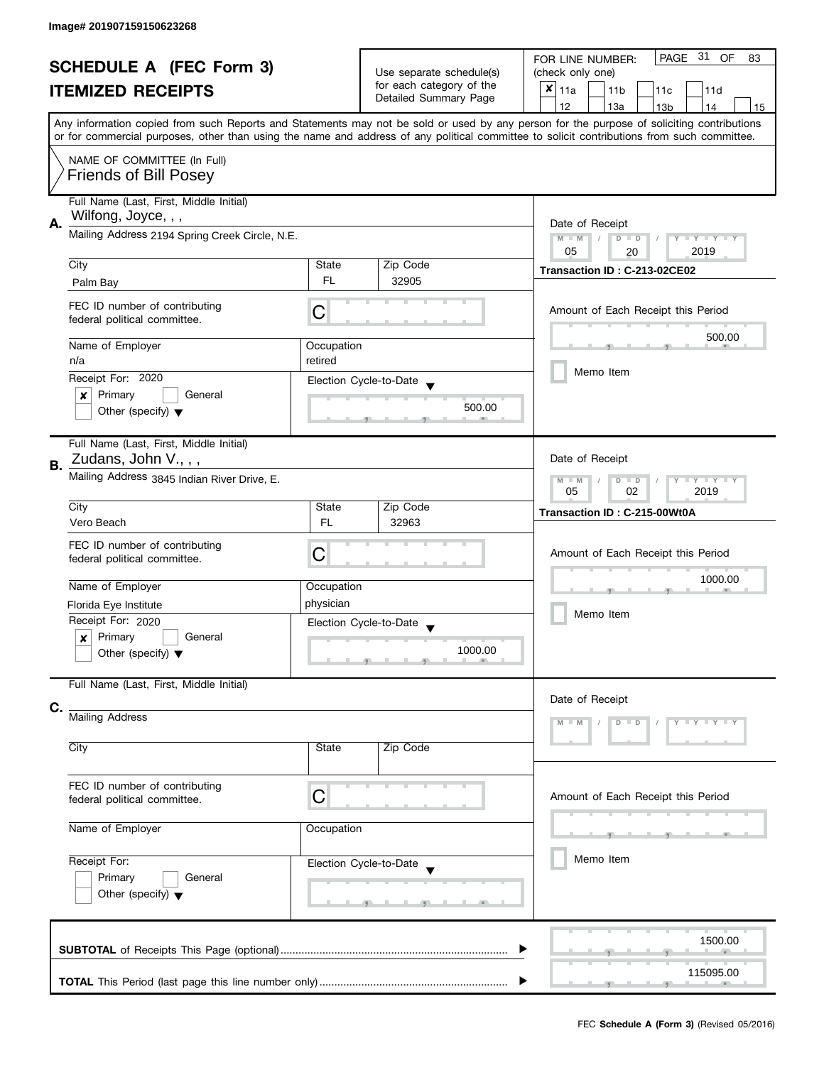| <b>SCHEDULE A (FEC Form 3)</b> |                                                                                                                                        | Use separate schedule(s)<br>for each category of the                  | PAGE 31 OF<br>FOR LINE NUMBER:<br>83<br>(check only one) |                                                                                                                                                                                                                                                                                         |
|--------------------------------|----------------------------------------------------------------------------------------------------------------------------------------|-----------------------------------------------------------------------|----------------------------------------------------------|-----------------------------------------------------------------------------------------------------------------------------------------------------------------------------------------------------------------------------------------------------------------------------------------|
|                                | <b>ITEMIZED RECEIPTS</b>                                                                                                               |                                                                       | Detailed Summary Page                                    | $x _{11a}$<br>11 <sub>b</sub><br>11c<br>11d                                                                                                                                                                                                                                             |
|                                |                                                                                                                                        |                                                                       |                                                          | 12<br>13a<br>13 <sub>b</sub><br>14<br>15                                                                                                                                                                                                                                                |
|                                |                                                                                                                                        |                                                                       |                                                          | Any information copied from such Reports and Statements may not be sold or used by any person for the purpose of soliciting contributions<br>or for commercial purposes, other than using the name and address of any political committee to solicit contributions from such committee. |
|                                | NAME OF COMMITTEE (In Full)<br><b>Friends of Bill Posey</b>                                                                            |                                                                       |                                                          |                                                                                                                                                                                                                                                                                         |
| А.                             | Full Name (Last, First, Middle Initial)<br>Wilfong, Joyce, , ,                                                                         |                                                                       |                                                          | Date of Receipt                                                                                                                                                                                                                                                                         |
|                                | Mailing Address 2194 Spring Creek Circle, N.E.                                                                                         | $M - M$<br>$\sqrt{2}$<br>$D$ $D$<br>Y I Y I Y I Y<br>05<br>2019<br>20 |                                                          |                                                                                                                                                                                                                                                                                         |
|                                | City                                                                                                                                   | State                                                                 | Zip Code                                                 | Transaction ID: C-213-02CE02                                                                                                                                                                                                                                                            |
|                                | Palm Bay                                                                                                                               | <b>FL</b>                                                             | 32905                                                    |                                                                                                                                                                                                                                                                                         |
|                                | FEC ID number of contributing<br>federal political committee.                                                                          | С                                                                     |                                                          | Amount of Each Receipt this Period                                                                                                                                                                                                                                                      |
|                                | Name of Employer                                                                                                                       | Occupation                                                            |                                                          | 500.00                                                                                                                                                                                                                                                                                  |
|                                | n/a                                                                                                                                    | retired                                                               |                                                          |                                                                                                                                                                                                                                                                                         |
|                                | Receipt For: 2020                                                                                                                      |                                                                       | Election Cycle-to-Date                                   | Memo Item                                                                                                                                                                                                                                                                               |
|                                | Primary<br>General<br>×                                                                                                                |                                                                       |                                                          |                                                                                                                                                                                                                                                                                         |
|                                | Other (specify) $\blacktriangledown$                                                                                                   |                                                                       | 500.00                                                   |                                                                                                                                                                                                                                                                                         |
| В.                             | Full Name (Last, First, Middle Initial)<br>Zudans, John V., , ,                                                                        |                                                                       |                                                          | Date of Receipt                                                                                                                                                                                                                                                                         |
|                                | Mailing Address 3845 Indian River Drive, E.                                                                                            | $Y = Y + Y$<br>$M - M$<br>D<br>$\Box$<br>2019<br>05<br>02             |                                                          |                                                                                                                                                                                                                                                                                         |
|                                | City                                                                                                                                   | State                                                                 | Zip Code                                                 | Transaction ID: C-215-00Wt0A                                                                                                                                                                                                                                                            |
|                                | Vero Beach                                                                                                                             | <b>FL</b>                                                             | 32963                                                    |                                                                                                                                                                                                                                                                                         |
|                                | FEC ID number of contributing<br>federal political committee.                                                                          | С                                                                     |                                                          | Amount of Each Receipt this Period                                                                                                                                                                                                                                                      |
|                                | Name of Employer                                                                                                                       | Occupation                                                            |                                                          | 1000.00                                                                                                                                                                                                                                                                                 |
|                                | Florida Eye Institute                                                                                                                  | physician                                                             |                                                          |                                                                                                                                                                                                                                                                                         |
|                                | Receipt For: 2020                                                                                                                      |                                                                       | Election Cycle-to-Date                                   | Memo Item                                                                                                                                                                                                                                                                               |
|                                | Primary<br>General<br>x                                                                                                                |                                                                       |                                                          |                                                                                                                                                                                                                                                                                         |
|                                | Other (specify) $\blacktriangledown$                                                                                                   |                                                                       | 1000.00                                                  |                                                                                                                                                                                                                                                                                         |
|                                | Full Name (Last, First, Middle Initial)                                                                                                |                                                                       |                                                          | Date of Receipt                                                                                                                                                                                                                                                                         |
| C.                             | <b>Mailing Address</b>                                                                                                                 |                                                                       |                                                          | YY                                                                                                                                                                                                                                                                                      |
|                                | City                                                                                                                                   | State                                                                 | Zip Code                                                 |                                                                                                                                                                                                                                                                                         |
|                                | FEC ID number of contributing<br>federal political committee.                                                                          | C                                                                     |                                                          | Amount of Each Receipt this Period                                                                                                                                                                                                                                                      |
|                                | Name of Employer<br>Occupation<br>Receipt For:<br>Election Cycle-to-Date<br>Primary<br>General<br>Other (specify) $\blacktriangledown$ |                                                                       |                                                          |                                                                                                                                                                                                                                                                                         |
|                                |                                                                                                                                        |                                                                       |                                                          | Memo Item                                                                                                                                                                                                                                                                               |
|                                |                                                                                                                                        |                                                                       |                                                          |                                                                                                                                                                                                                                                                                         |
|                                |                                                                                                                                        |                                                                       | <b>JULI</b>                                              |                                                                                                                                                                                                                                                                                         |
|                                |                                                                                                                                        |                                                                       |                                                          | 1500.00                                                                                                                                                                                                                                                                                 |
|                                |                                                                                                                                        |                                                                       |                                                          | 115095.00                                                                                                                                                                                                                                                                               |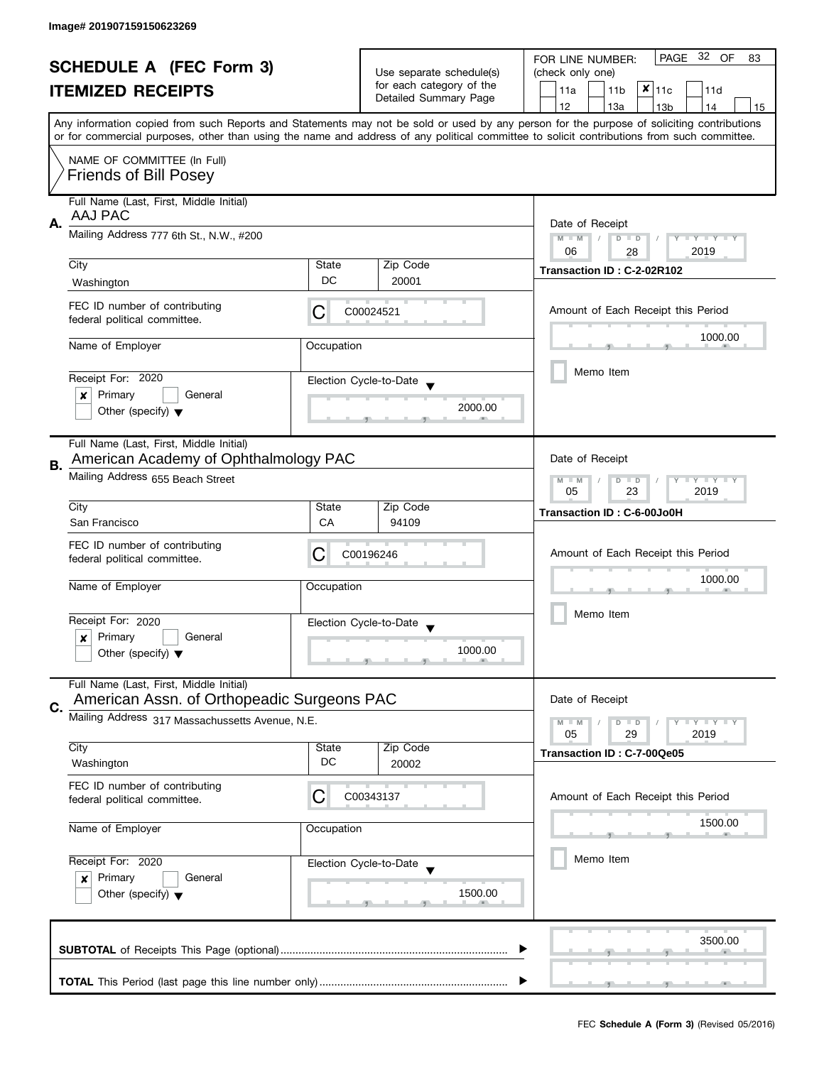| <b>SCHEDULE A (FEC Form 3)</b> |                                                                                                          |            |                                                   | PAGE 32 OF<br>FOR LINE NUMBER:<br>83                                                                                                                                                                                                                                                    |  |  |
|--------------------------------|----------------------------------------------------------------------------------------------------------|------------|---------------------------------------------------|-----------------------------------------------------------------------------------------------------------------------------------------------------------------------------------------------------------------------------------------------------------------------------------------|--|--|
|                                |                                                                                                          |            | Use separate schedule(s)                          | (check only one)                                                                                                                                                                                                                                                                        |  |  |
|                                | <b>ITEMIZED RECEIPTS</b>                                                                                 |            | for each category of the<br>Detailed Summary Page | $x _{11c}$<br>11a<br>11 <sub>b</sub><br>11d                                                                                                                                                                                                                                             |  |  |
|                                |                                                                                                          |            |                                                   | 12<br>13a<br>13 <sub>b</sub><br>14<br>15                                                                                                                                                                                                                                                |  |  |
|                                |                                                                                                          |            |                                                   | Any information copied from such Reports and Statements may not be sold or used by any person for the purpose of soliciting contributions<br>or for commercial purposes, other than using the name and address of any political committee to solicit contributions from such committee. |  |  |
|                                | NAME OF COMMITTEE (In Full)                                                                              |            |                                                   |                                                                                                                                                                                                                                                                                         |  |  |
|                                | <b>Friends of Bill Posey</b>                                                                             |            |                                                   |                                                                                                                                                                                                                                                                                         |  |  |
|                                | Full Name (Last, First, Middle Initial)<br>AAJ PAC<br>Α.<br>Mailing Address 777 6th St., N.W., #200      |            |                                                   |                                                                                                                                                                                                                                                                                         |  |  |
|                                |                                                                                                          |            |                                                   | Date of Receipt<br>$M - M$<br>$D$ $D$<br>Y TY TY TY<br>06<br>2019                                                                                                                                                                                                                       |  |  |
|                                | City                                                                                                     | State      | Zip Code                                          | 28                                                                                                                                                                                                                                                                                      |  |  |
|                                | Washington                                                                                               | DC         | 20001                                             | Transaction ID: C-2-02R102                                                                                                                                                                                                                                                              |  |  |
|                                | FEC ID number of contributing<br>federal political committee.                                            | C          | C00024521                                         | Amount of Each Receipt this Period                                                                                                                                                                                                                                                      |  |  |
|                                |                                                                                                          |            |                                                   | 1000.00                                                                                                                                                                                                                                                                                 |  |  |
|                                | Name of Employer                                                                                         | Occupation |                                                   |                                                                                                                                                                                                                                                                                         |  |  |
|                                | Receipt For: 2020                                                                                        |            |                                                   | Memo Item                                                                                                                                                                                                                                                                               |  |  |
|                                | Primary<br>General<br>x                                                                                  |            | Election Cycle-to-Date                            |                                                                                                                                                                                                                                                                                         |  |  |
|                                | Other (specify) $\blacktriangledown$                                                                     |            | 2000.00                                           |                                                                                                                                                                                                                                                                                         |  |  |
|                                |                                                                                                          |            |                                                   |                                                                                                                                                                                                                                                                                         |  |  |
|                                | Full Name (Last, First, Middle Initial)<br>American Academy of Ophthalmology PAC                         |            |                                                   | Date of Receipt                                                                                                                                                                                                                                                                         |  |  |
| В.                             | Mailing Address 655 Beach Street                                                                         |            |                                                   | Y LY LY<br>$M - M$<br>$D$ $D$                                                                                                                                                                                                                                                           |  |  |
|                                |                                                                                                          |            |                                                   | 23<br>2019<br>05                                                                                                                                                                                                                                                                        |  |  |
|                                | City                                                                                                     | State      | Zip Code                                          | Transaction ID: C-6-00Jo0H                                                                                                                                                                                                                                                              |  |  |
|                                | San Francisco                                                                                            | CA         | 94109                                             |                                                                                                                                                                                                                                                                                         |  |  |
|                                | FEC ID number of contributing                                                                            | C          | C00196246                                         | Amount of Each Receipt this Period                                                                                                                                                                                                                                                      |  |  |
|                                | federal political committee.                                                                             |            |                                                   |                                                                                                                                                                                                                                                                                         |  |  |
|                                | Name of Employer                                                                                         | Occupation |                                                   | 1000.00                                                                                                                                                                                                                                                                                 |  |  |
|                                |                                                                                                          |            |                                                   | Memo Item                                                                                                                                                                                                                                                                               |  |  |
|                                | Receipt For: 2020                                                                                        |            | Election Cycle-to-Date                            |                                                                                                                                                                                                                                                                                         |  |  |
|                                | Primary<br>General<br>x                                                                                  |            | 1000.00                                           |                                                                                                                                                                                                                                                                                         |  |  |
|                                | Other (specify) $\blacktriangledown$                                                                     |            |                                                   |                                                                                                                                                                                                                                                                                         |  |  |
|                                | Full Name (Last, First, Middle Initial)                                                                  |            |                                                   |                                                                                                                                                                                                                                                                                         |  |  |
| C.                             | American Assn. of Orthopeadic Surgeons PAC                                                               |            |                                                   | Date of Receipt                                                                                                                                                                                                                                                                         |  |  |
|                                | Mailing Address 317 Massachussetts Avenue, N.E.                                                          |            |                                                   | $Y + Y$<br>$M - M$<br>$D$ $D$<br>05<br>29<br>2019                                                                                                                                                                                                                                       |  |  |
|                                | City                                                                                                     | State      | Zip Code                                          | Transaction ID: C-7-00Qe05                                                                                                                                                                                                                                                              |  |  |
|                                | Washington                                                                                               | DC         | 20002                                             |                                                                                                                                                                                                                                                                                         |  |  |
|                                | FEC ID number of contributing                                                                            |            |                                                   |                                                                                                                                                                                                                                                                                         |  |  |
|                                | federal political committee.                                                                             | C          | C00343137                                         | Amount of Each Receipt this Period                                                                                                                                                                                                                                                      |  |  |
|                                | Name of Employer<br>Occupation<br>Receipt For: 2020<br>Election Cycle-to-Date<br>Primary<br>General<br>x |            |                                                   | 1500.00                                                                                                                                                                                                                                                                                 |  |  |
|                                |                                                                                                          |            |                                                   |                                                                                                                                                                                                                                                                                         |  |  |
|                                |                                                                                                          |            |                                                   | Memo Item                                                                                                                                                                                                                                                                               |  |  |
|                                |                                                                                                          |            |                                                   |                                                                                                                                                                                                                                                                                         |  |  |
|                                | Other (specify) $\blacktriangledown$                                                                     |            | 1500.00                                           |                                                                                                                                                                                                                                                                                         |  |  |
|                                |                                                                                                          |            |                                                   |                                                                                                                                                                                                                                                                                         |  |  |
|                                |                                                                                                          |            |                                                   | 3500.00                                                                                                                                                                                                                                                                                 |  |  |
|                                |                                                                                                          |            |                                                   |                                                                                                                                                                                                                                                                                         |  |  |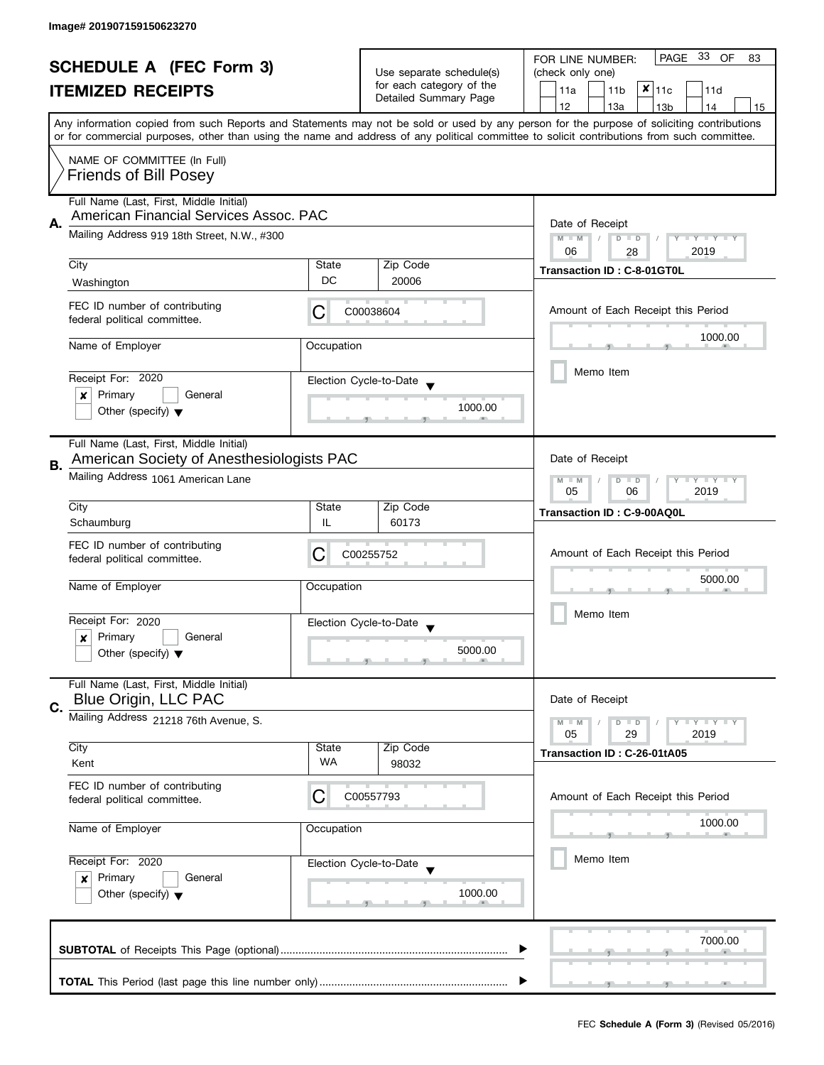| <b>SCHEDULE A (FEC Form 3)</b><br><b>ITEMIZED RECEIPTS</b> |                                                                                       |                                                                   | PAGE 33 OF<br>FOR LINE NUMBER:<br>83        |                                                                                                                                                                                                                                                                                         |  |
|------------------------------------------------------------|---------------------------------------------------------------------------------------|-------------------------------------------------------------------|---------------------------------------------|-----------------------------------------------------------------------------------------------------------------------------------------------------------------------------------------------------------------------------------------------------------------------------------------|--|
|                                                            |                                                                                       | Use separate schedule(s)                                          | (check only one)                            |                                                                                                                                                                                                                                                                                         |  |
|                                                            |                                                                                       | for each category of the                                          | $x _{11c}$<br>11a<br>11 <sub>b</sub><br>11d |                                                                                                                                                                                                                                                                                         |  |
|                                                            |                                                                                       |                                                                   | Detailed Summary Page                       | 12<br>13a<br>13 <sub>b</sub><br>14<br>15                                                                                                                                                                                                                                                |  |
|                                                            |                                                                                       |                                                                   |                                             | Any information copied from such Reports and Statements may not be sold or used by any person for the purpose of soliciting contributions<br>or for commercial purposes, other than using the name and address of any political committee to solicit contributions from such committee. |  |
|                                                            | NAME OF COMMITTEE (In Full)<br><b>Friends of Bill Posey</b>                           |                                                                   |                                             |                                                                                                                                                                                                                                                                                         |  |
|                                                            | Full Name (Last, First, Middle Initial)<br>American Financial Services Assoc. PAC     |                                                                   |                                             |                                                                                                                                                                                                                                                                                         |  |
| Α.                                                         | Mailing Address 919 18th Street, N.W., #300                                           | Date of Receipt<br>$M - M$<br>Y TY TY TY<br>$D$ $D$<br>2019<br>06 |                                             |                                                                                                                                                                                                                                                                                         |  |
|                                                            | City                                                                                  | State                                                             | Zip Code                                    | 28                                                                                                                                                                                                                                                                                      |  |
|                                                            | Washington                                                                            | DC                                                                | 20006                                       | Transaction ID: C-8-01GT0L                                                                                                                                                                                                                                                              |  |
|                                                            | FEC ID number of contributing<br>federal political committee.                         | С                                                                 | C00038604                                   | Amount of Each Receipt this Period                                                                                                                                                                                                                                                      |  |
|                                                            | Name of Employer                                                                      | Occupation                                                        |                                             | 1000.00                                                                                                                                                                                                                                                                                 |  |
|                                                            |                                                                                       |                                                                   |                                             | Memo Item                                                                                                                                                                                                                                                                               |  |
|                                                            | Receipt For: 2020                                                                     |                                                                   | Election Cycle-to-Date                      |                                                                                                                                                                                                                                                                                         |  |
|                                                            | Primary<br>General<br>×<br>Other (specify) $\blacktriangledown$                       |                                                                   | 1000.00                                     |                                                                                                                                                                                                                                                                                         |  |
|                                                            |                                                                                       |                                                                   |                                             |                                                                                                                                                                                                                                                                                         |  |
| В.                                                         | Full Name (Last, First, Middle Initial)<br>American Society of Anesthesiologists PAC  |                                                                   |                                             | Date of Receipt                                                                                                                                                                                                                                                                         |  |
|                                                            | Mailing Address 1061 American Lane                                                    |                                                                   |                                             | $Y = Y + Y$<br>$M - M$<br>$D$ $D$<br>T<br>06<br>2019<br>05                                                                                                                                                                                                                              |  |
|                                                            | City                                                                                  | State                                                             | Zip Code                                    | Transaction ID: C-9-00AQ0L                                                                                                                                                                                                                                                              |  |
|                                                            | Schaumburg                                                                            | IL                                                                | 60173                                       |                                                                                                                                                                                                                                                                                         |  |
|                                                            | FEC ID number of contributing<br>federal political committee.                         | C                                                                 | C00255752                                   | Amount of Each Receipt this Period                                                                                                                                                                                                                                                      |  |
|                                                            | Name of Employer                                                                      | Occupation                                                        |                                             | 5000.00                                                                                                                                                                                                                                                                                 |  |
|                                                            | Receipt For: 2020                                                                     |                                                                   | Election Cycle-to-Date                      | Memo Item                                                                                                                                                                                                                                                                               |  |
|                                                            | Primary<br>General<br>x                                                               |                                                                   | $\blacktriangledown$                        |                                                                                                                                                                                                                                                                                         |  |
|                                                            | Other (specify) $\blacktriangledown$                                                  |                                                                   | 5000.00                                     |                                                                                                                                                                                                                                                                                         |  |
|                                                            | Full Name (Last, First, Middle Initial)<br>Blue Origin, LLC PAC                       |                                                                   |                                             |                                                                                                                                                                                                                                                                                         |  |
| C.                                                         |                                                                                       |                                                                   |                                             | Date of Receipt                                                                                                                                                                                                                                                                         |  |
|                                                            | Mailing Address 21218 76th Avenue, S.                                                 |                                                                   |                                             | $Y = Y = Y$<br>$M - M$<br>$D$ $D$<br>05<br>29<br>2019                                                                                                                                                                                                                                   |  |
|                                                            | City                                                                                  | State                                                             | Zip Code                                    | Transaction ID: C-26-01tA05                                                                                                                                                                                                                                                             |  |
|                                                            | Kent                                                                                  | <b>WA</b>                                                         | 98032                                       |                                                                                                                                                                                                                                                                                         |  |
|                                                            | FEC ID number of contributing<br>federal political committee.                         | С                                                                 | C00557793                                   | Amount of Each Receipt this Period                                                                                                                                                                                                                                                      |  |
|                                                            | Name of Employer                                                                      | Occupation                                                        |                                             | 1000.00                                                                                                                                                                                                                                                                                 |  |
|                                                            | Receipt For: 2020<br>Election Cycle-to-Date<br>Primary<br>General<br>$\boldsymbol{x}$ |                                                                   |                                             | Memo Item                                                                                                                                                                                                                                                                               |  |
|                                                            |                                                                                       |                                                                   |                                             |                                                                                                                                                                                                                                                                                         |  |
|                                                            | Other (specify) $\blacktriangledown$                                                  |                                                                   | 1000.00                                     |                                                                                                                                                                                                                                                                                         |  |
|                                                            |                                                                                       |                                                                   |                                             |                                                                                                                                                                                                                                                                                         |  |
|                                                            |                                                                                       |                                                                   |                                             | 7000.00                                                                                                                                                                                                                                                                                 |  |
|                                                            |                                                                                       |                                                                   |                                             |                                                                                                                                                                                                                                                                                         |  |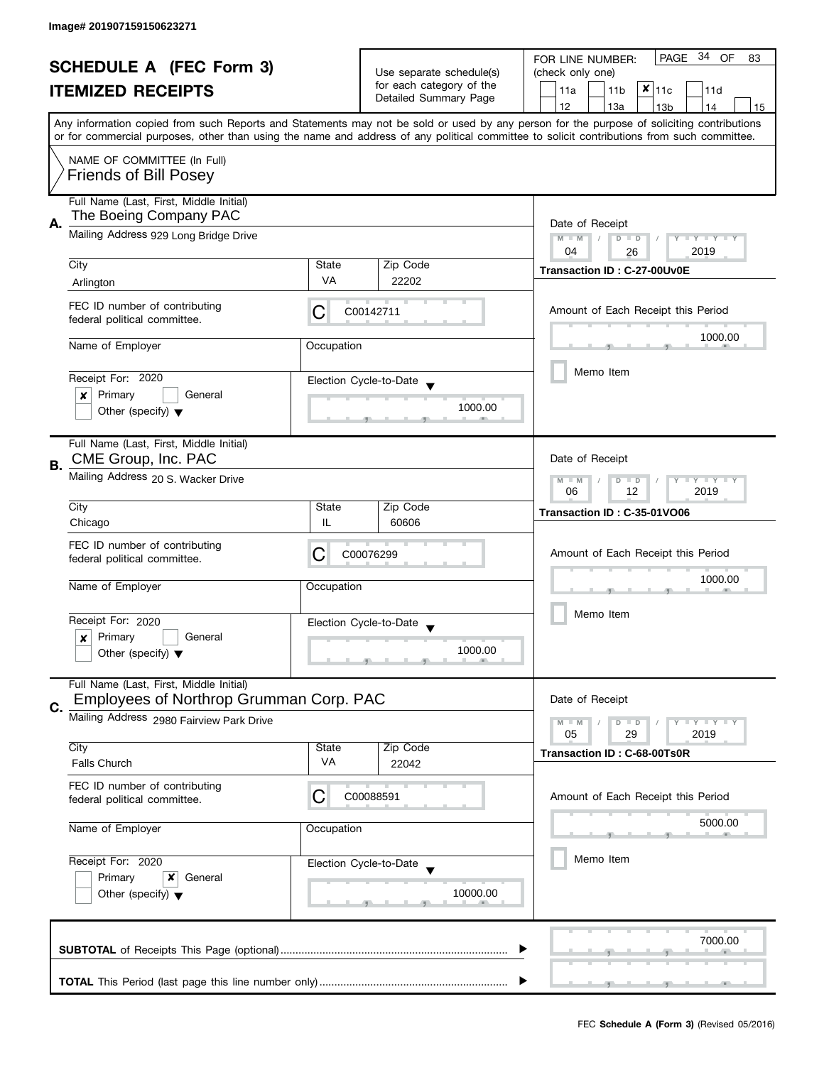| <b>SCHEDULE A (FEC Form 3)</b> |                                                                                      |                                     | Use separate schedule(s)                          | PAGE 34 OF<br>FOR LINE NUMBER:<br>83                                                                                                       |  |  |  |  |
|--------------------------------|--------------------------------------------------------------------------------------|-------------------------------------|---------------------------------------------------|--------------------------------------------------------------------------------------------------------------------------------------------|--|--|--|--|
|                                |                                                                                      |                                     |                                                   | (check only one)                                                                                                                           |  |  |  |  |
|                                | <b>ITEMIZED RECEIPTS</b>                                                             |                                     | for each category of the<br>Detailed Summary Page | $x _{11c}$<br>11a<br>11 <sub>b</sub><br>11d                                                                                                |  |  |  |  |
|                                |                                                                                      |                                     |                                                   | 12<br>13a<br>13 <sub>b</sub><br>14<br>15                                                                                                   |  |  |  |  |
|                                |                                                                                      |                                     |                                                   | Any information copied from such Reports and Statements may not be sold or used by any person for the purpose of soliciting contributions  |  |  |  |  |
|                                |                                                                                      |                                     |                                                   | or for commercial purposes, other than using the name and address of any political committee to solicit contributions from such committee. |  |  |  |  |
|                                | NAME OF COMMITTEE (In Full)                                                          |                                     |                                                   |                                                                                                                                            |  |  |  |  |
|                                | <b>Friends of Bill Posey</b>                                                         |                                     |                                                   |                                                                                                                                            |  |  |  |  |
|                                |                                                                                      |                                     |                                                   |                                                                                                                                            |  |  |  |  |
|                                | Full Name (Last, First, Middle Initial)                                              |                                     |                                                   |                                                                                                                                            |  |  |  |  |
| Α.                             | The Boeing Company PAC                                                               | Date of Receipt                     |                                                   |                                                                                                                                            |  |  |  |  |
|                                | Mailing Address 929 Long Bridge Drive                                                | $M - M$<br>Y I Y I Y I Y<br>$D$ $D$ |                                                   |                                                                                                                                            |  |  |  |  |
|                                |                                                                                      | 04<br>2019<br>26                    |                                                   |                                                                                                                                            |  |  |  |  |
|                                | City<br>State                                                                        |                                     | Zip Code                                          | Transaction ID: C-27-00Uv0E                                                                                                                |  |  |  |  |
|                                | Arlington                                                                            | <b>VA</b>                           | 22202                                             |                                                                                                                                            |  |  |  |  |
|                                |                                                                                      |                                     |                                                   |                                                                                                                                            |  |  |  |  |
|                                | FEC ID number of contributing                                                        | С                                   | C00142711                                         | Amount of Each Receipt this Period                                                                                                         |  |  |  |  |
|                                | federal political committee.                                                         |                                     |                                                   |                                                                                                                                            |  |  |  |  |
|                                | Name of Employer                                                                     | Occupation                          |                                                   | 1000.00                                                                                                                                    |  |  |  |  |
|                                |                                                                                      |                                     |                                                   |                                                                                                                                            |  |  |  |  |
|                                | Receipt For: 2020                                                                    |                                     | Election Cycle-to-Date                            | Memo Item                                                                                                                                  |  |  |  |  |
|                                | Primary<br>General<br>x                                                              |                                     |                                                   |                                                                                                                                            |  |  |  |  |
|                                | Other (specify) $\blacktriangledown$                                                 |                                     | 1000.00                                           |                                                                                                                                            |  |  |  |  |
|                                |                                                                                      |                                     |                                                   |                                                                                                                                            |  |  |  |  |
|                                | Full Name (Last, First, Middle Initial)                                              |                                     |                                                   |                                                                                                                                            |  |  |  |  |
|                                | CME Group, Inc. PAC                                                                  |                                     |                                                   | Date of Receipt                                                                                                                            |  |  |  |  |
| В.                             | Mailing Address 20 S. Wacker Drive                                                   |                                     |                                                   | $\mathbf{y}$ $\mathbf{y}$<br>$M - M$<br>Ÿ<br>D<br>$\Box$                                                                                   |  |  |  |  |
|                                |                                                                                      | 12<br>2019<br>06                    |                                                   |                                                                                                                                            |  |  |  |  |
|                                | City                                                                                 | State                               | Zip Code                                          | Transaction ID: C-35-01VO06                                                                                                                |  |  |  |  |
|                                | Chicago                                                                              | IL                                  | 60606                                             |                                                                                                                                            |  |  |  |  |
|                                | FEC ID number of contributing                                                        |                                     |                                                   |                                                                                                                                            |  |  |  |  |
|                                | С<br>C00076299<br>federal political committee.                                       |                                     |                                                   | Amount of Each Receipt this Period                                                                                                         |  |  |  |  |
|                                |                                                                                      |                                     |                                                   | 1000.00                                                                                                                                    |  |  |  |  |
|                                | Name of Employer                                                                     | Occupation                          |                                                   |                                                                                                                                            |  |  |  |  |
|                                | Receipt For: 2020<br>Primary<br>General<br>x<br>Other (specify) $\blacktriangledown$ |                                     |                                                   | Memo Item                                                                                                                                  |  |  |  |  |
|                                |                                                                                      |                                     | Election Cycle-to-Date                            |                                                                                                                                            |  |  |  |  |
|                                |                                                                                      |                                     |                                                   |                                                                                                                                            |  |  |  |  |
|                                |                                                                                      |                                     | 1000.00                                           |                                                                                                                                            |  |  |  |  |
|                                |                                                                                      |                                     |                                                   |                                                                                                                                            |  |  |  |  |
|                                | Full Name (Last, First, Middle Initial)<br>Employees of Northrop Grumman Corp. PAC   | Date of Receipt                     |                                                   |                                                                                                                                            |  |  |  |  |
| C.                             |                                                                                      |                                     |                                                   |                                                                                                                                            |  |  |  |  |
|                                | Mailing Address 2980 Fairview Park Drive                                             |                                     |                                                   | $Y \perp Y \perp Y$<br>$M - M$<br>$D$ $D$<br>05<br>29<br>2019                                                                              |  |  |  |  |
|                                | City                                                                                 | State                               | Zip Code                                          |                                                                                                                                            |  |  |  |  |
|                                | <b>Falls Church</b>                                                                  | VA                                  | 22042                                             | Transaction ID: C-68-00Ts0R                                                                                                                |  |  |  |  |
|                                |                                                                                      |                                     |                                                   |                                                                                                                                            |  |  |  |  |
|                                | FEC ID number of contributing<br>С<br>federal political committee.                   |                                     | C00088591                                         | Amount of Each Receipt this Period                                                                                                         |  |  |  |  |
|                                |                                                                                      |                                     |                                                   |                                                                                                                                            |  |  |  |  |
|                                | Name of Employer                                                                     | Occupation                          |                                                   | 5000.00                                                                                                                                    |  |  |  |  |
|                                |                                                                                      |                                     |                                                   |                                                                                                                                            |  |  |  |  |
|                                | Receipt For: 2020                                                                    |                                     | Election Cycle-to-Date                            | Memo Item                                                                                                                                  |  |  |  |  |
|                                | Primary<br>General<br>x                                                              |                                     |                                                   |                                                                                                                                            |  |  |  |  |
|                                | Other (specify) $\blacktriangledown$                                                 |                                     | 10000.00                                          |                                                                                                                                            |  |  |  |  |
|                                |                                                                                      |                                     |                                                   |                                                                                                                                            |  |  |  |  |
|                                |                                                                                      |                                     |                                                   |                                                                                                                                            |  |  |  |  |
| 7000.00                        |                                                                                      |                                     |                                                   |                                                                                                                                            |  |  |  |  |
|                                |                                                                                      |                                     |                                                   |                                                                                                                                            |  |  |  |  |
|                                |                                                                                      |                                     |                                                   |                                                                                                                                            |  |  |  |  |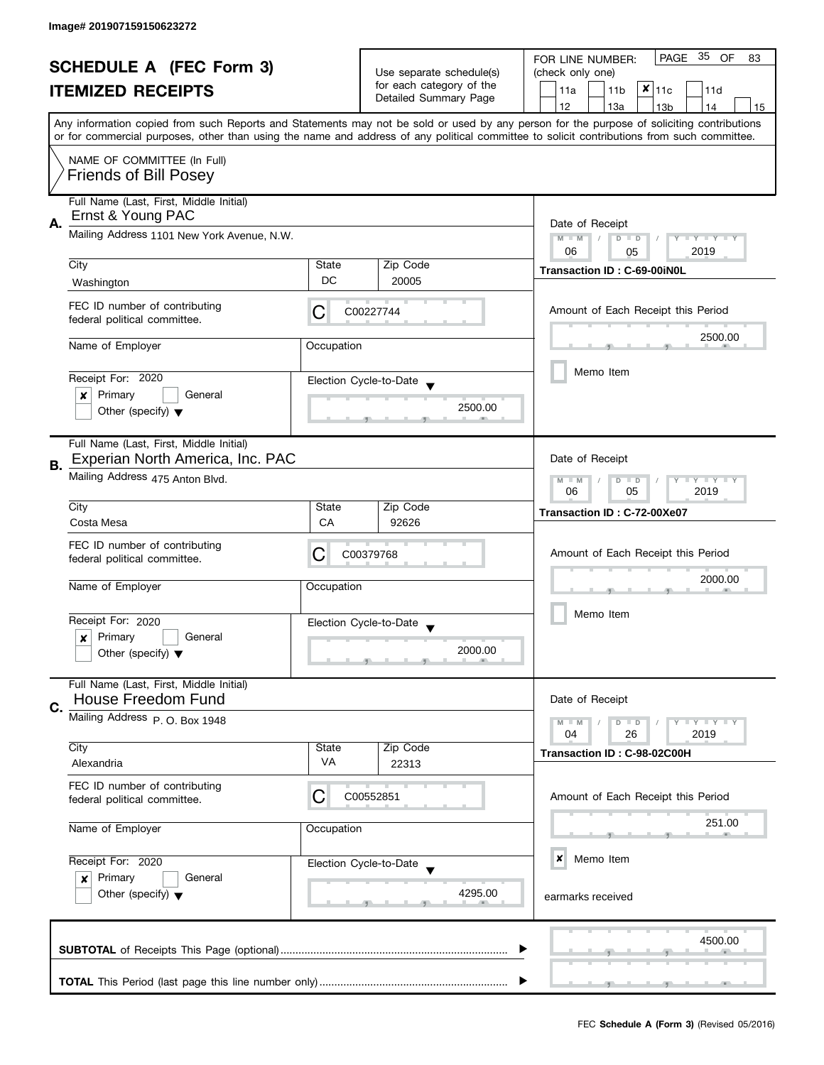| <b>SCHEDULE A (FEC Form 3)</b> |                                                                      |                                                                                                                                           |                                                      | PAGE 35 OF<br>FOR LINE NUMBER:<br>83                                                                                                       |  |  |  |
|--------------------------------|----------------------------------------------------------------------|-------------------------------------------------------------------------------------------------------------------------------------------|------------------------------------------------------|--------------------------------------------------------------------------------------------------------------------------------------------|--|--|--|
|                                |                                                                      |                                                                                                                                           | Use separate schedule(s)<br>for each category of the | (check only one)                                                                                                                           |  |  |  |
| <b>ITEMIZED RECEIPTS</b>       |                                                                      | $x _{11c}$<br>11a<br>11 <sub>b</sub><br>11d                                                                                               |                                                      |                                                                                                                                            |  |  |  |
|                                |                                                                      |                                                                                                                                           | Detailed Summary Page                                | 12<br>13a<br>13 <sub>b</sub><br>14<br>15                                                                                                   |  |  |  |
|                                |                                                                      | Any information copied from such Reports and Statements may not be sold or used by any person for the purpose of soliciting contributions |                                                      |                                                                                                                                            |  |  |  |
|                                |                                                                      |                                                                                                                                           |                                                      | or for commercial purposes, other than using the name and address of any political committee to solicit contributions from such committee. |  |  |  |
|                                | NAME OF COMMITTEE (In Full)<br><b>Friends of Bill Posey</b>          |                                                                                                                                           |                                                      |                                                                                                                                            |  |  |  |
|                                | Full Name (Last, First, Middle Initial)                              |                                                                                                                                           |                                                      |                                                                                                                                            |  |  |  |
| А.                             | Ernst & Young PAC                                                    | Date of Receipt                                                                                                                           |                                                      |                                                                                                                                            |  |  |  |
|                                | Mailing Address 1101 New York Avenue, N.W.                           | Y TY TY TY<br>$M - M$<br>$D$ $D$                                                                                                          |                                                      |                                                                                                                                            |  |  |  |
|                                | City                                                                 | State                                                                                                                                     | Zip Code                                             | 2019<br>06<br>05                                                                                                                           |  |  |  |
|                                | Washington                                                           | DC                                                                                                                                        | 20005                                                | Transaction ID: C-69-00iN0L                                                                                                                |  |  |  |
|                                |                                                                      |                                                                                                                                           |                                                      |                                                                                                                                            |  |  |  |
|                                | FEC ID number of contributing<br>federal political committee.        | С                                                                                                                                         | C00227744                                            | Amount of Each Receipt this Period                                                                                                         |  |  |  |
|                                | Name of Employer                                                     | Occupation                                                                                                                                |                                                      | 2500.00                                                                                                                                    |  |  |  |
|                                | Receipt For: 2020                                                    |                                                                                                                                           |                                                      | Memo Item                                                                                                                                  |  |  |  |
|                                | Election Cycle-to-Date<br>Primary<br>General<br>×                    |                                                                                                                                           |                                                      |                                                                                                                                            |  |  |  |
|                                | Other (specify) $\blacktriangledown$                                 |                                                                                                                                           | 2500.00                                              |                                                                                                                                            |  |  |  |
|                                | Full Name (Last, First, Middle Initial)                              |                                                                                                                                           |                                                      |                                                                                                                                            |  |  |  |
| В.                             | Experian North America, Inc. PAC                                     |                                                                                                                                           |                                                      | Date of Receipt                                                                                                                            |  |  |  |
|                                | Mailing Address 475 Anton Blvd.                                      |                                                                                                                                           |                                                      | $T - Y = T - Y$<br>$M - M$<br>$D$ $D$<br>05<br>2019<br>06                                                                                  |  |  |  |
|                                | City                                                                 | State                                                                                                                                     | Zip Code                                             | Transaction ID: C-72-00Xe07                                                                                                                |  |  |  |
|                                | Costa Mesa                                                           | CA                                                                                                                                        | 92626                                                |                                                                                                                                            |  |  |  |
|                                | FEC ID number of contributing                                        |                                                                                                                                           |                                                      |                                                                                                                                            |  |  |  |
|                                | federal political committee.                                         | C                                                                                                                                         | C00379768                                            | Amount of Each Receipt this Period                                                                                                         |  |  |  |
|                                |                                                                      |                                                                                                                                           |                                                      | 2000.00                                                                                                                                    |  |  |  |
|                                | Name of Employer                                                     | Occupation                                                                                                                                |                                                      |                                                                                                                                            |  |  |  |
|                                |                                                                      |                                                                                                                                           |                                                      | Memo Item                                                                                                                                  |  |  |  |
|                                | Receipt For: 2020                                                    |                                                                                                                                           | Election Cycle-to-Date<br>$\blacktriangledown$       |                                                                                                                                            |  |  |  |
|                                | Primary<br>General<br>x                                              |                                                                                                                                           | 2000.00                                              |                                                                                                                                            |  |  |  |
|                                | Other (specify) $\blacktriangledown$                                 |                                                                                                                                           |                                                      |                                                                                                                                            |  |  |  |
|                                | Full Name (Last, First, Middle Initial)<br><b>House Freedom Fund</b> |                                                                                                                                           |                                                      | Date of Receipt                                                                                                                            |  |  |  |
| C.                             | Mailing Address P. O. Box 1948                                       |                                                                                                                                           |                                                      |                                                                                                                                            |  |  |  |
|                                |                                                                      |                                                                                                                                           |                                                      | <b>LY LY LY</b><br>$M - M$<br>$D$ $D$<br>04<br>26<br>2019                                                                                  |  |  |  |
|                                | City                                                                 | State                                                                                                                                     | Zip Code                                             | Transaction ID: C-98-02C00H                                                                                                                |  |  |  |
|                                | Alexandria                                                           | VA                                                                                                                                        | 22313                                                |                                                                                                                                            |  |  |  |
|                                | FEC ID number of contributing<br>federal political committee.        | С                                                                                                                                         | C00552851                                            | Amount of Each Receipt this Period                                                                                                         |  |  |  |
|                                |                                                                      |                                                                                                                                           |                                                      |                                                                                                                                            |  |  |  |
|                                | Name of Employer<br>Occupation<br>Receipt For: 2020                  |                                                                                                                                           |                                                      | 251.00                                                                                                                                     |  |  |  |
|                                |                                                                      |                                                                                                                                           | Election Cycle-to-Date                               | $\pmb{\times}$<br>Memo Item                                                                                                                |  |  |  |
|                                | Primary<br>General<br>$\mathsf{x}$                                   |                                                                                                                                           |                                                      |                                                                                                                                            |  |  |  |
|                                | Other (specify) $\blacktriangledown$                                 |                                                                                                                                           | 4295.00                                              | earmarks received                                                                                                                          |  |  |  |
| 4500.00                        |                                                                      |                                                                                                                                           |                                                      |                                                                                                                                            |  |  |  |
|                                |                                                                      |                                                                                                                                           |                                                      |                                                                                                                                            |  |  |  |
|                                |                                                                      |                                                                                                                                           |                                                      |                                                                                                                                            |  |  |  |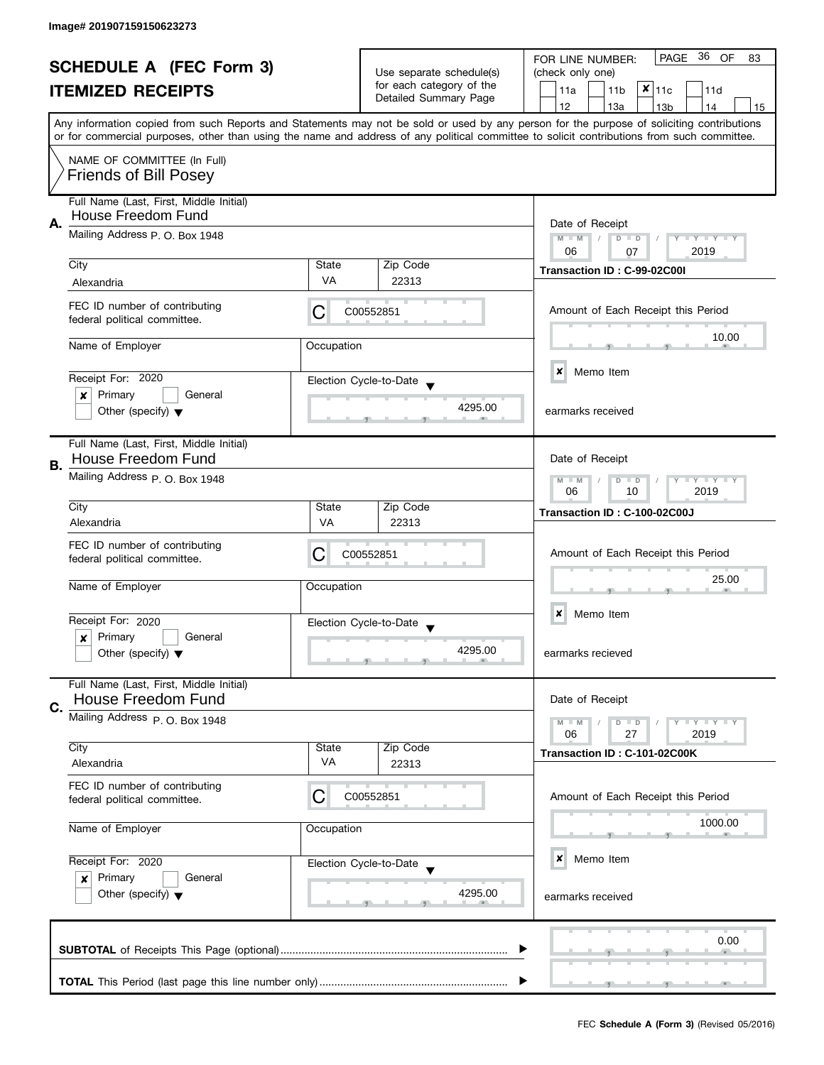| <b>SCHEDULE A (FEC Form 3)</b><br><b>ITEMIZED RECEIPTS</b>                                                                                                                                                                                                                              |                                                               | Use separate schedule(s)<br>for each category of the | PAGE<br>- 36<br>OF<br>FOR LINE NUMBER:<br>83      |                                                                       |  |  |  |  |  |
|-----------------------------------------------------------------------------------------------------------------------------------------------------------------------------------------------------------------------------------------------------------------------------------------|---------------------------------------------------------------|------------------------------------------------------|---------------------------------------------------|-----------------------------------------------------------------------|--|--|--|--|--|
|                                                                                                                                                                                                                                                                                         |                                                               |                                                      | (check only one)                                  |                                                                       |  |  |  |  |  |
|                                                                                                                                                                                                                                                                                         |                                                               |                                                      | $x _{11c}$<br>11a<br>11 <sub>b</sub><br>11d       |                                                                       |  |  |  |  |  |
|                                                                                                                                                                                                                                                                                         |                                                               |                                                      | Detailed Summary Page                             | 12<br>13a<br>13 <sub>b</sub><br>14<br>15                              |  |  |  |  |  |
|                                                                                                                                                                                                                                                                                         |                                                               |                                                      |                                                   |                                                                       |  |  |  |  |  |
| Any information copied from such Reports and Statements may not be sold or used by any person for the purpose of soliciting contributions<br>or for commercial purposes, other than using the name and address of any political committee to solicit contributions from such committee. |                                                               |                                                      |                                                   |                                                                       |  |  |  |  |  |
|                                                                                                                                                                                                                                                                                         |                                                               |                                                      |                                                   |                                                                       |  |  |  |  |  |
|                                                                                                                                                                                                                                                                                         | NAME OF COMMITTEE (In Full)                                   |                                                      |                                                   |                                                                       |  |  |  |  |  |
|                                                                                                                                                                                                                                                                                         | <b>Friends of Bill Posey</b>                                  |                                                      |                                                   |                                                                       |  |  |  |  |  |
|                                                                                                                                                                                                                                                                                         |                                                               |                                                      |                                                   |                                                                       |  |  |  |  |  |
|                                                                                                                                                                                                                                                                                         | Full Name (Last, First, Middle Initial)<br>House Freedom Fund |                                                      |                                                   |                                                                       |  |  |  |  |  |
| Α.                                                                                                                                                                                                                                                                                      |                                                               | Date of Receipt                                      |                                                   |                                                                       |  |  |  |  |  |
|                                                                                                                                                                                                                                                                                         | Mailing Address P. O. Box 1948                                |                                                      |                                                   | $M - M$<br>$D$ $D$<br>Y FY FY FY<br>$\sqrt{2}$                        |  |  |  |  |  |
|                                                                                                                                                                                                                                                                                         |                                                               |                                                      | 06<br>2019<br>07                                  |                                                                       |  |  |  |  |  |
|                                                                                                                                                                                                                                                                                         | City                                                          | State                                                | Zip Code                                          | Transaction ID: C-99-02C00I                                           |  |  |  |  |  |
|                                                                                                                                                                                                                                                                                         | Alexandria                                                    | <b>VA</b>                                            | 22313                                             |                                                                       |  |  |  |  |  |
|                                                                                                                                                                                                                                                                                         |                                                               |                                                      |                                                   |                                                                       |  |  |  |  |  |
|                                                                                                                                                                                                                                                                                         | FEC ID number of contributing<br>federal political committee. | C                                                    | C00552851                                         | Amount of Each Receipt this Period                                    |  |  |  |  |  |
|                                                                                                                                                                                                                                                                                         |                                                               |                                                      |                                                   |                                                                       |  |  |  |  |  |
|                                                                                                                                                                                                                                                                                         | Name of Employer                                              | Occupation                                           |                                                   | 10.00                                                                 |  |  |  |  |  |
|                                                                                                                                                                                                                                                                                         |                                                               |                                                      |                                                   |                                                                       |  |  |  |  |  |
|                                                                                                                                                                                                                                                                                         | Receipt For: 2020                                             |                                                      |                                                   | ×<br>Memo Item                                                        |  |  |  |  |  |
|                                                                                                                                                                                                                                                                                         |                                                               |                                                      | Election Cycle-to-Date                            |                                                                       |  |  |  |  |  |
|                                                                                                                                                                                                                                                                                         | Primary<br>General<br>×                                       |                                                      | 4295.00                                           |                                                                       |  |  |  |  |  |
|                                                                                                                                                                                                                                                                                         | Other (specify) $\blacktriangledown$                          |                                                      |                                                   | earmarks received                                                     |  |  |  |  |  |
|                                                                                                                                                                                                                                                                                         |                                                               |                                                      |                                                   |                                                                       |  |  |  |  |  |
|                                                                                                                                                                                                                                                                                         | Full Name (Last, First, Middle Initial)                       |                                                      |                                                   |                                                                       |  |  |  |  |  |
| В.                                                                                                                                                                                                                                                                                      | House Freedom Fund                                            |                                                      |                                                   | Date of Receipt                                                       |  |  |  |  |  |
|                                                                                                                                                                                                                                                                                         | Mailing Address P. O. Box 1948                                |                                                      |                                                   | <b>LYLYLY</b><br>$M - M$<br>D<br>$\Box$                               |  |  |  |  |  |
|                                                                                                                                                                                                                                                                                         |                                                               |                                                      |                                                   | 2019<br>06<br>10                                                      |  |  |  |  |  |
|                                                                                                                                                                                                                                                                                         | City                                                          | State                                                | Zip Code                                          | Transaction ID: C-100-02C00J                                          |  |  |  |  |  |
|                                                                                                                                                                                                                                                                                         | Alexandria                                                    | VA                                                   | 22313                                             |                                                                       |  |  |  |  |  |
|                                                                                                                                                                                                                                                                                         |                                                               |                                                      |                                                   |                                                                       |  |  |  |  |  |
|                                                                                                                                                                                                                                                                                         | FEC ID number of contributing                                 | С                                                    | C00552851                                         | Amount of Each Receipt this Period                                    |  |  |  |  |  |
|                                                                                                                                                                                                                                                                                         | federal political committee.                                  |                                                      |                                                   |                                                                       |  |  |  |  |  |
|                                                                                                                                                                                                                                                                                         | Name of Employer<br>Occupation<br>Receipt For: 2020           |                                                      |                                                   | 25.00                                                                 |  |  |  |  |  |
|                                                                                                                                                                                                                                                                                         |                                                               |                                                      |                                                   |                                                                       |  |  |  |  |  |
|                                                                                                                                                                                                                                                                                         |                                                               |                                                      |                                                   | Memo Item<br>×                                                        |  |  |  |  |  |
|                                                                                                                                                                                                                                                                                         |                                                               |                                                      | Election Cycle-to-Date<br>$\overline{\mathbf{v}}$ |                                                                       |  |  |  |  |  |
|                                                                                                                                                                                                                                                                                         | Primary<br>General<br>x                                       |                                                      |                                                   |                                                                       |  |  |  |  |  |
|                                                                                                                                                                                                                                                                                         | Other (specify) $\blacktriangledown$                          |                                                      | 4295.00                                           | earmarks recieved                                                     |  |  |  |  |  |
|                                                                                                                                                                                                                                                                                         |                                                               |                                                      |                                                   |                                                                       |  |  |  |  |  |
|                                                                                                                                                                                                                                                                                         | Full Name (Last, First, Middle Initial)                       |                                                      |                                                   |                                                                       |  |  |  |  |  |
| C.                                                                                                                                                                                                                                                                                      | <b>House Freedom Fund</b>                                     |                                                      |                                                   | Date of Receipt                                                       |  |  |  |  |  |
|                                                                                                                                                                                                                                                                                         | Mailing Address P. O. Box 1948                                |                                                      |                                                   | $\bot$ $\gamma$ $\bot$ $\gamma$ $\bot$ $\gamma$<br>$M - M$<br>$D$ $D$ |  |  |  |  |  |
|                                                                                                                                                                                                                                                                                         |                                                               |                                                      |                                                   | 06<br>27<br>2019                                                      |  |  |  |  |  |
|                                                                                                                                                                                                                                                                                         | City                                                          | State                                                | Zip Code                                          | Transaction ID: C-101-02C00K                                          |  |  |  |  |  |
|                                                                                                                                                                                                                                                                                         | Alexandria                                                    | VA                                                   | 22313                                             |                                                                       |  |  |  |  |  |
|                                                                                                                                                                                                                                                                                         | FEC ID number of contributing                                 |                                                      |                                                   |                                                                       |  |  |  |  |  |
|                                                                                                                                                                                                                                                                                         | federal political committee.                                  | С                                                    | C00552851                                         | Amount of Each Receipt this Period                                    |  |  |  |  |  |
|                                                                                                                                                                                                                                                                                         |                                                               |                                                      |                                                   |                                                                       |  |  |  |  |  |
|                                                                                                                                                                                                                                                                                         | Name of Employer<br>Occupation                                |                                                      |                                                   | 1000.00                                                               |  |  |  |  |  |
|                                                                                                                                                                                                                                                                                         |                                                               |                                                      |                                                   |                                                                       |  |  |  |  |  |
|                                                                                                                                                                                                                                                                                         |                                                               |                                                      |                                                   | ×<br>Memo Item                                                        |  |  |  |  |  |
|                                                                                                                                                                                                                                                                                         | Receipt For: 2020<br>Election Cycle-to-Date                   |                                                      |                                                   |                                                                       |  |  |  |  |  |
|                                                                                                                                                                                                                                                                                         | Primary<br>General<br>$\boldsymbol{x}$                        |                                                      |                                                   |                                                                       |  |  |  |  |  |
|                                                                                                                                                                                                                                                                                         | Other (specify) $\blacktriangledown$                          |                                                      | 4295.00                                           | earmarks received                                                     |  |  |  |  |  |
|                                                                                                                                                                                                                                                                                         |                                                               |                                                      |                                                   |                                                                       |  |  |  |  |  |
|                                                                                                                                                                                                                                                                                         |                                                               |                                                      |                                                   |                                                                       |  |  |  |  |  |
|                                                                                                                                                                                                                                                                                         | 0.00                                                          |                                                      |                                                   |                                                                       |  |  |  |  |  |
|                                                                                                                                                                                                                                                                                         |                                                               |                                                      |                                                   |                                                                       |  |  |  |  |  |
|                                                                                                                                                                                                                                                                                         |                                                               |                                                      |                                                   |                                                                       |  |  |  |  |  |
|                                                                                                                                                                                                                                                                                         |                                                               |                                                      |                                                   |                                                                       |  |  |  |  |  |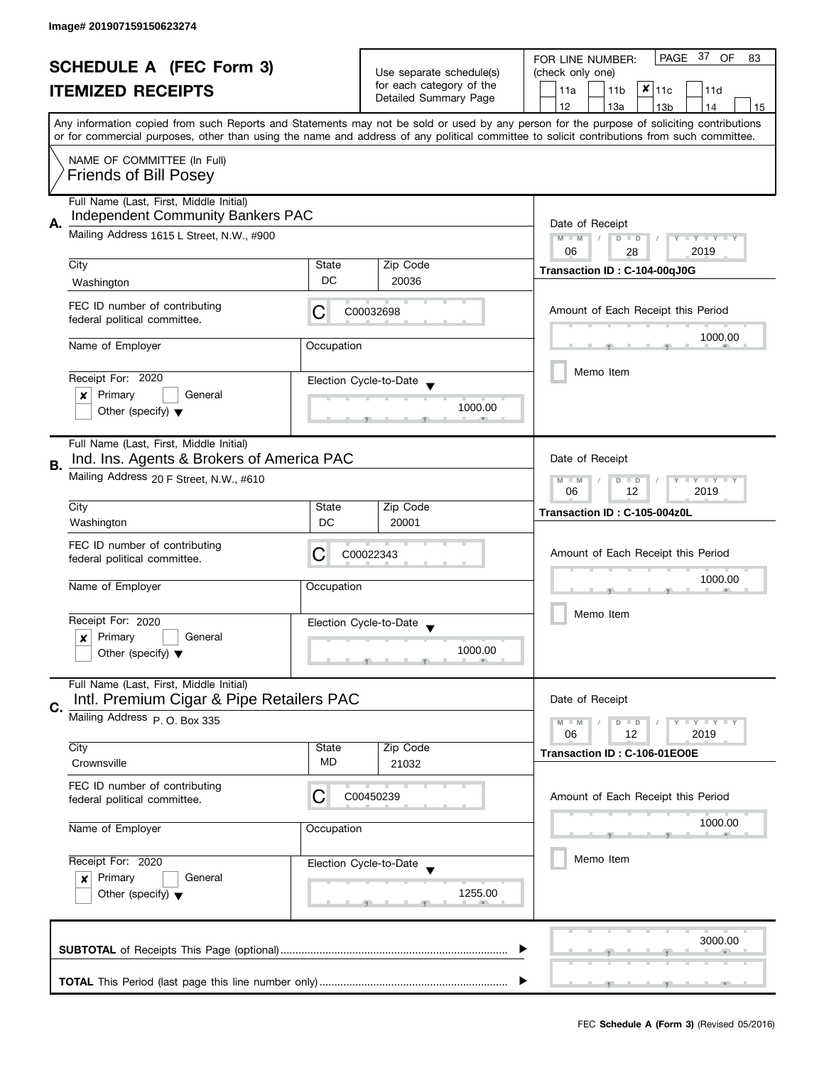|                                                            |                                                                                      |                          | PAGE 37<br>OF<br>FOR LINE NUMBER:<br>83 |                                                                                                                                                                                                                                                                                         |  |
|------------------------------------------------------------|--------------------------------------------------------------------------------------|--------------------------|-----------------------------------------|-----------------------------------------------------------------------------------------------------------------------------------------------------------------------------------------------------------------------------------------------------------------------------------------|--|
| <b>SCHEDULE A (FEC Form 3)</b><br><b>ITEMIZED RECEIPTS</b> |                                                                                      | Use separate schedule(s) | (check only one)                        |                                                                                                                                                                                                                                                                                         |  |
|                                                            |                                                                                      |                          | for each category of the                | $x _{11c}$<br>11a<br>11 <sub>b</sub><br>11d                                                                                                                                                                                                                                             |  |
|                                                            |                                                                                      |                          | Detailed Summary Page                   | 12<br>13a<br>13 <sub>b</sub><br>14<br>15                                                                                                                                                                                                                                                |  |
|                                                            |                                                                                      |                          |                                         | Any information copied from such Reports and Statements may not be sold or used by any person for the purpose of soliciting contributions<br>or for commercial purposes, other than using the name and address of any political committee to solicit contributions from such committee. |  |
|                                                            | NAME OF COMMITTEE (In Full)<br><b>Friends of Bill Posey</b>                          |                          |                                         |                                                                                                                                                                                                                                                                                         |  |
|                                                            | Full Name (Last, First, Middle Initial)<br><b>Independent Community Bankers PAC</b>  |                          |                                         |                                                                                                                                                                                                                                                                                         |  |
| Α.                                                         | Mailing Address 1615 L Street, N.W., #900                                            |                          |                                         | Date of Receipt<br>$M - M$<br>Y I Y I Y I Y<br>$D$ $D$<br>06<br>2019<br>28                                                                                                                                                                                                              |  |
|                                                            | City                                                                                 | State                    | Zip Code                                | Transaction ID: C-104-00qJ0G                                                                                                                                                                                                                                                            |  |
|                                                            | Washington                                                                           | DC                       | 20036                                   |                                                                                                                                                                                                                                                                                         |  |
|                                                            | FEC ID number of contributing<br>federal political committee.                        | С                        | C00032698                               | Amount of Each Receipt this Period                                                                                                                                                                                                                                                      |  |
|                                                            | Name of Employer                                                                     | Occupation               |                                         | 1000.00                                                                                                                                                                                                                                                                                 |  |
|                                                            | Receipt For: 2020<br>Primary<br>General<br>x                                         |                          | Election Cycle-to-Date                  | Memo Item                                                                                                                                                                                                                                                                               |  |
|                                                            | Other (specify) $\blacktriangledown$                                                 |                          | 1000.00                                 |                                                                                                                                                                                                                                                                                         |  |
| В.                                                         | Full Name (Last, First, Middle Initial)<br>Ind. Ins. Agents & Brokers of America PAC |                          |                                         | Date of Receipt                                                                                                                                                                                                                                                                         |  |
|                                                            | Mailing Address 20 F Street, N.W., #610                                              |                          |                                         |                                                                                                                                                                                                                                                                                         |  |
|                                                            | City<br>Washington                                                                   | State<br>DC              | Zip Code<br>20001                       | Transaction ID: C-105-004z0L                                                                                                                                                                                                                                                            |  |
|                                                            | FEC ID number of contributing<br>federal political committee.                        | С                        | C00022343                               | Amount of Each Receipt this Period                                                                                                                                                                                                                                                      |  |
|                                                            | Name of Employer                                                                     | Occupation               |                                         | 1000.00                                                                                                                                                                                                                                                                                 |  |
|                                                            | Receipt For: 2020                                                                    |                          | Election Cycle-to-Date                  | Memo Item                                                                                                                                                                                                                                                                               |  |
|                                                            | Primary<br>General<br>x                                                              |                          |                                         |                                                                                                                                                                                                                                                                                         |  |
|                                                            | Other (specify) $\blacktriangledown$                                                 |                          | 1000.00                                 |                                                                                                                                                                                                                                                                                         |  |
|                                                            | Full Name (Last, First, Middle Initial)<br>Intl. Premium Cigar & Pipe Retailers PAC  |                          |                                         | Date of Receipt                                                                                                                                                                                                                                                                         |  |
| C.                                                         | Mailing Address P. O. Box 335                                                        |                          |                                         | $Y \perp Y \perp Y$<br>$M - M$<br>$D$ $D$<br>2019<br>06<br>12                                                                                                                                                                                                                           |  |
|                                                            | City                                                                                 | State                    | Zip Code                                | Transaction ID: C-106-01EO0E                                                                                                                                                                                                                                                            |  |
|                                                            | Crownsville                                                                          | MD                       | 21032                                   |                                                                                                                                                                                                                                                                                         |  |
|                                                            | FEC ID number of contributing<br>federal political committee.                        | С                        | C00450239                               | Amount of Each Receipt this Period                                                                                                                                                                                                                                                      |  |
|                                                            | Name of Employer                                                                     | Occupation               |                                         | 1000.00                                                                                                                                                                                                                                                                                 |  |
| Receipt For: 2020                                          |                                                                                      |                          | Election Cycle-to-Date                  | Memo Item                                                                                                                                                                                                                                                                               |  |
|                                                            | Primary<br>General<br>$\boldsymbol{x}$                                               |                          |                                         |                                                                                                                                                                                                                                                                                         |  |
|                                                            | Other (specify) $\blacktriangledown$                                                 |                          | 1255.00                                 |                                                                                                                                                                                                                                                                                         |  |
|                                                            |                                                                                      |                          |                                         | 3000.00                                                                                                                                                                                                                                                                                 |  |
|                                                            |                                                                                      |                          |                                         |                                                                                                                                                                                                                                                                                         |  |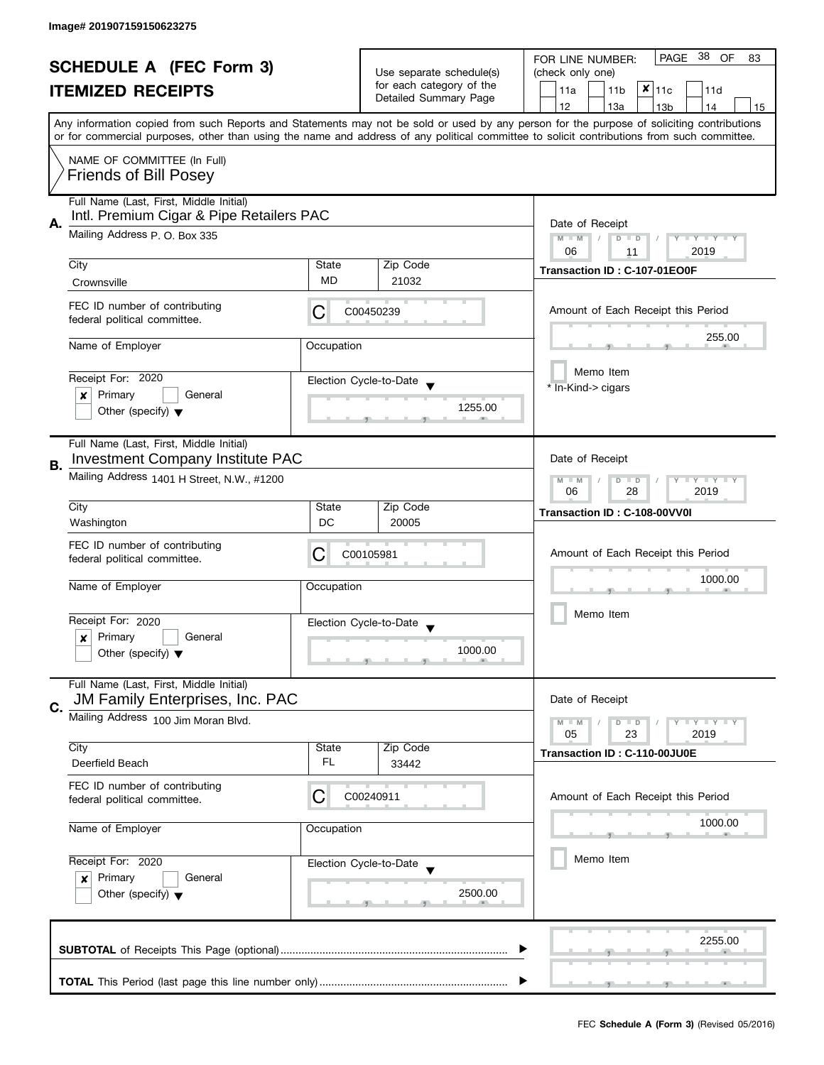|                                                            |                                                               |                               | PAGE 38 OF<br>FOR LINE NUMBER:<br>83 |                                                                                                                                            |  |  |  |
|------------------------------------------------------------|---------------------------------------------------------------|-------------------------------|--------------------------------------|--------------------------------------------------------------------------------------------------------------------------------------------|--|--|--|
| <b>SCHEDULE A (FEC Form 3)</b><br><b>ITEMIZED RECEIPTS</b> |                                                               |                               | Use separate schedule(s)             | (check only one)                                                                                                                           |  |  |  |
|                                                            |                                                               |                               | for each category of the             | $x _{11c}$<br>11a<br>11 <sub>b</sub><br>11d                                                                                                |  |  |  |
|                                                            |                                                               |                               | Detailed Summary Page                | 12<br>13a<br>13 <sub>b</sub><br>14<br>15                                                                                                   |  |  |  |
|                                                            |                                                               |                               |                                      | Any information copied from such Reports and Statements may not be sold or used by any person for the purpose of soliciting contributions  |  |  |  |
|                                                            |                                                               |                               |                                      | or for commercial purposes, other than using the name and address of any political committee to solicit contributions from such committee. |  |  |  |
|                                                            | NAME OF COMMITTEE (In Full)                                   |                               |                                      |                                                                                                                                            |  |  |  |
|                                                            | <b>Friends of Bill Posey</b>                                  |                               |                                      |                                                                                                                                            |  |  |  |
|                                                            |                                                               |                               |                                      |                                                                                                                                            |  |  |  |
|                                                            | Full Name (Last, First, Middle Initial)                       |                               |                                      |                                                                                                                                            |  |  |  |
| А.                                                         | Intl. Premium Cigar & Pipe Retailers PAC                      | Date of Receipt               |                                      |                                                                                                                                            |  |  |  |
|                                                            | Mailing Address P. O. Box 335                                 |                               |                                      | $M - M$<br>Y TY TY TY<br>$D$ $D$                                                                                                           |  |  |  |
|                                                            |                                                               |                               |                                      | 06<br>2019<br>11                                                                                                                           |  |  |  |
|                                                            | City                                                          | State                         | Zip Code                             | Transaction ID: C-107-01EO0F                                                                                                               |  |  |  |
|                                                            | Crownsville                                                   | MD.                           | 21032                                |                                                                                                                                            |  |  |  |
|                                                            | FEC ID number of contributing                                 |                               |                                      |                                                                                                                                            |  |  |  |
|                                                            | federal political committee.                                  | C                             | C00450239                            | Amount of Each Receipt this Period                                                                                                         |  |  |  |
|                                                            |                                                               |                               |                                      | 255.00                                                                                                                                     |  |  |  |
|                                                            | Name of Employer                                              | Occupation                    |                                      |                                                                                                                                            |  |  |  |
|                                                            |                                                               |                               |                                      | Memo Item                                                                                                                                  |  |  |  |
|                                                            | Receipt For: 2020                                             |                               | Election Cycle-to-Date               | * In-Kind-> cigars                                                                                                                         |  |  |  |
|                                                            | Primary<br>General<br>x                                       |                               |                                      |                                                                                                                                            |  |  |  |
|                                                            | Other (specify) $\blacktriangledown$                          |                               | 1255.00                              |                                                                                                                                            |  |  |  |
|                                                            |                                                               |                               |                                      |                                                                                                                                            |  |  |  |
|                                                            | Full Name (Last, First, Middle Initial)                       |                               |                                      |                                                                                                                                            |  |  |  |
| В.                                                         | <b>Investment Company Institute PAC</b>                       |                               |                                      | Date of Receipt                                                                                                                            |  |  |  |
|                                                            | Mailing Address 1401 H Street, N.W., #1200                    | Y LY LY<br>$M - M$<br>$D$ $D$ |                                      |                                                                                                                                            |  |  |  |
|                                                            |                                                               | 28<br>2019<br>06              |                                      |                                                                                                                                            |  |  |  |
|                                                            | City                                                          | State                         | Zip Code                             | Transaction ID: C-108-00VV0I                                                                                                               |  |  |  |
|                                                            | Washington                                                    | DC                            | 20005                                |                                                                                                                                            |  |  |  |
|                                                            | FEC ID number of contributing                                 |                               |                                      |                                                                                                                                            |  |  |  |
|                                                            | federal political committee.                                  | C                             | C00105981                            | Amount of Each Receipt this Period                                                                                                         |  |  |  |
|                                                            |                                                               |                               |                                      | 1000.00                                                                                                                                    |  |  |  |
|                                                            | Name of Employer                                              | Occupation                    |                                      |                                                                                                                                            |  |  |  |
|                                                            |                                                               |                               |                                      | Memo Item                                                                                                                                  |  |  |  |
|                                                            | Receipt For: 2020                                             |                               | Election Cycle-to-Date               |                                                                                                                                            |  |  |  |
|                                                            | Primary<br>General<br>x                                       |                               | 1000.00                              |                                                                                                                                            |  |  |  |
|                                                            | Other (specify) $\blacktriangledown$                          |                               |                                      |                                                                                                                                            |  |  |  |
|                                                            | Full Name (Last, First, Middle Initial)                       |                               |                                      |                                                                                                                                            |  |  |  |
|                                                            | JM Family Enterprises, Inc. PAC                               |                               |                                      | Date of Receipt                                                                                                                            |  |  |  |
| C.                                                         | Mailing Address 100 Jim Moran Blvd.                           |                               |                                      |                                                                                                                                            |  |  |  |
|                                                            |                                                               |                               |                                      | $Y \perp Y \perp Y$<br>$M - M$<br>$D$ $D$<br>05<br>23<br>2019                                                                              |  |  |  |
|                                                            | City                                                          | State                         | Zip Code                             |                                                                                                                                            |  |  |  |
|                                                            | Deerfield Beach                                               | FL.                           | 33442                                | Transaction ID: C-110-00JU0E                                                                                                               |  |  |  |
|                                                            |                                                               |                               |                                      |                                                                                                                                            |  |  |  |
|                                                            | FEC ID number of contributing<br>federal political committee. | C                             | C00240911                            | Amount of Each Receipt this Period                                                                                                         |  |  |  |
|                                                            |                                                               |                               |                                      |                                                                                                                                            |  |  |  |
|                                                            | Name of Employer                                              | Occupation                    |                                      | 1000.00                                                                                                                                    |  |  |  |
|                                                            |                                                               |                               |                                      |                                                                                                                                            |  |  |  |
| Receipt For: 2020                                          |                                                               |                               | Election Cycle-to-Date               | Memo Item                                                                                                                                  |  |  |  |
|                                                            | Primary<br>General<br>x                                       |                               |                                      |                                                                                                                                            |  |  |  |
|                                                            | Other (specify) $\blacktriangledown$                          |                               | 2500.00                              |                                                                                                                                            |  |  |  |
|                                                            |                                                               |                               |                                      |                                                                                                                                            |  |  |  |
|                                                            |                                                               |                               |                                      |                                                                                                                                            |  |  |  |
|                                                            |                                                               |                               |                                      | 2255.00                                                                                                                                    |  |  |  |
|                                                            |                                                               |                               |                                      |                                                                                                                                            |  |  |  |
|                                                            |                                                               |                               |                                      |                                                                                                                                            |  |  |  |
|                                                            |                                                               |                               |                                      |                                                                                                                                            |  |  |  |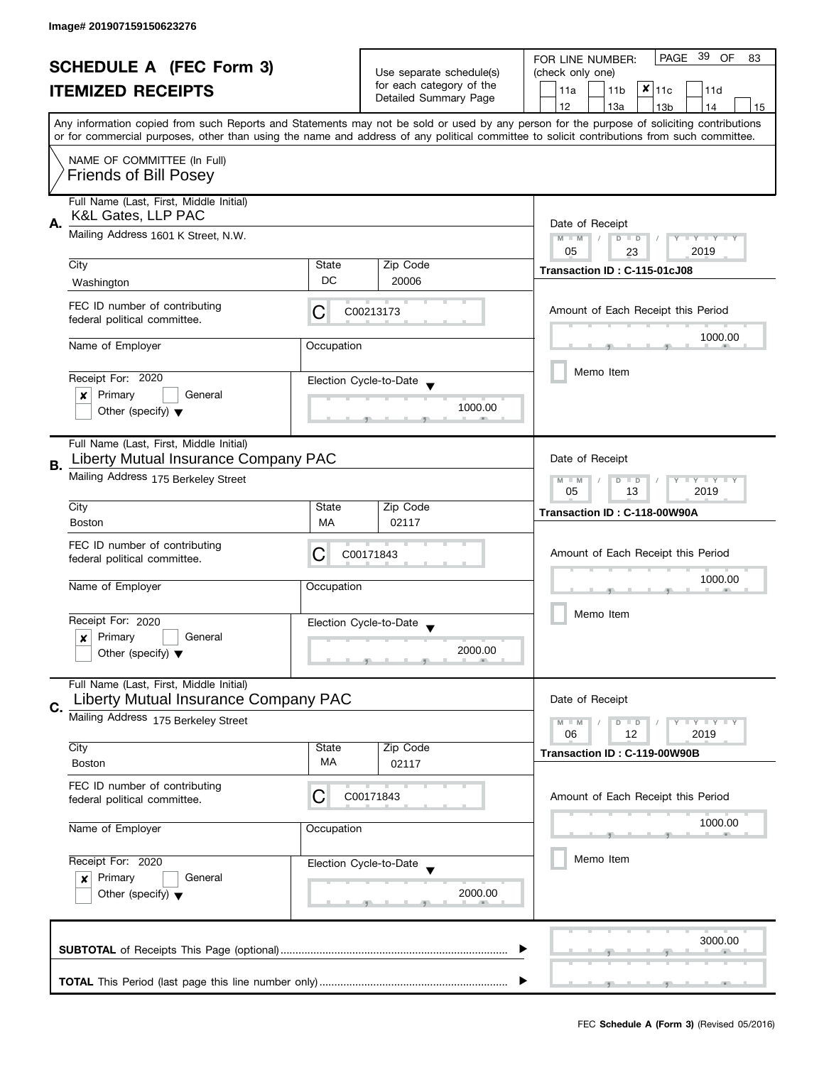| <b>SCHEDULE A (FEC Form 3)</b><br><b>ITEMIZED RECEIPTS</b> |                                                                                 | Use separate schedule(s)                                  | PAGE 39<br>OF<br>FOR LINE NUMBER:<br>83<br>(check only one) |                                                                                                                                                                                       |  |
|------------------------------------------------------------|---------------------------------------------------------------------------------|-----------------------------------------------------------|-------------------------------------------------------------|---------------------------------------------------------------------------------------------------------------------------------------------------------------------------------------|--|
|                                                            |                                                                                 |                                                           | for each category of the<br>Detailed Summary Page           | $x _{11c}$<br>11a<br>11 <sub>b</sub><br>11d                                                                                                                                           |  |
|                                                            |                                                                                 |                                                           |                                                             | 12<br>13a<br>13 <sub>b</sub><br>14<br>15<br>Any information copied from such Reports and Statements may not be sold or used by any person for the purpose of soliciting contributions |  |
|                                                            | NAME OF COMMITTEE (In Full)<br><b>Friends of Bill Posey</b>                     |                                                           |                                                             | or for commercial purposes, other than using the name and address of any political committee to solicit contributions from such committee.                                            |  |
|                                                            | Full Name (Last, First, Middle Initial)<br>K&L Gates, LLP PAC                   |                                                           |                                                             |                                                                                                                                                                                       |  |
| А.                                                         | Mailing Address 1601 K Street, N.W.                                             |                                                           |                                                             | Date of Receipt<br>Y TY TY TY<br>$M - M$<br>$D$ $D$<br>05<br>2019<br>23                                                                                                               |  |
|                                                            | City<br>Washington                                                              | State<br>DC                                               | Zip Code<br>20006                                           | Transaction ID: C-115-01cJ08                                                                                                                                                          |  |
|                                                            | FEC ID number of contributing<br>federal political committee.                   | С                                                         | C00213173                                                   | Amount of Each Receipt this Period                                                                                                                                                    |  |
|                                                            | Name of Employer                                                                | Occupation                                                |                                                             | 1000.00                                                                                                                                                                               |  |
|                                                            | Receipt For: 2020<br>Primary<br>General<br>×                                    |                                                           | Election Cycle-to-Date                                      | Memo Item                                                                                                                                                                             |  |
|                                                            | Other (specify) $\blacktriangledown$                                            |                                                           | 1000.00                                                     |                                                                                                                                                                                       |  |
| В.                                                         | Full Name (Last, First, Middle Initial)<br>Liberty Mutual Insurance Company PAC |                                                           |                                                             | Date of Receipt                                                                                                                                                                       |  |
|                                                            | Mailing Address 175 Berkeley Street                                             | <b>LY LY LY</b><br>$M - M$<br>$D$ $D$<br>13<br>2019<br>05 |                                                             |                                                                                                                                                                                       |  |
|                                                            | City<br><b>Boston</b>                                                           | State<br>MA                                               | Zip Code<br>02117                                           | Transaction ID: C-118-00W90A                                                                                                                                                          |  |
|                                                            | FEC ID number of contributing<br>federal political committee.                   | C                                                         | C00171843                                                   | Amount of Each Receipt this Period                                                                                                                                                    |  |
|                                                            | Name of Employer                                                                | Occupation                                                |                                                             | 1000.00                                                                                                                                                                               |  |
|                                                            | Receipt For: 2020<br>Primary<br>General<br>x                                    |                                                           | Election Cycle-to-Date                                      | Memo Item                                                                                                                                                                             |  |
|                                                            | Other (specify) $\blacktriangledown$                                            |                                                           | 2000.00                                                     |                                                                                                                                                                                       |  |
| C.                                                         | Full Name (Last, First, Middle Initial)<br>Liberty Mutual Insurance Company PAC |                                                           |                                                             | Date of Receipt                                                                                                                                                                       |  |
|                                                            | Mailing Address 175 Berkeley Street                                             |                                                           |                                                             | $M - M$<br>$Y \perp Y \perp Y$<br>$D$ $D$<br>06<br>12<br>2019                                                                                                                         |  |
|                                                            | City<br><b>Boston</b>                                                           | State<br>МA                                               | Zip Code<br>02117                                           | Transaction ID: C-119-00W90B                                                                                                                                                          |  |
|                                                            | FEC ID number of contributing<br>federal political committee.                   | С                                                         | C00171843                                                   | Amount of Each Receipt this Period                                                                                                                                                    |  |
|                                                            | Name of Employer<br>Occupation<br>Receipt For: 2020<br>Primary<br>General<br>x  |                                                           |                                                             | 1000.00                                                                                                                                                                               |  |
|                                                            |                                                                                 |                                                           | Election Cycle-to-Date                                      | Memo Item                                                                                                                                                                             |  |
|                                                            | Other (specify) $\blacktriangledown$                                            |                                                           | 2000.00                                                     |                                                                                                                                                                                       |  |
|                                                            |                                                                                 |                                                           |                                                             | 3000.00                                                                                                                                                                               |  |
|                                                            |                                                                                 |                                                           |                                                             |                                                                                                                                                                                       |  |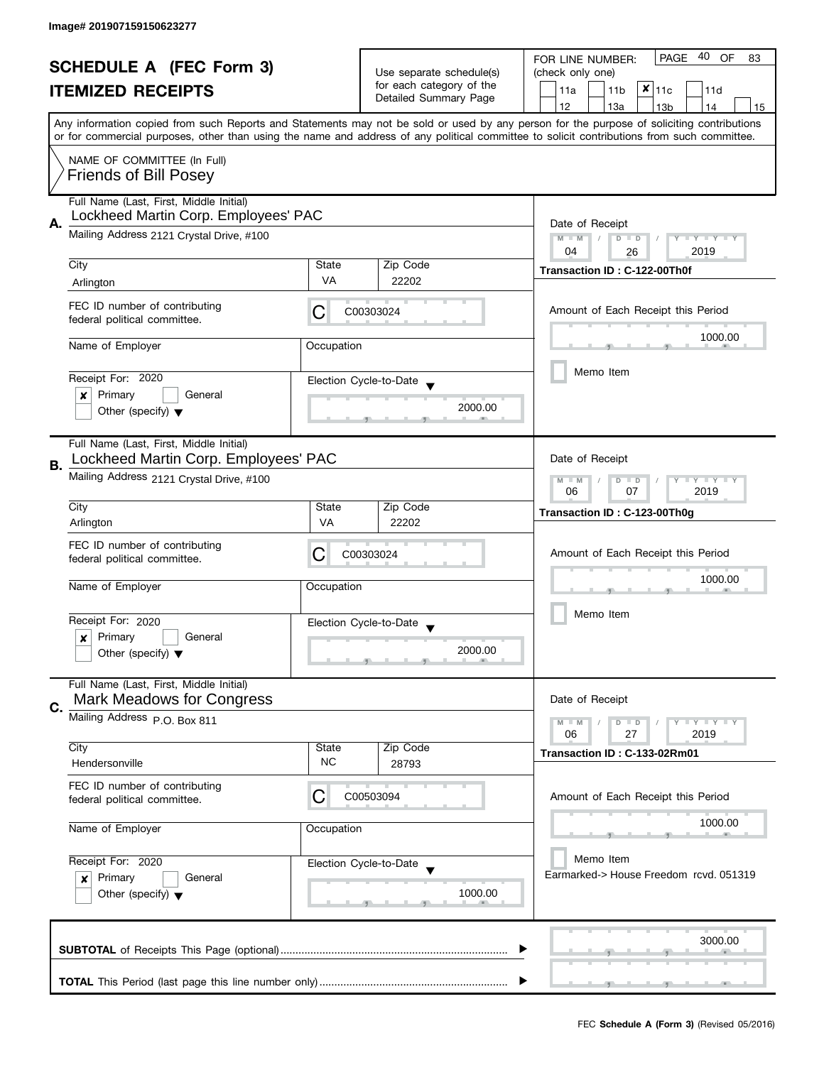| <b>SCHEDULE A (FEC Form 3)</b> |                                                                                |                                                      | 40<br><b>PAGE</b><br>OF<br>FOR LINE NUMBER:<br>83                                                                                                                                                                                                                                       |                                             |  |  |
|--------------------------------|--------------------------------------------------------------------------------|------------------------------------------------------|-----------------------------------------------------------------------------------------------------------------------------------------------------------------------------------------------------------------------------------------------------------------------------------------|---------------------------------------------|--|--|
|                                |                                                                                | Use separate schedule(s)<br>for each category of the | (check only one)                                                                                                                                                                                                                                                                        |                                             |  |  |
|                                | <b>ITEMIZED RECEIPTS</b>                                                       |                                                      | Detailed Summary Page                                                                                                                                                                                                                                                                   | $x _{11c}$<br>11a<br>11 <sub>b</sub><br>11d |  |  |
|                                |                                                                                |                                                      |                                                                                                                                                                                                                                                                                         | 12<br>13a<br>14<br>13 <sub>b</sub><br>15    |  |  |
|                                |                                                                                |                                                      | Any information copied from such Reports and Statements may not be sold or used by any person for the purpose of soliciting contributions<br>or for commercial purposes, other than using the name and address of any political committee to solicit contributions from such committee. |                                             |  |  |
|                                | NAME OF COMMITTEE (In Full)                                                    |                                                      |                                                                                                                                                                                                                                                                                         |                                             |  |  |
|                                | <b>Friends of Bill Posey</b>                                                   |                                                      |                                                                                                                                                                                                                                                                                         |                                             |  |  |
|                                | Full Name (Last, First, Middle Initial)                                        |                                                      |                                                                                                                                                                                                                                                                                         |                                             |  |  |
|                                | Lockheed Martin Corp. Employees' PAC                                           |                                                      |                                                                                                                                                                                                                                                                                         |                                             |  |  |
| Α.                             | Mailing Address 2121 Crystal Drive, #100                                       | Date of Receipt<br>Y TY TY TY<br>$M - M$<br>$D$ $D$  |                                                                                                                                                                                                                                                                                         |                                             |  |  |
|                                |                                                                                |                                                      |                                                                                                                                                                                                                                                                                         | 04<br>2019<br>26                            |  |  |
|                                | City                                                                           | State                                                | Zip Code                                                                                                                                                                                                                                                                                | Transaction ID: C-122-00Th0f                |  |  |
|                                | Arlington                                                                      | VA                                                   | 22202                                                                                                                                                                                                                                                                                   |                                             |  |  |
|                                | FEC ID number of contributing                                                  |                                                      |                                                                                                                                                                                                                                                                                         |                                             |  |  |
|                                | federal political committee.                                                   | С                                                    | C00303024                                                                                                                                                                                                                                                                               | Amount of Each Receipt this Period          |  |  |
|                                |                                                                                |                                                      |                                                                                                                                                                                                                                                                                         | 1000.00                                     |  |  |
|                                | Name of Employer                                                               | Occupation                                           |                                                                                                                                                                                                                                                                                         |                                             |  |  |
|                                |                                                                                |                                                      |                                                                                                                                                                                                                                                                                         | Memo Item                                   |  |  |
|                                | Receipt For: 2020<br>Primary<br>General                                        |                                                      | Election Cycle-to-Date                                                                                                                                                                                                                                                                  |                                             |  |  |
|                                | ×<br>Other (specify) $\blacktriangledown$                                      |                                                      | 2000.00                                                                                                                                                                                                                                                                                 |                                             |  |  |
|                                |                                                                                |                                                      |                                                                                                                                                                                                                                                                                         |                                             |  |  |
|                                | Full Name (Last, First, Middle Initial)                                        |                                                      |                                                                                                                                                                                                                                                                                         |                                             |  |  |
| В.                             | Lockheed Martin Corp. Employees' PAC                                           |                                                      |                                                                                                                                                                                                                                                                                         | Date of Receipt                             |  |  |
|                                | Mailing Address 2121 Crystal Drive, #100                                       | Y LY LY<br>$M - M$<br>$D$ $D$                        |                                                                                                                                                                                                                                                                                         |                                             |  |  |
|                                |                                                                                | 2019<br>06<br>07                                     |                                                                                                                                                                                                                                                                                         |                                             |  |  |
|                                | City                                                                           | State                                                | Zip Code                                                                                                                                                                                                                                                                                | Transaction ID: C-123-00Th0g                |  |  |
|                                | Arlington                                                                      | VA                                                   | 22202                                                                                                                                                                                                                                                                                   |                                             |  |  |
|                                | FEC ID number of contributing                                                  | C                                                    | C00303024                                                                                                                                                                                                                                                                               | Amount of Each Receipt this Period          |  |  |
|                                | federal political committee.                                                   |                                                      |                                                                                                                                                                                                                                                                                         |                                             |  |  |
|                                | Name of Employer                                                               | Occupation                                           |                                                                                                                                                                                                                                                                                         | 1000.00                                     |  |  |
|                                |                                                                                |                                                      |                                                                                                                                                                                                                                                                                         |                                             |  |  |
|                                | Receipt For: 2020                                                              |                                                      | Election Cycle-to-Date                                                                                                                                                                                                                                                                  | Memo Item                                   |  |  |
|                                | Primary<br>General<br>x                                                        |                                                      |                                                                                                                                                                                                                                                                                         |                                             |  |  |
|                                | Other (specify) $\blacktriangledown$                                           |                                                      | 2000.00                                                                                                                                                                                                                                                                                 |                                             |  |  |
|                                | Full Name (Last, First, Middle Initial)                                        |                                                      |                                                                                                                                                                                                                                                                                         |                                             |  |  |
|                                | <b>Mark Meadows for Congress</b>                                               |                                                      |                                                                                                                                                                                                                                                                                         | Date of Receipt                             |  |  |
| C.                             | Mailing Address P.O. Box 811                                                   |                                                      |                                                                                                                                                                                                                                                                                         | $M - M$<br>T Y T Y T Y<br>$D$ $D$           |  |  |
|                                |                                                                                |                                                      |                                                                                                                                                                                                                                                                                         | 06<br>27<br>2019                            |  |  |
|                                | City                                                                           | State                                                | Zip Code                                                                                                                                                                                                                                                                                | Transaction ID: C-133-02Rm01                |  |  |
|                                | Hendersonville                                                                 | <b>NC</b>                                            | 28793                                                                                                                                                                                                                                                                                   |                                             |  |  |
|                                | FEC ID number of contributing                                                  | С                                                    | C00503094                                                                                                                                                                                                                                                                               |                                             |  |  |
|                                | federal political committee.                                                   |                                                      |                                                                                                                                                                                                                                                                                         | Amount of Each Receipt this Period          |  |  |
|                                | Name of Employer                                                               | Occupation                                           |                                                                                                                                                                                                                                                                                         | 1000.00                                     |  |  |
|                                |                                                                                |                                                      |                                                                                                                                                                                                                                                                                         |                                             |  |  |
| Receipt For: 2020              |                                                                                |                                                      | Election Cycle-to-Date                                                                                                                                                                                                                                                                  | Memo Item                                   |  |  |
|                                | Primary<br>General<br>$\boldsymbol{x}$<br>Other (specify) $\blacktriangledown$ |                                                      |                                                                                                                                                                                                                                                                                         | Earmarked-> House Freedom rcvd, 051319      |  |  |
|                                |                                                                                |                                                      | 1000.00                                                                                                                                                                                                                                                                                 |                                             |  |  |
|                                |                                                                                |                                                      |                                                                                                                                                                                                                                                                                         |                                             |  |  |
|                                |                                                                                |                                                      |                                                                                                                                                                                                                                                                                         |                                             |  |  |
|                                |                                                                                |                                                      |                                                                                                                                                                                                                                                                                         | 3000.00                                     |  |  |
|                                |                                                                                |                                                      |                                                                                                                                                                                                                                                                                         |                                             |  |  |
|                                |                                                                                |                                                      |                                                                                                                                                                                                                                                                                         |                                             |  |  |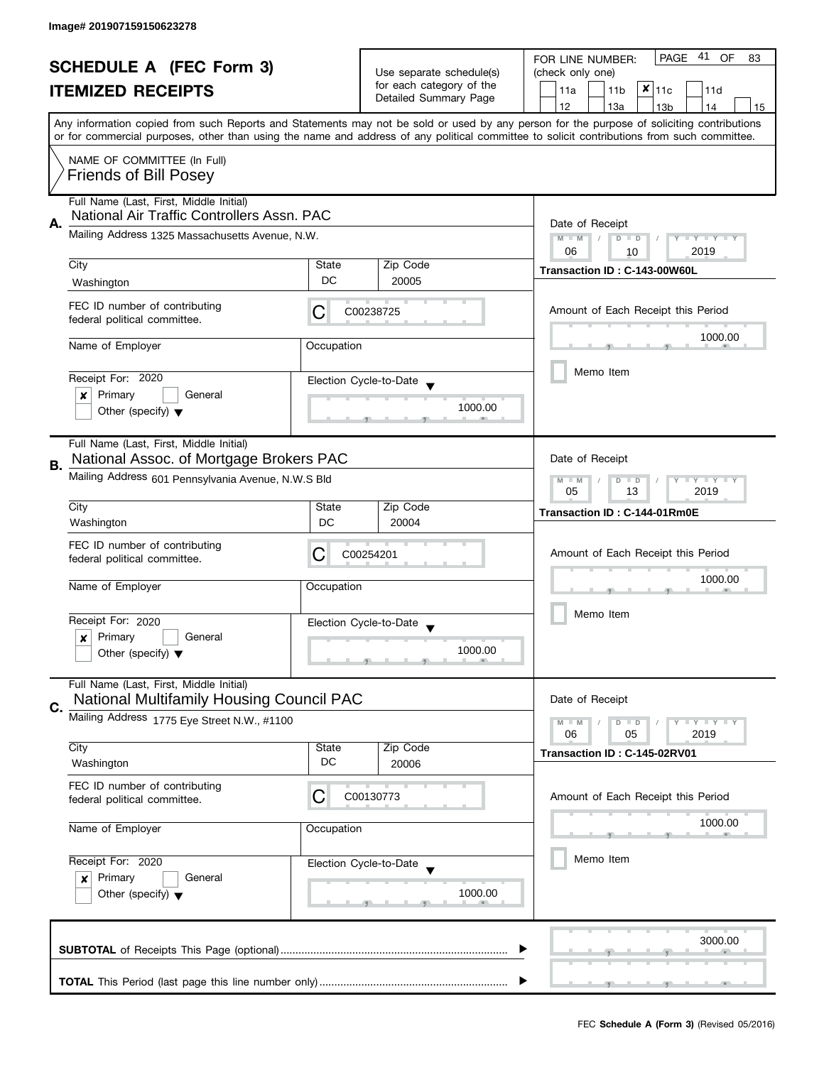| <b>SCHEDULE A (FEC Form 3)</b><br><b>ITEMIZED RECEIPTS</b> |                                                               |                                                            | 41<br>PAGE<br>OF<br>FOR LINE NUMBER:<br>83     |                                                                                                                                                                                                                                                                                         |  |  |
|------------------------------------------------------------|---------------------------------------------------------------|------------------------------------------------------------|------------------------------------------------|-----------------------------------------------------------------------------------------------------------------------------------------------------------------------------------------------------------------------------------------------------------------------------------------|--|--|
|                                                            |                                                               |                                                            | Use separate schedule(s)                       | (check only one)                                                                                                                                                                                                                                                                        |  |  |
|                                                            |                                                               |                                                            | for each category of the                       | $x _{11c}$<br>11a<br>11 <sub>b</sub><br>11d                                                                                                                                                                                                                                             |  |  |
|                                                            |                                                               |                                                            | Detailed Summary Page                          | 12<br>13a<br>13 <sub>b</sub><br>14<br>15                                                                                                                                                                                                                                                |  |  |
|                                                            |                                                               |                                                            |                                                | Any information copied from such Reports and Statements may not be sold or used by any person for the purpose of soliciting contributions<br>or for commercial purposes, other than using the name and address of any political committee to solicit contributions from such committee. |  |  |
|                                                            | NAME OF COMMITTEE (In Full)                                   |                                                            |                                                |                                                                                                                                                                                                                                                                                         |  |  |
|                                                            | <b>Friends of Bill Posey</b>                                  |                                                            |                                                |                                                                                                                                                                                                                                                                                         |  |  |
|                                                            | Full Name (Last, First, Middle Initial)                       |                                                            |                                                |                                                                                                                                                                                                                                                                                         |  |  |
|                                                            | National Air Traffic Controllers Assn. PAC                    |                                                            |                                                |                                                                                                                                                                                                                                                                                         |  |  |
| Α.                                                         | Mailing Address 1325 Massachusetts Avenue, N.W.               |                                                            |                                                | Date of Receipt<br>$M - M$<br>Y TY TY TY<br>$D$ $D$                                                                                                                                                                                                                                     |  |  |
|                                                            |                                                               |                                                            |                                                | 2019<br>06<br>10                                                                                                                                                                                                                                                                        |  |  |
|                                                            | City                                                          | State                                                      | Zip Code                                       | Transaction ID: C-143-00W60L                                                                                                                                                                                                                                                            |  |  |
|                                                            | Washington                                                    | DC                                                         | 20005                                          |                                                                                                                                                                                                                                                                                         |  |  |
|                                                            | FEC ID number of contributing<br>federal political committee. | С                                                          | C00238725                                      | Amount of Each Receipt this Period                                                                                                                                                                                                                                                      |  |  |
|                                                            | Name of Employer                                              | Occupation                                                 |                                                | 1000.00                                                                                                                                                                                                                                                                                 |  |  |
|                                                            |                                                               |                                                            |                                                |                                                                                                                                                                                                                                                                                         |  |  |
|                                                            | Receipt For: 2020                                             |                                                            | Election Cycle-to-Date                         | Memo Item                                                                                                                                                                                                                                                                               |  |  |
|                                                            | Primary<br>General<br>x                                       |                                                            |                                                |                                                                                                                                                                                                                                                                                         |  |  |
|                                                            | Other (specify) $\blacktriangledown$                          |                                                            | 1000.00                                        |                                                                                                                                                                                                                                                                                         |  |  |
|                                                            | Full Name (Last, First, Middle Initial)                       |                                                            |                                                |                                                                                                                                                                                                                                                                                         |  |  |
| В.                                                         | National Assoc. of Mortgage Brokers PAC                       |                                                            |                                                | Date of Receipt                                                                                                                                                                                                                                                                         |  |  |
|                                                            | Mailing Address 601 Pennsylvania Avenue, N.W.S Bld            | $Y = Y = Y$<br>$M - M$<br>т<br>$D$ $D$<br>13<br>2019<br>05 |                                                |                                                                                                                                                                                                                                                                                         |  |  |
|                                                            | City                                                          | State                                                      | Zip Code                                       | Transaction ID: C-144-01Rm0E                                                                                                                                                                                                                                                            |  |  |
|                                                            | Washington                                                    | DC                                                         | 20004                                          |                                                                                                                                                                                                                                                                                         |  |  |
|                                                            | FEC ID number of contributing                                 | C                                                          | C00254201                                      | Amount of Each Receipt this Period                                                                                                                                                                                                                                                      |  |  |
|                                                            | federal political committee.                                  |                                                            |                                                |                                                                                                                                                                                                                                                                                         |  |  |
|                                                            | Name of Employer                                              | Occupation                                                 |                                                | 1000.00                                                                                                                                                                                                                                                                                 |  |  |
|                                                            |                                                               |                                                            |                                                | Memo Item                                                                                                                                                                                                                                                                               |  |  |
|                                                            | Receipt For: 2020                                             |                                                            | Election Cycle-to-Date<br>$\blacktriangledown$ |                                                                                                                                                                                                                                                                                         |  |  |
|                                                            | Primary<br>General<br>×                                       |                                                            | 1000.00                                        |                                                                                                                                                                                                                                                                                         |  |  |
|                                                            | Other (specify) $\blacktriangledown$                          |                                                            |                                                |                                                                                                                                                                                                                                                                                         |  |  |
|                                                            | Full Name (Last, First, Middle Initial)                       |                                                            |                                                |                                                                                                                                                                                                                                                                                         |  |  |
| C.                                                         | National Multifamily Housing Council PAC                      |                                                            |                                                | Date of Receipt                                                                                                                                                                                                                                                                         |  |  |
|                                                            | Mailing Address 1775 Eye Street N.W., #1100                   |                                                            |                                                | <b>LEY LEY LEY</b><br>$M - M$<br>$D$ $D$                                                                                                                                                                                                                                                |  |  |
|                                                            |                                                               |                                                            |                                                | 06<br>05<br>2019                                                                                                                                                                                                                                                                        |  |  |
|                                                            | City<br>Washington                                            | State<br>DC                                                | Zip Code                                       | Transaction ID: C-145-02RV01                                                                                                                                                                                                                                                            |  |  |
|                                                            |                                                               |                                                            | 20006                                          |                                                                                                                                                                                                                                                                                         |  |  |
|                                                            | FEC ID number of contributing<br>federal political committee. | C                                                          | C00130773                                      | Amount of Each Receipt this Period                                                                                                                                                                                                                                                      |  |  |
|                                                            | Name of Employer                                              |                                                            |                                                | 1000.00                                                                                                                                                                                                                                                                                 |  |  |
|                                                            |                                                               | Occupation                                                 |                                                |                                                                                                                                                                                                                                                                                         |  |  |
|                                                            | Receipt For: 2020                                             |                                                            | Election Cycle-to-Date                         | Memo Item                                                                                                                                                                                                                                                                               |  |  |
|                                                            | Primary<br>General<br>x                                       |                                                            |                                                |                                                                                                                                                                                                                                                                                         |  |  |
|                                                            | Other (specify) $\blacktriangledown$                          |                                                            | 1000.00                                        |                                                                                                                                                                                                                                                                                         |  |  |
|                                                            |                                                               |                                                            |                                                |                                                                                                                                                                                                                                                                                         |  |  |
|                                                            |                                                               |                                                            |                                                | 3000.00                                                                                                                                                                                                                                                                                 |  |  |
|                                                            |                                                               |                                                            |                                                |                                                                                                                                                                                                                                                                                         |  |  |
|                                                            |                                                               |                                                            |                                                |                                                                                                                                                                                                                                                                                         |  |  |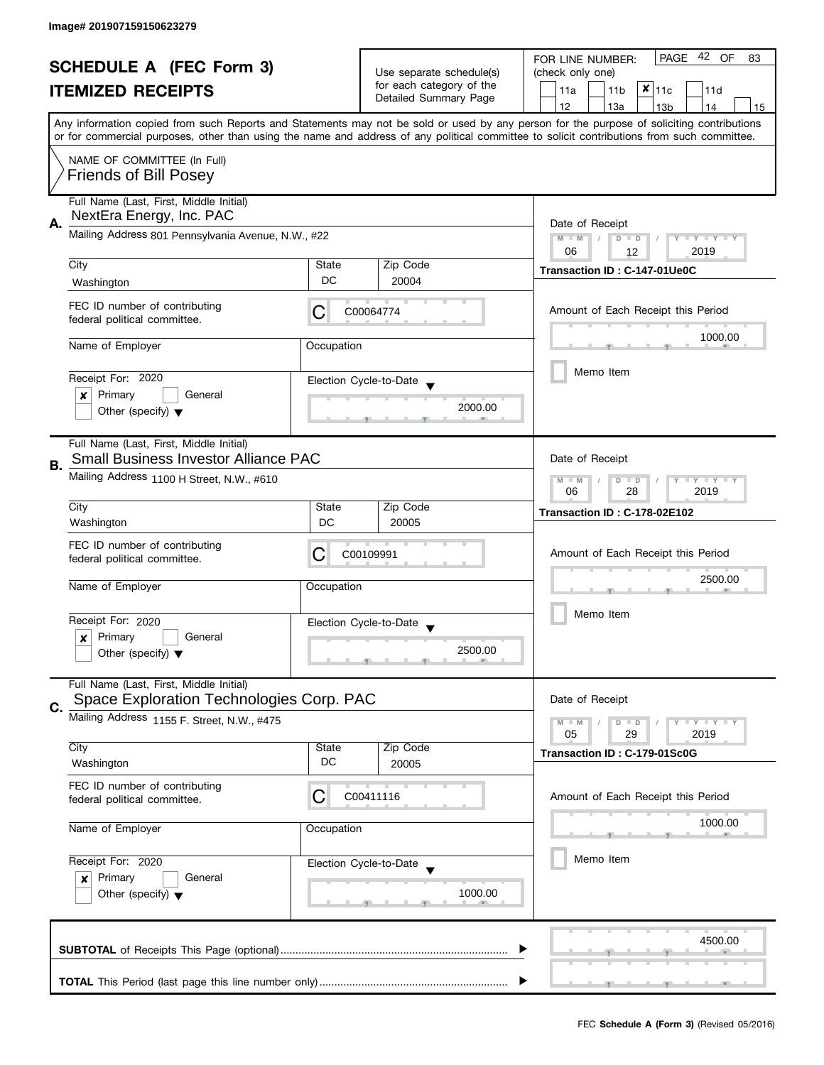| <b>SCHEDULE A (FEC Form 3)</b><br><b>ITEMIZED RECEIPTS</b> |                                                                                        |                                                            | 42 OF<br>PAGE<br>FOR LINE NUMBER:<br>83           |                                                                                                                                                                                                                                                                                         |  |  |
|------------------------------------------------------------|----------------------------------------------------------------------------------------|------------------------------------------------------------|---------------------------------------------------|-----------------------------------------------------------------------------------------------------------------------------------------------------------------------------------------------------------------------------------------------------------------------------------------|--|--|
|                                                            |                                                                                        |                                                            | Use separate schedule(s)                          | (check only one)                                                                                                                                                                                                                                                                        |  |  |
|                                                            |                                                                                        |                                                            | for each category of the<br>Detailed Summary Page | $x _{11c}$<br>11a<br>11 <sub>b</sub><br>11d                                                                                                                                                                                                                                             |  |  |
|                                                            |                                                                                        |                                                            |                                                   | 12<br>13a<br>13 <sub>b</sub><br>14<br>15                                                                                                                                                                                                                                                |  |  |
|                                                            |                                                                                        |                                                            |                                                   | Any information copied from such Reports and Statements may not be sold or used by any person for the purpose of soliciting contributions<br>or for commercial purposes, other than using the name and address of any political committee to solicit contributions from such committee. |  |  |
|                                                            | NAME OF COMMITTEE (In Full)<br><b>Friends of Bill Posey</b>                            |                                                            |                                                   |                                                                                                                                                                                                                                                                                         |  |  |
|                                                            | Full Name (Last, First, Middle Initial)<br>NextEra Energy, Inc. PAC                    |                                                            |                                                   |                                                                                                                                                                                                                                                                                         |  |  |
| Α.                                                         | Mailing Address 801 Pennsylvania Avenue, N.W., #22                                     |                                                            |                                                   | Date of Receipt<br>$M - M$<br>Y I Y I Y I Y<br>$D$ $D$<br>2019<br>06<br>12                                                                                                                                                                                                              |  |  |
|                                                            | City                                                                                   | State                                                      | Zip Code                                          |                                                                                                                                                                                                                                                                                         |  |  |
|                                                            | Washington                                                                             | DC                                                         | 20004                                             | Transaction ID: C-147-01Ue0C                                                                                                                                                                                                                                                            |  |  |
|                                                            | FEC ID number of contributing<br>federal political committee.                          | С                                                          | C00064774                                         | Amount of Each Receipt this Period                                                                                                                                                                                                                                                      |  |  |
|                                                            | Name of Employer                                                                       | Occupation                                                 |                                                   | 1000.00                                                                                                                                                                                                                                                                                 |  |  |
|                                                            |                                                                                        |                                                            |                                                   |                                                                                                                                                                                                                                                                                         |  |  |
|                                                            | Receipt For: 2020                                                                      |                                                            | Election Cycle-to-Date                            | Memo Item                                                                                                                                                                                                                                                                               |  |  |
|                                                            | Primary<br>General<br>×                                                                |                                                            |                                                   |                                                                                                                                                                                                                                                                                         |  |  |
|                                                            | Other (specify) $\blacktriangledown$                                                   |                                                            | 2000.00                                           |                                                                                                                                                                                                                                                                                         |  |  |
|                                                            | Full Name (Last, First, Middle Initial)<br><b>Small Business Investor Alliance PAC</b> |                                                            |                                                   | Date of Receipt                                                                                                                                                                                                                                                                         |  |  |
| В.                                                         | Mailing Address 1100 H Street, N.W., #610                                              | $Y = Y + Y$<br>$M - M$<br>$D$ $D$<br>T<br>28<br>2019<br>06 |                                                   |                                                                                                                                                                                                                                                                                         |  |  |
|                                                            | City                                                                                   | State                                                      | Zip Code                                          | <b>Transaction ID: C-178-02E102</b>                                                                                                                                                                                                                                                     |  |  |
|                                                            | Washington                                                                             | DC                                                         | 20005                                             |                                                                                                                                                                                                                                                                                         |  |  |
|                                                            | FEC ID number of contributing<br>federal political committee.                          | C                                                          | C00109991                                         | Amount of Each Receipt this Period                                                                                                                                                                                                                                                      |  |  |
|                                                            | Name of Employer                                                                       | Occupation                                                 |                                                   | 2500.00                                                                                                                                                                                                                                                                                 |  |  |
|                                                            | Receipt For: 2020                                                                      |                                                            | Election Cycle-to-Date                            | Memo Item                                                                                                                                                                                                                                                                               |  |  |
|                                                            | Primary<br>General<br>x                                                                |                                                            | $\blacktriangledown$                              |                                                                                                                                                                                                                                                                                         |  |  |
|                                                            | Other (specify) $\blacktriangledown$                                                   |                                                            | 2500.00                                           |                                                                                                                                                                                                                                                                                         |  |  |
|                                                            | Full Name (Last, First, Middle Initial)<br>Space Exploration Technologies Corp. PAC    |                                                            |                                                   | Date of Receipt                                                                                                                                                                                                                                                                         |  |  |
| C.                                                         | Mailing Address 1155 F. Street, N.W., #475                                             |                                                            |                                                   | $Y = Y + Y$                                                                                                                                                                                                                                                                             |  |  |
|                                                            |                                                                                        |                                                            |                                                   | $M - M$<br>$D$ $D$<br>05<br>29<br>2019                                                                                                                                                                                                                                                  |  |  |
|                                                            | City                                                                                   | State                                                      | Zip Code                                          | Transaction ID: C-179-01Sc0G                                                                                                                                                                                                                                                            |  |  |
|                                                            | Washington                                                                             | DC                                                         | 20005                                             |                                                                                                                                                                                                                                                                                         |  |  |
|                                                            | FEC ID number of contributing<br>federal political committee.                          | С                                                          | C00411116                                         | Amount of Each Receipt this Period                                                                                                                                                                                                                                                      |  |  |
|                                                            | Name of Employer<br>Occupation<br>Receipt For: 2020                                    |                                                            |                                                   | 1000.00                                                                                                                                                                                                                                                                                 |  |  |
|                                                            |                                                                                        |                                                            | Election Cycle-to-Date                            | Memo Item                                                                                                                                                                                                                                                                               |  |  |
|                                                            | Primary<br>General<br>$\boldsymbol{x}$                                                 |                                                            |                                                   |                                                                                                                                                                                                                                                                                         |  |  |
|                                                            | Other (specify) $\blacktriangledown$                                                   |                                                            | 1000.00                                           |                                                                                                                                                                                                                                                                                         |  |  |
|                                                            |                                                                                        |                                                            |                                                   | 4500.00                                                                                                                                                                                                                                                                                 |  |  |
|                                                            |                                                                                        |                                                            |                                                   |                                                                                                                                                                                                                                                                                         |  |  |
|                                                            |                                                                                        |                                                            |                                                   |                                                                                                                                                                                                                                                                                         |  |  |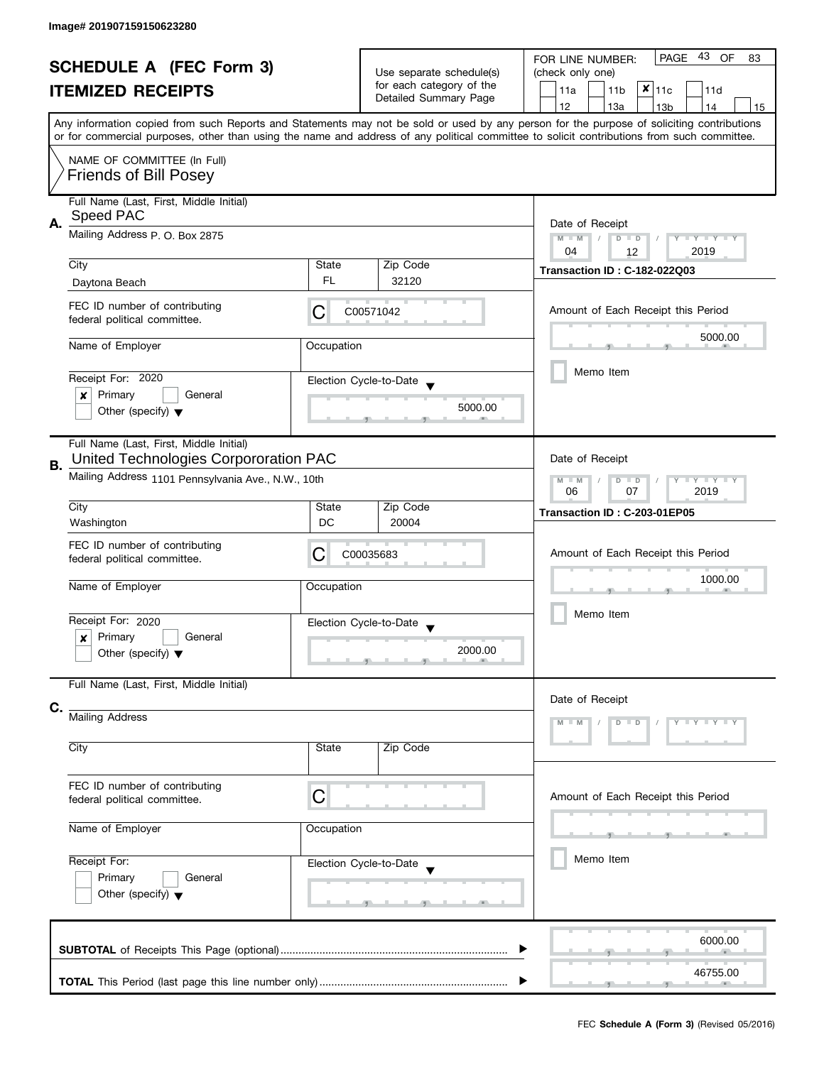| <b>SCHEDULE A (FEC Form 3)</b> |                                                                                  |                                                                              | Use separate schedule(s)<br>for each category of the | 43<br><b>PAGE</b><br>OF<br>FOR LINE NUMBER:<br>83<br>(check only one)                                                                                                                                                                                                                   |  |  |
|--------------------------------|----------------------------------------------------------------------------------|------------------------------------------------------------------------------|------------------------------------------------------|-----------------------------------------------------------------------------------------------------------------------------------------------------------------------------------------------------------------------------------------------------------------------------------------|--|--|
|                                | <b>ITEMIZED RECEIPTS</b>                                                         |                                                                              | Detailed Summary Page                                | $x _{11c}$<br>11a<br>11 <sub>b</sub><br>11d                                                                                                                                                                                                                                             |  |  |
|                                |                                                                                  |                                                                              |                                                      | 12<br>13a<br>13 <sub>b</sub><br>14<br>15                                                                                                                                                                                                                                                |  |  |
|                                |                                                                                  |                                                                              |                                                      | Any information copied from such Reports and Statements may not be sold or used by any person for the purpose of soliciting contributions<br>or for commercial purposes, other than using the name and address of any political committee to solicit contributions from such committee. |  |  |
|                                | NAME OF COMMITTEE (In Full)<br><b>Friends of Bill Posey</b>                      |                                                                              |                                                      |                                                                                                                                                                                                                                                                                         |  |  |
| А.                             | Full Name (Last, First, Middle Initial)<br>Speed PAC                             | Date of Receipt                                                              |                                                      |                                                                                                                                                                                                                                                                                         |  |  |
|                                | Mailing Address P. O. Box 2875                                                   |                                                                              |                                                      | $M - M$<br>$D$ $D$<br>Y TY TY TY<br>04<br>2019<br>12                                                                                                                                                                                                                                    |  |  |
|                                | City                                                                             | State                                                                        | Zip Code                                             | <b>Transaction ID: C-182-022Q03</b>                                                                                                                                                                                                                                                     |  |  |
|                                | Daytona Beach                                                                    | FL.                                                                          | 32120                                                |                                                                                                                                                                                                                                                                                         |  |  |
|                                | FEC ID number of contributing<br>federal political committee.                    | C                                                                            | C00571042                                            | Amount of Each Receipt this Period                                                                                                                                                                                                                                                      |  |  |
|                                | Name of Employer                                                                 | Occupation                                                                   |                                                      | 5000.00                                                                                                                                                                                                                                                                                 |  |  |
|                                |                                                                                  |                                                                              |                                                      |                                                                                                                                                                                                                                                                                         |  |  |
|                                | Receipt For: 2020                                                                |                                                                              | Election Cycle-to-Date                               | Memo Item                                                                                                                                                                                                                                                                               |  |  |
|                                | Primary<br>General<br>x                                                          |                                                                              |                                                      |                                                                                                                                                                                                                                                                                         |  |  |
|                                | Other (specify) $\blacktriangledown$                                             |                                                                              | 5000.00                                              |                                                                                                                                                                                                                                                                                         |  |  |
| В.                             | Full Name (Last, First, Middle Initial)<br>United Technologies Corpororation PAC | Date of Receipt                                                              |                                                      |                                                                                                                                                                                                                                                                                         |  |  |
|                                | Mailing Address 1101 Pennsylvania Ave., N.W., 10th                               | $\mathbf{y}$ $\mathbf{y}$<br>$M - M$<br>Y<br>D<br>$\Box$<br>07<br>2019<br>06 |                                                      |                                                                                                                                                                                                                                                                                         |  |  |
|                                | City                                                                             | State                                                                        | Zip Code                                             | Transaction ID: C-203-01EP05                                                                                                                                                                                                                                                            |  |  |
|                                | Washington                                                                       | DC                                                                           | 20004                                                |                                                                                                                                                                                                                                                                                         |  |  |
|                                | FEC ID number of contributing<br>federal political committee.                    | C                                                                            | C00035683                                            | Amount of Each Receipt this Period                                                                                                                                                                                                                                                      |  |  |
|                                | Name of Employer                                                                 | Occupation                                                                   |                                                      | 1000.00                                                                                                                                                                                                                                                                                 |  |  |
|                                | Receipt For: 2020                                                                |                                                                              | Election Cycle-to-Date                               | Memo Item                                                                                                                                                                                                                                                                               |  |  |
|                                | Primary<br>General<br>x                                                          |                                                                              |                                                      |                                                                                                                                                                                                                                                                                         |  |  |
|                                | Other (specify) $\blacktriangledown$                                             |                                                                              | 2000.00                                              |                                                                                                                                                                                                                                                                                         |  |  |
| C.                             | Full Name (Last, First, Middle Initial)                                          |                                                                              |                                                      | Date of Receipt                                                                                                                                                                                                                                                                         |  |  |
|                                | <b>Mailing Address</b>                                                           |                                                                              |                                                      |                                                                                                                                                                                                                                                                                         |  |  |
|                                | City                                                                             | State                                                                        | Zip Code                                             |                                                                                                                                                                                                                                                                                         |  |  |
|                                | FEC ID number of contributing<br>federal political committee.                    | C                                                                            |                                                      | Amount of Each Receipt this Period                                                                                                                                                                                                                                                      |  |  |
|                                | Name of Employer                                                                 | Occupation                                                                   |                                                      |                                                                                                                                                                                                                                                                                         |  |  |
|                                | Receipt For:                                                                     |                                                                              | Election Cycle-to-Date                               | Memo Item                                                                                                                                                                                                                                                                               |  |  |
| Primary<br>General             |                                                                                  |                                                                              |                                                      |                                                                                                                                                                                                                                                                                         |  |  |
|                                | Other (specify) $\blacktriangledown$                                             |                                                                              |                                                      |                                                                                                                                                                                                                                                                                         |  |  |
|                                |                                                                                  |                                                                              |                                                      | 6000.00                                                                                                                                                                                                                                                                                 |  |  |
|                                |                                                                                  |                                                                              |                                                      | 46755.00                                                                                                                                                                                                                                                                                |  |  |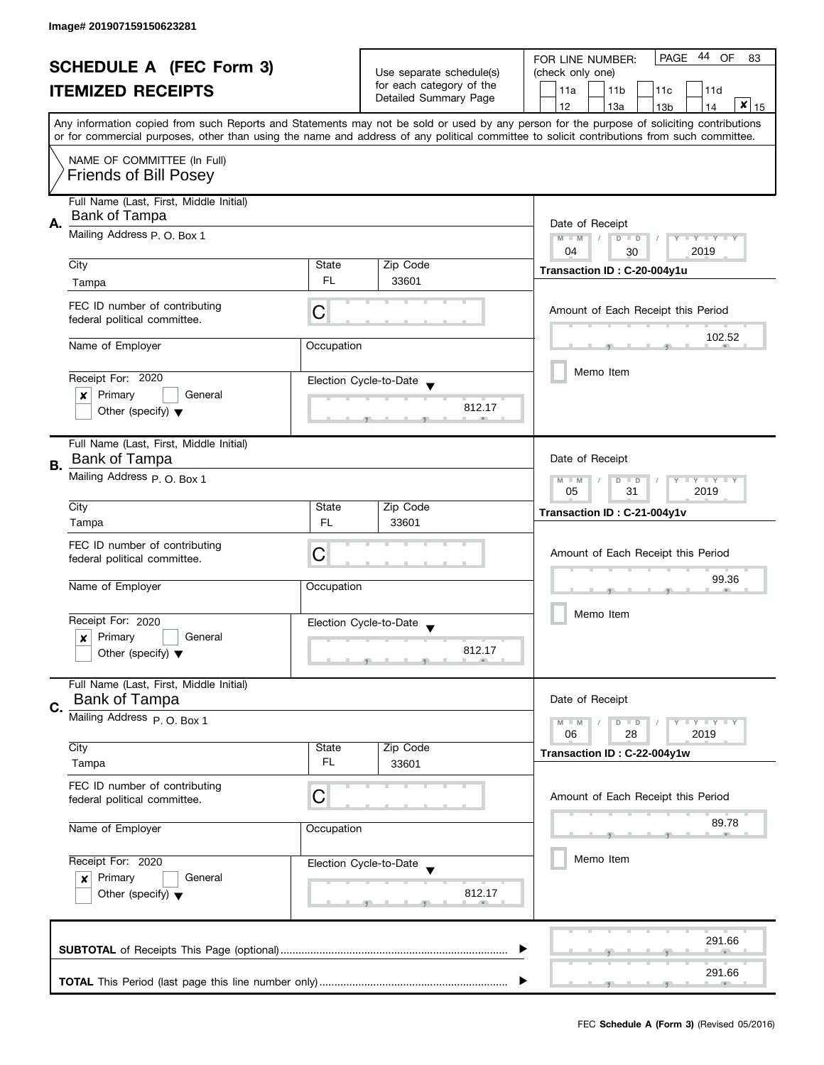| <b>SCHEDULE A (FEC Form 3)</b><br><b>ITEMIZED RECEIPTS</b> |                                                                                                                                                                                                                                                                                         | Use separate schedule(s)                              | PAGE 44 OF<br>FOR LINE NUMBER:<br>83<br>(check only one) |                                                                         |  |
|------------------------------------------------------------|-----------------------------------------------------------------------------------------------------------------------------------------------------------------------------------------------------------------------------------------------------------------------------------------|-------------------------------------------------------|----------------------------------------------------------|-------------------------------------------------------------------------|--|
|                                                            |                                                                                                                                                                                                                                                                                         | for each category of the                              | 11a<br>11 <sub>b</sub><br>11c<br>11d                     |                                                                         |  |
|                                                            |                                                                                                                                                                                                                                                                                         |                                                       | Detailed Summary Page                                    | $\mathbf{x}$   $\frac{15}{15}$<br>12<br>13a<br>13 <sub>b</sub><br>14    |  |
|                                                            | Any information copied from such Reports and Statements may not be sold or used by any person for the purpose of soliciting contributions<br>or for commercial purposes, other than using the name and address of any political committee to solicit contributions from such committee. |                                                       |                                                          |                                                                         |  |
|                                                            |                                                                                                                                                                                                                                                                                         |                                                       |                                                          |                                                                         |  |
|                                                            | NAME OF COMMITTEE (In Full)<br><b>Friends of Bill Posey</b>                                                                                                                                                                                                                             |                                                       |                                                          |                                                                         |  |
|                                                            | Full Name (Last, First, Middle Initial)<br>Bank of Tampa                                                                                                                                                                                                                                |                                                       |                                                          |                                                                         |  |
| А.                                                         | Mailing Address P. O. Box 1                                                                                                                                                                                                                                                             |                                                       |                                                          | Date of Receipt<br>$M - M$<br>$D$ $D$<br>Y TY TY TY<br>2019<br>04<br>30 |  |
|                                                            | City                                                                                                                                                                                                                                                                                    | State                                                 | Zip Code                                                 | Transaction ID: C-20-004y1u                                             |  |
|                                                            | Tampa                                                                                                                                                                                                                                                                                   | FL.                                                   | 33601                                                    |                                                                         |  |
|                                                            | FEC ID number of contributing<br>federal political committee.                                                                                                                                                                                                                           | C                                                     |                                                          | Amount of Each Receipt this Period                                      |  |
|                                                            | Name of Employer                                                                                                                                                                                                                                                                        | Occupation                                            |                                                          | 102.52                                                                  |  |
|                                                            |                                                                                                                                                                                                                                                                                         |                                                       |                                                          |                                                                         |  |
|                                                            | Receipt For: 2020                                                                                                                                                                                                                                                                       |                                                       | Election Cycle-to-Date                                   | Memo Item                                                               |  |
|                                                            | Primary<br>General<br>$\boldsymbol{x}$                                                                                                                                                                                                                                                  |                                                       |                                                          |                                                                         |  |
|                                                            | Other (specify) $\blacktriangledown$                                                                                                                                                                                                                                                    |                                                       | 812.17                                                   |                                                                         |  |
|                                                            | Full Name (Last, First, Middle Initial)<br>Bank of Tampa                                                                                                                                                                                                                                |                                                       |                                                          | Date of Receipt                                                         |  |
| В.                                                         | Mailing Address P.O. Box 1                                                                                                                                                                                                                                                              |                                                       |                                                          |                                                                         |  |
|                                                            |                                                                                                                                                                                                                                                                                         | Y LY LY<br>$M - M$<br>D<br>$\Box$<br>05<br>31<br>2019 |                                                          |                                                                         |  |
|                                                            | City                                                                                                                                                                                                                                                                                    | State                                                 | Zip Code                                                 | Transaction ID: C-21-004y1v                                             |  |
|                                                            | Tampa                                                                                                                                                                                                                                                                                   | <b>FL</b>                                             | 33601                                                    |                                                                         |  |
|                                                            | FEC ID number of contributing                                                                                                                                                                                                                                                           | C                                                     |                                                          |                                                                         |  |
|                                                            | federal political committee.                                                                                                                                                                                                                                                            |                                                       |                                                          | Amount of Each Receipt this Period                                      |  |
|                                                            | Name of Employer                                                                                                                                                                                                                                                                        | Occupation                                            |                                                          | 99.36                                                                   |  |
|                                                            |                                                                                                                                                                                                                                                                                         |                                                       |                                                          | Memo Item                                                               |  |
|                                                            | Receipt For: 2020                                                                                                                                                                                                                                                                       |                                                       | Election Cycle-to-Date                                   |                                                                         |  |
|                                                            | Primary<br>General<br>x<br>Other (specify) $\blacktriangledown$                                                                                                                                                                                                                         |                                                       | 812.17                                                   |                                                                         |  |
|                                                            |                                                                                                                                                                                                                                                                                         |                                                       |                                                          |                                                                         |  |
|                                                            | Full Name (Last, First, Middle Initial)<br><b>Bank of Tampa</b>                                                                                                                                                                                                                         |                                                       |                                                          | Date of Receipt                                                         |  |
| C.                                                         | Mailing Address P.O. Box 1                                                                                                                                                                                                                                                              |                                                       |                                                          | $M - M$<br>$Y \perp Y \perp Y$                                          |  |
|                                                            |                                                                                                                                                                                                                                                                                         |                                                       |                                                          | $D$ $D$<br>06<br>28<br>2019                                             |  |
|                                                            | City                                                                                                                                                                                                                                                                                    | State                                                 | Zip Code                                                 | Transaction ID: C-22-004y1w                                             |  |
|                                                            | Tampa                                                                                                                                                                                                                                                                                   | FL                                                    | 33601                                                    |                                                                         |  |
|                                                            | FEC ID number of contributing<br>federal political committee.                                                                                                                                                                                                                           | С                                                     |                                                          | Amount of Each Receipt this Period                                      |  |
|                                                            |                                                                                                                                                                                                                                                                                         | Occupation                                            |                                                          | 89.78                                                                   |  |
|                                                            | Name of Employer                                                                                                                                                                                                                                                                        |                                                       |                                                          |                                                                         |  |
| Receipt For: 2020                                          |                                                                                                                                                                                                                                                                                         |                                                       | Election Cycle-to-Date                                   | Memo Item                                                               |  |
|                                                            | Primary<br>General<br>$\boldsymbol{x}$                                                                                                                                                                                                                                                  |                                                       |                                                          |                                                                         |  |
|                                                            | Other (specify) $\blacktriangledown$                                                                                                                                                                                                                                                    |                                                       | 812.17                                                   |                                                                         |  |
|                                                            |                                                                                                                                                                                                                                                                                         |                                                       |                                                          | 291.66                                                                  |  |
|                                                            |                                                                                                                                                                                                                                                                                         |                                                       |                                                          |                                                                         |  |
|                                                            |                                                                                                                                                                                                                                                                                         |                                                       |                                                          | 291.66                                                                  |  |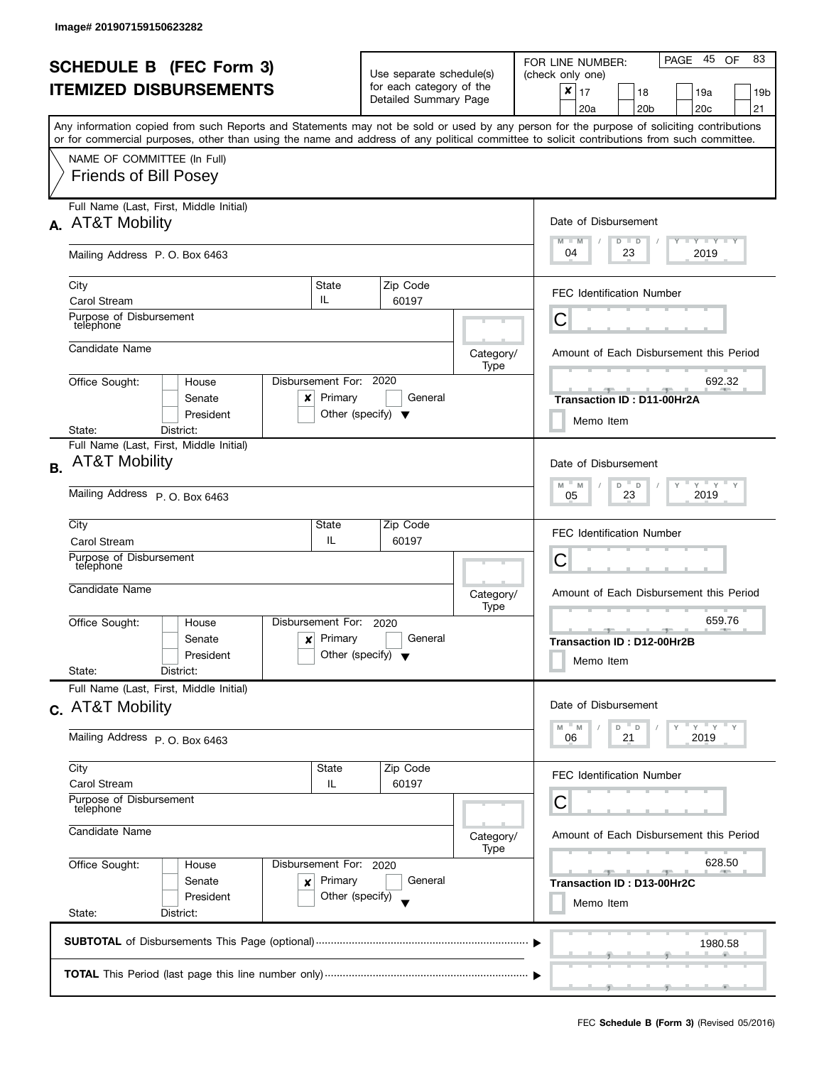|           | <b>SCHEDULE B (FEC Form 3)</b><br><b>ITEMIZED DISBURSEMENTS</b><br>Any information copied from such Reports and Statements may not be sold or used by any person for the purpose of soliciting contributions<br>or for commercial purposes, other than using the name and address of any political committee to solicit contributions from such committee. |                                                                                           | Use separate schedule(s)<br>for each category of the<br>Detailed Summary Page |                   | 83<br>PAGE 45<br>OF<br>FOR LINE NUMBER:<br>(check only one)<br>$\pmb{\times}$<br>17<br>18<br>19a<br>19b<br>20 <sub>b</sub><br>20 <sub>c</sub><br>21<br>20a |
|-----------|------------------------------------------------------------------------------------------------------------------------------------------------------------------------------------------------------------------------------------------------------------------------------------------------------------------------------------------------------------|-------------------------------------------------------------------------------------------|-------------------------------------------------------------------------------|-------------------|------------------------------------------------------------------------------------------------------------------------------------------------------------|
|           | NAME OF COMMITTEE (In Full)<br><b>Friends of Bill Posey</b>                                                                                                                                                                                                                                                                                                |                                                                                           |                                                                               |                   |                                                                                                                                                            |
|           | Full Name (Last, First, Middle Initial)<br>A. AT&T Mobility<br>Mailing Address P. O. Box 6463                                                                                                                                                                                                                                                              | Date of Disbursement<br>$M - M$<br>$T$ $Y$ $T$ $Y$ $T$ $Y$<br>$D$ $D$<br>04<br>23<br>2019 |                                                                               |                   |                                                                                                                                                            |
|           | State<br>City<br>IL.<br><b>Carol Stream</b><br>Purpose of Disbursement<br>telephone                                                                                                                                                                                                                                                                        |                                                                                           | Zip Code<br>60197                                                             |                   | <b>FEC Identification Number</b><br>Ĉ                                                                                                                      |
|           | Candidate Name<br>Disbursement For: 2020<br>Office Sought:<br>House<br>Senate                                                                                                                                                                                                                                                                              | Primary                                                                                   | General                                                                       | Category/<br>Type | Amount of Each Disbursement this Period<br>692.32<br>a.<br>and the<br>$-$<br>$-9-$                                                                         |
|           | x<br>President<br>District:<br>State:<br>Full Name (Last, First, Middle Initial)                                                                                                                                                                                                                                                                           | Other (specify) $\blacktriangledown$                                                      |                                                                               |                   | Transaction ID: D11-00Hr2A<br>Memo Item                                                                                                                    |
| <b>B.</b> | <b>AT&amp;T Mobility</b><br>Mailing Address P. O. Box 6463                                                                                                                                                                                                                                                                                                 |                                                                                           |                                                                               |                   | Date of Disbursement<br>$Y$ $Y$ $Y$<br>$D$ $D$<br>M<br>$-M$<br>Y<br>$\mathsf{Y}$<br>2019<br>23<br>05                                                       |
|           | City<br>State<br>Carol Stream<br>Purpose of Disbursement<br>telephone                                                                                                                                                                                                                                                                                      | IL                                                                                        | Zip Code<br>60197                                                             |                   | <b>FEC Identification Number</b><br>С                                                                                                                      |
|           | Candidate Name<br>Disbursement For:<br>Office Sought:<br>House<br>Senate<br>x<br>President                                                                                                                                                                                                                                                                 | Primary<br>Other (specify) $\blacktriangledown$                                           | 2020<br>General                                                               | Category/<br>Type | Amount of Each Disbursement this Period<br>659.76<br>$-1$<br>Transaction ID: D12-00Hr2B<br>Memo Item                                                       |
|           | State:<br>District:<br>Full Name (Last, First, Middle Initial)<br>c. AT&T Mobility<br>Mailing Address P.O. Box 6463                                                                                                                                                                                                                                        |                                                                                           |                                                                               |                   | Date of Disbursement<br>$Y + Y + Y$<br>M<br>D D<br>M<br>21<br>2019<br>06                                                                                   |
|           | City<br>Carol Stream<br>Purpose of Disbursement<br>telephone<br>Candidate Name                                                                                                                                                                                                                                                                             | State<br>IL.                                                                              | Zip Code<br>60197                                                             | Category/<br>Type | FEC Identification Number<br>С<br>Amount of Each Disbursement this Period                                                                                  |
|           | Office Sought:<br>Disbursement For: 2020<br>House<br>Senate<br>×<br>President<br>State:<br>District:                                                                                                                                                                                                                                                       | Primary<br>Other (specify)                                                                | General                                                                       |                   | 628.50<br>$-1$<br>Transaction ID: D13-00Hr2C<br>Memo Item                                                                                                  |
|           |                                                                                                                                                                                                                                                                                                                                                            | 1980.58                                                                                   |                                                                               |                   |                                                                                                                                                            |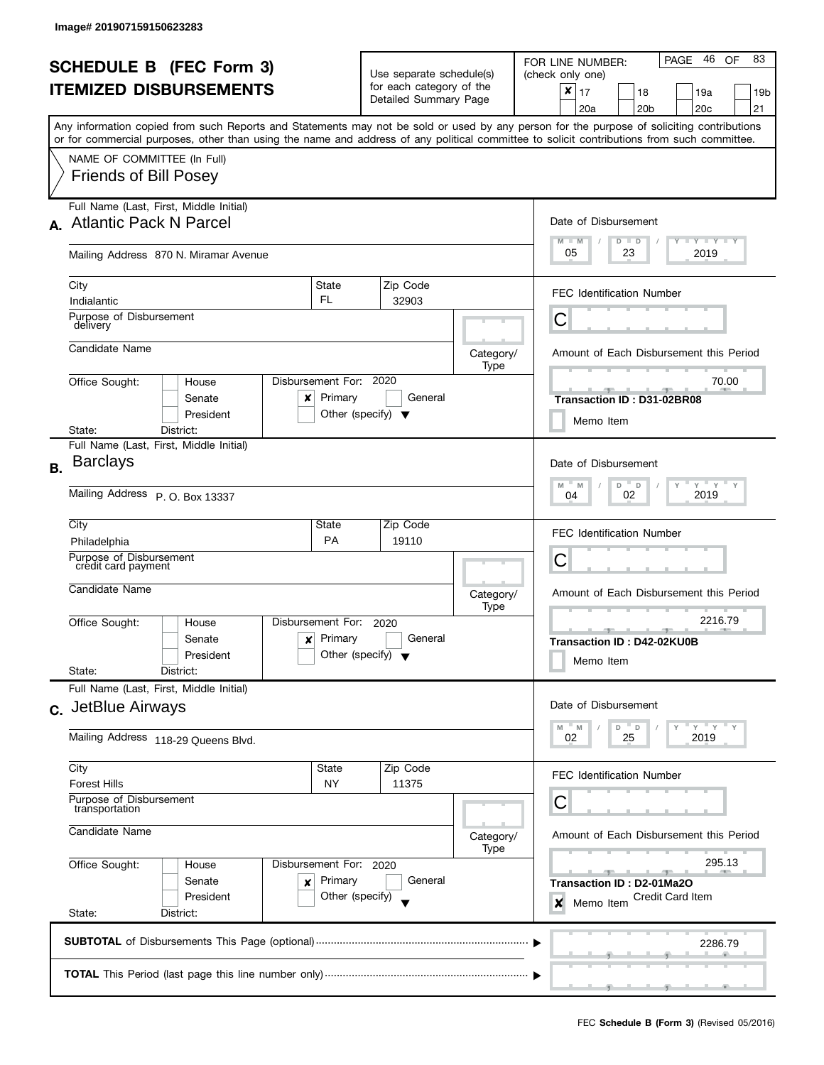|           | <b>SCHEDULE B (FEC Form 3)</b><br><b>ITEMIZED DISBURSEMENTS</b><br>Any information copied from such Reports and Statements may not be sold or used by any person for the purpose of soliciting contributions<br>or for commercial purposes, other than using the name and address of any political committee to solicit contributions from such committee. |                                                      | Use separate schedule(s)<br>for each category of the<br>Detailed Summary Page |                   | 46 OF<br>83<br>PAGE<br>FOR LINE NUMBER:<br>(check only one)<br>$\pmb{\times}$<br>17<br>18<br>19a<br>19 <sub>b</sub><br>20 <sub>b</sub><br>20 <sub>c</sub><br>21<br>20a |
|-----------|------------------------------------------------------------------------------------------------------------------------------------------------------------------------------------------------------------------------------------------------------------------------------------------------------------------------------------------------------------|------------------------------------------------------|-------------------------------------------------------------------------------|-------------------|------------------------------------------------------------------------------------------------------------------------------------------------------------------------|
|           | NAME OF COMMITTEE (In Full)<br><b>Friends of Bill Posey</b>                                                                                                                                                                                                                                                                                                |                                                      |                                                                               |                   |                                                                                                                                                                        |
|           | Full Name (Last, First, Middle Initial)<br>A. Atlantic Pack N Parcel<br>Mailing Address 870 N. Miramar Avenue                                                                                                                                                                                                                                              |                                                      |                                                                               |                   | Date of Disbursement<br>$M - M$<br>$Y + Y + Y + Y$<br>$D$ $D$<br>05<br>23<br>2019                                                                                      |
|           | City<br>Indialantic<br>Purpose of Disbursement                                                                                                                                                                                                                                                                                                             | State<br>FL.                                         | Zip Code<br>32903                                                             |                   | <b>FEC Identification Number</b>                                                                                                                                       |
|           | delivery<br>Candidate Name                                                                                                                                                                                                                                                                                                                                 |                                                      |                                                                               | Category/<br>Type | С<br>Amount of Each Disbursement this Period                                                                                                                           |
|           | Office Sought:<br>House<br>Senate<br>x<br>President<br>State:<br>District:                                                                                                                                                                                                                                                                                 | Disbursement For: 2020<br>Primary                    | General<br>Other (specify) $\blacktriangledown$                               |                   | 70.00<br><b>ALL ADV</b><br>一<br>Transaction ID: D31-02BR08<br>Memo Item                                                                                                |
| <b>B.</b> | Full Name (Last, First, Middle Initial)<br><b>Barclays</b><br>Mailing Address P. O. Box 13337                                                                                                                                                                                                                                                              |                                                      |                                                                               |                   | Date of Disbursement<br>$Y$ $Y$ $Y$<br>д<br>M<br>D<br>Y<br>Y<br>M<br>$\Box$<br>2019<br>02<br>04                                                                        |
|           | City<br>Philadelphia<br>Purpose of Disbursement<br>credit card payment                                                                                                                                                                                                                                                                                     | State<br><b>PA</b>                                   | Zip Code<br>19110                                                             |                   | FEC Identification Number<br>С                                                                                                                                         |
|           | Candidate Name<br>Office Sought:<br>House<br>Senate<br>x<br>President<br>State:<br>District:                                                                                                                                                                                                                                                               | Disbursement For:<br>Primary                         | 2020<br>General<br>Other (specify) $\blacktriangledown$                       | Category/<br>Type | Amount of Each Disbursement this Period<br>2216.79<br>$-9$<br>Transaction ID: D42-02KU0B<br>Memo Item                                                                  |
|           | Full Name (Last, First, Middle Initial)<br>c. JetBlue Airways<br>Mailing Address 118-29 Queens Blvd.                                                                                                                                                                                                                                                       |                                                      |                                                                               |                   | Date of Disbursement<br>"ү "ү "ү<br>M<br>- M<br>D<br>$\mathsf D$<br>02<br>25<br>2019                                                                                   |
|           | City<br><b>State</b><br>Zip Code<br><b>Forest Hills</b><br>NY<br>11375<br>Purpose of Disbursement<br>transportation<br>Candidate Name                                                                                                                                                                                                                      |                                                      |                                                                               | Category/<br>Type | FEC Identification Number<br>С<br>Amount of Each Disbursement this Period                                                                                              |
|           | Office Sought:<br>House<br>Senate<br>x<br>President<br>State:<br>District:                                                                                                                                                                                                                                                                                 | Disbursement For: 2020<br>Primary<br>Other (specify) | General                                                                       |                   | 295.13<br>$-1$<br><b>Transaction ID: D2-01Ma2O</b><br><b>Credit Card Item</b><br>×<br>Memo Item                                                                        |
|           |                                                                                                                                                                                                                                                                                                                                                            | 2286.79                                              |                                                                               |                   |                                                                                                                                                                        |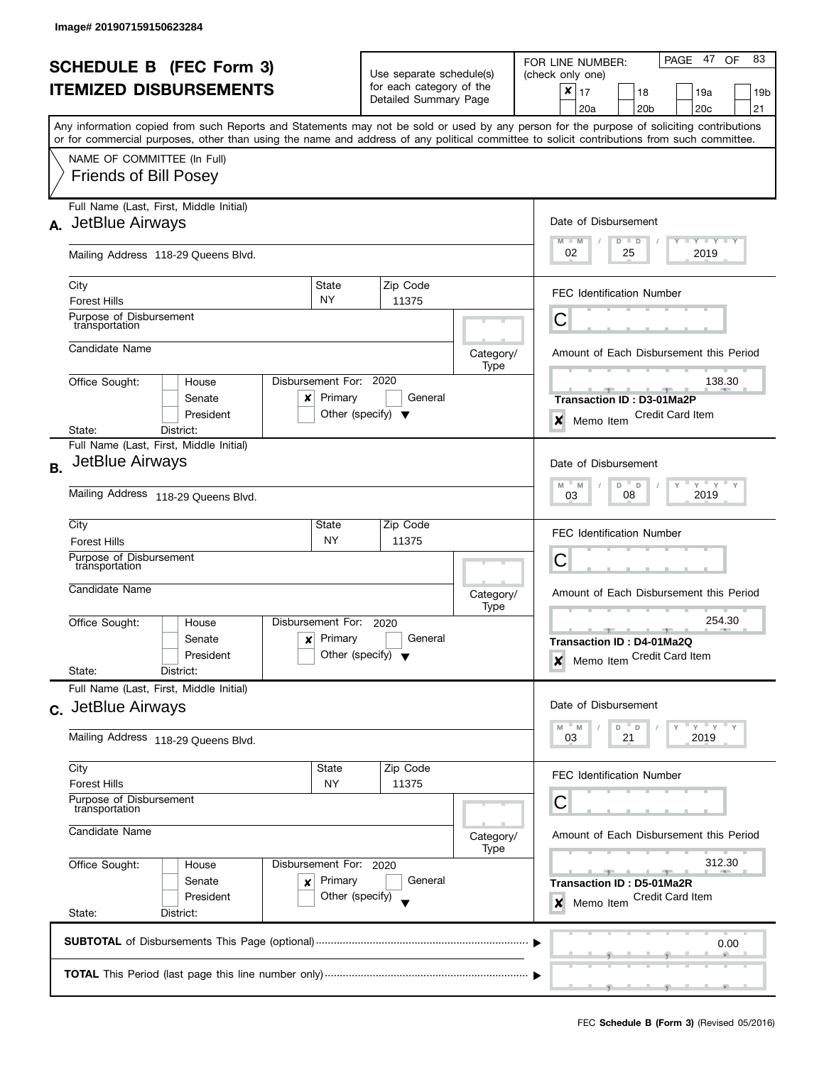|           | <b>SCHEDULE B (FEC Form 3)</b><br><b>ITEMIZED DISBURSEMENTS</b>                                                                                                                                                                                                                                                                                        |                                                                                                                   | Use separate schedule(s)<br>for each category of the<br>Detailed Summary Page |                   | 83<br>PAGE 47<br>OF<br>FOR LINE NUMBER:<br>(check only one)<br>$\pmb{\times}$<br>17<br>18<br>19a<br>19b<br>20 <sub>b</sub><br>20 <sub>c</sub><br>21<br>20a |
|-----------|--------------------------------------------------------------------------------------------------------------------------------------------------------------------------------------------------------------------------------------------------------------------------------------------------------------------------------------------------------|-------------------------------------------------------------------------------------------------------------------|-------------------------------------------------------------------------------|-------------------|------------------------------------------------------------------------------------------------------------------------------------------------------------|
|           | Any information copied from such Reports and Statements may not be sold or used by any person for the purpose of soliciting contributions<br>or for commercial purposes, other than using the name and address of any political committee to solicit contributions from such committee.<br>NAME OF COMMITTEE (In Full)<br><b>Friends of Bill Posey</b> |                                                                                                                   |                                                                               |                   |                                                                                                                                                            |
|           | Full Name (Last, First, Middle Initial)<br>A. JetBlue Airways                                                                                                                                                                                                                                                                                          | Date of Disbursement<br>$M - M$<br>$\bot$ $\gamma$ $\bot$ $\gamma$ $\bot$ $\gamma$<br>$D$ $D$<br>02<br>25<br>2019 |                                                                               |                   |                                                                                                                                                            |
|           | Mailing Address 118-29 Queens Blvd.<br>City<br><b>Forest Hills</b>                                                                                                                                                                                                                                                                                     | State<br><b>NY</b>                                                                                                | Zip Code<br>11375                                                             |                   | <b>FEC Identification Number</b>                                                                                                                           |
|           | Purpose of Disbursement<br>transportation<br>Candidate Name                                                                                                                                                                                                                                                                                            |                                                                                                                   |                                                                               | Category/<br>Type | Ĉ<br>Amount of Each Disbursement this Period                                                                                                               |
|           | Disbursement For: 2020<br>Office Sought:<br>House<br>Senate<br>x<br>President<br>District:<br>State:                                                                                                                                                                                                                                                   | Primary<br>Other (specify) $\blacktriangledown$                                                                   | General                                                                       |                   | 138.30<br><b>Transaction ID: D3-01Ma2P</b><br><b>Credit Card Item</b><br>$\boldsymbol{x}$<br>Memo Item                                                     |
| <b>B.</b> | Full Name (Last, First, Middle Initial)<br>JetBlue Airways<br>Mailing Address 118-29 Queens Blvd.                                                                                                                                                                                                                                                      |                                                                                                                   |                                                                               |                   | Date of Disbursement<br>$Y$ $Y$ $Y$<br>M<br>D<br>Y<br>M<br>D<br>2019<br>08<br>03                                                                           |
|           | City<br><b>Forest Hills</b><br>Purpose of Disbursement<br>transportation                                                                                                                                                                                                                                                                               | State<br><b>NY</b>                                                                                                | Zip Code<br>11375                                                             |                   | <b>FEC Identification Number</b><br>С                                                                                                                      |
|           | Candidate Name<br>Disbursement For:<br>Office Sought:<br>House<br>Senate<br>x<br>President<br>State:<br>District:                                                                                                                                                                                                                                      | Primary<br>Other (specify) $\blacktriangledown$                                                                   | 2020<br>General                                                               | Category/<br>Type | Amount of Each Disbursement this Period<br>254.30<br>Transaction ID: D4-01Ma2Q<br>Memo Item Credit Card Item<br>$\boldsymbol{x}$                           |
|           | Full Name (Last, First, Middle Initial)<br>c. JetBlue Airways<br>Mailing Address 118-29 Queens Blvd.                                                                                                                                                                                                                                                   |                                                                                                                   |                                                                               |                   | Date of Disbursement<br>" ү " ү " ү<br>M<br>$- M$<br>D<br>$\mathsf D$<br>21<br>2019<br>03                                                                  |
|           | City<br>State<br>Zip Code<br><b>Forest Hills</b><br>NY<br>11375<br>Purpose of Disbursement<br>transportation<br>Candidate Name                                                                                                                                                                                                                         |                                                                                                                   |                                                                               | Category/<br>Type | FEC Identification Number<br>С<br>Amount of Each Disbursement this Period                                                                                  |
|           | Office Sought:<br>Disbursement For: 2020<br>House<br>Senate<br>×<br>President<br>State:<br>District:                                                                                                                                                                                                                                                   | Primary<br>Other (specify)                                                                                        | General                                                                       |                   | 312.30<br>Transaction ID: D5-01Ma2R<br><b>Credit Card Item</b><br>Memo Item<br>×                                                                           |
|           |                                                                                                                                                                                                                                                                                                                                                        | 0.00                                                                                                              |                                                                               |                   |                                                                                                                                                            |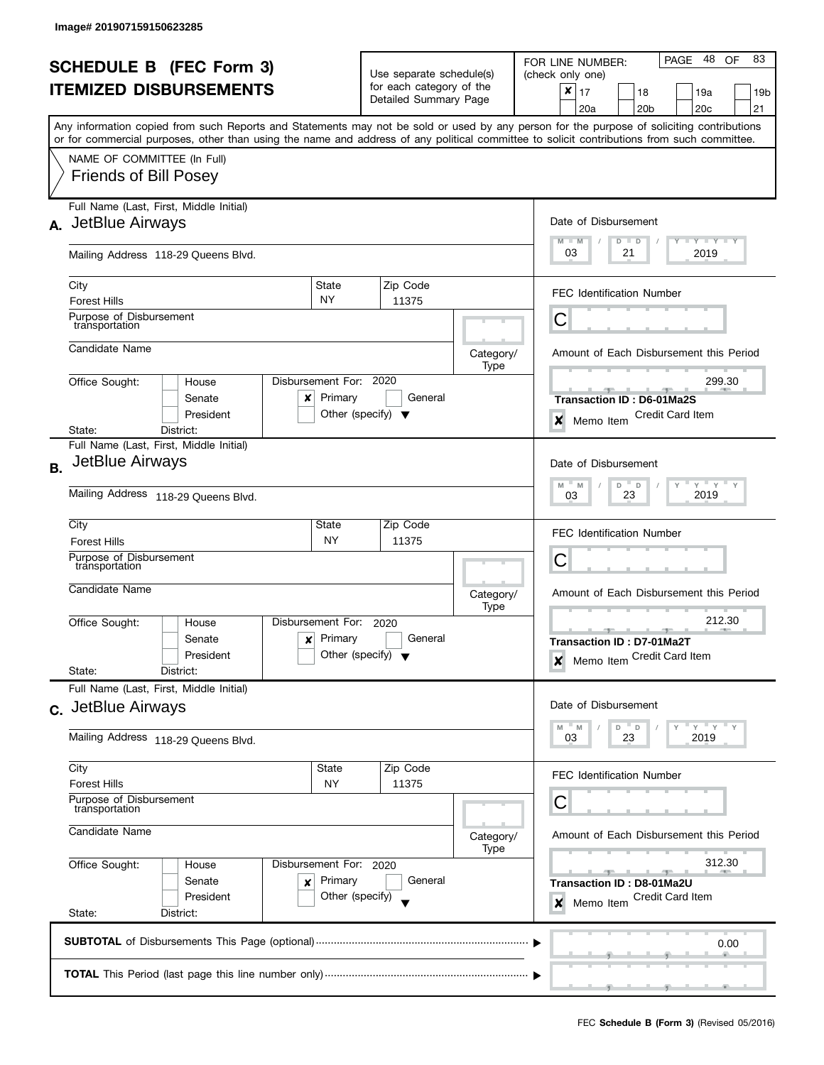|                                                                 |                                                                                                                                                                                                                                                                                         |                                                                    |                                      |                             | PAGE 48<br>83<br>OF<br>FOR LINE NUMBER:                                        |  |  |
|-----------------------------------------------------------------|-----------------------------------------------------------------------------------------------------------------------------------------------------------------------------------------------------------------------------------------------------------------------------------------|--------------------------------------------------------------------|--------------------------------------|-----------------------------|--------------------------------------------------------------------------------|--|--|
| <b>SCHEDULE B (FEC Form 3)</b><br><b>ITEMIZED DISBURSEMENTS</b> |                                                                                                                                                                                                                                                                                         |                                                                    | Use separate schedule(s)             |                             | (check only one)                                                               |  |  |
|                                                                 |                                                                                                                                                                                                                                                                                         | for each category of the<br>Detailed Summary Page                  |                                      | X<br>17<br>18<br>19a<br>19b |                                                                                |  |  |
|                                                                 |                                                                                                                                                                                                                                                                                         |                                                                    |                                      |                             | 20 <sub>b</sub><br>20c<br>21<br>20a                                            |  |  |
|                                                                 | Any information copied from such Reports and Statements may not be sold or used by any person for the purpose of soliciting contributions<br>or for commercial purposes, other than using the name and address of any political committee to solicit contributions from such committee. |                                                                    |                                      |                             |                                                                                |  |  |
|                                                                 | NAME OF COMMITTEE (In Full)                                                                                                                                                                                                                                                             |                                                                    |                                      |                             |                                                                                |  |  |
|                                                                 | <b>Friends of Bill Posey</b>                                                                                                                                                                                                                                                            |                                                                    |                                      |                             |                                                                                |  |  |
|                                                                 | Full Name (Last, First, Middle Initial)                                                                                                                                                                                                                                                 |                                                                    |                                      |                             |                                                                                |  |  |
|                                                                 | A. JetBlue Airways                                                                                                                                                                                                                                                                      |                                                                    |                                      |                             | Date of Disbursement                                                           |  |  |
|                                                                 | Mailing Address 118-29 Queens Blvd.                                                                                                                                                                                                                                                     |                                                                    |                                      |                             | Y Y FY FY<br>$M - M$<br>$D$ $D$<br>03<br>21<br>2019                            |  |  |
|                                                                 | City                                                                                                                                                                                                                                                                                    | State                                                              | Zip Code                             |                             | <b>FEC Identification Number</b>                                               |  |  |
|                                                                 | <b>Forest Hills</b>                                                                                                                                                                                                                                                                     | <b>NY</b>                                                          | 11375                                |                             |                                                                                |  |  |
|                                                                 | Purpose of Disbursement<br>transportation                                                                                                                                                                                                                                               |                                                                    |                                      |                             | С                                                                              |  |  |
|                                                                 | Candidate Name                                                                                                                                                                                                                                                                          |                                                                    |                                      | Category/<br>Type           | Amount of Each Disbursement this Period                                        |  |  |
|                                                                 | Office Sought:<br>House                                                                                                                                                                                                                                                                 | Disbursement For:                                                  | 2020                                 |                             | 299.30                                                                         |  |  |
|                                                                 | Senate<br>x                                                                                                                                                                                                                                                                             | Primary                                                            | General                              |                             | <b>Transaction ID: D6-01Ma2S</b>                                               |  |  |
|                                                                 | President                                                                                                                                                                                                                                                                               |                                                                    | Other (specify) $\blacktriangledown$ |                             | <b>Credit Card Item</b><br>X<br>Memo Item                                      |  |  |
|                                                                 | District:<br>State:                                                                                                                                                                                                                                                                     |                                                                    |                                      |                             |                                                                                |  |  |
|                                                                 | Full Name (Last, First, Middle Initial)<br>JetBlue Airways                                                                                                                                                                                                                              |                                                                    |                                      |                             | Date of Disbursement                                                           |  |  |
| <b>B.</b>                                                       |                                                                                                                                                                                                                                                                                         |                                                                    |                                      |                             |                                                                                |  |  |
|                                                                 | Mailing Address 118-29 Queens Blvd.                                                                                                                                                                                                                                                     | $Y = Y - Y$<br>M<br>D<br>$\mathsf D$<br>Y<br>M<br>2019<br>23<br>03 |                                      |                             |                                                                                |  |  |
|                                                                 | City                                                                                                                                                                                                                                                                                    | State                                                              | Zip Code                             |                             |                                                                                |  |  |
|                                                                 | <b>Forest Hills</b>                                                                                                                                                                                                                                                                     | <b>NY</b>                                                          | 11375                                |                             | <b>FEC Identification Number</b>                                               |  |  |
|                                                                 | Purpose of Disbursement<br>transportation                                                                                                                                                                                                                                               |                                                                    |                                      |                             | С                                                                              |  |  |
|                                                                 | Candidate Name                                                                                                                                                                                                                                                                          |                                                                    |                                      | Category/                   | Amount of Each Disbursement this Period                                        |  |  |
|                                                                 | Office Sought:<br>House                                                                                                                                                                                                                                                                 | Disbursement For:                                                  | 2020                                 | Type                        | 212.30                                                                         |  |  |
|                                                                 | Senate<br>x                                                                                                                                                                                                                                                                             | Primary                                                            | General                              |                             | Transaction ID: D7-01Ma2T                                                      |  |  |
|                                                                 | President                                                                                                                                                                                                                                                                               |                                                                    | Other (specify) $\blacktriangledown$ |                             | Memo Item Credit Card Item<br>$\boldsymbol{x}$                                 |  |  |
|                                                                 | State:<br>District:                                                                                                                                                                                                                                                                     |                                                                    |                                      |                             |                                                                                |  |  |
|                                                                 | Full Name (Last, First, Middle Initial)<br>c. JetBlue Airways                                                                                                                                                                                                                           |                                                                    |                                      |                             | Date of Disbursement                                                           |  |  |
|                                                                 |                                                                                                                                                                                                                                                                                         |                                                                    |                                      |                             | $\mathsf{Y}$ $\mathsf{Y}$ $\mathsf{Y}$ $\mathsf{Y}$<br>M<br>" M<br>D<br>$^-$ D |  |  |
|                                                                 | Mailing Address 118-29 Queens Blvd.                                                                                                                                                                                                                                                     |                                                                    |                                      |                             | 03<br>23<br>2019                                                               |  |  |
|                                                                 | City                                                                                                                                                                                                                                                                                    | State                                                              | Zip Code                             |                             | FEC Identification Number                                                      |  |  |
|                                                                 | <b>Forest Hills</b><br>Purpose of Disbursement                                                                                                                                                                                                                                          | NY                                                                 | 11375                                |                             |                                                                                |  |  |
| transportation<br>Candidate Name                                |                                                                                                                                                                                                                                                                                         |                                                                    |                                      |                             | С                                                                              |  |  |
|                                                                 |                                                                                                                                                                                                                                                                                         |                                                                    |                                      | Category/<br>Type           | Amount of Each Disbursement this Period                                        |  |  |
| Office Sought:<br>Disbursement For: 2020<br>House               |                                                                                                                                                                                                                                                                                         |                                                                    |                                      | 312.30                      |                                                                                |  |  |
| Primary<br>Senate<br>×                                          |                                                                                                                                                                                                                                                                                         |                                                                    | General                              |                             | Transaction ID: D8-01Ma2U                                                      |  |  |
|                                                                 | President                                                                                                                                                                                                                                                                               | Other (specify)                                                    |                                      |                             | Credit Card Item<br>Memo Item<br>×                                             |  |  |
|                                                                 | State:<br>District:                                                                                                                                                                                                                                                                     |                                                                    |                                      |                             |                                                                                |  |  |
|                                                                 |                                                                                                                                                                                                                                                                                         |                                                                    |                                      |                             | 0.00                                                                           |  |  |
|                                                                 |                                                                                                                                                                                                                                                                                         |                                                                    |                                      |                             |                                                                                |  |  |
|                                                                 |                                                                                                                                                                                                                                                                                         |                                                                    |                                      |                             |                                                                                |  |  |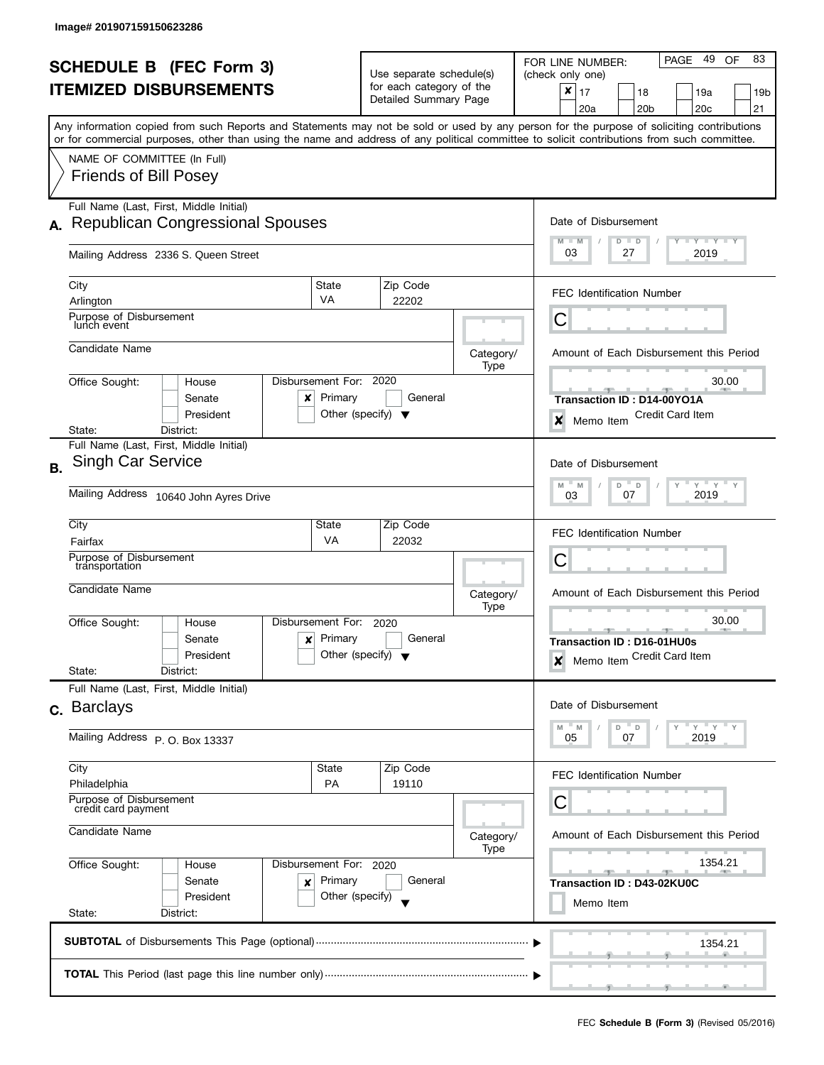| <b>SCHEDULE B (FEC Form 3)</b><br><b>ITEMIZED DISBURSEMENTS</b> |                                                                                                                                                                                                                                                                                         |                                                                     | Use separate schedule(s)<br>for each category of the |                            | - 49<br>83<br>OF<br>PAGE<br>FOR LINE NUMBER:<br>(check only one)               |
|-----------------------------------------------------------------|-----------------------------------------------------------------------------------------------------------------------------------------------------------------------------------------------------------------------------------------------------------------------------------------|---------------------------------------------------------------------|------------------------------------------------------|----------------------------|--------------------------------------------------------------------------------|
|                                                                 |                                                                                                                                                                                                                                                                                         |                                                                     | Detailed Summary Page                                |                            | ×<br>17<br>18<br>19a<br>19b<br>20 <sub>b</sub><br>20 <sub>c</sub><br>21<br>20a |
|                                                                 | Any information copied from such Reports and Statements may not be sold or used by any person for the purpose of soliciting contributions<br>or for commercial purposes, other than using the name and address of any political committee to solicit contributions from such committee. |                                                                     |                                                      |                            |                                                                                |
|                                                                 | NAME OF COMMITTEE (In Full)<br><b>Friends of Bill Posey</b>                                                                                                                                                                                                                             |                                                                     |                                                      |                            |                                                                                |
|                                                                 | Full Name (Last, First, Middle Initial)                                                                                                                                                                                                                                                 |                                                                     |                                                      |                            |                                                                                |
| А.                                                              | <b>Republican Congressional Spouses</b>                                                                                                                                                                                                                                                 |                                                                     |                                                      |                            | Date of Disbursement<br>$T$ $Y$ $T$ $Y$ $T$ $Y$<br>$M - M$<br>$D$ $D$          |
|                                                                 | Mailing Address 2336 S. Queen Street                                                                                                                                                                                                                                                    |                                                                     |                                                      |                            | 03<br>27<br>2019                                                               |
|                                                                 | City                                                                                                                                                                                                                                                                                    | State<br><b>VA</b>                                                  | Zip Code                                             |                            | <b>FEC Identification Number</b>                                               |
|                                                                 | Arlington<br>Purpose of Disbursement<br>lunch event                                                                                                                                                                                                                                     |                                                                     | 22202                                                |                            | С                                                                              |
|                                                                 | Candidate Name                                                                                                                                                                                                                                                                          |                                                                     |                                                      | Category/                  | Amount of Each Disbursement this Period                                        |
|                                                                 | Disbursement For:<br>Office Sought:<br>House                                                                                                                                                                                                                                            |                                                                     | 2020                                                 | Type                       | 30.00                                                                          |
|                                                                 | Senate<br>x<br>President                                                                                                                                                                                                                                                                | Primary<br>Other (specify) $\blacktriangledown$                     | General                                              |                            | Transaction ID: D14-00YO1A<br><b>Credit Card Item</b><br>×<br>Memo Item        |
|                                                                 | State:<br>District:                                                                                                                                                                                                                                                                     |                                                                     |                                                      |                            |                                                                                |
| <b>B.</b>                                                       | Full Name (Last, First, Middle Initial)<br><b>Singh Car Service</b>                                                                                                                                                                                                                     |                                                                     |                                                      |                            | Date of Disbursement                                                           |
|                                                                 | Mailing Address 10640 John Ayres Drive                                                                                                                                                                                                                                                  | $Y$ $Y$ $Y$<br>$M$ $-$<br>D<br>$\Box$<br>Y<br>M<br>2019<br>07<br>03 |                                                      |                            |                                                                                |
|                                                                 | City                                                                                                                                                                                                                                                                                    | State                                                               | Zip Code                                             |                            | <b>FEC Identification Number</b>                                               |
|                                                                 | Fairfax<br>Purpose of Disbursement                                                                                                                                                                                                                                                      | <b>VA</b>                                                           | 22032                                                |                            |                                                                                |
|                                                                 | transportation                                                                                                                                                                                                                                                                          |                                                                     |                                                      |                            | С                                                                              |
|                                                                 | Candidate Name                                                                                                                                                                                                                                                                          |                                                                     |                                                      | Category/<br>Type          | Amount of Each Disbursement this Period                                        |
|                                                                 | Disbursement For:<br>Office Sought:<br>House                                                                                                                                                                                                                                            |                                                                     | 2020                                                 |                            | 30.00<br>$-1-$                                                                 |
|                                                                 | Senate<br>x<br>President<br>State:<br>District:                                                                                                                                                                                                                                         | Primary<br>Other (specify) $\blacktriangledown$                     | General                                              |                            | Transaction ID: D16-01HU0s<br>Memo Item Credit Card Item<br>$\boldsymbol{x}$   |
|                                                                 | Full Name (Last, First, Middle Initial)                                                                                                                                                                                                                                                 |                                                                     |                                                      |                            |                                                                                |
|                                                                 | c. Barclays                                                                                                                                                                                                                                                                             |                                                                     |                                                      |                            | Date of Disbursement                                                           |
|                                                                 | Mailing Address P.O. Box 13337                                                                                                                                                                                                                                                          |                                                                     |                                                      |                            | $Y$ $Y$<br>$\overline{a}$<br>M<br>- M<br>D<br>2019<br>05<br>07                 |
|                                                                 | City<br>Philadelphia                                                                                                                                                                                                                                                                    | State<br><b>PA</b>                                                  | Zip Code<br>19110                                    |                            | FEC Identification Number                                                      |
|                                                                 | Purpose of Disbursement<br>credit card payment                                                                                                                                                                                                                                          |                                                                     |                                                      |                            | С                                                                              |
|                                                                 | Candidate Name                                                                                                                                                                                                                                                                          |                                                                     |                                                      | Category/<br>Type          | Amount of Each Disbursement this Period                                        |
|                                                                 | Office Sought:<br>Disbursement For: 2020<br>House<br>Primary                                                                                                                                                                                                                            |                                                                     |                                                      |                            | 1354.21                                                                        |
|                                                                 | Senate<br>×<br>President                                                                                                                                                                                                                                                                | General<br>Other (specify)                                          |                                                      | Transaction ID: D43-02KU0C |                                                                                |
|                                                                 | State:<br>District:                                                                                                                                                                                                                                                                     |                                                                     |                                                      |                            | Memo Item                                                                      |
|                                                                 |                                                                                                                                                                                                                                                                                         |                                                                     |                                                      |                            | 1354.21                                                                        |
|                                                                 |                                                                                                                                                                                                                                                                                         |                                                                     |                                                      |                            |                                                                                |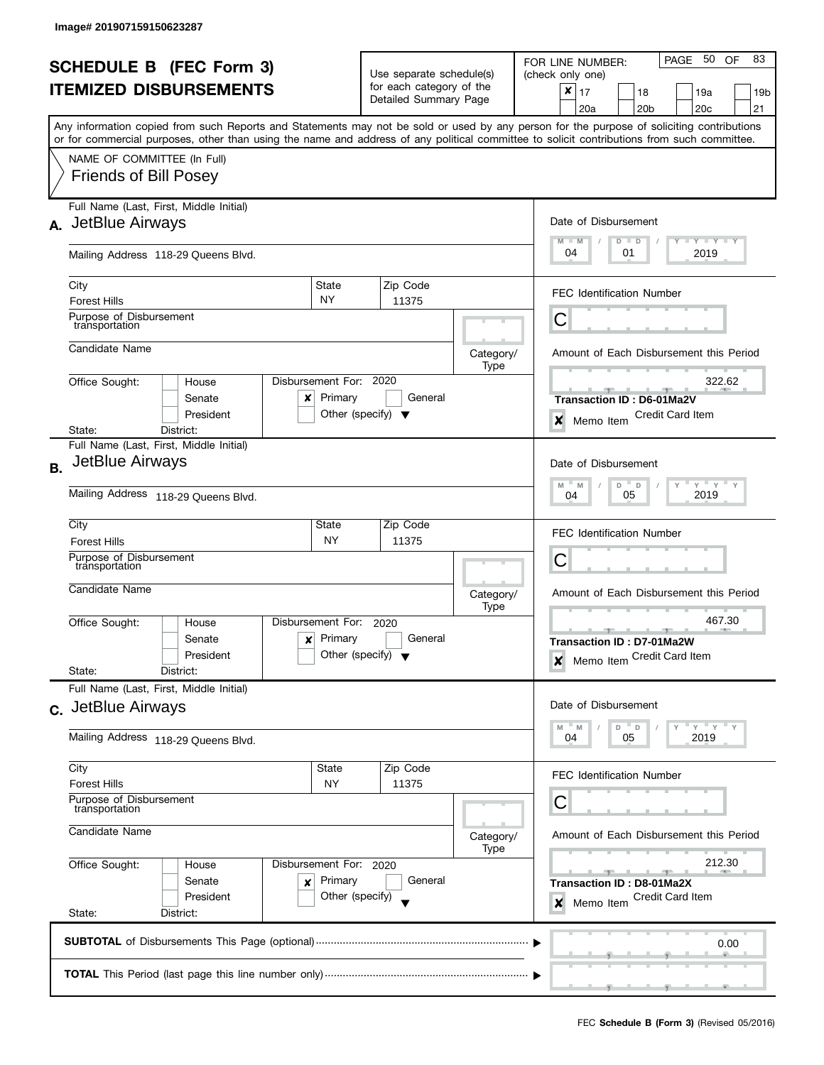|                                                                 |                                                                                                                                            |                                                |                          | PAGE 50<br>83<br>OF<br>FOR LINE NUMBER: |                                                         |  |
|-----------------------------------------------------------------|--------------------------------------------------------------------------------------------------------------------------------------------|------------------------------------------------|--------------------------|-----------------------------------------|---------------------------------------------------------|--|
| <b>SCHEDULE B</b> (FEC Form 3)<br><b>ITEMIZED DISBURSEMENTS</b> |                                                                                                                                            |                                                | Use separate schedule(s) |                                         | (check only one)                                        |  |
|                                                                 |                                                                                                                                            |                                                | for each category of the |                                         | ×<br>17<br>18<br>19a<br>19b                             |  |
|                                                                 |                                                                                                                                            |                                                | Detailed Summary Page    |                                         | 20a<br>20 <sub>b</sub><br>20c<br>21                     |  |
|                                                                 | Any information copied from such Reports and Statements may not be sold or used by any person for the purpose of soliciting contributions  |                                                |                          |                                         |                                                         |  |
|                                                                 | or for commercial purposes, other than using the name and address of any political committee to solicit contributions from such committee. |                                                |                          |                                         |                                                         |  |
|                                                                 | NAME OF COMMITTEE (In Full)                                                                                                                |                                                |                          |                                         |                                                         |  |
|                                                                 | <b>Friends of Bill Posey</b>                                                                                                               |                                                |                          |                                         |                                                         |  |
|                                                                 |                                                                                                                                            |                                                |                          |                                         |                                                         |  |
|                                                                 | Full Name (Last, First, Middle Initial)                                                                                                    |                                                |                          |                                         |                                                         |  |
|                                                                 | A. JetBlue Airways                                                                                                                         |                                                |                          |                                         | Date of Disbursement                                    |  |
|                                                                 | Mailing Address 118-29 Queens Blvd.                                                                                                        |                                                |                          |                                         | Y TY TY TY<br>$M - M$<br>$D$ $D$<br>04<br>2019<br>01    |  |
|                                                                 |                                                                                                                                            |                                                |                          |                                         |                                                         |  |
|                                                                 | City                                                                                                                                       | State                                          | Zip Code                 |                                         |                                                         |  |
|                                                                 | <b>Forest Hills</b>                                                                                                                        | NY.                                            | 11375                    |                                         | <b>FEC Identification Number</b>                        |  |
|                                                                 | Purpose of Disbursement<br>transportation                                                                                                  |                                                |                          |                                         | С                                                       |  |
|                                                                 |                                                                                                                                            |                                                |                          |                                         |                                                         |  |
|                                                                 | Candidate Name                                                                                                                             |                                                |                          | Category/                               | Amount of Each Disbursement this Period                 |  |
|                                                                 | Office Sought:<br>House                                                                                                                    | Disbursement For:                              | 2020                     | Type                                    | 322.62                                                  |  |
|                                                                 | Senate<br>x                                                                                                                                | Primary                                        | General                  |                                         | Transaction ID: D6-01Ma2V                               |  |
|                                                                 | President                                                                                                                                  | Other (specify) $\blacktriangledown$           |                          |                                         | <b>Credit Card Item</b>                                 |  |
|                                                                 | District:<br>State:                                                                                                                        |                                                |                          |                                         | ×<br>Memo Item                                          |  |
|                                                                 | Full Name (Last, First, Middle Initial)                                                                                                    |                                                |                          |                                         |                                                         |  |
| <b>B.</b>                                                       | JetBlue Airways                                                                                                                            |                                                |                          |                                         | Date of Disbursement                                    |  |
|                                                                 |                                                                                                                                            | $Y$ $Y$ $Y$<br>Y<br>M<br>D<br>$\mathsf D$<br>M |                          |                                         |                                                         |  |
|                                                                 | Mailing Address 118-29 Queens Blvd.                                                                                                        | 2019<br>05<br>04                               |                          |                                         |                                                         |  |
|                                                                 | City                                                                                                                                       | State                                          | Zip Code                 |                                         |                                                         |  |
|                                                                 | <b>Forest Hills</b>                                                                                                                        | <b>NY</b>                                      | 11375                    |                                         | <b>FEC Identification Number</b>                        |  |
|                                                                 | Purpose of Disbursement                                                                                                                    | С                                              |                          |                                         |                                                         |  |
|                                                                 | transportation                                                                                                                             |                                                |                          |                                         |                                                         |  |
|                                                                 | Candidate Name                                                                                                                             |                                                |                          | Category/                               | Amount of Each Disbursement this Period                 |  |
|                                                                 |                                                                                                                                            | Disbursement For:                              | 2020                     | Type                                    | 467.30                                                  |  |
|                                                                 | Office Sought:<br>House<br>Senate<br>x                                                                                                     | Primary                                        | General                  |                                         | $-1$                                                    |  |
|                                                                 | President                                                                                                                                  | Other (specify) $\blacktriangledown$           |                          |                                         | Transaction ID: D7-01Ma2W<br>Memo Item Credit Card Item |  |
|                                                                 | State:<br>District:                                                                                                                        |                                                |                          |                                         | $\boldsymbol{x}$                                        |  |
|                                                                 | Full Name (Last, First, Middle Initial)                                                                                                    |                                                |                          |                                         |                                                         |  |
|                                                                 | c. JetBlue Airways                                                                                                                         |                                                |                          |                                         | Date of Disbursement                                    |  |
|                                                                 |                                                                                                                                            |                                                |                          |                                         | Y<br>$-Y$<br>D<br>D<br>M<br>- M                         |  |
|                                                                 | Mailing Address 118-29 Queens Blvd.                                                                                                        |                                                |                          |                                         | 05<br>2019<br>04                                        |  |
|                                                                 | City                                                                                                                                       | <b>State</b>                                   | Zip Code                 |                                         |                                                         |  |
|                                                                 | <b>Forest Hills</b>                                                                                                                        | NY                                             | 11375                    |                                         | <b>FEC Identification Number</b>                        |  |
|                                                                 | Purpose of Disbursement                                                                                                                    |                                                |                          |                                         | С                                                       |  |
|                                                                 | transportation                                                                                                                             |                                                |                          |                                         |                                                         |  |
|                                                                 | Candidate Name<br>Office Sought:<br>Disbursement For: 2020<br>House<br>Senate<br>Primary<br>×<br>President<br>Other (specify)              |                                                |                          | Category/                               | Amount of Each Disbursement this Period                 |  |
|                                                                 |                                                                                                                                            |                                                |                          | Type                                    |                                                         |  |
|                                                                 |                                                                                                                                            |                                                |                          |                                         | 212.30                                                  |  |
|                                                                 |                                                                                                                                            |                                                | General                  |                                         | Transaction ID: D8-01Ma2X<br>Credit Card Item           |  |
|                                                                 | State:<br>District:                                                                                                                        |                                                |                          | Memo Item<br>×                          |                                                         |  |
|                                                                 |                                                                                                                                            |                                                |                          |                                         |                                                         |  |
|                                                                 |                                                                                                                                            |                                                | 0.00                     |                                         |                                                         |  |
|                                                                 |                                                                                                                                            |                                                |                          |                                         |                                                         |  |
|                                                                 |                                                                                                                                            |                                                |                          |                                         |                                                         |  |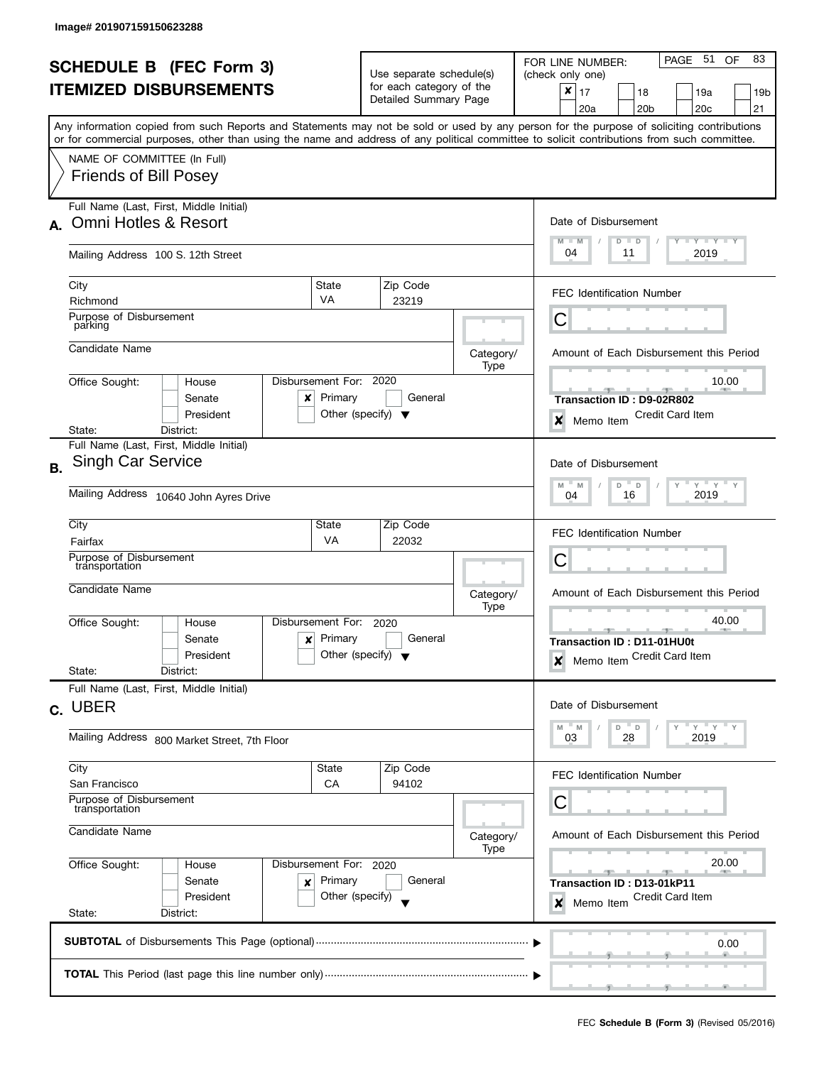| <b>SCHEDULE B (FEC Form 3)</b> |                                                                                                                                            |                                                                |                                                      |                   | PAGE 51<br>83<br><b>OF</b><br>FOR LINE NUMBER:                    |  |  |
|--------------------------------|--------------------------------------------------------------------------------------------------------------------------------------------|----------------------------------------------------------------|------------------------------------------------------|-------------------|-------------------------------------------------------------------|--|--|
| <b>ITEMIZED DISBURSEMENTS</b>  |                                                                                                                                            |                                                                | Use separate schedule(s)<br>for each category of the |                   | (check only one)<br>$\pmb{\times}$                                |  |  |
|                                |                                                                                                                                            |                                                                | Detailed Summary Page                                |                   | 17<br>18<br>19a<br>19b<br>21<br>20a<br>20 <sub>b</sub><br>20c     |  |  |
|                                | Any information copied from such Reports and Statements may not be sold or used by any person for the purpose of soliciting contributions  |                                                                |                                                      |                   |                                                                   |  |  |
|                                | or for commercial purposes, other than using the name and address of any political committee to solicit contributions from such committee. |                                                                |                                                      |                   |                                                                   |  |  |
|                                | NAME OF COMMITTEE (In Full)<br><b>Friends of Bill Posey</b>                                                                                |                                                                |                                                      |                   |                                                                   |  |  |
|                                | Full Name (Last, First, Middle Initial)                                                                                                    |                                                                |                                                      |                   |                                                                   |  |  |
| A.                             | Omni Hotles & Resort                                                                                                                       |                                                                |                                                      |                   | Date of Disbursement                                              |  |  |
|                                | Mailing Address 100 S. 12th Street                                                                                                         |                                                                |                                                      |                   | $T - Y$ $T - Y$ $T - Y$<br>$M - M$<br>$D$ $D$<br>04<br>11<br>2019 |  |  |
|                                | City                                                                                                                                       | State                                                          | Zip Code                                             |                   | <b>FEC Identification Number</b>                                  |  |  |
|                                | Richmond                                                                                                                                   | <b>VA</b>                                                      | 23219                                                |                   |                                                                   |  |  |
|                                | Purpose of Disbursement<br>parking                                                                                                         |                                                                |                                                      |                   | С                                                                 |  |  |
|                                | Candidate Name                                                                                                                             |                                                                |                                                      | Category/         | Amount of Each Disbursement this Period                           |  |  |
|                                | House                                                                                                                                      | Disbursement For: 2020                                         |                                                      | Type              | 10.00                                                             |  |  |
|                                | Office Sought:<br>Senate<br>x                                                                                                              | Primary                                                        | General                                              |                   | Transaction ID: D9-02R802                                         |  |  |
|                                | President                                                                                                                                  |                                                                | Other (specify) $\blacktriangledown$                 |                   | <b>Credit Card Item</b><br>$\boldsymbol{x}$<br>Memo Item          |  |  |
|                                | District:<br>State:                                                                                                                        |                                                                |                                                      |                   |                                                                   |  |  |
| <b>B.</b>                      | Full Name (Last, First, Middle Initial)<br><b>Singh Car Service</b>                                                                        |                                                                |                                                      |                   | Date of Disbursement                                              |  |  |
|                                | Mailing Address 10640 John Ayres Drive                                                                                                     | $Y$ $Y$<br>M<br>D<br>$\mathsf D$<br>Υ<br>M<br>2019<br>16<br>04 |                                                      |                   |                                                                   |  |  |
|                                |                                                                                                                                            |                                                                |                                                      |                   |                                                                   |  |  |
|                                | City                                                                                                                                       | State                                                          | Zip Code                                             |                   | <b>FEC Identification Number</b>                                  |  |  |
|                                | Fairfax<br>Purpose of Disbursement                                                                                                         | <b>VA</b>                                                      | 22032                                                |                   | C                                                                 |  |  |
|                                | transportation                                                                                                                             |                                                                |                                                      |                   |                                                                   |  |  |
|                                | Candidate Name                                                                                                                             |                                                                |                                                      | Category/<br>Type | Amount of Each Disbursement this Period                           |  |  |
|                                | Office Sought:<br>House                                                                                                                    | Disbursement For:                                              | 2020                                                 |                   | 40.00<br>$\overline{\phantom{a}}$                                 |  |  |
|                                | Senate<br>x                                                                                                                                | Primary                                                        | General                                              |                   | Transaction ID: D11-01HU0t                                        |  |  |
|                                | President<br>State:<br>District:                                                                                                           |                                                                | Other (specify) $\blacktriangledown$                 |                   | Memo Item Credit Card Item<br>$\boldsymbol{x}$                    |  |  |
|                                | Full Name (Last, First, Middle Initial)                                                                                                    |                                                                |                                                      |                   |                                                                   |  |  |
|                                | c. UBER                                                                                                                                    |                                                                |                                                      |                   | Date of Disbursement                                              |  |  |
|                                | Mailing Address 800 Market Street, 7th Floor                                                                                               |                                                                |                                                      |                   | $Y = Y$<br>$^{\circ}$ D<br>M<br>" M<br>D<br>2019<br>03<br>28      |  |  |
|                                |                                                                                                                                            |                                                                |                                                      |                   |                                                                   |  |  |
|                                | City<br>San Francisco                                                                                                                      | State<br>CA                                                    | Zip Code<br>94102                                    |                   | <b>FEC Identification Number</b>                                  |  |  |
|                                | Purpose of Disbursement                                                                                                                    |                                                                |                                                      |                   | С                                                                 |  |  |
|                                | transportation                                                                                                                             |                                                                |                                                      |                   |                                                                   |  |  |
|                                | Candidate Name                                                                                                                             |                                                                |                                                      | Category/<br>Type | Amount of Each Disbursement this Period                           |  |  |
|                                | Office Sought:<br>Disbursement For: 2020<br>House<br>Senate<br>Primary<br>×                                                                |                                                                |                                                      |                   | 20.00                                                             |  |  |
|                                |                                                                                                                                            |                                                                | General                                              |                   | $-1$<br>Transaction ID: D13-01kP11                                |  |  |
|                                | President                                                                                                                                  | Other (specify)                                                |                                                      |                   | Credit Card Item<br>Memo Item<br>×                                |  |  |
|                                | State:<br>District:                                                                                                                        |                                                                |                                                      |                   |                                                                   |  |  |
|                                |                                                                                                                                            |                                                                |                                                      |                   | 0.00                                                              |  |  |
|                                |                                                                                                                                            |                                                                |                                                      |                   |                                                                   |  |  |
|                                |                                                                                                                                            |                                                                |                                                      |                   |                                                                   |  |  |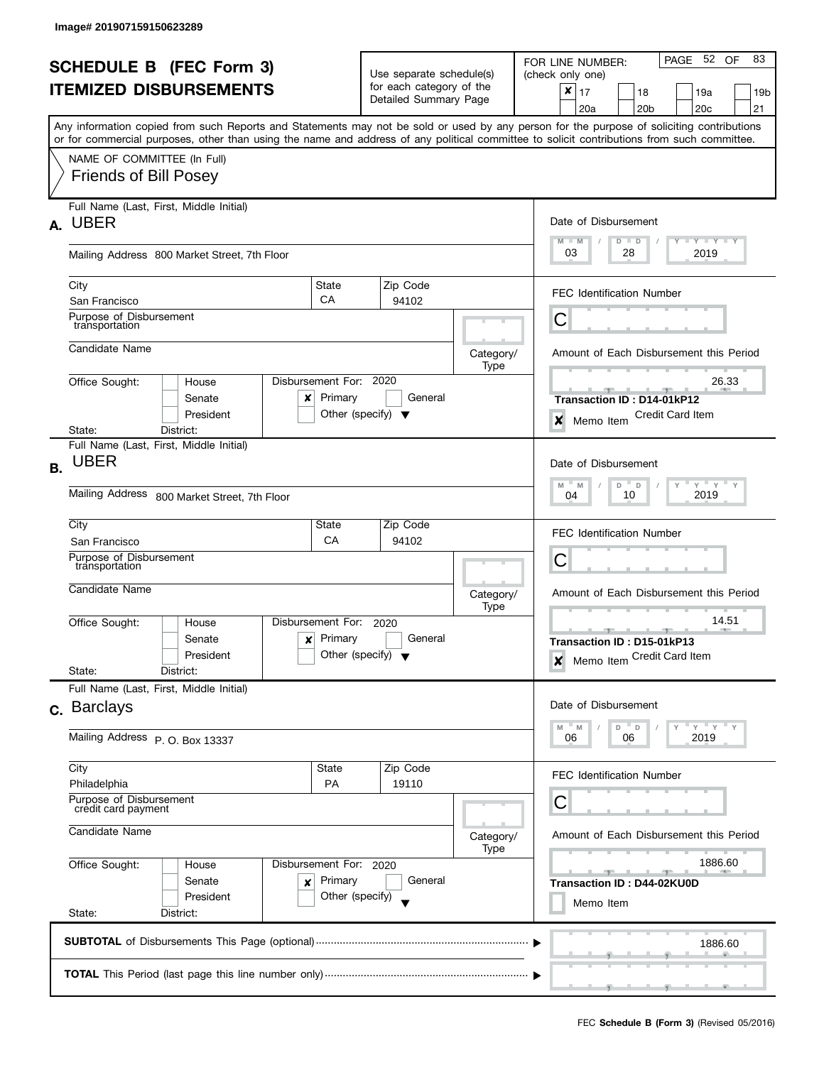|                                                                 |                                                                                                                                            |                                                 |                                                                              |                       |           | PAGE 52 OF<br>83<br>FOR LINE NUMBER:                   |
|-----------------------------------------------------------------|--------------------------------------------------------------------------------------------------------------------------------------------|-------------------------------------------------|------------------------------------------------------------------------------|-----------------------|-----------|--------------------------------------------------------|
| <b>SCHEDULE B (FEC Form 3)</b><br><b>ITEMIZED DISBURSEMENTS</b> |                                                                                                                                            |                                                 | Use separate schedule(s)<br>for each category of the                         |                       |           | (check only one)                                       |
|                                                                 |                                                                                                                                            |                                                 |                                                                              |                       |           | ×<br>17<br>18<br>19a<br>19b                            |
|                                                                 |                                                                                                                                            |                                                 |                                                                              | Detailed Summary Page |           | 20a<br>20 <sub>b</sub><br>20c<br>21                    |
|                                                                 | Any information copied from such Reports and Statements may not be sold or used by any person for the purpose of soliciting contributions  |                                                 |                                                                              |                       |           |                                                        |
|                                                                 | or for commercial purposes, other than using the name and address of any political committee to solicit contributions from such committee. |                                                 |                                                                              |                       |           |                                                        |
|                                                                 | NAME OF COMMITTEE (In Full)                                                                                                                |                                                 |                                                                              |                       |           |                                                        |
|                                                                 | <b>Friends of Bill Posey</b>                                                                                                               |                                                 |                                                                              |                       |           |                                                        |
|                                                                 | Full Name (Last, First, Middle Initial)                                                                                                    |                                                 |                                                                              |                       |           |                                                        |
| А.                                                              | <b>UBER</b>                                                                                                                                |                                                 |                                                                              |                       |           | Date of Disbursement                                   |
|                                                                 |                                                                                                                                            |                                                 |                                                                              |                       |           | Y TY TY TY<br>$M - M$<br>$D$ $D$                       |
|                                                                 | Mailing Address 800 Market Street, 7th Floor                                                                                               |                                                 |                                                                              |                       |           | 03<br>28<br>2019                                       |
|                                                                 |                                                                                                                                            |                                                 |                                                                              |                       |           |                                                        |
|                                                                 | City<br>San Francisco                                                                                                                      | State<br>CA                                     |                                                                              | Zip Code<br>94102     |           | <b>FEC Identification Number</b>                       |
|                                                                 | Purpose of Disbursement                                                                                                                    |                                                 |                                                                              |                       |           | С                                                      |
|                                                                 | transportation                                                                                                                             |                                                 |                                                                              |                       |           |                                                        |
|                                                                 | Candidate Name                                                                                                                             |                                                 |                                                                              |                       | Category/ | Amount of Each Disbursement this Period                |
|                                                                 |                                                                                                                                            |                                                 |                                                                              |                       | Type      |                                                        |
|                                                                 | Office Sought:<br>House                                                                                                                    | Disbursement For:                               |                                                                              | 2020                  |           | 26.33                                                  |
|                                                                 | Senate<br>x<br>President                                                                                                                   | Primary<br>Other (specify) $\blacktriangledown$ |                                                                              | General               |           | Transaction ID: D14-01kP12<br><b>Credit Card Item</b>  |
|                                                                 | State:<br>District:                                                                                                                        |                                                 |                                                                              |                       |           | ×<br>Memo Item                                         |
|                                                                 | Full Name (Last, First, Middle Initial)                                                                                                    |                                                 |                                                                              |                       |           |                                                        |
| В.                                                              | <b>UBER</b>                                                                                                                                |                                                 |                                                                              |                       |           | Date of Disbursement                                   |
|                                                                 |                                                                                                                                            | $Y$ $Y$ $Y$<br>Y<br>M<br>D<br>$\mathsf D$<br>M  |                                                                              |                       |           |                                                        |
|                                                                 | Mailing Address 800 Market Street, 7th Floor                                                                                               | 2019<br>10<br>04                                |                                                                              |                       |           |                                                        |
|                                                                 | City                                                                                                                                       | State                                           |                                                                              | Zip Code              |           |                                                        |
|                                                                 | San Francisco                                                                                                                              | CA                                              |                                                                              | 94102                 |           | <b>FEC Identification Number</b>                       |
|                                                                 | Purpose of Disbursement<br>transportation                                                                                                  |                                                 |                                                                              |                       |           | С                                                      |
|                                                                 |                                                                                                                                            |                                                 | Category/<br>Type<br>2020<br>General<br>Other (specify) $\blacktriangledown$ |                       |           |                                                        |
|                                                                 | Candidate Name                                                                                                                             |                                                 |                                                                              |                       |           | Amount of Each Disbursement this Period                |
|                                                                 | Office Sought:<br>House                                                                                                                    | Disbursement For:                               |                                                                              |                       |           | 14.51                                                  |
|                                                                 | Senate<br>x                                                                                                                                | Primary                                         |                                                                              |                       |           | Transaction ID: D15-01kP13                             |
|                                                                 | President                                                                                                                                  |                                                 |                                                                              |                       |           | Memo Item Credit Card Item<br>$\boldsymbol{x}$         |
|                                                                 | State:<br>District:                                                                                                                        |                                                 |                                                                              |                       |           |                                                        |
|                                                                 | Full Name (Last, First, Middle Initial)                                                                                                    |                                                 |                                                                              |                       |           |                                                        |
|                                                                 | c. Barclays                                                                                                                                |                                                 |                                                                              |                       |           | Date of Disbursement                                   |
|                                                                 | Mailing Address P. O. Box 13337                                                                                                            |                                                 |                                                                              |                       |           | Y<br><u>"γ</u><br>D<br>D<br>M<br>M<br>2019<br>06<br>06 |
|                                                                 |                                                                                                                                            |                                                 |                                                                              |                       |           |                                                        |
|                                                                 | City                                                                                                                                       | <b>State</b>                                    |                                                                              | Zip Code              |           | <b>FEC Identification Number</b>                       |
|                                                                 | Philadelphia<br>Purpose of Disbursement                                                                                                    | PA                                              |                                                                              | 19110                 |           |                                                        |
| credit card payment                                             |                                                                                                                                            |                                                 |                                                                              |                       |           | С                                                      |
|                                                                 | Candidate Name                                                                                                                             |                                                 |                                                                              |                       | Category/ | Amount of Each Disbursement this Period                |
|                                                                 |                                                                                                                                            |                                                 |                                                                              |                       | Type      |                                                        |
| Office Sought:<br>House                                         |                                                                                                                                            | Disbursement For: 2020                          |                                                                              |                       |           | 1886.60                                                |
|                                                                 | Senate<br>Primary<br>×                                                                                                                     |                                                 |                                                                              | General               |           | Transaction ID: D44-02KU0D                             |
|                                                                 | President                                                                                                                                  | Other (specify)                                 |                                                                              |                       |           | Memo Item                                              |
|                                                                 | State:<br>District:                                                                                                                        |                                                 |                                                                              |                       |           |                                                        |
|                                                                 |                                                                                                                                            | 1886.60                                         |                                                                              |                       |           |                                                        |
|                                                                 |                                                                                                                                            |                                                 |                                                                              |                       |           |                                                        |
|                                                                 |                                                                                                                                            |                                                 |                                                                              |                       |           |                                                        |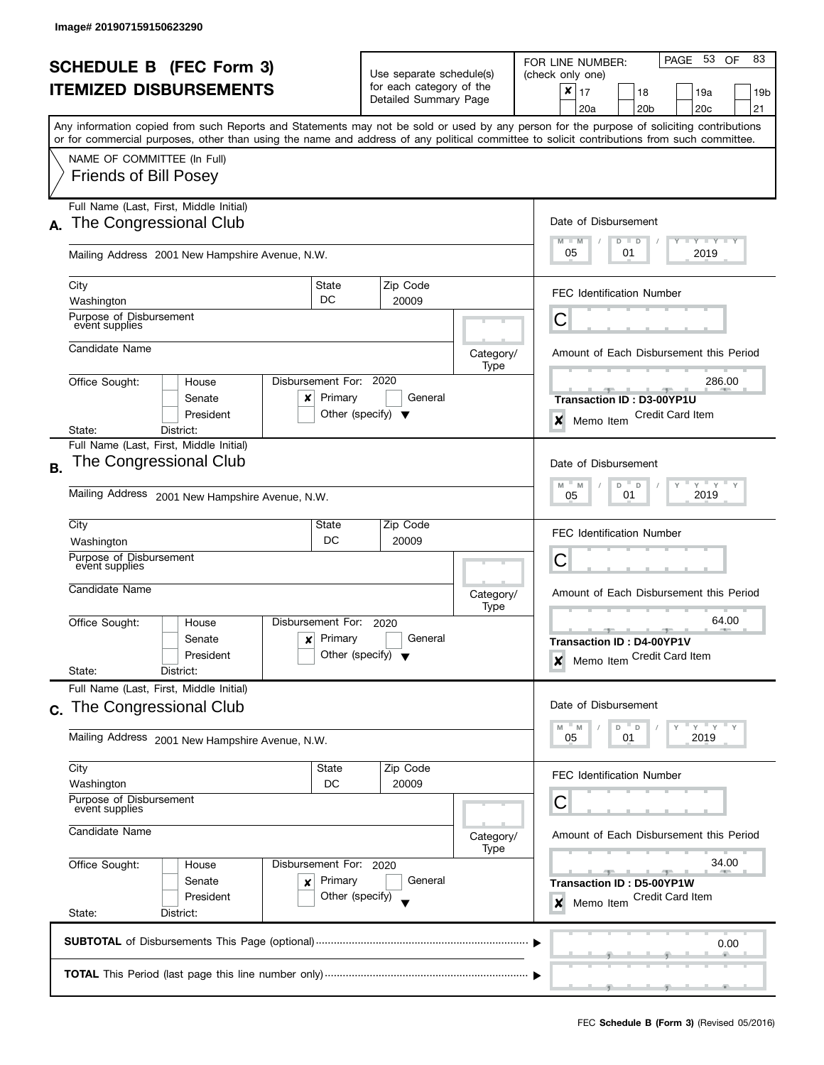|                                                     |                                                                                                                                            |                              |                                      |                   | PAGE 53 OF<br>83                                                                                                                          |  |  |
|-----------------------------------------------------|--------------------------------------------------------------------------------------------------------------------------------------------|------------------------------|--------------------------------------|-------------------|-------------------------------------------------------------------------------------------------------------------------------------------|--|--|
| <b>SCHEDULE B (FEC Form 3)</b>                      |                                                                                                                                            |                              | Use separate schedule(s)             |                   | FOR LINE NUMBER:<br>(check only one)                                                                                                      |  |  |
|                                                     | <b>ITEMIZED DISBURSEMENTS</b>                                                                                                              |                              | for each category of the             |                   | $\boldsymbol{x}$<br>17<br>18<br>19a<br>19b                                                                                                |  |  |
|                                                     |                                                                                                                                            |                              | Detailed Summary Page                |                   | 21<br>20a<br>20 <sub>b</sub><br>20 <sub>c</sub>                                                                                           |  |  |
|                                                     |                                                                                                                                            |                              |                                      |                   | Any information copied from such Reports and Statements may not be sold or used by any person for the purpose of soliciting contributions |  |  |
|                                                     | or for commercial purposes, other than using the name and address of any political committee to solicit contributions from such committee. |                              |                                      |                   |                                                                                                                                           |  |  |
|                                                     | NAME OF COMMITTEE (In Full)                                                                                                                |                              |                                      |                   |                                                                                                                                           |  |  |
|                                                     | <b>Friends of Bill Posey</b>                                                                                                               |                              |                                      |                   |                                                                                                                                           |  |  |
|                                                     | Full Name (Last, First, Middle Initial)                                                                                                    |                              |                                      |                   |                                                                                                                                           |  |  |
| А.                                                  | The Congressional Club                                                                                                                     |                              |                                      |                   | Date of Disbursement                                                                                                                      |  |  |
|                                                     |                                                                                                                                            |                              |                                      |                   | $T - Y = T - Y$<br>$M - M$<br>$D$ $D$                                                                                                     |  |  |
|                                                     | Mailing Address 2001 New Hampshire Avenue, N.W.                                                                                            |                              |                                      |                   | 05<br>01<br>2019                                                                                                                          |  |  |
|                                                     | City                                                                                                                                       | State                        | Zip Code                             |                   |                                                                                                                                           |  |  |
|                                                     | Washington                                                                                                                                 | DC                           | 20009                                |                   | <b>FEC Identification Number</b>                                                                                                          |  |  |
|                                                     | Purpose of Disbursement                                                                                                                    |                              |                                      |                   | С                                                                                                                                         |  |  |
|                                                     | event supplies                                                                                                                             |                              |                                      |                   |                                                                                                                                           |  |  |
|                                                     | Candidate Name                                                                                                                             |                              |                                      | Category/         | Amount of Each Disbursement this Period                                                                                                   |  |  |
|                                                     |                                                                                                                                            |                              |                                      | Type              |                                                                                                                                           |  |  |
|                                                     | Office Sought:<br>House<br>Senate<br>×                                                                                                     | Disbursement For:<br>Primary | 2020<br>General                      |                   | 286.00                                                                                                                                    |  |  |
|                                                     | President                                                                                                                                  |                              | Other (specify) $\blacktriangledown$ |                   | Transaction ID: D3-00YP1U<br><b>Credit Card Item</b>                                                                                      |  |  |
|                                                     | State:<br>District:                                                                                                                        |                              |                                      |                   | ×<br>Memo Item                                                                                                                            |  |  |
|                                                     | Full Name (Last, First, Middle Initial)                                                                                                    |                              |                                      |                   |                                                                                                                                           |  |  |
| Β.                                                  | The Congressional Club                                                                                                                     |                              |                                      |                   | Date of Disbursement                                                                                                                      |  |  |
|                                                     | Mailing Address                                                                                                                            |                              |                                      |                   | $Y$ $Y$ $Y$<br>Υ<br>M<br>D<br>D<br>M<br>2019<br>01                                                                                        |  |  |
|                                                     | 2001 New Hampshire Avenue, N.W.                                                                                                            | 05                           |                                      |                   |                                                                                                                                           |  |  |
|                                                     | City                                                                                                                                       | State                        | Zip Code                             |                   | <b>FEC Identification Number</b>                                                                                                          |  |  |
|                                                     | Washington                                                                                                                                 |                              |                                      |                   |                                                                                                                                           |  |  |
|                                                     | Purpose of Disbursement<br>event supplies                                                                                                  |                              |                                      |                   | С                                                                                                                                         |  |  |
|                                                     | Candidate Name                                                                                                                             |                              |                                      |                   |                                                                                                                                           |  |  |
|                                                     |                                                                                                                                            |                              |                                      | Category/<br>Type | Amount of Each Disbursement this Period                                                                                                   |  |  |
|                                                     | Office Sought:<br>House                                                                                                                    | Disbursement For:            | 2020                                 |                   | 64.00                                                                                                                                     |  |  |
|                                                     | Senate<br>×                                                                                                                                | Primary                      | General                              |                   | <b>COLLECTIVE</b><br>Transaction ID: D4-00YP1V                                                                                            |  |  |
|                                                     | President                                                                                                                                  |                              | Other (specify) $\blacktriangledown$ |                   | Memo Item Credit Card Item<br>X                                                                                                           |  |  |
|                                                     | State:<br>District:                                                                                                                        |                              |                                      |                   |                                                                                                                                           |  |  |
|                                                     | Full Name (Last, First, Middle Initial)                                                                                                    |                              |                                      |                   | Date of Disbursement                                                                                                                      |  |  |
| C.                                                  | The Congressional Club                                                                                                                     |                              |                                      |                   |                                                                                                                                           |  |  |
|                                                     | Mailing Address 2001 New Hampshire Avenue, N.W.                                                                                            |                              |                                      |                   | $-Y$<br>D<br>D<br>Y<br>M<br>M<br>2019<br>05<br>01                                                                                         |  |  |
|                                                     |                                                                                                                                            |                              |                                      |                   |                                                                                                                                           |  |  |
|                                                     | City                                                                                                                                       | State                        | Zip Code                             |                   | <b>FEC Identification Number</b>                                                                                                          |  |  |
|                                                     | Washington<br>Purpose of Disbursement                                                                                                      | DC                           | 20009                                |                   |                                                                                                                                           |  |  |
|                                                     | event supplies                                                                                                                             |                              |                                      |                   | С                                                                                                                                         |  |  |
|                                                     | Candidate Name                                                                                                                             |                              |                                      | Category/         | Amount of Each Disbursement this Period                                                                                                   |  |  |
|                                                     |                                                                                                                                            |                              |                                      | Type              |                                                                                                                                           |  |  |
|                                                     | Office Sought:<br>House                                                                                                                    | Disbursement For: 2020       |                                      |                   | 34.00                                                                                                                                     |  |  |
|                                                     | Senate<br>×                                                                                                                                | Primary                      | General                              |                   | Transaction ID: D5-00YP1W                                                                                                                 |  |  |
| President<br>Other (specify)<br>State:<br>District: |                                                                                                                                            |                              |                                      |                   | Credit Card Item<br>Memo Item<br>×                                                                                                        |  |  |
|                                                     |                                                                                                                                            |                              |                                      |                   |                                                                                                                                           |  |  |
|                                                     |                                                                                                                                            | 0.00                         |                                      |                   |                                                                                                                                           |  |  |
|                                                     |                                                                                                                                            |                              |                                      |                   |                                                                                                                                           |  |  |
|                                                     |                                                                                                                                            |                              |                                      |                   |                                                                                                                                           |  |  |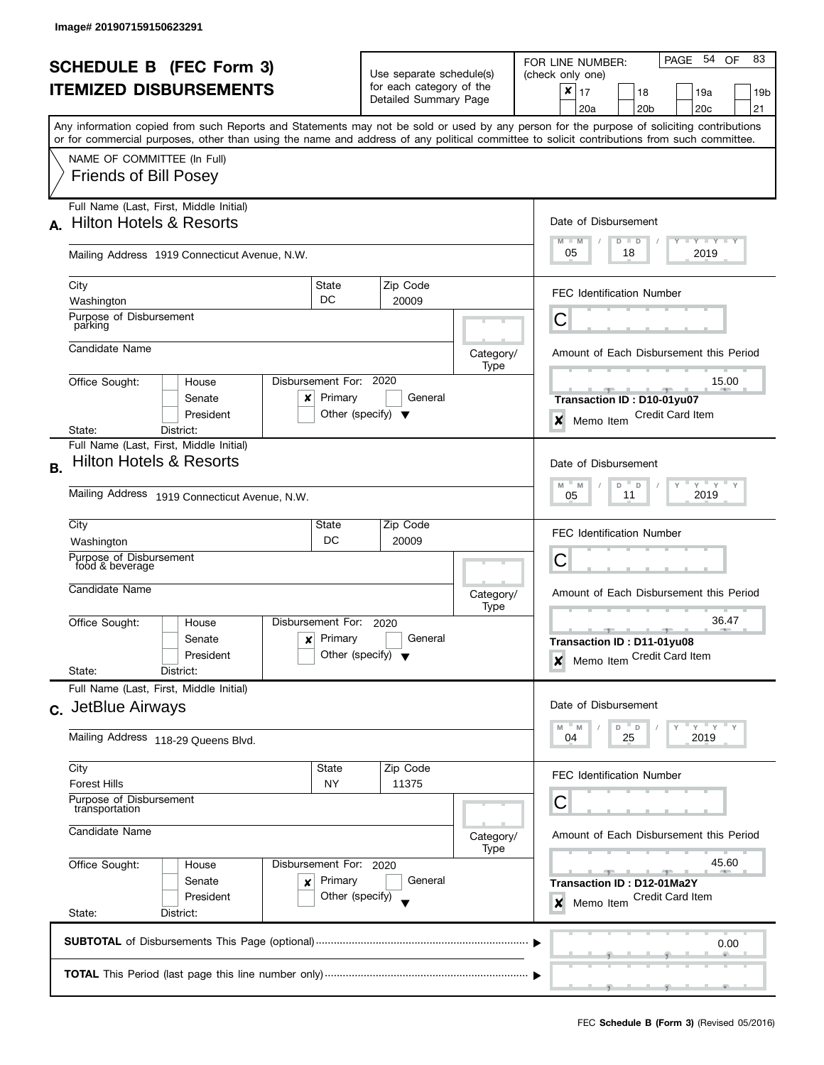|                                |                                                                                                                                                                                                                                                                                         |                                                                |                                                   |                   | PAGE 54<br>83<br>OF<br>FOR LINE NUMBER:                   |  |  |
|--------------------------------|-----------------------------------------------------------------------------------------------------------------------------------------------------------------------------------------------------------------------------------------------------------------------------------------|----------------------------------------------------------------|---------------------------------------------------|-------------------|-----------------------------------------------------------|--|--|
| <b>SCHEDULE B (FEC Form 3)</b> |                                                                                                                                                                                                                                                                                         |                                                                | Use separate schedule(s)                          |                   | (check only one)                                          |  |  |
|                                | <b>ITEMIZED DISBURSEMENTS</b>                                                                                                                                                                                                                                                           |                                                                | for each category of the<br>Detailed Summary Page |                   | ×<br>17<br>18<br>19a<br>19b                               |  |  |
|                                |                                                                                                                                                                                                                                                                                         |                                                                |                                                   |                   | 20 <sub>b</sub><br>20 <sub>c</sub><br>21<br>20a           |  |  |
|                                | Any information copied from such Reports and Statements may not be sold or used by any person for the purpose of soliciting contributions<br>or for commercial purposes, other than using the name and address of any political committee to solicit contributions from such committee. |                                                                |                                                   |                   |                                                           |  |  |
|                                | NAME OF COMMITTEE (In Full)                                                                                                                                                                                                                                                             |                                                                |                                                   |                   |                                                           |  |  |
|                                | <b>Friends of Bill Posey</b>                                                                                                                                                                                                                                                            |                                                                |                                                   |                   |                                                           |  |  |
|                                | Full Name (Last, First, Middle Initial)                                                                                                                                                                                                                                                 |                                                                |                                                   |                   |                                                           |  |  |
| A.                             | <b>Hilton Hotels &amp; Resorts</b>                                                                                                                                                                                                                                                      |                                                                |                                                   |                   | Date of Disbursement<br>Y TY TY TY<br>$M - M$             |  |  |
|                                | Mailing Address 1919 Connecticut Avenue, N.W.                                                                                                                                                                                                                                           |                                                                |                                                   |                   | $D$ $D$<br>05<br>18<br>2019                               |  |  |
|                                | City                                                                                                                                                                                                                                                                                    | State                                                          | Zip Code                                          |                   | <b>FEC Identification Number</b>                          |  |  |
|                                | Washington                                                                                                                                                                                                                                                                              | DC                                                             | 20009                                             |                   |                                                           |  |  |
|                                | Purpose of Disbursement<br>parking                                                                                                                                                                                                                                                      |                                                                |                                                   |                   | С                                                         |  |  |
|                                | Candidate Name                                                                                                                                                                                                                                                                          |                                                                |                                                   | Category/<br>Type | Amount of Each Disbursement this Period                   |  |  |
|                                | Disbursement For:<br>Office Sought:<br>House                                                                                                                                                                                                                                            |                                                                | 2020                                              |                   | 15.00                                                     |  |  |
|                                | Senate<br>x                                                                                                                                                                                                                                                                             | Primary                                                        | General                                           |                   | Transaction ID: D10-01yu07                                |  |  |
|                                | President                                                                                                                                                                                                                                                                               | Other (specify) $\blacktriangledown$                           |                                                   |                   | <b>Credit Card Item</b><br>×<br>Memo Item                 |  |  |
|                                | District:<br>State:<br>Full Name (Last, First, Middle Initial)                                                                                                                                                                                                                          |                                                                |                                                   |                   |                                                           |  |  |
|                                | <b>Hilton Hotels &amp; Resorts</b>                                                                                                                                                                                                                                                      |                                                                |                                                   |                   | Date of Disbursement                                      |  |  |
| В.                             |                                                                                                                                                                                                                                                                                         |                                                                |                                                   |                   |                                                           |  |  |
|                                | Mailing Address 1919 Connecticut Avenue, N.W.                                                                                                                                                                                                                                           | $Y$ $Y$<br>M<br>D<br>$\mathsf D$<br>Y<br>M<br>2019<br>11<br>05 |                                                   |                   |                                                           |  |  |
|                                | City                                                                                                                                                                                                                                                                                    | State                                                          | Zip Code                                          |                   | <b>FEC Identification Number</b>                          |  |  |
|                                | DC<br>Washington                                                                                                                                                                                                                                                                        |                                                                |                                                   |                   |                                                           |  |  |
|                                | Purpose of Disbursement<br>food & beverage                                                                                                                                                                                                                                              |                                                                |                                                   |                   | С                                                         |  |  |
|                                | Candidate Name                                                                                                                                                                                                                                                                          |                                                                |                                                   | Category/         | Amount of Each Disbursement this Period                   |  |  |
|                                |                                                                                                                                                                                                                                                                                         |                                                                |                                                   | Type              |                                                           |  |  |
|                                | Disbursement For:<br>Office Sought:<br>House                                                                                                                                                                                                                                            |                                                                | 2020                                              |                   | 36.47<br>$-1$                                             |  |  |
|                                | Senate<br>x<br>President                                                                                                                                                                                                                                                                | Primary<br>Other (specify) $\blacktriangledown$                | General                                           |                   | Transaction ID: D11-01yu08                                |  |  |
|                                | State:<br>District:                                                                                                                                                                                                                                                                     |                                                                |                                                   |                   | Memo Item Credit Card Item<br>$\boldsymbol{x}$            |  |  |
|                                | Full Name (Last, First, Middle Initial)                                                                                                                                                                                                                                                 |                                                                |                                                   |                   |                                                           |  |  |
|                                | c. JetBlue Airways                                                                                                                                                                                                                                                                      |                                                                |                                                   |                   | Date of Disbursement                                      |  |  |
|                                | Mailing Address 118-29 Queens Blvd.                                                                                                                                                                                                                                                     |                                                                |                                                   |                   | $^{\circ}$ D<br>Y<br>Y<br>D<br>M<br>M<br>25<br>2019<br>04 |  |  |
|                                | City                                                                                                                                                                                                                                                                                    | State                                                          | Zip Code                                          |                   | FEC Identification Number                                 |  |  |
|                                | <b>Forest Hills</b>                                                                                                                                                                                                                                                                     | NY                                                             | 11375                                             |                   |                                                           |  |  |
|                                | Purpose of Disbursement<br>transportation                                                                                                                                                                                                                                               |                                                                |                                                   |                   | С                                                         |  |  |
|                                | Candidate Name                                                                                                                                                                                                                                                                          | Amount of Each Disbursement this Period<br>Category/           |                                                   |                   |                                                           |  |  |
|                                | Office Sought:<br>Disbursement For: 2020<br>House<br>Senate<br>Primary<br>×                                                                                                                                                                                                             |                                                                |                                                   | Type              | 45.60                                                     |  |  |
|                                |                                                                                                                                                                                                                                                                                         |                                                                | General                                           |                   | Transaction ID: D12-01Ma2Y                                |  |  |
|                                | President                                                                                                                                                                                                                                                                               | Other (specify)                                                |                                                   |                   | Credit Card Item<br>Memo Item<br>×                        |  |  |
| State:<br>District:            |                                                                                                                                                                                                                                                                                         |                                                                |                                                   |                   |                                                           |  |  |
|                                |                                                                                                                                                                                                                                                                                         |                                                                |                                                   |                   | 0.00                                                      |  |  |
|                                |                                                                                                                                                                                                                                                                                         |                                                                |                                                   |                   |                                                           |  |  |
|                                |                                                                                                                                                                                                                                                                                         |                                                                |                                                   |                   |                                                           |  |  |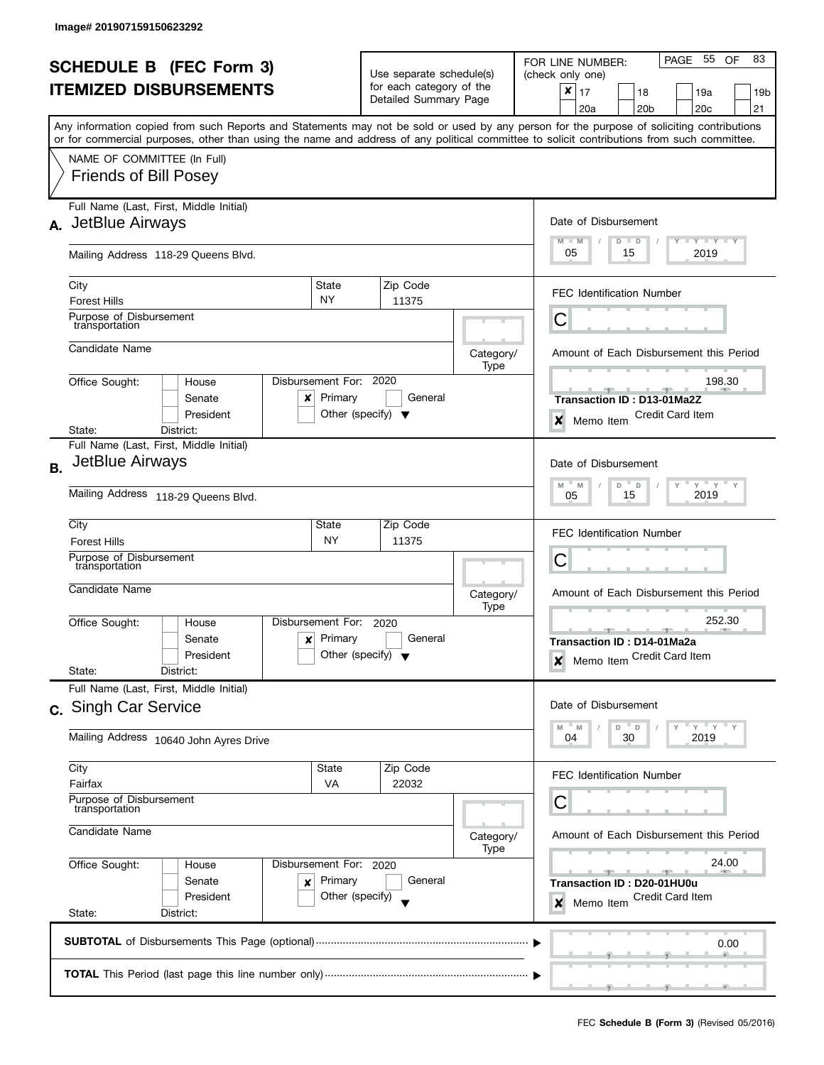|           | <b>SCHEDULE B (FEC Form 3)</b><br><b>ITEMIZED DISBURSEMENTS</b>                                                                                                                                                                                                                                                                                        |                                                 | Use separate schedule(s)<br>for each category of the<br>Detailed Summary Page |                   | 83<br>PAGE 55<br>OF<br>FOR LINE NUMBER:<br>(check only one)<br>$\pmb{\times}$<br>17<br>18<br>19a<br>19b<br>20 <sub>b</sub><br>20c<br>21<br>20a     |
|-----------|--------------------------------------------------------------------------------------------------------------------------------------------------------------------------------------------------------------------------------------------------------------------------------------------------------------------------------------------------------|-------------------------------------------------|-------------------------------------------------------------------------------|-------------------|----------------------------------------------------------------------------------------------------------------------------------------------------|
|           | Any information copied from such Reports and Statements may not be sold or used by any person for the purpose of soliciting contributions<br>or for commercial purposes, other than using the name and address of any political committee to solicit contributions from such committee.<br>NAME OF COMMITTEE (In Full)<br><b>Friends of Bill Posey</b> |                                                 |                                                                               |                   |                                                                                                                                                    |
|           | Full Name (Last, First, Middle Initial)<br>A. JetBlue Airways<br>Mailing Address 118-29 Queens Blvd.                                                                                                                                                                                                                                                   |                                                 |                                                                               |                   | Date of Disbursement<br>$M - M$<br>$\bot$ $\gamma$ $\bot$ $\gamma$ $\bot$ $\gamma$<br>$D$ $D$<br>05<br>15<br>2019                                  |
|           | City<br>State<br><b>NY</b><br><b>Forest Hills</b><br>Purpose of Disbursement<br>transportation                                                                                                                                                                                                                                                         |                                                 | Zip Code<br>11375                                                             |                   | <b>FEC Identification Number</b><br>Ĉ                                                                                                              |
|           | Candidate Name<br>Disbursement For: 2020<br>Office Sought:<br>House<br>Senate<br>x<br>President<br>District:<br>State:                                                                                                                                                                                                                                 | Primary<br>Other (specify) $\blacktriangledown$ | General                                                                       | Category/<br>Type | Amount of Each Disbursement this Period<br>198.30<br><b>Transaction ID: D13-01Ma2Z</b><br><b>Credit Card Item</b><br>$\boldsymbol{x}$<br>Memo Item |
| <b>B.</b> | Full Name (Last, First, Middle Initial)<br>JetBlue Airways<br>Mailing Address 118-29 Queens Blvd.                                                                                                                                                                                                                                                      |                                                 |                                                                               |                   | Date of Disbursement<br>$Y$ $Y$ $Y$<br>M<br>D<br>$\overline{D}$<br>Y<br>M<br>2019<br>15<br>05                                                      |
|           | City<br>State<br><b>Forest Hills</b><br>Purpose of Disbursement<br>transportation<br>Candidate Name                                                                                                                                                                                                                                                    | <b>NY</b>                                       | Zip Code<br>11375                                                             | Category/         | <b>FEC Identification Number</b><br>С<br>Amount of Each Disbursement this Period                                                                   |
|           | Disbursement For:<br>Office Sought:<br>House<br>Senate<br>x<br>President<br>State:<br>District:                                                                                                                                                                                                                                                        | Primary<br>Other (specify) $\blacktriangledown$ | 2020<br>General                                                               | Type              | 252.30<br>$-1$<br>Transaction ID: D14-01Ma2a<br>Memo Item Credit Card Item<br>$\boldsymbol{x}$                                                     |
|           | Full Name (Last, First, Middle Initial)<br>c. Singh Car Service<br>Mailing Address 10640 John Ayres Drive                                                                                                                                                                                                                                              |                                                 |                                                                               |                   | Date of Disbursement<br>" ү " ү " ү<br>M<br>$-M$<br>D D<br>04<br>30<br>2019                                                                        |
|           | City<br>State<br>Fairfax<br>Purpose of Disbursement<br>transportation<br>Candidate Name                                                                                                                                                                                                                                                                | VA                                              | Zip Code<br>22032                                                             | Category/<br>Type | FEC Identification Number<br>С<br>Amount of Each Disbursement this Period                                                                          |
|           | Office Sought:<br>Disbursement For: 2020<br>House<br>Senate<br>×<br>President<br>State:<br>District:                                                                                                                                                                                                                                                   | Primary<br>Other (specify)                      | General                                                                       |                   | 24.00<br>Transaction ID: D20-01HU0u<br>Credit Card Item<br>Memo Item<br>×                                                                          |
|           |                                                                                                                                                                                                                                                                                                                                                        |                                                 |                                                                               |                   | 0.00                                                                                                                                               |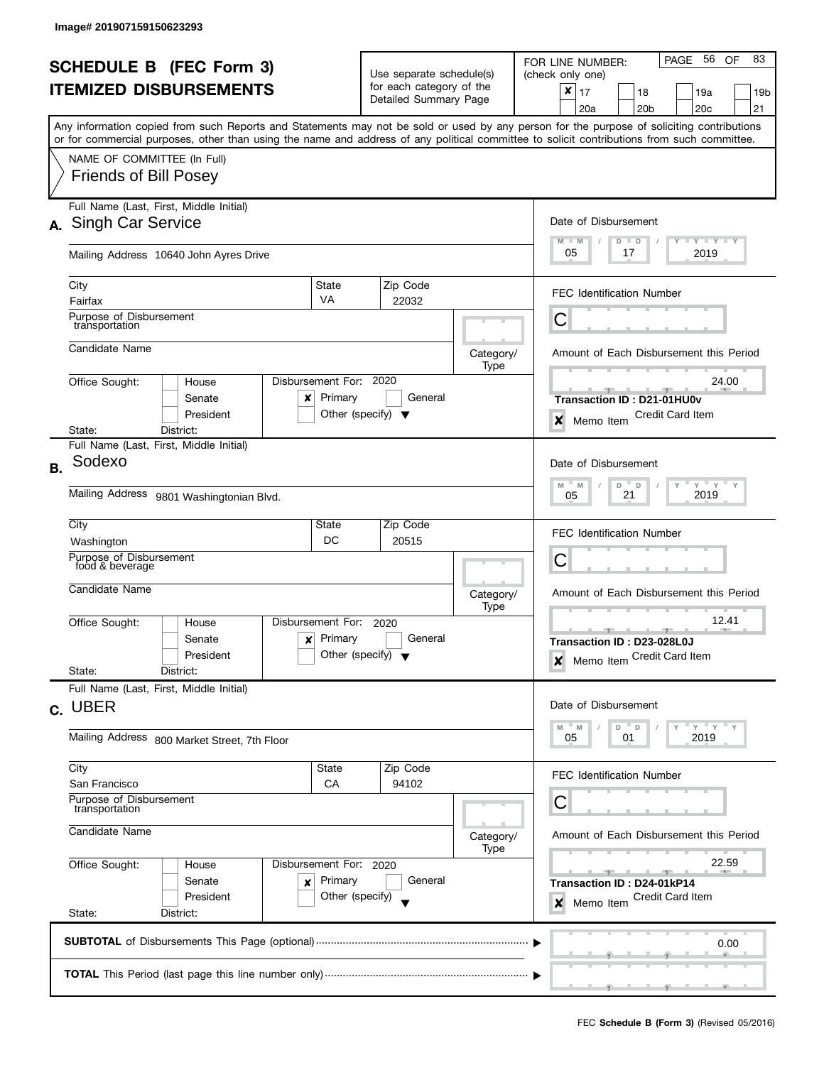|                                |                                                                                                                                                                                                                                                                                         |                                                                |                                                   |                   | PAGE 56<br>83<br>OF<br>FOR LINE NUMBER:                  |  |  |
|--------------------------------|-----------------------------------------------------------------------------------------------------------------------------------------------------------------------------------------------------------------------------------------------------------------------------------------|----------------------------------------------------------------|---------------------------------------------------|-------------------|----------------------------------------------------------|--|--|
| <b>SCHEDULE B (FEC Form 3)</b> |                                                                                                                                                                                                                                                                                         |                                                                | Use separate schedule(s)                          |                   | (check only one)                                         |  |  |
|                                | <b>ITEMIZED DISBURSEMENTS</b>                                                                                                                                                                                                                                                           |                                                                | for each category of the<br>Detailed Summary Page |                   | ×<br>17<br>18<br>19a<br>19b                              |  |  |
|                                |                                                                                                                                                                                                                                                                                         |                                                                |                                                   |                   | 20 <sub>b</sub><br>20 <sub>c</sub><br>21<br>20a          |  |  |
|                                | Any information copied from such Reports and Statements may not be sold or used by any person for the purpose of soliciting contributions<br>or for commercial purposes, other than using the name and address of any political committee to solicit contributions from such committee. |                                                                |                                                   |                   |                                                          |  |  |
|                                | NAME OF COMMITTEE (In Full)                                                                                                                                                                                                                                                             |                                                                |                                                   |                   |                                                          |  |  |
|                                | <b>Friends of Bill Posey</b>                                                                                                                                                                                                                                                            |                                                                |                                                   |                   |                                                          |  |  |
|                                | Full Name (Last, First, Middle Initial)                                                                                                                                                                                                                                                 |                                                                |                                                   |                   |                                                          |  |  |
|                                | A. Singh Car Service                                                                                                                                                                                                                                                                    |                                                                |                                                   |                   | Date of Disbursement                                     |  |  |
|                                | Mailing Address 10640 John Ayres Drive                                                                                                                                                                                                                                                  |                                                                |                                                   |                   | Y TY TY TY<br>$M - M$<br>$D$ $D$<br>05<br>2019<br>17     |  |  |
|                                | City                                                                                                                                                                                                                                                                                    | State                                                          | Zip Code                                          |                   |                                                          |  |  |
|                                | Fairfax                                                                                                                                                                                                                                                                                 | <b>VA</b>                                                      | 22032                                             |                   | <b>FEC Identification Number</b>                         |  |  |
|                                | Purpose of Disbursement<br>transportation                                                                                                                                                                                                                                               |                                                                |                                                   |                   | С                                                        |  |  |
|                                | Candidate Name                                                                                                                                                                                                                                                                          |                                                                |                                                   | Category/         | Amount of Each Disbursement this Period                  |  |  |
|                                | Office Sought:<br>House                                                                                                                                                                                                                                                                 | Disbursement For:                                              | 2020                                              | Type              | 24.00                                                    |  |  |
|                                | Senate<br>x                                                                                                                                                                                                                                                                             | Primary                                                        | General                                           |                   | Transaction ID: D21-01HU0v                               |  |  |
|                                | President                                                                                                                                                                                                                                                                               |                                                                | Other (specify) $\blacktriangledown$              |                   | <b>Credit Card Item</b><br>$\boldsymbol{x}$<br>Memo Item |  |  |
|                                | State:<br>District:                                                                                                                                                                                                                                                                     |                                                                |                                                   |                   |                                                          |  |  |
|                                | Full Name (Last, First, Middle Initial)                                                                                                                                                                                                                                                 |                                                                |                                                   |                   |                                                          |  |  |
| <b>B.</b>                      | Sodexo                                                                                                                                                                                                                                                                                  |                                                                |                                                   |                   | Date of Disbursement                                     |  |  |
|                                | Mailing Address 9801 Washingtonian Blvd.                                                                                                                                                                                                                                                | $Y$ $Y$<br>M<br>D<br>$\mathsf D$<br>Y<br>M<br>21<br>2019<br>05 |                                                   |                   |                                                          |  |  |
|                                |                                                                                                                                                                                                                                                                                         |                                                                |                                                   |                   |                                                          |  |  |
|                                | City                                                                                                                                                                                                                                                                                    | State                                                          | Zip Code                                          |                   | <b>FEC Identification Number</b>                         |  |  |
|                                | Washington<br>Purpose of Disbursement                                                                                                                                                                                                                                                   | DC                                                             | 20515                                             |                   |                                                          |  |  |
|                                | food & beverage                                                                                                                                                                                                                                                                         |                                                                |                                                   |                   | С                                                        |  |  |
|                                | Candidate Name                                                                                                                                                                                                                                                                          |                                                                |                                                   | Category/         | Amount of Each Disbursement this Period                  |  |  |
|                                |                                                                                                                                                                                                                                                                                         |                                                                |                                                   | Type              |                                                          |  |  |
|                                | Office Sought:<br>House                                                                                                                                                                                                                                                                 | Disbursement For:                                              | 2020                                              |                   | 12.41                                                    |  |  |
|                                | Senate<br>x<br>President                                                                                                                                                                                                                                                                | Primary                                                        | General<br>Other (specify) $\blacktriangledown$   |                   | Transaction ID: D23-028L0J                               |  |  |
|                                | State:<br>District:                                                                                                                                                                                                                                                                     |                                                                |                                                   |                   | Memo Item Credit Card Item<br>$\boldsymbol{x}$           |  |  |
|                                | Full Name (Last, First, Middle Initial)                                                                                                                                                                                                                                                 |                                                                |                                                   |                   |                                                          |  |  |
|                                | c. UBER                                                                                                                                                                                                                                                                                 |                                                                |                                                   |                   | Date of Disbursement                                     |  |  |
|                                |                                                                                                                                                                                                                                                                                         |                                                                |                                                   |                   | $^{\circ}$ D<br>Y<br>Y<br>D<br>M<br>'N                   |  |  |
|                                | Mailing Address 800 Market Street, 7th Floor                                                                                                                                                                                                                                            |                                                                |                                                   |                   | 2019<br>05<br>01                                         |  |  |
|                                | City                                                                                                                                                                                                                                                                                    | State                                                          | Zip Code                                          |                   | FEC Identification Number                                |  |  |
|                                | San Francisco                                                                                                                                                                                                                                                                           | CA                                                             | 94102                                             |                   |                                                          |  |  |
|                                | Purpose of Disbursement<br>transportation                                                                                                                                                                                                                                               |                                                                |                                                   |                   | С                                                        |  |  |
|                                | Candidate Name<br>Office Sought:<br>Disbursement For: 2020<br>House                                                                                                                                                                                                                     |                                                                |                                                   |                   | Amount of Each Disbursement this Period                  |  |  |
|                                |                                                                                                                                                                                                                                                                                         |                                                                |                                                   | Category/<br>Type |                                                          |  |  |
|                                |                                                                                                                                                                                                                                                                                         |                                                                |                                                   |                   | 22.59                                                    |  |  |
|                                | Senate<br>×                                                                                                                                                                                                                                                                             | Primary                                                        | General                                           |                   | Transaction ID: D24-01kP14                               |  |  |
|                                | President                                                                                                                                                                                                                                                                               | Other (specify)                                                |                                                   |                   | Credit Card Item<br>Memo Item<br>×                       |  |  |
|                                | State:<br>District:                                                                                                                                                                                                                                                                     |                                                                |                                                   |                   |                                                          |  |  |
|                                |                                                                                                                                                                                                                                                                                         |                                                                |                                                   |                   | 0.00                                                     |  |  |
|                                |                                                                                                                                                                                                                                                                                         |                                                                |                                                   |                   |                                                          |  |  |
|                                |                                                                                                                                                                                                                                                                                         |                                                                |                                                   |                   |                                                          |  |  |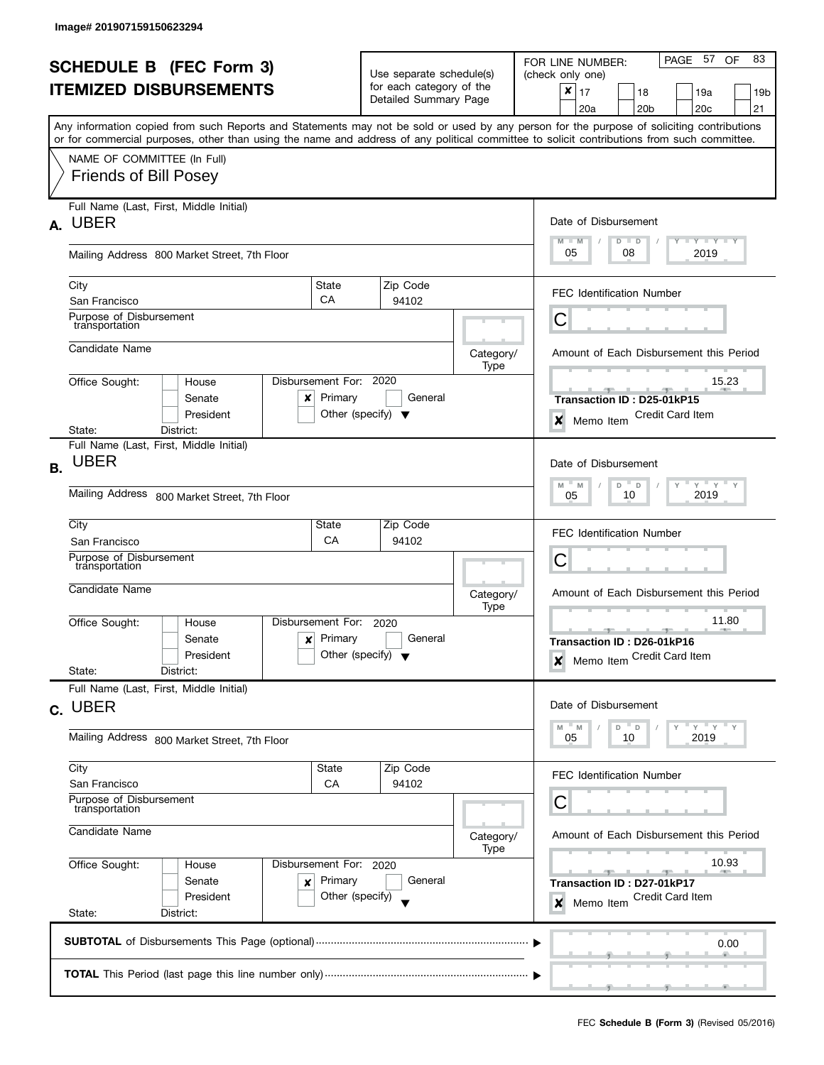| <b>SCHEDULE B (FEC Form 3)</b> |                                                                                                                                                                           |                                                          |                                                      |                   | PAGE 57<br>83<br>OF<br>FOR LINE NUMBER:                                                     |  |  |
|--------------------------------|---------------------------------------------------------------------------------------------------------------------------------------------------------------------------|----------------------------------------------------------|------------------------------------------------------|-------------------|---------------------------------------------------------------------------------------------|--|--|
| <b>ITEMIZED DISBURSEMENTS</b>  |                                                                                                                                                                           |                                                          | Use separate schedule(s)<br>for each category of the |                   | (check only one)<br>×                                                                       |  |  |
|                                |                                                                                                                                                                           |                                                          | Detailed Summary Page                                |                   | 17<br>18<br>19a<br>19b<br>20c<br>21<br>20a<br>20 <sub>b</sub>                               |  |  |
|                                | Any information copied from such Reports and Statements may not be sold or used by any person for the purpose of soliciting contributions                                 |                                                          |                                                      |                   |                                                                                             |  |  |
|                                | or for commercial purposes, other than using the name and address of any political committee to solicit contributions from such committee.<br>NAME OF COMMITTEE (In Full) |                                                          |                                                      |                   |                                                                                             |  |  |
|                                | <b>Friends of Bill Posey</b>                                                                                                                                              |                                                          |                                                      |                   |                                                                                             |  |  |
|                                | Full Name (Last, First, Middle Initial)<br>A. UBER                                                                                                                        |                                                          |                                                      |                   | Date of Disbursement                                                                        |  |  |
|                                | Mailing Address 800 Market Street, 7th Floor                                                                                                                              |                                                          |                                                      |                   | $M - M$<br>$Y + Y + Y + Y$<br>$D$ $D$<br>05<br>08<br>2019                                   |  |  |
|                                | City<br>San Francisco                                                                                                                                                     | State<br>CA                                              | Zip Code<br>94102                                    |                   | <b>FEC Identification Number</b>                                                            |  |  |
|                                | Purpose of Disbursement<br>transportation                                                                                                                                 |                                                          |                                                      |                   | С                                                                                           |  |  |
|                                | Candidate Name                                                                                                                                                            |                                                          |                                                      | Category/<br>Type | Amount of Each Disbursement this Period                                                     |  |  |
|                                | Office Sought:<br>House<br>Senate<br>x<br>President                                                                                                                       | Disbursement For: 2020<br>Primary                        | General<br>Other (specify) $\blacktriangledown$      |                   | 15.23<br>$-1$<br><b>STATISTICS</b><br>Transaction ID: D25-01kP15<br><b>Credit Card Item</b> |  |  |
|                                | District:<br>State:                                                                                                                                                       |                                                          |                                                      |                   | ×<br>Memo Item                                                                              |  |  |
| <b>B.</b>                      | Full Name (Last, First, Middle Initial)<br><b>UBER</b>                                                                                                                    |                                                          |                                                      |                   | Date of Disbursement                                                                        |  |  |
|                                | Mailing Address 800 Market Street, 7th Floor                                                                                                                              | $Y$ $Y$ $Y$<br>M<br>M<br>D<br>$\Box$<br>2019<br>05<br>10 |                                                      |                   |                                                                                             |  |  |
|                                | City<br>San Francisco                                                                                                                                                     | State<br>CA                                              | Zip Code<br>94102                                    |                   | <b>FEC Identification Number</b>                                                            |  |  |
|                                | Purpose of Disbursement<br>transportation                                                                                                                                 |                                                          |                                                      |                   | Ĉ                                                                                           |  |  |
|                                | Candidate Name                                                                                                                                                            |                                                          |                                                      | Category/         | Amount of Each Disbursement this Period                                                     |  |  |
|                                | Office Sought:<br>House                                                                                                                                                   | Disbursement For:                                        | 2020                                                 | Type              | 11.80                                                                                       |  |  |
|                                | Senate<br>x<br>President                                                                                                                                                  | Primary<br>Other (specify) $\blacktriangledown$          | General                                              |                   | Transaction ID: D26-01kP16<br>Memo Item Credit Card Item<br>X                               |  |  |
|                                | State:<br>District:<br>Full Name (Last, First, Middle Initial)                                                                                                            |                                                          |                                                      |                   |                                                                                             |  |  |
|                                | c. UBER                                                                                                                                                                   |                                                          |                                                      |                   | Date of Disbursement                                                                        |  |  |
|                                | Mailing Address 800 Market Street, 7th Floor                                                                                                                              |                                                          |                                                      |                   | $Y = Y = Y$<br>M<br>- M<br>D<br>$\Box$<br>2019<br>05<br>10                                  |  |  |
|                                | City<br>San Francisco                                                                                                                                                     | State<br>CA                                              | Zip Code<br>94102                                    |                   | <b>FEC Identification Number</b>                                                            |  |  |
|                                | Purpose of Disbursement<br>transportation                                                                                                                                 |                                                          |                                                      |                   | Ĉ                                                                                           |  |  |
|                                | Candidate Name                                                                                                                                                            |                                                          |                                                      | Category/<br>Type | Amount of Each Disbursement this Period                                                     |  |  |
|                                | Office Sought:<br>Disbursement For: 2020<br>House                                                                                                                         |                                                          |                                                      |                   | 10.93                                                                                       |  |  |
|                                | Senate<br>×<br>President                                                                                                                                                  | Primary<br>Other (specify)                               | General                                              |                   | Transaction ID: D27-01kP17<br>Credit Card Item<br>×<br>Memo Item                            |  |  |
|                                | State:<br>District:                                                                                                                                                       |                                                          |                                                      |                   |                                                                                             |  |  |
|                                |                                                                                                                                                                           |                                                          |                                                      |                   | 0.00                                                                                        |  |  |
|                                |                                                                                                                                                                           |                                                          |                                                      |                   |                                                                                             |  |  |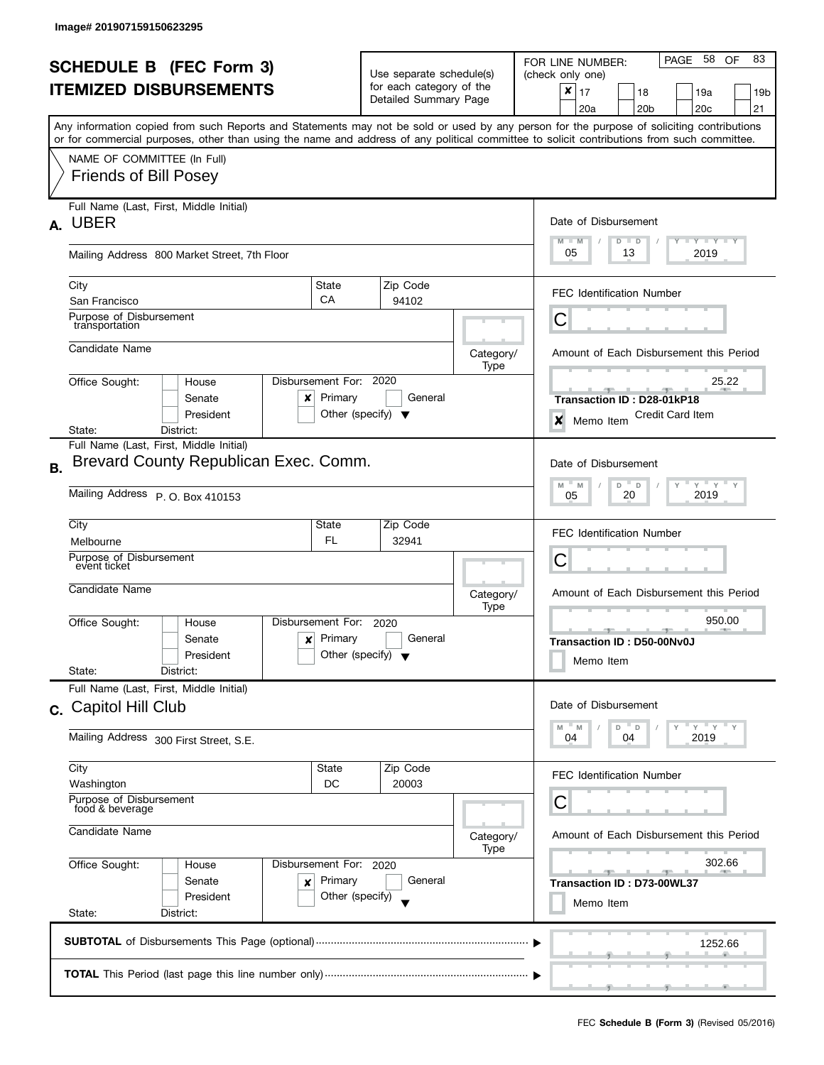ı

|                                |                                                                                                                                            |                                                           |                                                                                                              |         |                                  | PAGE 58<br>83<br>OF                                   |  |  |
|--------------------------------|--------------------------------------------------------------------------------------------------------------------------------------------|-----------------------------------------------------------|--------------------------------------------------------------------------------------------------------------|---------|----------------------------------|-------------------------------------------------------|--|--|
| <b>SCHEDULE B</b> (FEC Form 3) |                                                                                                                                            |                                                           | Use separate schedule(s)                                                                                     |         |                                  | FOR LINE NUMBER:<br>(check only one)                  |  |  |
| <b>ITEMIZED DISBURSEMENTS</b>  |                                                                                                                                            |                                                           | for each category of the                                                                                     |         |                                  | $\boldsymbol{x}$<br>17<br>18<br>19a<br>19b            |  |  |
|                                |                                                                                                                                            |                                                           | Detailed Summary Page                                                                                        |         |                                  | 20a<br>20 <sub>b</sub><br>20c<br>21                   |  |  |
|                                | Any information copied from such Reports and Statements may not be sold or used by any person for the purpose of soliciting contributions  |                                                           |                                                                                                              |         |                                  |                                                       |  |  |
|                                | or for commercial purposes, other than using the name and address of any political committee to solicit contributions from such committee. |                                                           |                                                                                                              |         |                                  |                                                       |  |  |
|                                | NAME OF COMMITTEE (In Full)                                                                                                                |                                                           |                                                                                                              |         |                                  |                                                       |  |  |
|                                | <b>Friends of Bill Posey</b>                                                                                                               |                                                           |                                                                                                              |         |                                  |                                                       |  |  |
|                                |                                                                                                                                            |                                                           |                                                                                                              |         |                                  |                                                       |  |  |
|                                | Full Name (Last, First, Middle Initial)                                                                                                    |                                                           |                                                                                                              |         |                                  |                                                       |  |  |
| А.                             | <b>UBER</b>                                                                                                                                |                                                           |                                                                                                              |         |                                  | Date of Disbursement                                  |  |  |
|                                |                                                                                                                                            |                                                           |                                                                                                              |         |                                  | Y TY TY TY<br>$M - M$<br>$D$ $D$<br>05<br>13<br>2019  |  |  |
|                                | Mailing Address 800 Market Street, 7th Floor                                                                                               |                                                           |                                                                                                              |         |                                  |                                                       |  |  |
|                                | City                                                                                                                                       | State                                                     | Zip Code                                                                                                     |         |                                  |                                                       |  |  |
|                                | San Francisco                                                                                                                              | CA                                                        | 94102                                                                                                        |         |                                  | <b>FEC Identification Number</b>                      |  |  |
|                                | Purpose of Disbursement<br>transportation                                                                                                  |                                                           |                                                                                                              |         |                                  | С                                                     |  |  |
|                                |                                                                                                                                            |                                                           |                                                                                                              |         |                                  |                                                       |  |  |
|                                | Candidate Name                                                                                                                             |                                                           |                                                                                                              |         | Category/                        | Amount of Each Disbursement this Period               |  |  |
|                                |                                                                                                                                            |                                                           |                                                                                                              |         | Type                             |                                                       |  |  |
|                                | Office Sought:<br>House<br>Senate                                                                                                          | Disbursement For:<br>Primary                              | 2020                                                                                                         | General |                                  | 25.22                                                 |  |  |
|                                | x<br>President                                                                                                                             |                                                           | Other (specify) $\blacktriangledown$                                                                         |         |                                  | Transaction ID: D28-01kP18<br><b>Credit Card Item</b> |  |  |
|                                | State:<br>District:                                                                                                                        |                                                           |                                                                                                              |         |                                  | ×<br>Memo Item                                        |  |  |
|                                | Full Name (Last, First, Middle Initial)                                                                                                    |                                                           |                                                                                                              |         |                                  |                                                       |  |  |
| <b>B.</b>                      | Brevard County Republican Exec. Comm.                                                                                                      |                                                           |                                                                                                              |         |                                  | Date of Disbursement                                  |  |  |
|                                |                                                                                                                                            | $Y$ $Y$ $Y$<br>$Y$ <sup>-1</sup><br>$D$ $D$<br>M<br>$- M$ |                                                                                                              |         |                                  |                                                       |  |  |
|                                | Mailing Address P. O. Box 410153                                                                                                           | 2019<br>20<br>05                                          |                                                                                                              |         |                                  |                                                       |  |  |
|                                | City                                                                                                                                       | State                                                     | Zip Code                                                                                                     |         |                                  |                                                       |  |  |
|                                | Melbourne                                                                                                                                  | 32941                                                     |                                                                                                              |         | <b>FEC Identification Number</b> |                                                       |  |  |
|                                | Purpose of Disbursement                                                                                                                    | FL                                                        |                                                                                                              |         |                                  | С                                                     |  |  |
|                                | event ticket                                                                                                                               |                                                           | Category/<br>Type<br>Disbursement For:<br>2020<br>Primary<br>General<br>Other (specify) $\blacktriangledown$ |         |                                  |                                                       |  |  |
|                                | Candidate Name                                                                                                                             |                                                           |                                                                                                              |         |                                  | Amount of Each Disbursement this Period               |  |  |
|                                |                                                                                                                                            |                                                           |                                                                                                              |         |                                  |                                                       |  |  |
|                                | Office Sought:<br>House                                                                                                                    |                                                           |                                                                                                              |         |                                  | 950.00<br>$-1$                                        |  |  |
|                                | Senate<br>×                                                                                                                                |                                                           |                                                                                                              |         |                                  | Transaction ID: D50-00Nv0J                            |  |  |
|                                | President<br>State:<br>District:                                                                                                           |                                                           |                                                                                                              |         |                                  | Memo Item                                             |  |  |
|                                | Full Name (Last, First, Middle Initial)                                                                                                    |                                                           |                                                                                                              |         |                                  |                                                       |  |  |
|                                | Capitol Hill Club                                                                                                                          |                                                           |                                                                                                              |         |                                  | Date of Disbursement                                  |  |  |
| C.                             |                                                                                                                                            |                                                           |                                                                                                              |         |                                  | $Y'$ Y<br>D<br>D                                      |  |  |
|                                | Mailing Address 300 First Street, S.E.                                                                                                     |                                                           |                                                                                                              |         |                                  | M<br>M<br>04<br>2019<br>04                            |  |  |
|                                |                                                                                                                                            |                                                           |                                                                                                              |         |                                  |                                                       |  |  |
|                                | City                                                                                                                                       | State                                                     | Zip Code                                                                                                     |         |                                  | <b>FEC Identification Number</b>                      |  |  |
|                                | Washington<br>Purpose of Disbursement                                                                                                      | DC                                                        | 20003                                                                                                        |         |                                  |                                                       |  |  |
|                                | food & beverage                                                                                                                            |                                                           |                                                                                                              |         |                                  | С                                                     |  |  |
|                                | Candidate Name                                                                                                                             |                                                           |                                                                                                              |         | Category/                        | Amount of Each Disbursement this Period               |  |  |
|                                |                                                                                                                                            |                                                           |                                                                                                              |         | Type                             |                                                       |  |  |
|                                | Office Sought:<br>Disbursement For: 2020<br>House<br>Senate<br>Primary<br>×                                                                |                                                           |                                                                                                              |         |                                  | 302.66<br><b>SPACE 1999</b>                           |  |  |
|                                |                                                                                                                                            |                                                           |                                                                                                              | General |                                  | Transaction ID: D73-00WL37                            |  |  |
|                                | President                                                                                                                                  | Other (specify)                                           |                                                                                                              |         |                                  | Memo Item                                             |  |  |
|                                | State:<br>District:                                                                                                                        |                                                           |                                                                                                              |         |                                  |                                                       |  |  |
|                                |                                                                                                                                            | 1252.66                                                   |                                                                                                              |         |                                  |                                                       |  |  |
|                                |                                                                                                                                            |                                                           |                                                                                                              |         |                                  |                                                       |  |  |
|                                |                                                                                                                                            |                                                           |                                                                                                              |         |                                  |                                                       |  |  |
|                                |                                                                                                                                            |                                                           |                                                                                                              |         |                                  |                                                       |  |  |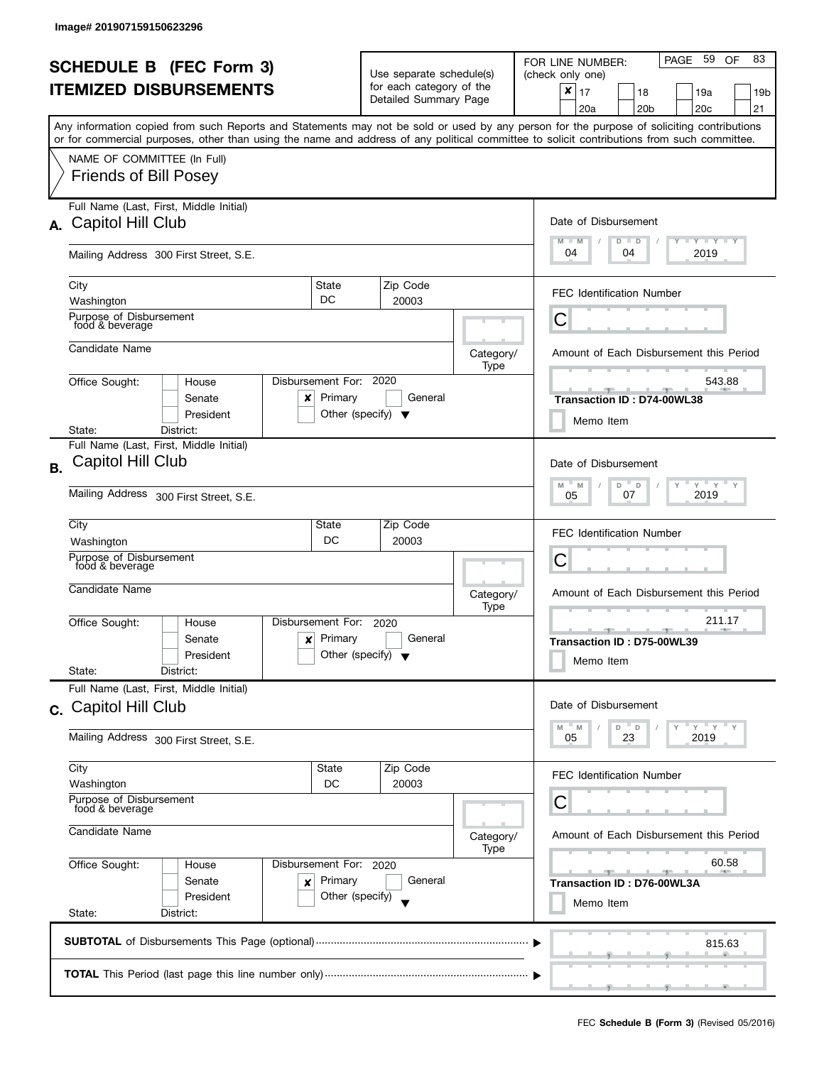|                                     |                                                                                                                                                                                                                                                                                         |                                                |                                      |                            | PAGE 59<br>83<br>OF<br>FOR LINE NUMBER:              |  |  |
|-------------------------------------|-----------------------------------------------------------------------------------------------------------------------------------------------------------------------------------------------------------------------------------------------------------------------------------------|------------------------------------------------|--------------------------------------|----------------------------|------------------------------------------------------|--|--|
| <b>SCHEDULE B (FEC Form 3)</b>      |                                                                                                                                                                                                                                                                                         |                                                | Use separate schedule(s)             |                            | (check only one)                                     |  |  |
|                                     | <b>ITEMIZED DISBURSEMENTS</b>                                                                                                                                                                                                                                                           |                                                | for each category of the             |                            | ×<br>17<br>18<br>19a<br>19b                          |  |  |
|                                     |                                                                                                                                                                                                                                                                                         |                                                | Detailed Summary Page                |                            | 20a<br>20 <sub>b</sub><br>20c<br>21                  |  |  |
|                                     | Any information copied from such Reports and Statements may not be sold or used by any person for the purpose of soliciting contributions<br>or for commercial purposes, other than using the name and address of any political committee to solicit contributions from such committee. |                                                |                                      |                            |                                                      |  |  |
|                                     | NAME OF COMMITTEE (In Full)                                                                                                                                                                                                                                                             |                                                |                                      |                            |                                                      |  |  |
|                                     | <b>Friends of Bill Posey</b>                                                                                                                                                                                                                                                            |                                                |                                      |                            |                                                      |  |  |
|                                     | Full Name (Last, First, Middle Initial)                                                                                                                                                                                                                                                 |                                                |                                      |                            |                                                      |  |  |
|                                     | A. Capitol Hill Club                                                                                                                                                                                                                                                                    |                                                |                                      |                            | Date of Disbursement                                 |  |  |
|                                     | Mailing Address 300 First Street, S.E.                                                                                                                                                                                                                                                  |                                                |                                      |                            | Y TY TY TY<br>$M - M$<br>$D$ $D$<br>04<br>04<br>2019 |  |  |
|                                     | City                                                                                                                                                                                                                                                                                    | State                                          | Zip Code                             |                            |                                                      |  |  |
|                                     | Washington                                                                                                                                                                                                                                                                              | DC                                             | 20003                                |                            | <b>FEC Identification Number</b>                     |  |  |
|                                     | Purpose of Disbursement<br>food & beverage                                                                                                                                                                                                                                              |                                                |                                      |                            | С                                                    |  |  |
|                                     | Candidate Name                                                                                                                                                                                                                                                                          |                                                |                                      | Category/                  | Amount of Each Disbursement this Period              |  |  |
|                                     |                                                                                                                                                                                                                                                                                         |                                                |                                      | Type                       |                                                      |  |  |
|                                     | Office Sought:<br>House                                                                                                                                                                                                                                                                 | Disbursement For:                              | 2020                                 |                            | 543.88                                               |  |  |
|                                     | Senate<br>x                                                                                                                                                                                                                                                                             | Primary                                        | General                              |                            | Transaction ID: D74-00WL38                           |  |  |
|                                     | President<br>State:<br>District:                                                                                                                                                                                                                                                        |                                                | Other (specify) $\blacktriangledown$ |                            | Memo Item                                            |  |  |
|                                     | Full Name (Last, First, Middle Initial)                                                                                                                                                                                                                                                 |                                                |                                      |                            |                                                      |  |  |
| <b>B.</b>                           | Capitol Hill Club                                                                                                                                                                                                                                                                       |                                                |                                      |                            | Date of Disbursement                                 |  |  |
|                                     |                                                                                                                                                                                                                                                                                         | $Y$ $Y$ $Y$<br>Y<br>M<br>D<br>$\mathsf D$<br>M |                                      |                            |                                                      |  |  |
|                                     | Mailing Address 300 First Street, S.E.                                                                                                                                                                                                                                                  | 2019<br>07<br>05                               |                                      |                            |                                                      |  |  |
|                                     | City                                                                                                                                                                                                                                                                                    | State                                          | Zip Code                             |                            |                                                      |  |  |
|                                     | Washington                                                                                                                                                                                                                                                                              | DC                                             | 20003                                |                            | <b>FEC Identification Number</b>                     |  |  |
|                                     | Purpose of Disbursement<br>food & beverage                                                                                                                                                                                                                                              |                                                |                                      |                            | С                                                    |  |  |
|                                     | Candidate Name                                                                                                                                                                                                                                                                          |                                                |                                      |                            |                                                      |  |  |
|                                     |                                                                                                                                                                                                                                                                                         |                                                |                                      | Category/<br>Type          | Amount of Each Disbursement this Period              |  |  |
|                                     | Office Sought:<br>House                                                                                                                                                                                                                                                                 | Disbursement For:                              | 2020                                 |                            | 211.17<br>$ -$                                       |  |  |
|                                     | Senate<br>x                                                                                                                                                                                                                                                                             | Primary                                        | General                              |                            | Transaction ID: D75-00WL39                           |  |  |
|                                     | President                                                                                                                                                                                                                                                                               |                                                | Other (specify) $\blacktriangledown$ |                            | Memo Item                                            |  |  |
|                                     | State:<br>District:<br>Full Name (Last, First, Middle Initial)                                                                                                                                                                                                                          |                                                |                                      |                            |                                                      |  |  |
|                                     | Capitol Hill Club                                                                                                                                                                                                                                                                       |                                                |                                      |                            | Date of Disbursement                                 |  |  |
| C.                                  |                                                                                                                                                                                                                                                                                         |                                                |                                      |                            | Y<br>$-Y$<br>D<br>M<br>M<br>D                        |  |  |
|                                     | Mailing Address 300 First Street, S.E.                                                                                                                                                                                                                                                  |                                                |                                      |                            | 23<br>2019<br>05                                     |  |  |
|                                     | City                                                                                                                                                                                                                                                                                    | <b>State</b>                                   | Zip Code                             |                            | <b>FEC Identification Number</b>                     |  |  |
|                                     | Washington                                                                                                                                                                                                                                                                              | DC                                             | 20003                                |                            |                                                      |  |  |
|                                     | Purpose of Disbursement<br>food & beverage<br>Candidate Name                                                                                                                                                                                                                            |                                                |                                      |                            | С                                                    |  |  |
|                                     |                                                                                                                                                                                                                                                                                         |                                                |                                      | Category/                  | Amount of Each Disbursement this Period              |  |  |
|                                     |                                                                                                                                                                                                                                                                                         |                                                |                                      | Type                       |                                                      |  |  |
|                                     | Office Sought:<br>Disbursement For: 2020<br>House                                                                                                                                                                                                                                       |                                                |                                      |                            | 60.58<br>$-1$                                        |  |  |
| Senate<br>Primary<br>×<br>President |                                                                                                                                                                                                                                                                                         | General                                        |                                      | Transaction ID: D76-00WL3A |                                                      |  |  |
|                                     | State:<br>District:                                                                                                                                                                                                                                                                     | Other (specify)                                |                                      |                            | Memo Item                                            |  |  |
|                                     |                                                                                                                                                                                                                                                                                         |                                                |                                      |                            |                                                      |  |  |
|                                     |                                                                                                                                                                                                                                                                                         |                                                |                                      |                            | 815.63                                               |  |  |
|                                     |                                                                                                                                                                                                                                                                                         |                                                |                                      |                            |                                                      |  |  |
|                                     |                                                                                                                                                                                                                                                                                         |                                                |                                      |                            |                                                      |  |  |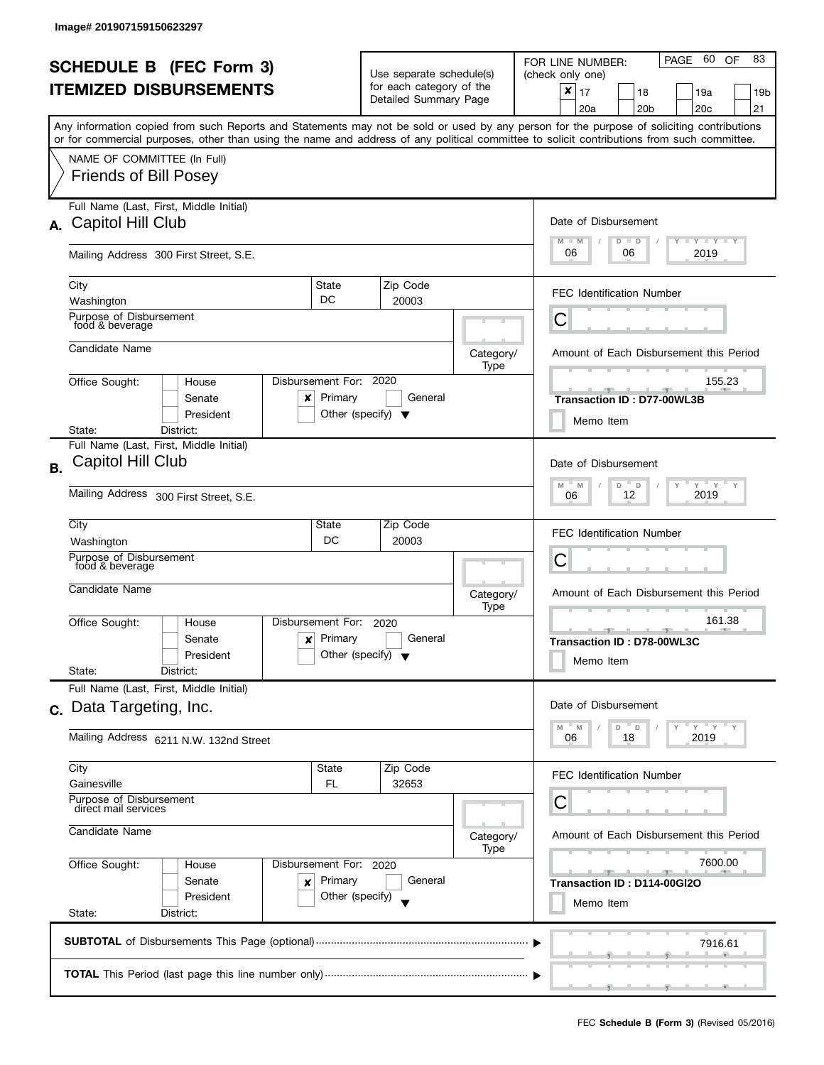|                                |                                                                                                                                            |                                                          |                                                   |                   | PAGE 60 OF<br>83<br>FOR LINE NUMBER:                                                                                                                                                                                                                                |  |  |  |
|--------------------------------|--------------------------------------------------------------------------------------------------------------------------------------------|----------------------------------------------------------|---------------------------------------------------|-------------------|---------------------------------------------------------------------------------------------------------------------------------------------------------------------------------------------------------------------------------------------------------------------|--|--|--|
| <b>SCHEDULE B (FEC Form 3)</b> |                                                                                                                                            |                                                          | Use separate schedule(s)                          |                   | (check only one)                                                                                                                                                                                                                                                    |  |  |  |
|                                | <b>ITEMIZED DISBURSEMENTS</b>                                                                                                              |                                                          | for each category of the<br>Detailed Summary Page |                   | $\boldsymbol{x}$<br>17<br>18<br>19a<br>19b                                                                                                                                                                                                                          |  |  |  |
|                                |                                                                                                                                            |                                                          |                                                   |                   | 21<br>20a<br>20 <sub>b</sub><br>20 <sub>c</sub>                                                                                                                                                                                                                     |  |  |  |
|                                | or for commercial purposes, other than using the name and address of any political committee to solicit contributions from such committee. |                                                          |                                                   |                   | Any information copied from such Reports and Statements may not be sold or used by any person for the purpose of soliciting contributions                                                                                                                           |  |  |  |
|                                |                                                                                                                                            |                                                          |                                                   |                   |                                                                                                                                                                                                                                                                     |  |  |  |
|                                | NAME OF COMMITTEE (In Full)<br><b>Friends of Bill Posey</b>                                                                                |                                                          |                                                   |                   |                                                                                                                                                                                                                                                                     |  |  |  |
|                                |                                                                                                                                            |                                                          |                                                   |                   |                                                                                                                                                                                                                                                                     |  |  |  |
|                                | Full Name (Last, First, Middle Initial)                                                                                                    |                                                          |                                                   |                   |                                                                                                                                                                                                                                                                     |  |  |  |
|                                | A. Capitol Hill Club                                                                                                                       |                                                          |                                                   |                   | Date of Disbursement                                                                                                                                                                                                                                                |  |  |  |
|                                |                                                                                                                                            |                                                          |                                                   |                   | Y Y Y Y Y<br>$M - M$<br>$D$ $D$                                                                                                                                                                                                                                     |  |  |  |
|                                | Mailing Address 300 First Street, S.E.                                                                                                     |                                                          |                                                   |                   | 06<br>06<br>2019                                                                                                                                                                                                                                                    |  |  |  |
|                                | City                                                                                                                                       | State                                                    | Zip Code                                          |                   |                                                                                                                                                                                                                                                                     |  |  |  |
|                                | Washington                                                                                                                                 | DC                                                       | 20003                                             |                   | <b>FEC Identification Number</b>                                                                                                                                                                                                                                    |  |  |  |
|                                | Purpose of Disbursement<br>food & beverage                                                                                                 |                                                          |                                                   |                   | С                                                                                                                                                                                                                                                                   |  |  |  |
|                                |                                                                                                                                            |                                                          |                                                   |                   |                                                                                                                                                                                                                                                                     |  |  |  |
|                                | Candidate Name                                                                                                                             |                                                          |                                                   | Category/<br>Type | Amount of Each Disbursement this Period                                                                                                                                                                                                                             |  |  |  |
|                                | Office Sought:<br>House                                                                                                                    | Disbursement For:                                        | 2020                                              |                   | 155.23                                                                                                                                                                                                                                                              |  |  |  |
|                                | Senate<br>x                                                                                                                                | Primary                                                  | General                                           |                   | Transaction ID: D77-00WL3B                                                                                                                                                                                                                                          |  |  |  |
|                                | President                                                                                                                                  |                                                          | Other (specify) $\blacktriangledown$              |                   | Memo Item                                                                                                                                                                                                                                                           |  |  |  |
|                                | District:<br>State:                                                                                                                        |                                                          |                                                   |                   |                                                                                                                                                                                                                                                                     |  |  |  |
|                                | Full Name (Last, First, Middle Initial)<br><b>Capitol Hill Club</b>                                                                        |                                                          |                                                   |                   |                                                                                                                                                                                                                                                                     |  |  |  |
| <b>B.</b>                      |                                                                                                                                            | Date of Disbursement                                     |                                                   |                   |                                                                                                                                                                                                                                                                     |  |  |  |
|                                | Mailing Address 300 First Street, S.E.                                                                                                     | $Y$ $Y$ $Y$<br>Y<br>M<br>M<br>D<br>D<br>2019<br>12<br>06 |                                                   |                   |                                                                                                                                                                                                                                                                     |  |  |  |
|                                |                                                                                                                                            |                                                          |                                                   |                   |                                                                                                                                                                                                                                                                     |  |  |  |
|                                | City                                                                                                                                       | State                                                    | Zip Code                                          |                   | <b>FEC Identification Number</b>                                                                                                                                                                                                                                    |  |  |  |
|                                | Washington<br>Purpose of Disbursement                                                                                                      | DC                                                       | 20003                                             |                   |                                                                                                                                                                                                                                                                     |  |  |  |
|                                | food & beverage                                                                                                                            |                                                          |                                                   |                   | С                                                                                                                                                                                                                                                                   |  |  |  |
|                                | Candidate Name                                                                                                                             |                                                          |                                                   | Category/         | Amount of Each Disbursement this Period                                                                                                                                                                                                                             |  |  |  |
|                                |                                                                                                                                            |                                                          |                                                   | Type              |                                                                                                                                                                                                                                                                     |  |  |  |
|                                | Office Sought:<br>House                                                                                                                    | Disbursement For:                                        | 2020                                              |                   | 161.38<br><b>AND IN</b>                                                                                                                                                                                                                                             |  |  |  |
|                                | Senate<br>×                                                                                                                                | Primary                                                  | General<br>Other (specify) $\blacktriangledown$   |                   | Transaction ID: D78-00WL3C                                                                                                                                                                                                                                          |  |  |  |
|                                | President<br>State:<br>District:                                                                                                           |                                                          |                                                   |                   | Memo Item                                                                                                                                                                                                                                                           |  |  |  |
|                                | Full Name (Last, First, Middle Initial)                                                                                                    |                                                          |                                                   |                   |                                                                                                                                                                                                                                                                     |  |  |  |
|                                | c. Data Targeting, Inc.                                                                                                                    |                                                          |                                                   |                   | Date of Disbursement                                                                                                                                                                                                                                                |  |  |  |
|                                |                                                                                                                                            |                                                          |                                                   |                   | $Y = Y$<br>D<br>D<br>M<br>M                                                                                                                                                                                                                                         |  |  |  |
|                                | Mailing Address 6211 N.W. 132nd Street                                                                                                     |                                                          |                                                   |                   | 06<br>18<br>2019                                                                                                                                                                                                                                                    |  |  |  |
|                                | City                                                                                                                                       | State                                                    | Zip Code                                          |                   |                                                                                                                                                                                                                                                                     |  |  |  |
|                                | Gainesville                                                                                                                                | FL                                                       | 32653                                             |                   | <b>FEC Identification Number</b>                                                                                                                                                                                                                                    |  |  |  |
|                                | Purpose of Disbursement<br>direct mail services                                                                                            |                                                          |                                                   |                   | С                                                                                                                                                                                                                                                                   |  |  |  |
|                                |                                                                                                                                            |                                                          |                                                   |                   |                                                                                                                                                                                                                                                                     |  |  |  |
|                                | Candidate Name                                                                                                                             |                                                          |                                                   | Category/<br>Type | Amount of Each Disbursement this Period                                                                                                                                                                                                                             |  |  |  |
|                                | Office Sought:<br>Disbursement For: 2020<br>House<br>Primary<br>Senate<br>×                                                                |                                                          |                                                   |                   | 7600.00                                                                                                                                                                                                                                                             |  |  |  |
|                                |                                                                                                                                            |                                                          | General                                           |                   | <u>and the state of the state of the state of the state of the state of the state of the state of the state of the state of the state of the state of the state of the state of the state of the state of the state of the state</u><br>Transaction ID: D114-00GI2O |  |  |  |
|                                | President                                                                                                                                  | Other (specify)                                          |                                                   |                   | Memo Item                                                                                                                                                                                                                                                           |  |  |  |
| State:<br>District:            |                                                                                                                                            |                                                          |                                                   |                   |                                                                                                                                                                                                                                                                     |  |  |  |
|                                |                                                                                                                                            | 7916.61                                                  |                                                   |                   |                                                                                                                                                                                                                                                                     |  |  |  |
|                                |                                                                                                                                            |                                                          |                                                   |                   |                                                                                                                                                                                                                                                                     |  |  |  |
|                                |                                                                                                                                            |                                                          |                                                   |                   |                                                                                                                                                                                                                                                                     |  |  |  |
|                                |                                                                                                                                            |                                                          |                                                   |                   |                                                                                                                                                                                                                                                                     |  |  |  |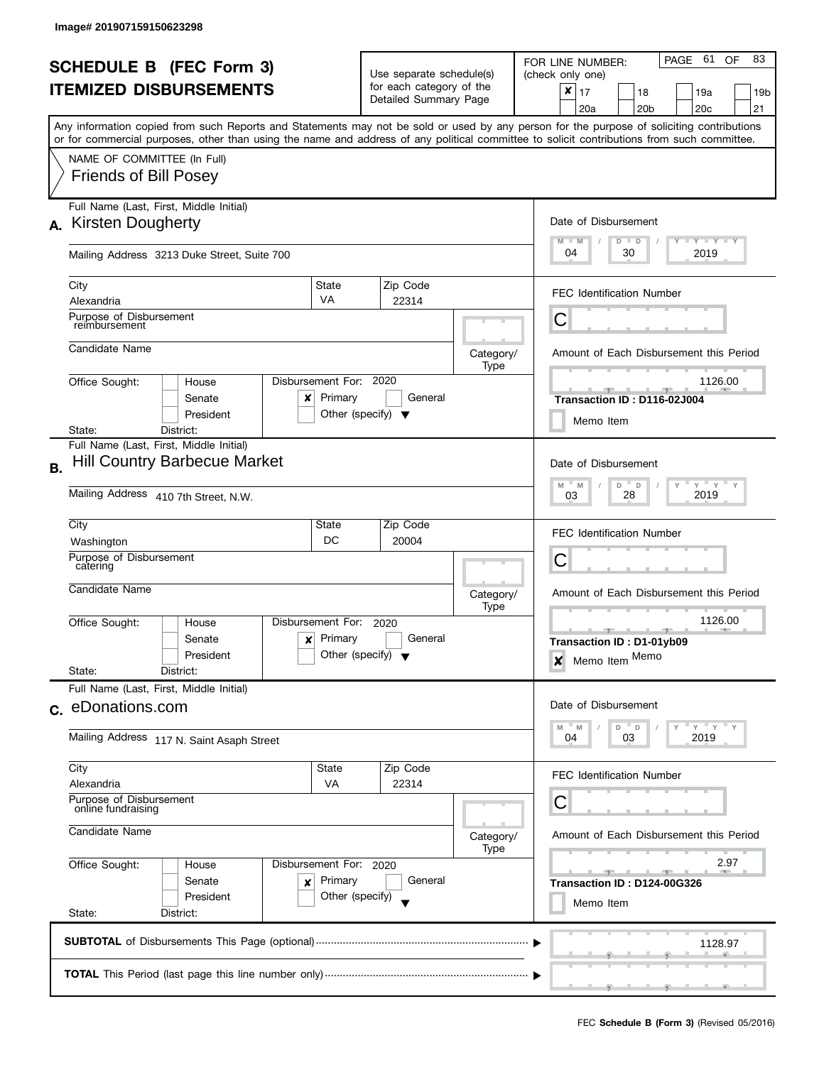|                        |                                                                                                                                            |                   |                                                      |                       |                   | PAGE 61<br>83<br>OF<br>FOR LINE NUMBER:                                                                                                                                                                                                                           |  |  |  |  |
|------------------------|--------------------------------------------------------------------------------------------------------------------------------------------|-------------------|------------------------------------------------------|-----------------------|-------------------|-------------------------------------------------------------------------------------------------------------------------------------------------------------------------------------------------------------------------------------------------------------------|--|--|--|--|
|                        | <b>SCHEDULE B (FEC Form 3)</b>                                                                                                             |                   | Use separate schedule(s)<br>for each category of the |                       |                   | (check only one)                                                                                                                                                                                                                                                  |  |  |  |  |
|                        | <b>ITEMIZED DISBURSEMENTS</b>                                                                                                              |                   |                                                      | Detailed Summary Page |                   | ×<br>17<br>18<br>19a<br>19b                                                                                                                                                                                                                                       |  |  |  |  |
|                        |                                                                                                                                            |                   |                                                      |                       |                   | 21<br>20a<br>20 <sub>b</sub><br>20c                                                                                                                                                                                                                               |  |  |  |  |
|                        | or for commercial purposes, other than using the name and address of any political committee to solicit contributions from such committee. |                   |                                                      |                       |                   | Any information copied from such Reports and Statements may not be sold or used by any person for the purpose of soliciting contributions                                                                                                                         |  |  |  |  |
|                        | NAME OF COMMITTEE (In Full)                                                                                                                |                   |                                                      |                       |                   |                                                                                                                                                                                                                                                                   |  |  |  |  |
|                        | <b>Friends of Bill Posey</b>                                                                                                               |                   |                                                      |                       |                   |                                                                                                                                                                                                                                                                   |  |  |  |  |
|                        | Full Name (Last, First, Middle Initial)                                                                                                    |                   |                                                      |                       |                   |                                                                                                                                                                                                                                                                   |  |  |  |  |
| А.                     | Kirsten Dougherty                                                                                                                          |                   |                                                      |                       |                   | Date of Disbursement<br><b>LYLYLY</b><br>$M - M$<br>$D$ $D$                                                                                                                                                                                                       |  |  |  |  |
|                        | Mailing Address 3213 Duke Street, Suite 700                                                                                                |                   |                                                      |                       |                   | 04<br>30<br>2019                                                                                                                                                                                                                                                  |  |  |  |  |
|                        | City                                                                                                                                       | State             | Zip Code                                             |                       |                   | <b>FEC Identification Number</b>                                                                                                                                                                                                                                  |  |  |  |  |
|                        | Alexandria<br>Purpose of Disbursement                                                                                                      | VA                | 22314                                                |                       |                   |                                                                                                                                                                                                                                                                   |  |  |  |  |
|                        | reimbursement                                                                                                                              |                   |                                                      |                       |                   | Ĉ                                                                                                                                                                                                                                                                 |  |  |  |  |
|                        | Candidate Name                                                                                                                             |                   |                                                      |                       | Category/<br>Type | Amount of Each Disbursement this Period                                                                                                                                                                                                                           |  |  |  |  |
|                        | Office Sought:<br>House                                                                                                                    | Disbursement For: | 2020                                                 |                       |                   | 1126.00                                                                                                                                                                                                                                                           |  |  |  |  |
|                        | Senate<br>×                                                                                                                                | Primary           |                                                      | General               |                   | Transaction ID: D116-02J004                                                                                                                                                                                                                                       |  |  |  |  |
|                        | President<br>District:<br>State:                                                                                                           |                   | Other (specify) $\blacktriangledown$                 |                       |                   | Memo Item                                                                                                                                                                                                                                                         |  |  |  |  |
|                        | Full Name (Last, First, Middle Initial)                                                                                                    |                   |                                                      |                       |                   |                                                                                                                                                                                                                                                                   |  |  |  |  |
| <b>B.</b>              | <b>Hill Country Barbecue Market</b>                                                                                                        |                   |                                                      |                       |                   | Date of Disbursement                                                                                                                                                                                                                                              |  |  |  |  |
|                        | Mailing Address 410 7th Street, N.W.                                                                                                       |                   |                                                      |                       |                   | $Y$ $Y$<br>D<br>M<br>D<br>M<br>2019<br>28<br>03                                                                                                                                                                                                                   |  |  |  |  |
|                        |                                                                                                                                            |                   |                                                      |                       |                   |                                                                                                                                                                                                                                                                   |  |  |  |  |
|                        | City<br>Washington                                                                                                                         | State<br>DC       | Zip Code<br>20004                                    |                       |                   | <b>FEC Identification Number</b>                                                                                                                                                                                                                                  |  |  |  |  |
|                        | Purpose of Disbursement                                                                                                                    |                   | Category/<br>Type<br>2020<br>General                 |                       |                   | С                                                                                                                                                                                                                                                                 |  |  |  |  |
|                        | catering                                                                                                                                   |                   |                                                      |                       |                   | Amount of Each Disbursement this Period                                                                                                                                                                                                                           |  |  |  |  |
|                        | Candidate Name                                                                                                                             |                   |                                                      |                       |                   |                                                                                                                                                                                                                                                                   |  |  |  |  |
|                        | Office Sought:<br>House                                                                                                                    | Disbursement For: |                                                      |                       |                   | 1126.00<br><b>AND IN</b><br><u>____</u>                                                                                                                                                                                                                           |  |  |  |  |
|                        | Senate<br>$\boldsymbol{x}$                                                                                                                 | Primary           |                                                      |                       |                   | Transaction ID: D1-01yb09                                                                                                                                                                                                                                         |  |  |  |  |
|                        | President<br>State:<br>District:                                                                                                           |                   | Other (specify) $\overline{\mathbf{y}}$              |                       |                   | Memo Item Memo<br>$\boldsymbol{\mathsf{x}}$                                                                                                                                                                                                                       |  |  |  |  |
|                        | Full Name (Last, First, Middle Initial)                                                                                                    |                   |                                                      |                       |                   |                                                                                                                                                                                                                                                                   |  |  |  |  |
|                        | c. eDonations.com                                                                                                                          |                   |                                                      |                       |                   | Date of Disbursement                                                                                                                                                                                                                                              |  |  |  |  |
|                        |                                                                                                                                            |                   |                                                      |                       |                   | $Y = Y$<br>D<br>$\mathsf D$<br>M<br>M                                                                                                                                                                                                                             |  |  |  |  |
|                        | Mailing Address 117 N. Saint Asaph Street                                                                                                  |                   |                                                      |                       |                   | 2019<br>04<br>03                                                                                                                                                                                                                                                  |  |  |  |  |
|                        | City                                                                                                                                       | State             | Zip Code                                             |                       |                   | <b>FEC Identification Number</b>                                                                                                                                                                                                                                  |  |  |  |  |
|                        | Alexandria<br>Purpose of Disbursement                                                                                                      | <b>VA</b>         | 22314                                                |                       |                   |                                                                                                                                                                                                                                                                   |  |  |  |  |
|                        | online fundraising<br>Candidate Name<br>Office Sought:<br>Disbursement For: 2020<br>House                                                  |                   |                                                      |                       |                   | С                                                                                                                                                                                                                                                                 |  |  |  |  |
|                        |                                                                                                                                            |                   |                                                      |                       | Category/<br>Type | Amount of Each Disbursement this Period                                                                                                                                                                                                                           |  |  |  |  |
|                        |                                                                                                                                            |                   |                                                      |                       |                   | 2.97<br><u>and the state of the state of the state of the state of the state of the state of the state of the state of the state of the state of the state of the state of the state of the state of the state of the state of the state</u><br><b>STATISTICS</b> |  |  |  |  |
| Primary<br>Senate<br>× |                                                                                                                                            |                   |                                                      | General               |                   | Transaction ID: D124-00G326                                                                                                                                                                                                                                       |  |  |  |  |
|                        | President                                                                                                                                  | Other (specify)   |                                                      |                       |                   | Memo Item                                                                                                                                                                                                                                                         |  |  |  |  |
|                        | State:<br>District:                                                                                                                        |                   |                                                      |                       |                   |                                                                                                                                                                                                                                                                   |  |  |  |  |
|                        |                                                                                                                                            |                   |                                                      |                       |                   | 1128.97                                                                                                                                                                                                                                                           |  |  |  |  |
|                        |                                                                                                                                            |                   |                                                      |                       |                   |                                                                                                                                                                                                                                                                   |  |  |  |  |
|                        |                                                                                                                                            |                   |                                                      |                       |                   |                                                                                                                                                                                                                                                                   |  |  |  |  |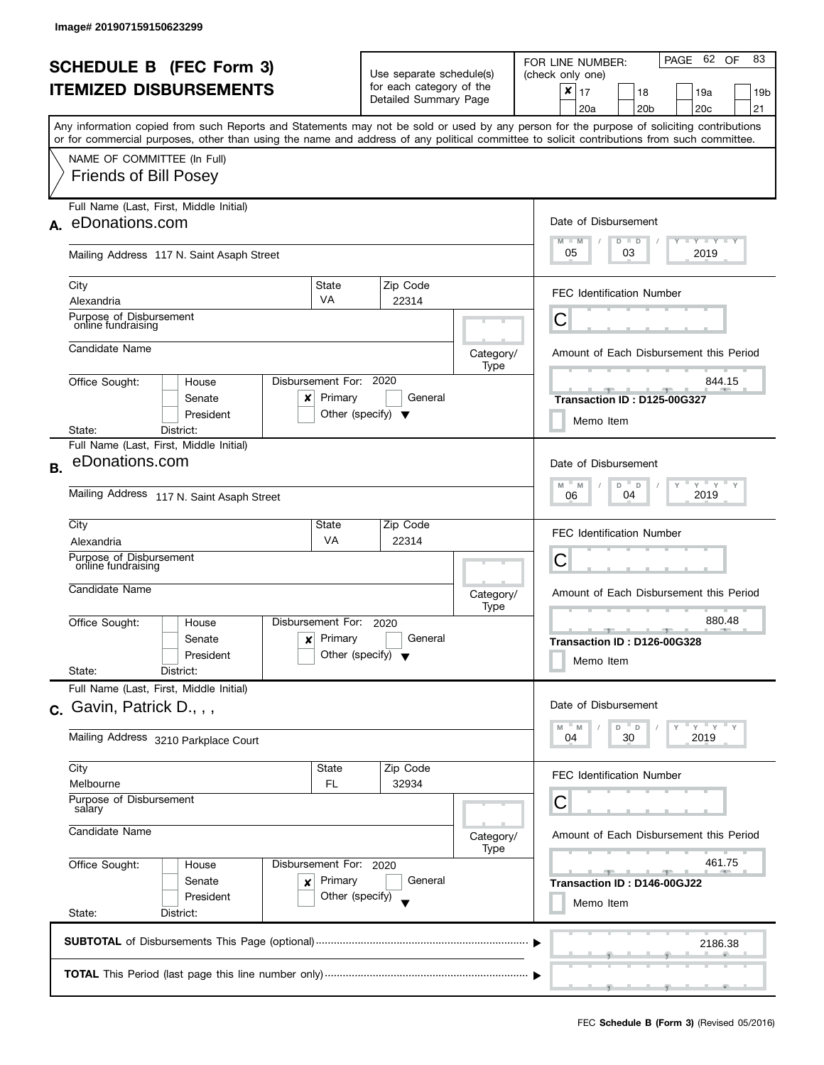|           | <b>SCHEDULE B</b> (FEC Form 3)                                                                                                                                                                                                                                                          |                                   |                                                      |                       |                   | PAGE 62 OF<br>83<br>FOR LINE NUMBER:                                  |  |  |
|-----------|-----------------------------------------------------------------------------------------------------------------------------------------------------------------------------------------------------------------------------------------------------------------------------------------|-----------------------------------|------------------------------------------------------|-----------------------|-------------------|-----------------------------------------------------------------------|--|--|
|           | <b>ITEMIZED DISBURSEMENTS</b>                                                                                                                                                                                                                                                           |                                   | Use separate schedule(s)<br>for each category of the |                       |                   | (check only one)<br>$\pmb{\times}$<br>17<br>18<br>19a<br>19b          |  |  |
|           |                                                                                                                                                                                                                                                                                         |                                   |                                                      | Detailed Summary Page |                   | 20 <sub>c</sub><br>21<br>20a<br>20 <sub>b</sub>                       |  |  |
|           | Any information copied from such Reports and Statements may not be sold or used by any person for the purpose of soliciting contributions<br>or for commercial purposes, other than using the name and address of any political committee to solicit contributions from such committee. |                                   |                                                      |                       |                   |                                                                       |  |  |
|           | NAME OF COMMITTEE (In Full)                                                                                                                                                                                                                                                             |                                   |                                                      |                       |                   |                                                                       |  |  |
|           | <b>Friends of Bill Posey</b>                                                                                                                                                                                                                                                            |                                   |                                                      |                       |                   |                                                                       |  |  |
|           | Full Name (Last, First, Middle Initial)<br>A. eDonations.com                                                                                                                                                                                                                            |                                   |                                                      |                       |                   | Date of Disbursement                                                  |  |  |
|           |                                                                                                                                                                                                                                                                                         |                                   |                                                      |                       |                   | $\Box$ $\gamma$ $\Box$ $\gamma$ $\Box$ $\gamma$<br>$M - M$<br>$D$ $D$ |  |  |
|           | Mailing Address 117 N. Saint Asaph Street                                                                                                                                                                                                                                               |                                   |                                                      |                       |                   | 05<br>03<br>2019                                                      |  |  |
|           | City                                                                                                                                                                                                                                                                                    | State<br>VA                       | Zip Code                                             |                       |                   | <b>FEC Identification Number</b>                                      |  |  |
|           | Alexandria<br>Purpose of Disbursement                                                                                                                                                                                                                                                   |                                   | 22314                                                |                       |                   | Ĉ                                                                     |  |  |
|           | online fundraising                                                                                                                                                                                                                                                                      |                                   |                                                      |                       |                   |                                                                       |  |  |
|           | Candidate Name                                                                                                                                                                                                                                                                          |                                   |                                                      |                       | Category/<br>Type | Amount of Each Disbursement this Period                               |  |  |
|           | Office Sought:<br>House                                                                                                                                                                                                                                                                 | Disbursement For:                 | 2020                                                 |                       |                   | 844.15                                                                |  |  |
|           | Senate<br>x<br>President                                                                                                                                                                                                                                                                | Primary                           | Other (specify) $\blacktriangledown$                 | General               |                   | Transaction ID: D125-00G327                                           |  |  |
|           | District:<br>State:                                                                                                                                                                                                                                                                     |                                   |                                                      |                       |                   | Memo Item                                                             |  |  |
|           | Full Name (Last, First, Middle Initial)<br>eDonations.com                                                                                                                                                                                                                               |                                   |                                                      |                       |                   | Date of Disbursement                                                  |  |  |
| <b>B.</b> |                                                                                                                                                                                                                                                                                         | $Y$ $Y$<br>D<br>M<br>M<br>D       |                                                      |                       |                   |                                                                       |  |  |
|           | Mailing Address 117 N. Saint Asaph Street                                                                                                                                                                                                                                               | 2019<br>04<br>06                  |                                                      |                       |                   |                                                                       |  |  |
|           | City                                                                                                                                                                                                                                                                                    | State<br><b>VA</b>                | Zip Code                                             |                       |                   | <b>FEC Identification Number</b>                                      |  |  |
|           | Alexandria<br>Purpose of Disbursement                                                                                                                                                                                                                                                   |                                   | 22314                                                |                       |                   | С                                                                     |  |  |
|           | online fundraising<br>Candidate Name                                                                                                                                                                                                                                                    |                                   |                                                      |                       |                   |                                                                       |  |  |
|           |                                                                                                                                                                                                                                                                                         |                                   |                                                      |                       | Category/<br>Type | Amount of Each Disbursement this Period                               |  |  |
|           | Office Sought:<br>House                                                                                                                                                                                                                                                                 | Disbursement For:                 | 2020                                                 |                       |                   | 880.48<br><b>AND A</b><br>_______________________________             |  |  |
|           | Senate<br>$\mathbf{x}$<br>President                                                                                                                                                                                                                                                     | Primary                           | Other (specify) $\blacktriangledown$                 | General               |                   | Transaction ID: D126-00G328<br>Memo Item                              |  |  |
|           | State:<br>District:                                                                                                                                                                                                                                                                     |                                   |                                                      |                       |                   |                                                                       |  |  |
|           | Full Name (Last, First, Middle Initial)<br>c. Gavin, Patrick D., , ,                                                                                                                                                                                                                    |                                   |                                                      |                       |                   | Date of Disbursement                                                  |  |  |
|           |                                                                                                                                                                                                                                                                                         |                                   |                                                      |                       |                   | $Y$ $Y$ $Y$<br>M<br>M<br>D<br>D                                       |  |  |
|           | Mailing Address 3210 Parkplace Court                                                                                                                                                                                                                                                    |                                   |                                                      |                       |                   | 30<br>2019<br>04                                                      |  |  |
|           | City<br>Melbourne                                                                                                                                                                                                                                                                       | State<br>FL                       | Zip Code<br>32934                                    |                       |                   | <b>FEC Identification Number</b>                                      |  |  |
|           | Purpose of Disbursement                                                                                                                                                                                                                                                                 |                                   |                                                      |                       |                   | С                                                                     |  |  |
|           | salary<br>Candidate Name                                                                                                                                                                                                                                                                |                                   |                                                      |                       |                   |                                                                       |  |  |
|           |                                                                                                                                                                                                                                                                                         |                                   |                                                      |                       | Category/<br>Type | Amount of Each Disbursement this Period                               |  |  |
|           | Office Sought:<br>House<br>Senate<br>×                                                                                                                                                                                                                                                  | Disbursement For: 2020<br>Primary |                                                      | General               |                   | 461.75<br><u> 1959 - Jan Jan Jan Jan</u>                              |  |  |
|           | President                                                                                                                                                                                                                                                                               | Other (specify)                   |                                                      |                       |                   | Transaction ID: D146-00GJ22<br>Memo Item                              |  |  |
|           | State:<br>District:                                                                                                                                                                                                                                                                     |                                   |                                                      |                       |                   |                                                                       |  |  |
|           |                                                                                                                                                                                                                                                                                         |                                   |                                                      |                       |                   | 2186.38                                                               |  |  |
|           |                                                                                                                                                                                                                                                                                         |                                   |                                                      |                       |                   |                                                                       |  |  |
|           |                                                                                                                                                                                                                                                                                         |                                   |                                                      |                       |                   |                                                                       |  |  |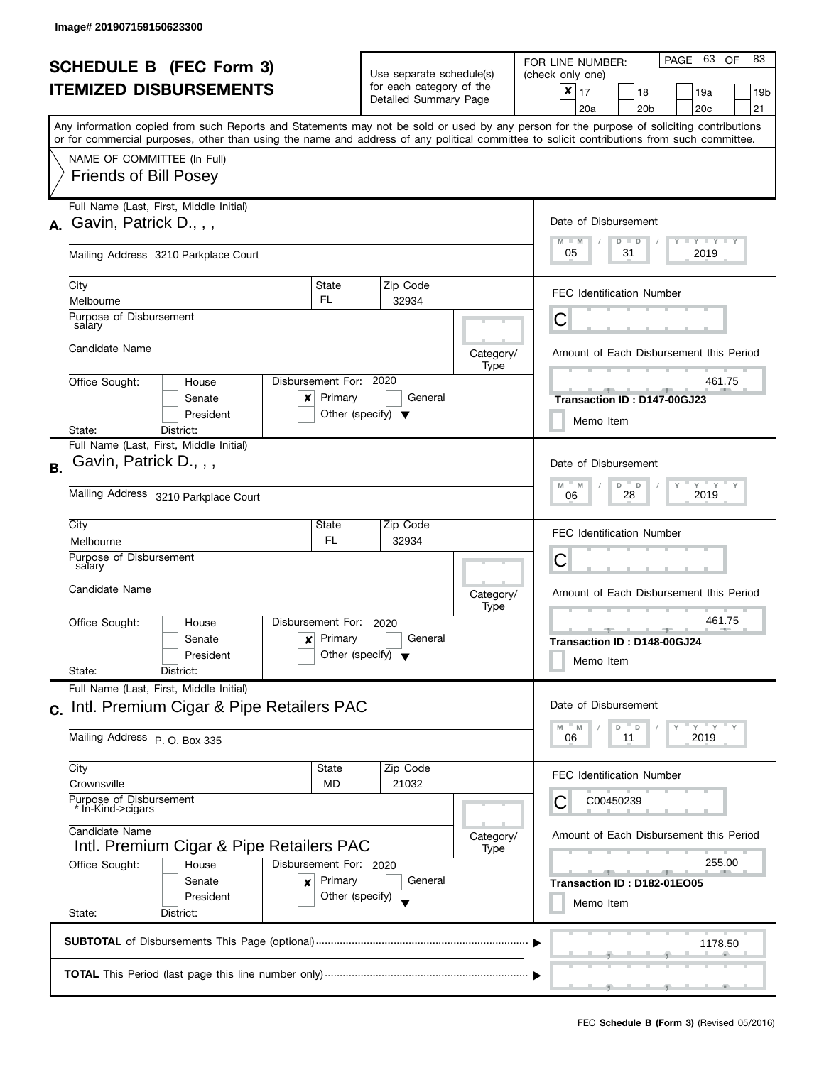| <b>SCHEDULE B (FEC Form 3)</b><br><b>ITEMIZED DISBURSEMENTS</b><br>Any information copied from such Reports and Statements may not be sold or used by any person for the purpose of soliciting contributions |                                                                                                                                                                                                           |                                                      | Use separate schedule(s)<br>for each category of the<br>Detailed Summary Page |                   | PAGE 63 OF<br>83<br>FOR LINE NUMBER:<br>(check only one)<br>$x \mid 17$<br>18<br>19a<br>19 <sub>b</sub><br>20 <sub>b</sub><br>20c<br>21<br>20a               |
|--------------------------------------------------------------------------------------------------------------------------------------------------------------------------------------------------------------|-----------------------------------------------------------------------------------------------------------------------------------------------------------------------------------------------------------|------------------------------------------------------|-------------------------------------------------------------------------------|-------------------|--------------------------------------------------------------------------------------------------------------------------------------------------------------|
|                                                                                                                                                                                                              | or for commercial purposes, other than using the name and address of any political committee to solicit contributions from such committee.<br>NAME OF COMMITTEE (In Full)<br><b>Friends of Bill Posey</b> |                                                      |                                                                               |                   |                                                                                                                                                              |
|                                                                                                                                                                                                              | Full Name (Last, First, Middle Initial)<br>$A.$ Gavin, Patrick D., , ,<br>Mailing Address 3210 Parkplace Court                                                                                            |                                                      |                                                                               |                   | Date of Disbursement<br>$T - Y = Y + Y$<br>$M - M$<br>$D$ $D$<br>05<br>31<br>2019                                                                            |
|                                                                                                                                                                                                              | City<br>Melbourne<br>Purpose of Disbursement<br>salary                                                                                                                                                    | State<br>FL                                          | Zip Code<br>32934                                                             |                   | <b>FEC Identification Number</b><br>С                                                                                                                        |
|                                                                                                                                                                                                              | Candidate Name<br>Office Sought:<br>House<br>Senate<br>x<br>President                                                                                                                                     | Disbursement For: 2020<br>Primary                    | General<br>Other (specify) $\blacktriangledown$                               | Category/<br>Type | Amount of Each Disbursement this Period<br>461.75<br>Transaction ID: D147-00GJ23                                                                             |
| <b>B.</b>                                                                                                                                                                                                    | District:<br>State:<br>Full Name (Last, First, Middle Initial)<br>Gavin, Patrick D., , ,<br>Mailing Address 3210 Parkplace Court                                                                          |                                                      |                                                                               |                   | Memo Item<br>Date of Disbursement<br>$Y$ $Y$ $Y$<br>M<br>D<br>M<br>$\mathsf D$<br>2019<br>28<br>06                                                           |
|                                                                                                                                                                                                              | City<br>Melbourne<br>Purpose of Disbursement<br>salary<br>Candidate Name                                                                                                                                  | State<br>FL                                          | Zip Code<br>32934                                                             | Category/<br>Type | <b>FEC Identification Number</b><br>С<br>Amount of Each Disbursement this Period                                                                             |
|                                                                                                                                                                                                              | Office Sought:<br>House<br>Senate<br>$\boldsymbol{\mathsf{x}}$<br>President<br>State:<br>District:                                                                                                        | Disbursement For:<br>Primary                         | 2020<br>General<br>Other (specify) $\blacktriangledown$                       |                   | 461.75<br><b>ARTICLE</b><br>Transaction ID: D148-00GJ24<br>Memo Item                                                                                         |
|                                                                                                                                                                                                              | Full Name (Last, First, Middle Initial)<br>c. Intl. Premium Cigar & Pipe Retailers PAC<br>Mailing Address P. O. Box 335                                                                                   |                                                      |                                                                               |                   | Date of Disbursement<br>$Y = Y$<br>D<br>D<br>M<br>M<br>2019<br>06<br>11                                                                                      |
|                                                                                                                                                                                                              | City<br>Crownsville<br>Purpose of Disbursement<br>In-Kind->cigars                                                                                                                                         | State<br>MD                                          | Zip Code<br>21032                                                             |                   | <b>FEC Identification Number</b><br>C00450239                                                                                                                |
|                                                                                                                                                                                                              | Candidate Name<br>Intl. Premium Cigar & Pipe Retailers PAC<br>Office Sought:<br>House<br>Senate<br>×<br>President<br>State:<br>District:                                                                  | Disbursement For: 2020<br>Primary<br>Other (specify) | General                                                                       | Category/<br>Type | Amount of Each Disbursement this Period<br>255.00<br>$-1$<br>_______________________________<br><b>ARCHITECT</b><br>Transaction ID: D182-01EO05<br>Memo Item |
|                                                                                                                                                                                                              |                                                                                                                                                                                                           |                                                      |                                                                               |                   | 1178.50                                                                                                                                                      |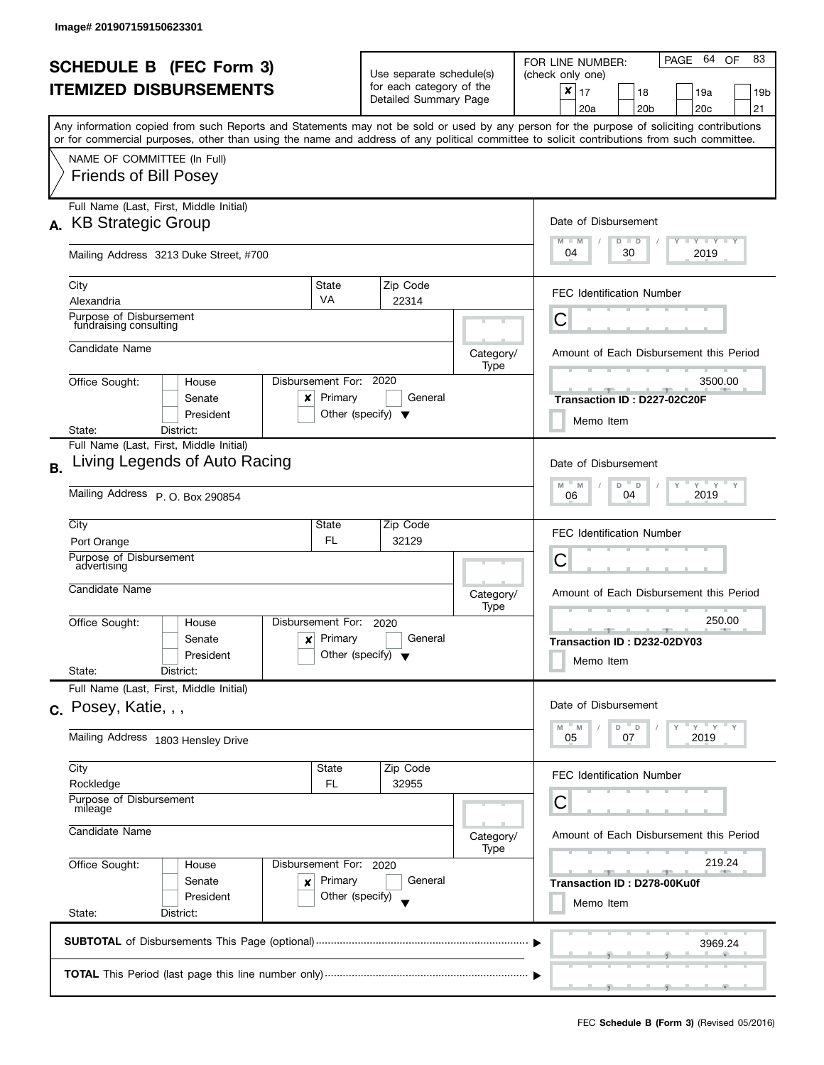|           |                                                                                                                                            |                        |                                                   |                                         | PAGE 64<br>83<br>OF<br>FOR LINE NUMBER:                                                                                                                                          |  |  |  |
|-----------|--------------------------------------------------------------------------------------------------------------------------------------------|------------------------|---------------------------------------------------|-----------------------------------------|----------------------------------------------------------------------------------------------------------------------------------------------------------------------------------|--|--|--|
|           | <b>SCHEDULE B (FEC Form 3)</b>                                                                                                             |                        | Use separate schedule(s)                          |                                         | (check only one)                                                                                                                                                                 |  |  |  |
|           | <b>ITEMIZED DISBURSEMENTS</b>                                                                                                              |                        | for each category of the<br>Detailed Summary Page |                                         | ×<br>17<br>18<br>19a<br>19b                                                                                                                                                      |  |  |  |
|           |                                                                                                                                            |                        |                                                   |                                         | 21<br>20a<br>20 <sub>b</sub><br>20c<br>Any information copied from such Reports and Statements may not be sold or used by any person for the purpose of soliciting contributions |  |  |  |
|           | or for commercial purposes, other than using the name and address of any political committee to solicit contributions from such committee. |                        |                                                   |                                         |                                                                                                                                                                                  |  |  |  |
|           | NAME OF COMMITTEE (In Full)                                                                                                                |                        |                                                   |                                         |                                                                                                                                                                                  |  |  |  |
|           | <b>Friends of Bill Posey</b>                                                                                                               |                        |                                                   |                                         |                                                                                                                                                                                  |  |  |  |
| А.        | Full Name (Last, First, Middle Initial)<br><b>KB Strategic Group</b>                                                                       |                        |                                                   |                                         | Date of Disbursement                                                                                                                                                             |  |  |  |
|           | Mailing Address 3213 Duke Street, #700                                                                                                     |                        |                                                   |                                         | <b>LYLYLY</b><br>$M - M$<br>$D$ $D$<br>04<br>30<br>2019                                                                                                                          |  |  |  |
|           |                                                                                                                                            |                        |                                                   |                                         |                                                                                                                                                                                  |  |  |  |
|           | City<br>Alexandria                                                                                                                         | State<br><b>VA</b>     | Zip Code<br>22314                                 |                                         | <b>FEC Identification Number</b>                                                                                                                                                 |  |  |  |
|           | Purpose of Disbursement<br>fundraising consulting                                                                                          |                        |                                                   |                                         | Ĉ                                                                                                                                                                                |  |  |  |
|           | Candidate Name                                                                                                                             |                        |                                                   | Category/<br>Type                       | Amount of Each Disbursement this Period                                                                                                                                          |  |  |  |
|           | Office Sought:<br>House                                                                                                                    | Disbursement For:      | 2020                                              |                                         | 3500.00                                                                                                                                                                          |  |  |  |
|           | Senate<br>x                                                                                                                                | Primary                | General                                           |                                         | Transaction ID: D227-02C20F                                                                                                                                                      |  |  |  |
|           | President<br>District:                                                                                                                     |                        | Other (specify) $\blacktriangledown$              |                                         | Memo Item                                                                                                                                                                        |  |  |  |
|           | State:<br>Full Name (Last, First, Middle Initial)                                                                                          |                        |                                                   |                                         |                                                                                                                                                                                  |  |  |  |
| <b>B.</b> | Living Legends of Auto Racing                                                                                                              |                        |                                                   |                                         | Date of Disbursement                                                                                                                                                             |  |  |  |
|           | Mailing Address P. O. Box 290854                                                                                                           |                        |                                                   |                                         | $Y$ $Y$<br>D<br>M<br>D<br>M<br>2019<br>04<br>06                                                                                                                                  |  |  |  |
|           | City                                                                                                                                       |                        |                                                   |                                         |                                                                                                                                                                                  |  |  |  |
|           | Port Orange                                                                                                                                | State<br>FL.           | Zip Code<br>32129                                 |                                         | <b>FEC Identification Number</b>                                                                                                                                                 |  |  |  |
|           | Purpose of Disbursement<br>advertising                                                                                                     |                        |                                                   |                                         | С                                                                                                                                                                                |  |  |  |
|           | Candidate Name                                                                                                                             |                        |                                                   | Category/<br>Type                       | Amount of Each Disbursement this Period                                                                                                                                          |  |  |  |
|           | Office Sought:<br>House                                                                                                                    | Disbursement For:      | 2020                                              |                                         | 250.00                                                                                                                                                                           |  |  |  |
|           | Senate<br>$\boldsymbol{x}$                                                                                                                 | Primary                | General                                           |                                         | <b>AND IN</b><br>Transaction ID: D232-02DY03                                                                                                                                     |  |  |  |
|           | President<br>State:<br>District:                                                                                                           |                        | Other (specify) $\sqrt{\phantom{a}}$              |                                         | Memo Item                                                                                                                                                                        |  |  |  |
|           | Full Name (Last, First, Middle Initial)                                                                                                    |                        |                                                   |                                         |                                                                                                                                                                                  |  |  |  |
|           | c. Posey, Katie, , ,                                                                                                                       |                        |                                                   |                                         | Date of Disbursement                                                                                                                                                             |  |  |  |
|           | Mailing Address 1803 Hensley Drive                                                                                                         |                        |                                                   |                                         | $^{\circ}$ D<br>$Y = Y$<br>M<br>M<br>D<br>2019<br>05<br>07                                                                                                                       |  |  |  |
|           | City                                                                                                                                       | State                  | Zip Code                                          |                                         | <b>FEC Identification Number</b>                                                                                                                                                 |  |  |  |
|           | Rockledge<br>Purpose of Disbursement                                                                                                       | FL                     | 32955                                             |                                         | С                                                                                                                                                                                |  |  |  |
|           | mileage                                                                                                                                    |                        |                                                   |                                         |                                                                                                                                                                                  |  |  |  |
|           | Candidate Name                                                                                                                             |                        | Category/<br>Type                                 | Amount of Each Disbursement this Period |                                                                                                                                                                                  |  |  |  |
|           | Office Sought:<br>House                                                                                                                    | Disbursement For: 2020 |                                                   |                                         | 219.24<br><u>and the state</u><br><b>COLLECTIVE</b>                                                                                                                              |  |  |  |
|           | Senate<br>×                                                                                                                                | Primary                | General                                           |                                         | Transaction ID: D278-00Ku0f                                                                                                                                                      |  |  |  |
|           | President<br>State:<br>District:                                                                                                           | Other (specify)        |                                                   |                                         | Memo Item                                                                                                                                                                        |  |  |  |
|           |                                                                                                                                            |                        |                                                   |                                         |                                                                                                                                                                                  |  |  |  |
|           |                                                                                                                                            |                        |                                                   |                                         | 3969.24                                                                                                                                                                          |  |  |  |
|           |                                                                                                                                            |                        |                                                   |                                         |                                                                                                                                                                                  |  |  |  |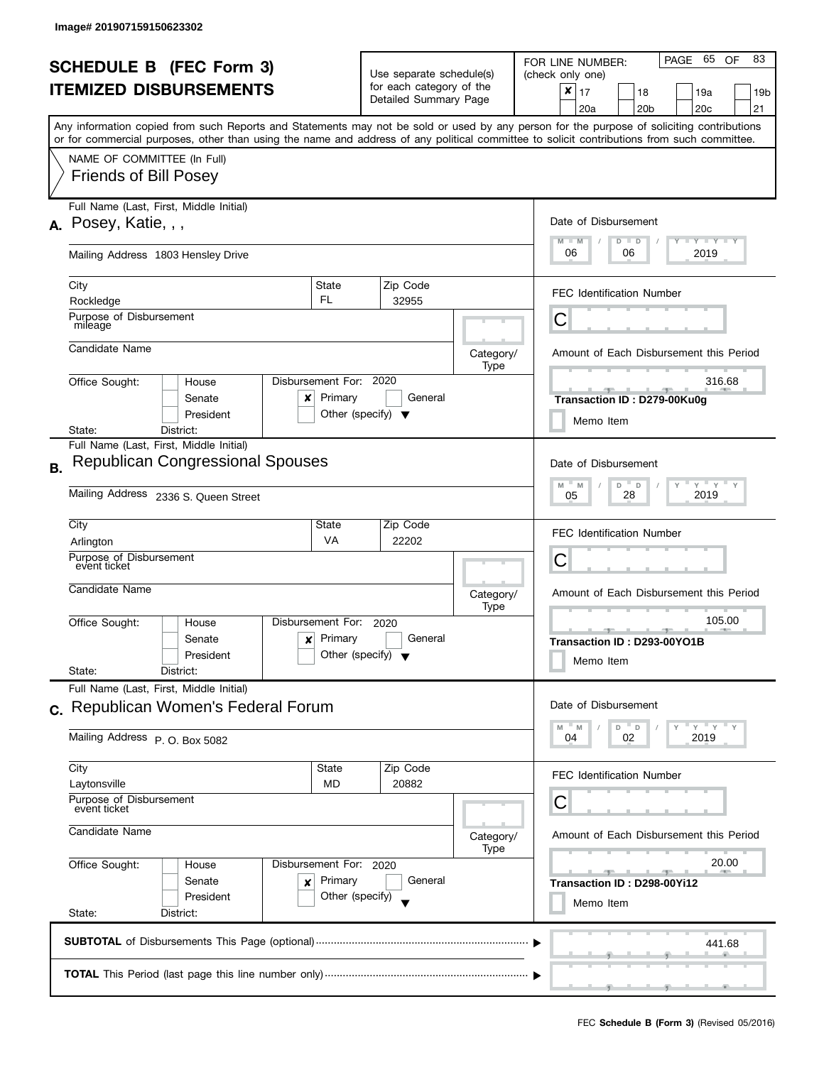|           | <b>SCHEDULE B (FEC Form 3)</b>                                                                                                                                                                                                                                                          |                                                                           | Use separate schedule(s)<br>for each category of the |                       |                   | PAGE 65<br>83<br>OF<br>FOR LINE NUMBER:<br>(check only one)                                 |
|-----------|-----------------------------------------------------------------------------------------------------------------------------------------------------------------------------------------------------------------------------------------------------------------------------------------|---------------------------------------------------------------------------|------------------------------------------------------|-----------------------|-------------------|---------------------------------------------------------------------------------------------|
|           | <b>ITEMIZED DISBURSEMENTS</b>                                                                                                                                                                                                                                                           |                                                                           |                                                      | Detailed Summary Page |                   | $\pmb{\times}$<br>17<br>18<br>19a<br>19 <sub>b</sub><br>20 <sub>b</sub><br>20c<br>21<br>20a |
|           | Any information copied from such Reports and Statements may not be sold or used by any person for the purpose of soliciting contributions<br>or for commercial purposes, other than using the name and address of any political committee to solicit contributions from such committee. |                                                                           |                                                      |                       |                   |                                                                                             |
|           | NAME OF COMMITTEE (In Full)<br><b>Friends of Bill Posey</b>                                                                                                                                                                                                                             |                                                                           |                                                      |                       |                   |                                                                                             |
|           | Full Name (Last, First, Middle Initial)<br>A. Posey, Katie, , ,                                                                                                                                                                                                                         |                                                                           |                                                      |                       |                   | Date of Disbursement                                                                        |
|           | Mailing Address 1803 Hensley Drive                                                                                                                                                                                                                                                      |                                                                           |                                                      |                       |                   | $T - Y = Y + Y$<br>$M - M$<br>$D$ $D$<br>06<br>2019<br>06                                   |
|           | City<br>Rockledge                                                                                                                                                                                                                                                                       | <b>State</b><br>FL                                                        |                                                      | Zip Code<br>32955     |                   | <b>FEC Identification Number</b>                                                            |
|           | Purpose of Disbursement<br>mileage                                                                                                                                                                                                                                                      |                                                                           |                                                      |                       |                   | С                                                                                           |
|           | Candidate Name                                                                                                                                                                                                                                                                          |                                                                           |                                                      |                       | Category/<br>Type | Amount of Each Disbursement this Period                                                     |
|           | Office Sought:<br>House<br>Senate<br>x<br>President                                                                                                                                                                                                                                     | Disbursement For: 2020<br>Primary<br>Other (specify) $\blacktriangledown$ |                                                      | General               |                   | 316.68<br>Transaction ID: D279-00Ku0g<br>Memo Item                                          |
|           | District:<br>State:<br>Full Name (Last, First, Middle Initial)                                                                                                                                                                                                                          |                                                                           |                                                      |                       |                   |                                                                                             |
| <b>B.</b> | <b>Republican Congressional Spouses</b>                                                                                                                                                                                                                                                 |                                                                           |                                                      |                       |                   | Date of Disbursement<br>$Y = Y =$<br>M<br>D<br>M<br>D                                       |
|           | Mailing Address 2336 S. Queen Street                                                                                                                                                                                                                                                    | 2019<br>28<br>05                                                          |                                                      |                       |                   |                                                                                             |
|           | City<br>Arlington                                                                                                                                                                                                                                                                       | State<br>VA                                                               |                                                      | Zip Code<br>22202     |                   | <b>FEC Identification Number</b>                                                            |
|           | Purpose of Disbursement<br>event ticket                                                                                                                                                                                                                                                 |                                                                           |                                                      |                       |                   | С                                                                                           |
|           | Candidate Name                                                                                                                                                                                                                                                                          |                                                                           |                                                      |                       | Category/<br>Type | Amount of Each Disbursement this Period                                                     |
|           | Office Sought:<br>House<br>Senate<br>$\boldsymbol{\mathsf{x}}$<br>President<br>State:<br>District:                                                                                                                                                                                      | Disbursement For:<br>Primary<br>Other (specify) $\blacktriangledown$      |                                                      | 2020<br>General       |                   | 105.00<br>Transaction ID: D293-00YO1B<br>Memo Item                                          |
|           | Full Name (Last, First, Middle Initial)<br>c. Republican Women's Federal Forum                                                                                                                                                                                                          |                                                                           |                                                      |                       |                   | Date of Disbursement                                                                        |
|           | Mailing Address P.O. Box 5082                                                                                                                                                                                                                                                           |                                                                           |                                                      |                       |                   | $Y = Y$<br>D<br>D<br>M<br>M<br>04<br>2019<br>02                                             |
|           | City<br>Laytonsville                                                                                                                                                                                                                                                                    | State<br><b>MD</b>                                                        |                                                      | Zip Code<br>20882     |                   | <b>FEC Identification Number</b>                                                            |
|           | Purpose of Disbursement<br>event ticket<br>Candidate Name                                                                                                                                                                                                                               |                                                                           |                                                      |                       |                   | С                                                                                           |
|           |                                                                                                                                                                                                                                                                                         |                                                                           |                                                      |                       | Category/<br>Type | Amount of Each Disbursement this Period                                                     |
|           | Office Sought:<br>House<br>Senate<br>×<br>President                                                                                                                                                                                                                                     | Disbursement For: 2020<br>Primary<br>Other (specify)                      |                                                      | General               |                   | 20.00<br><u>and the state</u><br>Transaction ID: D298-00Yi12<br>Memo Item                   |
|           | State:<br>District:                                                                                                                                                                                                                                                                     |                                                                           |                                                      |                       |                   |                                                                                             |
|           |                                                                                                                                                                                                                                                                                         |                                                                           |                                                      |                       |                   | 441.68                                                                                      |
|           |                                                                                                                                                                                                                                                                                         |                                                                           |                                                      |                       |                   |                                                                                             |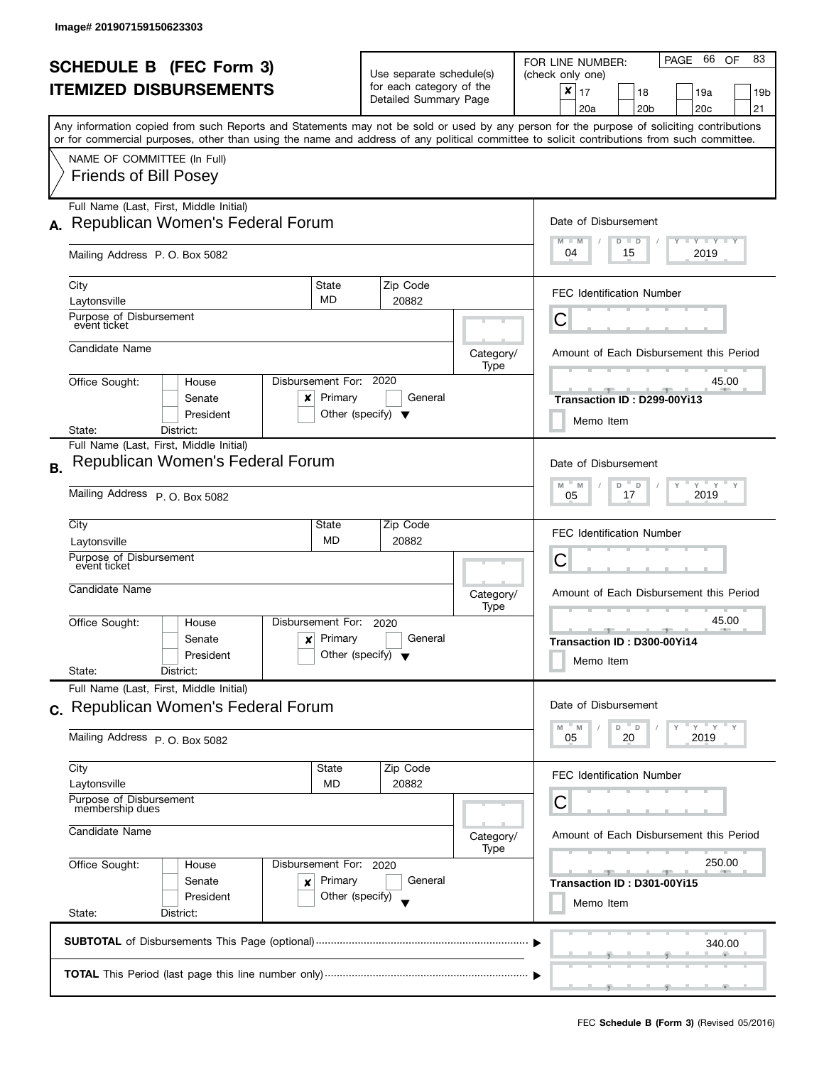|           | <b>SCHEDULE B</b> (FEC Form 3)<br><b>ITEMIZED DISBURSEMENTS</b><br>Any information copied from such Reports and Statements may not be sold or used by any person for the purpose of soliciting contributions |                                                      | Use separate schedule(s)<br>for each category of the<br>Detailed Summary Page |                   | 66<br>83<br>PAGE<br>OF<br>FOR LINE NUMBER:<br>(check only one)<br>$\boldsymbol{x}$<br>17<br>18<br>19a<br>19b<br>20 <sub>b</sub><br>20 <sub>c</sub><br>21<br>20a |
|-----------|--------------------------------------------------------------------------------------------------------------------------------------------------------------------------------------------------------------|------------------------------------------------------|-------------------------------------------------------------------------------|-------------------|-----------------------------------------------------------------------------------------------------------------------------------------------------------------|
|           | or for commercial purposes, other than using the name and address of any political committee to solicit contributions from such committee.<br>NAME OF COMMITTEE (In Full)<br><b>Friends of Bill Posey</b>    |                                                      |                                                                               |                   |                                                                                                                                                                 |
|           | Full Name (Last, First, Middle Initial)<br>A. Republican Women's Federal Forum<br>Mailing Address P.O. Box 5082                                                                                              |                                                      |                                                                               |                   | Date of Disbursement<br>$T - Y = T - Y$<br>$M - M$<br>$D$ $D$<br>04<br>2019<br>15                                                                               |
|           | City<br>Laytonsville<br>Purpose of Disbursement                                                                                                                                                              | State<br>MD                                          | Zip Code<br>20882                                                             |                   | <b>FEC Identification Number</b>                                                                                                                                |
|           | event ticket<br>Candidate Name                                                                                                                                                                               |                                                      |                                                                               | Category/<br>Type | Ĉ<br>Amount of Each Disbursement this Period                                                                                                                    |
|           | Office Sought:<br>House<br>Senate<br>×<br>President<br>District:<br>State:                                                                                                                                   | Disbursement For:<br>Primary                         | 2020<br>General<br>Other (specify) $\blacktriangledown$                       |                   | 45.00<br>Transaction ID: D299-00Yi13<br>Memo Item                                                                                                               |
| <b>B.</b> | Full Name (Last, First, Middle Initial)<br>Republican Women's Federal Forum<br>Mailing Address P. O. Box 5082                                                                                                |                                                      |                                                                               |                   | Date of Disbursement<br>$Y$ $Y$ $Y$<br>M<br>M<br>D<br>$\mathsf D$<br>2019<br>17<br>05                                                                           |
|           | City<br>Laytonsville<br>Purpose of Disbursement<br>event ticket                                                                                                                                              | State<br><b>MD</b>                                   | Zip Code<br>20882                                                             |                   | <b>FEC Identification Number</b><br>С                                                                                                                           |
|           | Candidate Name<br>Office Sought:<br>House<br>Senate<br>$\boldsymbol{x}$<br>President<br>State:<br>District:                                                                                                  | Disbursement For:<br>Primary                         | 2020<br>General<br>Other (specify) $\blacktriangledown$                       | Category/<br>Type | Amount of Each Disbursement this Period<br>45.00<br><b>COLLECTIVE</b><br>Transaction ID: D300-00Yi14<br>Memo Item                                               |
|           | Full Name (Last, First, Middle Initial)<br>c. Republican Women's Federal Forum<br>Mailing Address P.O. Box 5082                                                                                              |                                                      |                                                                               |                   | Date of Disbursement<br>$Y = Y$<br>M<br>D<br>$\mathsf D$<br>M<br>20<br>2019<br>05                                                                               |
|           | City<br>Laytonsville<br>Purpose of Disbursement<br>membership dues<br>Candidate Name                                                                                                                         | State<br><b>MD</b>                                   | Zip Code<br>20882                                                             | Category/<br>Type | <b>FEC Identification Number</b><br>С<br>Amount of Each Disbursement this Period                                                                                |
|           | Office Sought:<br>House<br>Senate<br>×<br>President<br>State:<br>District:                                                                                                                                   | Disbursement For: 2020<br>Primary<br>Other (specify) | General                                                                       |                   | 250.00<br>一<br>Transaction ID: D301-00Yi15<br>Memo Item                                                                                                         |
|           |                                                                                                                                                                                                              |                                                      |                                                                               |                   | 340.00                                                                                                                                                          |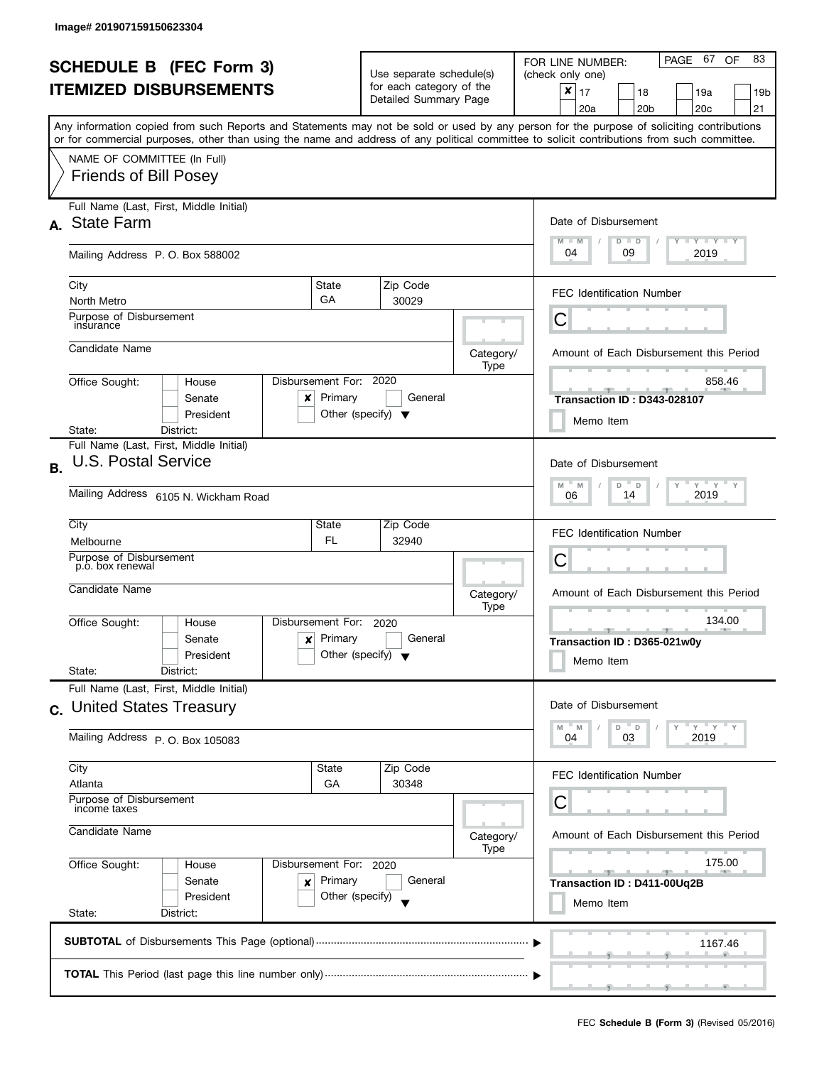| <b>SCHEDULE B (FEC Form 3)</b><br><b>ITEMIZED DISBURSEMENTS</b> |                                                                                                                                                                                                                                                                                         |                                                 | Use separate schedule(s)<br>for each category of the |                   | PAGE 67<br>83<br>OF<br>FOR LINE NUMBER:<br>(check only one)<br>$\boldsymbol{x}$<br>17<br>18<br>19a<br>19b |  |  |
|-----------------------------------------------------------------|-----------------------------------------------------------------------------------------------------------------------------------------------------------------------------------------------------------------------------------------------------------------------------------------|-------------------------------------------------|------------------------------------------------------|-------------------|-----------------------------------------------------------------------------------------------------------|--|--|
|                                                                 |                                                                                                                                                                                                                                                                                         |                                                 | Detailed Summary Page                                |                   | 20 <sub>b</sub><br>20 <sub>c</sub><br>21<br>20a                                                           |  |  |
|                                                                 | Any information copied from such Reports and Statements may not be sold or used by any person for the purpose of soliciting contributions<br>or for commercial purposes, other than using the name and address of any political committee to solicit contributions from such committee. |                                                 |                                                      |                   |                                                                                                           |  |  |
|                                                                 | NAME OF COMMITTEE (In Full)<br><b>Friends of Bill Posey</b>                                                                                                                                                                                                                             |                                                 |                                                      |                   |                                                                                                           |  |  |
|                                                                 | Full Name (Last, First, Middle Initial)<br>A. State Farm                                                                                                                                                                                                                                |                                                 |                                                      |                   | Date of Disbursement<br>$T - Y = Y + Y$<br>$M - M$                                                        |  |  |
|                                                                 | Mailing Address P. O. Box 588002                                                                                                                                                                                                                                                        |                                                 |                                                      |                   | $D$ $D$<br>04<br>09<br>2019                                                                               |  |  |
|                                                                 | State<br>City<br>GA<br>North Metro                                                                                                                                                                                                                                                      |                                                 | Zip Code<br>30029                                    |                   | <b>FEC Identification Number</b>                                                                          |  |  |
|                                                                 | Purpose of Disbursement<br>insurance                                                                                                                                                                                                                                                    |                                                 |                                                      |                   | С                                                                                                         |  |  |
|                                                                 | Candidate Name                                                                                                                                                                                                                                                                          |                                                 |                                                      | Category/<br>Type | Amount of Each Disbursement this Period                                                                   |  |  |
|                                                                 | Disbursement For: 2020<br>Office Sought:<br>House<br>Senate<br>x<br>President                                                                                                                                                                                                           | Primary<br>Other (specify) $\blacktriangledown$ | General                                              |                   | 858.46<br>Transaction ID: D343-028107<br>Memo Item                                                        |  |  |
|                                                                 | District:<br>State:<br>Full Name (Last, First, Middle Initial)                                                                                                                                                                                                                          |                                                 |                                                      |                   |                                                                                                           |  |  |
| <b>B.</b>                                                       | <b>U.S. Postal Service</b>                                                                                                                                                                                                                                                              |                                                 |                                                      |                   | Date of Disbursement                                                                                      |  |  |
|                                                                 | Mailing Address 6105 N. Wickham Road                                                                                                                                                                                                                                                    |                                                 |                                                      |                   | $Y$ $Y$<br>M<br>D<br>$\mathsf D$<br>Υ<br>M<br>2019<br>14<br>06                                            |  |  |
|                                                                 | City<br>State<br>Melbourne                                                                                                                                                                                                                                                              | FL.                                             | Zip Code<br>32940                                    |                   | <b>FEC Identification Number</b>                                                                          |  |  |
|                                                                 | Purpose of Disbursement<br>p.o. box renewal                                                                                                                                                                                                                                             |                                                 |                                                      |                   | С                                                                                                         |  |  |
|                                                                 | Candidate Name                                                                                                                                                                                                                                                                          |                                                 |                                                      | Category/<br>Type | Amount of Each Disbursement this Period                                                                   |  |  |
|                                                                 | Disbursement For:<br>Office Sought:<br>House<br>Senate<br>x<br>President<br>State:<br>District:                                                                                                                                                                                         | Primary<br>Other (specify) $\blacktriangledown$ | 2020<br>General                                      |                   | 134.00<br>Transaction ID: D365-021w0y<br>Memo Item                                                        |  |  |
|                                                                 | Full Name (Last, First, Middle Initial)                                                                                                                                                                                                                                                 |                                                 |                                                      |                   |                                                                                                           |  |  |
|                                                                 | c. United States Treasury                                                                                                                                                                                                                                                               |                                                 |                                                      |                   | Date of Disbursement<br>$Y'$ $Y'$<br>$\overline{\phantom{a}}$ D<br>$- M$<br>D<br>M                        |  |  |
|                                                                 | Mailing Address P. O. Box 105083                                                                                                                                                                                                                                                        |                                                 |                                                      |                   | 03<br>2019<br>04                                                                                          |  |  |
|                                                                 | City<br>State<br>Atlanta                                                                                                                                                                                                                                                                | GA                                              | Zip Code<br>30348                                    |                   | <b>FEC Identification Number</b>                                                                          |  |  |
|                                                                 | Purpose of Disbursement<br>income taxes                                                                                                                                                                                                                                                 |                                                 |                                                      |                   | С                                                                                                         |  |  |
|                                                                 | Candidate Name                                                                                                                                                                                                                                                                          |                                                 |                                                      | Category/<br>Type | Amount of Each Disbursement this Period                                                                   |  |  |
|                                                                 | Office Sought:<br>Disbursement For: 2020<br>House<br>Senate<br>×<br>President                                                                                                                                                                                                           | Primary<br>Other (specify)                      | General                                              |                   | 175.00<br>$-$<br>Transaction ID: D411-00Uq2B                                                              |  |  |
|                                                                 | State:<br>District:                                                                                                                                                                                                                                                                     |                                                 |                                                      |                   | Memo Item                                                                                                 |  |  |
|                                                                 |                                                                                                                                                                                                                                                                                         |                                                 |                                                      |                   | 1167.46                                                                                                   |  |  |
|                                                                 |                                                                                                                                                                                                                                                                                         |                                                 |                                                      |                   |                                                                                                           |  |  |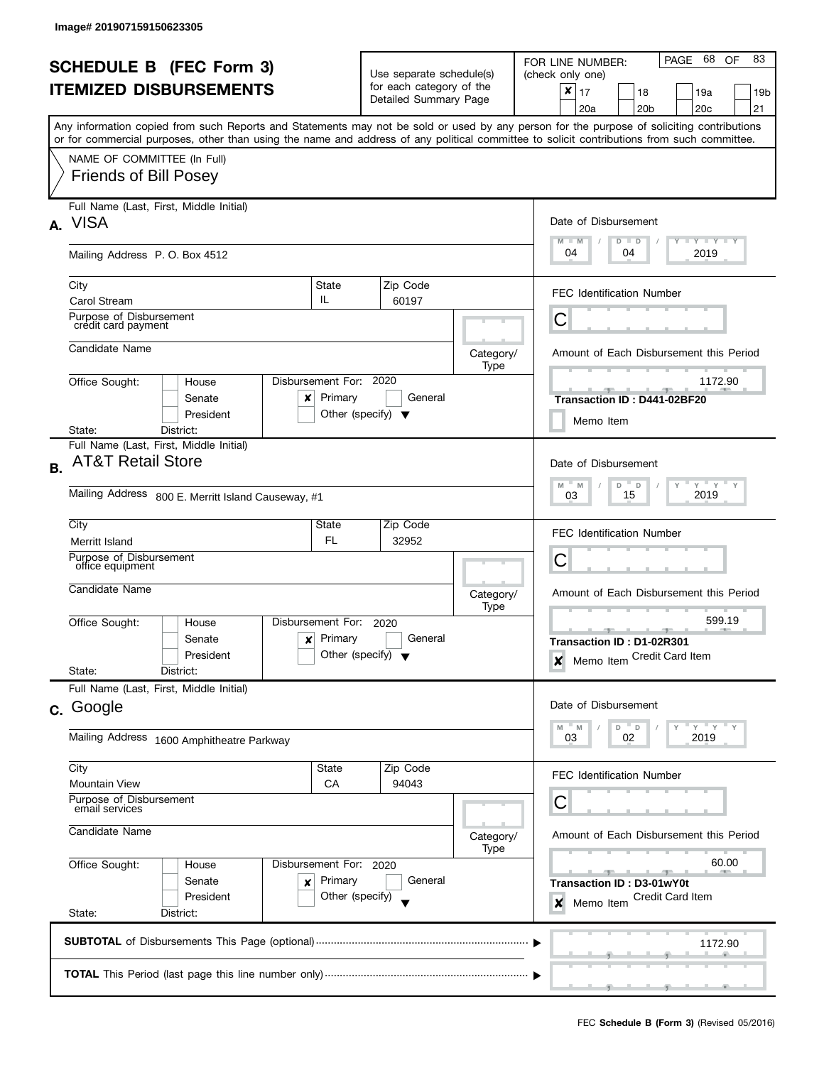|                                |                                                                                                                                            |                        |                                                   |                   | 68<br>83<br>PAGE<br><b>OF</b><br>FOR LINE NUMBER:                                                                                         |  |  |
|--------------------------------|--------------------------------------------------------------------------------------------------------------------------------------------|------------------------|---------------------------------------------------|-------------------|-------------------------------------------------------------------------------------------------------------------------------------------|--|--|
| <b>SCHEDULE B (FEC Form 3)</b> |                                                                                                                                            |                        | Use separate schedule(s)                          |                   | (check only one)                                                                                                                          |  |  |
|                                | <b>ITEMIZED DISBURSEMENTS</b>                                                                                                              |                        | for each category of the<br>Detailed Summary Page |                   | ×<br>17<br>19a<br>18<br>19 <sub>b</sub>                                                                                                   |  |  |
|                                |                                                                                                                                            |                        |                                                   |                   | 20a<br>20 <sub>b</sub><br>20c<br>21                                                                                                       |  |  |
|                                | or for commercial purposes, other than using the name and address of any political committee to solicit contributions from such committee. |                        |                                                   |                   | Any information copied from such Reports and Statements may not be sold or used by any person for the purpose of soliciting contributions |  |  |
|                                | NAME OF COMMITTEE (In Full)                                                                                                                |                        |                                                   |                   |                                                                                                                                           |  |  |
|                                | <b>Friends of Bill Posey</b>                                                                                                               |                        |                                                   |                   |                                                                                                                                           |  |  |
|                                | Full Name (Last, First, Middle Initial)<br><b>VISA</b>                                                                                     |                        |                                                   |                   | Date of Disbursement                                                                                                                      |  |  |
| $\mathbf{A}$                   |                                                                                                                                            |                        |                                                   |                   | Y Y Y Y Y<br>$M - M$<br>$D$ $D$                                                                                                           |  |  |
|                                | Mailing Address P. O. Box 4512                                                                                                             |                        |                                                   |                   | 04<br>04<br>2019                                                                                                                          |  |  |
|                                | City                                                                                                                                       | State                  | Zip Code                                          |                   | <b>FEC Identification Number</b>                                                                                                          |  |  |
|                                | <b>Carol Stream</b>                                                                                                                        | IL.                    | 60197                                             |                   |                                                                                                                                           |  |  |
|                                | Purpose of Disbursement<br>crédit card payment                                                                                             |                        |                                                   |                   | С                                                                                                                                         |  |  |
|                                | Candidate Name                                                                                                                             |                        |                                                   | Category/<br>Type | Amount of Each Disbursement this Period                                                                                                   |  |  |
|                                | Office Sought:<br>House                                                                                                                    | Disbursement For:      | 2020                                              |                   | 1172.90                                                                                                                                   |  |  |
|                                | Senate<br>x                                                                                                                                | Primary                | General                                           |                   | Transaction ID: D441-02BF20                                                                                                               |  |  |
|                                | President                                                                                                                                  |                        | Other (specify) $\blacktriangledown$              |                   | Memo Item                                                                                                                                 |  |  |
|                                | State:<br>District:                                                                                                                        |                        |                                                   |                   |                                                                                                                                           |  |  |
| <b>B.</b>                      | Full Name (Last, First, Middle Initial)<br><b>AT&amp;T Retail Store</b>                                                                    |                        |                                                   |                   | Date of Disbursement                                                                                                                      |  |  |
|                                |                                                                                                                                            |                        |                                                   |                   | $Y^{\top}$<br>$Y$ $Y$ $Y$<br>$M - M$<br>$D$ $D$                                                                                           |  |  |
|                                | Mailing Address 800 E. Merritt Island Causeway, #1                                                                                         |                        |                                                   |                   | 2019<br>15<br>03                                                                                                                          |  |  |
|                                | City                                                                                                                                       | State                  | Zip Code                                          |                   | <b>FEC Identification Number</b>                                                                                                          |  |  |
|                                | Merritt Island                                                                                                                             | FL.                    | 32952                                             |                   |                                                                                                                                           |  |  |
|                                | Purpose of Disbursement<br>office equipment                                                                                                |                        |                                                   |                   | С                                                                                                                                         |  |  |
|                                | Candidate Name                                                                                                                             |                        |                                                   | Category/         | Amount of Each Disbursement this Period                                                                                                   |  |  |
|                                | Office Sought:<br>House                                                                                                                    | Disbursement For:      | 2020                                              | Type              | 599.19                                                                                                                                    |  |  |
|                                | Senate<br>×                                                                                                                                | Primary                | General                                           |                   | ه<br>Transaction ID: D1-02R301                                                                                                            |  |  |
|                                | President                                                                                                                                  |                        | Other (specify) $\blacktriangledown$              |                   | Memo Item Credit Card Item<br>X                                                                                                           |  |  |
|                                | State:<br>District:                                                                                                                        |                        |                                                   |                   |                                                                                                                                           |  |  |
|                                | Full Name (Last, First, Middle Initial)                                                                                                    |                        |                                                   |                   |                                                                                                                                           |  |  |
|                                | c. Google                                                                                                                                  |                        |                                                   |                   | Date of Disbursement                                                                                                                      |  |  |
|                                | Mailing Address 1600 Amphitheatre Parkway                                                                                                  |                        |                                                   |                   | $Y$ $Y$ $Y$<br>" M<br>$D$ $D$<br>2019<br>02<br>03                                                                                         |  |  |
|                                | City                                                                                                                                       | State                  | Zip Code                                          |                   |                                                                                                                                           |  |  |
|                                | <b>Mountain View</b>                                                                                                                       | СA                     | 94043                                             |                   | FEC Identification Number                                                                                                                 |  |  |
|                                | Purpose of Disbursement<br>email services                                                                                                  |                        |                                                   |                   | С                                                                                                                                         |  |  |
| Candidate Name                 |                                                                                                                                            |                        |                                                   |                   | Amount of Each Disbursement this Period                                                                                                   |  |  |
|                                |                                                                                                                                            |                        |                                                   | Category/<br>Type |                                                                                                                                           |  |  |
|                                | Office Sought:<br>House                                                                                                                    | Disbursement For: 2020 |                                                   |                   | 60.00                                                                                                                                     |  |  |
|                                | Senate<br>×                                                                                                                                | Primary                | General                                           |                   | Transaction ID: D3-01wY0t                                                                                                                 |  |  |
|                                | President                                                                                                                                  | Other (specify)        |                                                   |                   | <b>Credit Card Item</b><br>X<br>Memo Item                                                                                                 |  |  |
|                                | State:<br>District:                                                                                                                        |                        |                                                   |                   |                                                                                                                                           |  |  |
|                                |                                                                                                                                            |                        |                                                   |                   | 1172.90                                                                                                                                   |  |  |
|                                |                                                                                                                                            |                        |                                                   |                   |                                                                                                                                           |  |  |
|                                |                                                                                                                                            |                        |                                                   |                   |                                                                                                                                           |  |  |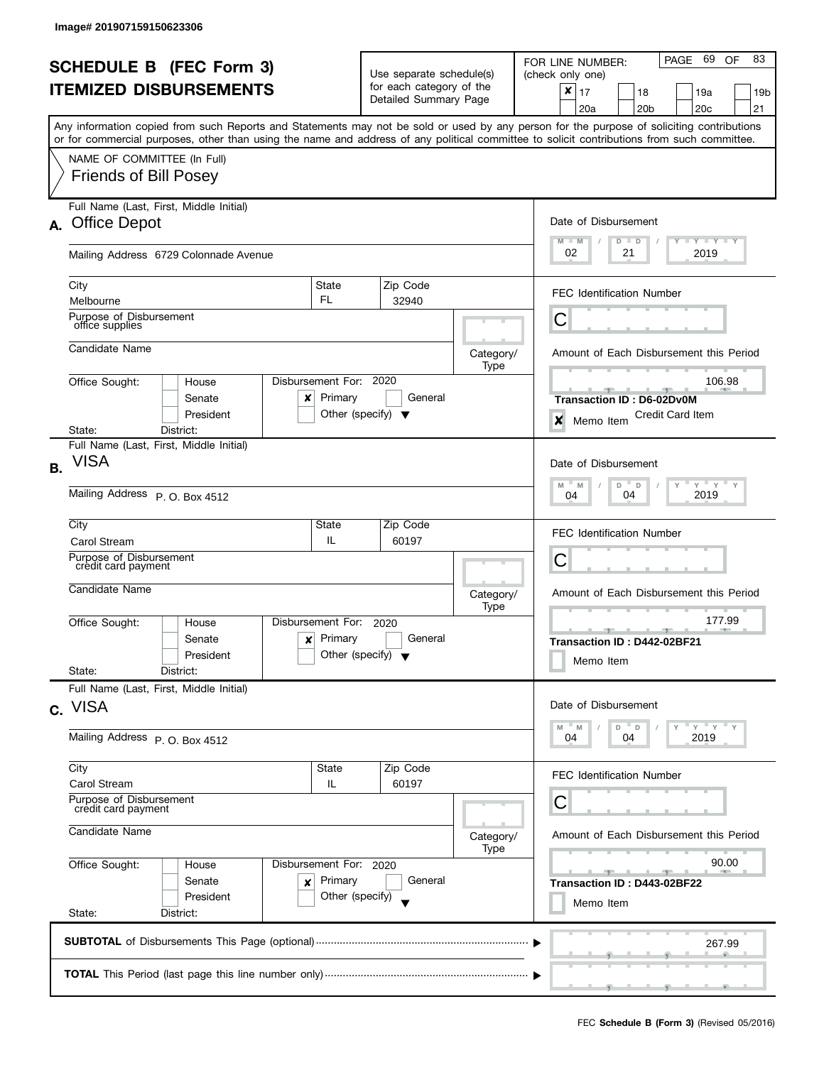|           | <b>SCHEDULE B</b> (FEC Form 3)                                                                                                             |                                                                           | Use separate schedule(s) |                                                                |                   | PAGE 69<br>83<br>OF<br>FOR LINE NUMBER:<br>(check only one)                                                                               |  |
|-----------|--------------------------------------------------------------------------------------------------------------------------------------------|---------------------------------------------------------------------------|--------------------------|----------------------------------------------------------------|-------------------|-------------------------------------------------------------------------------------------------------------------------------------------|--|
|           | <b>ITEMIZED DISBURSEMENTS</b>                                                                                                              |                                                                           |                          | for each category of the<br>Detailed Summary Page              |                   | $\boldsymbol{x}$<br>17<br>18<br>19a<br>19b<br>20 <sub>b</sub><br>20 <sub>c</sub><br>21<br>20a                                             |  |
|           | or for commercial purposes, other than using the name and address of any political committee to solicit contributions from such committee. |                                                                           |                          |                                                                |                   | Any information copied from such Reports and Statements may not be sold or used by any person for the purpose of soliciting contributions |  |
|           | NAME OF COMMITTEE (In Full)<br><b>Friends of Bill Posey</b>                                                                                |                                                                           |                          |                                                                |                   |                                                                                                                                           |  |
| А.        | Full Name (Last, First, Middle Initial)<br><b>Office Depot</b>                                                                             |                                                                           |                          |                                                                |                   | Date of Disbursement<br>$T - Y$ $T - Y$ $T - Y$                                                                                           |  |
|           | Mailing Address 6729 Colonnade Avenue                                                                                                      | $M - M$<br>$D$ $D$<br>02<br>21<br>2019                                    |                          |                                                                |                   |                                                                                                                                           |  |
|           | City<br>Melbourne                                                                                                                          | State<br>FL.                                                              |                          | Zip Code<br>32940                                              |                   | <b>FEC Identification Number</b>                                                                                                          |  |
|           | Purpose of Disbursement<br>office supplies                                                                                                 |                                                                           |                          |                                                                |                   | С                                                                                                                                         |  |
|           | Candidate Name                                                                                                                             |                                                                           |                          |                                                                | Category/<br>Type | Amount of Each Disbursement this Period                                                                                                   |  |
|           | Office Sought:<br>House<br>Senate<br>x<br>President                                                                                        | Disbursement For: 2020<br>Primary<br>Other (specify) $\blacktriangledown$ |                          | General                                                        |                   | 106.98<br><b>Transaction ID: D6-02Dv0M</b><br><b>Credit Card Item</b><br>$\boldsymbol{x}$<br>Memo Item                                    |  |
|           | District:<br>State:<br>Full Name (Last, First, Middle Initial)                                                                             |                                                                           |                          |                                                                |                   |                                                                                                                                           |  |
| <b>B.</b> | <b>VISA</b>                                                                                                                                |                                                                           |                          |                                                                |                   | Date of Disbursement                                                                                                                      |  |
|           | Mailing Address P. O. Box 4512                                                                                                             |                                                                           |                          | $Y$ $Y$<br>M<br>D<br>$\mathbb D$<br>Υ<br>M<br>2019<br>04<br>04 |                   |                                                                                                                                           |  |
|           | City<br><b>Carol Stream</b>                                                                                                                | <b>State</b><br>IL.                                                       |                          | Zip Code<br>60197                                              |                   | <b>FEC Identification Number</b>                                                                                                          |  |
|           | Purpose of Disbursement<br>credit card payment                                                                                             |                                                                           |                          |                                                                |                   | C                                                                                                                                         |  |
|           | Candidate Name                                                                                                                             |                                                                           |                          |                                                                | Category/<br>Type | Amount of Each Disbursement this Period                                                                                                   |  |
|           | Office Sought:<br>House<br>Senate<br>x<br>President<br>State:<br>District:                                                                 | Disbursement For:<br>Primary<br>Other (specify) $\blacktriangledown$      |                          | 2020<br>General                                                |                   | 177.99<br>Transaction ID: D442-02BF21<br>Memo Item                                                                                        |  |
|           | Full Name (Last, First, Middle Initial)                                                                                                    |                                                                           |                          |                                                                |                   |                                                                                                                                           |  |
|           | c. VISA                                                                                                                                    |                                                                           |                          |                                                                |                   | Date of Disbursement<br>$Y'$ $Y'$<br>D<br>$-M$<br>D<br>M                                                                                  |  |
|           | Mailing Address P.O. Box 4512                                                                                                              |                                                                           |                          |                                                                |                   | 2019<br>04<br>04                                                                                                                          |  |
|           | City<br>Carol Stream                                                                                                                       | State<br>IL.                                                              |                          | Zip Code<br>60197                                              |                   | <b>FEC Identification Number</b>                                                                                                          |  |
|           | Purpose of Disbursement<br>credit card payment                                                                                             |                                                                           |                          |                                                                | С                 |                                                                                                                                           |  |
|           | Candidate Name                                                                                                                             |                                                                           | Category/<br>Type        | Amount of Each Disbursement this Period                        |                   |                                                                                                                                           |  |
|           | Office Sought:<br>House<br>Senate<br>×<br>President                                                                                        | Disbursement For: 2020<br>Primary<br>Other (specify)                      |                          | General                                                        |                   | 90.00<br>$-1$<br>$-7-$<br>Transaction ID: D443-02BF22                                                                                     |  |
|           | State:<br>District:                                                                                                                        |                                                                           |                          |                                                                |                   | Memo Item                                                                                                                                 |  |
|           |                                                                                                                                            |                                                                           |                          |                                                                |                   | 267.99                                                                                                                                    |  |
|           |                                                                                                                                            |                                                                           |                          |                                                                |                   |                                                                                                                                           |  |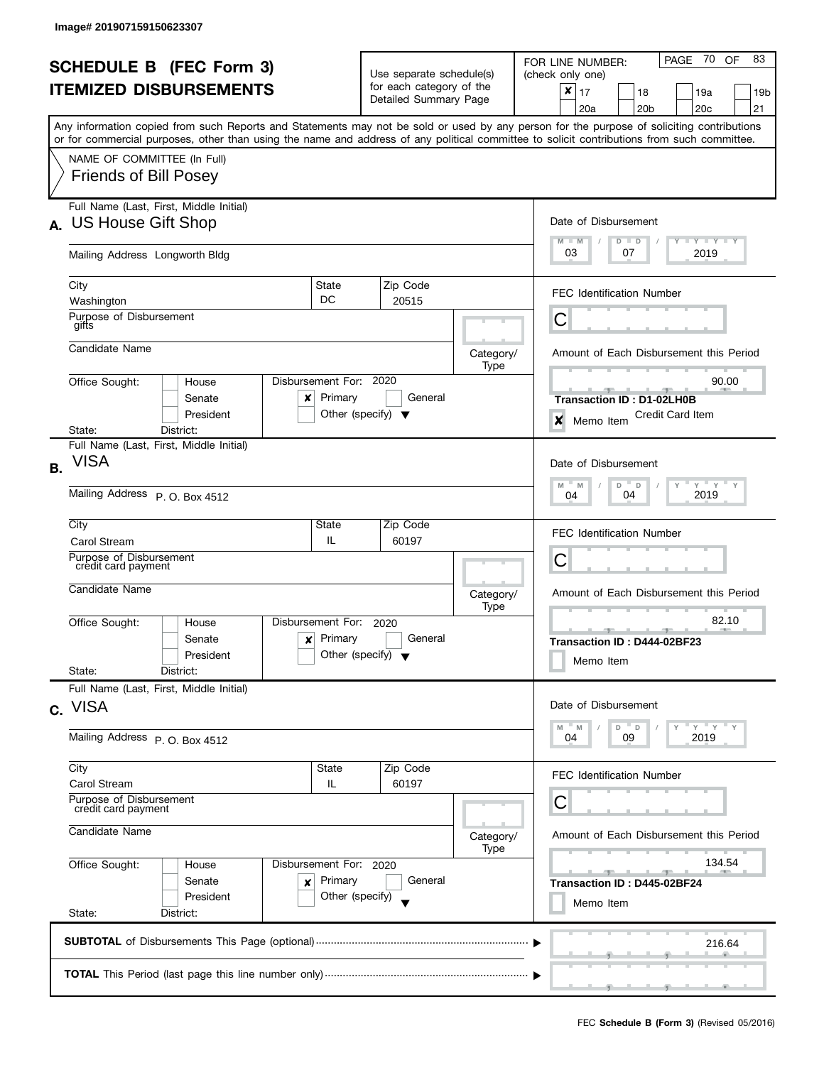|                |                                                                                                                                                                            |                                      |                                                                              |                          |           | PAGE 70<br>83                                                                     |  |
|----------------|----------------------------------------------------------------------------------------------------------------------------------------------------------------------------|--------------------------------------|------------------------------------------------------------------------------|--------------------------|-----------|-----------------------------------------------------------------------------------|--|
|                | <b>SCHEDULE B (FEC Form 3)</b>                                                                                                                                             |                                      | Use separate schedule(s)                                                     |                          |           | OF<br>FOR LINE NUMBER:<br>(check only one)                                        |  |
|                | <b>ITEMIZED DISBURSEMENTS</b><br>Any information copied from such Reports and Statements may not be sold or used by any person for the purpose of soliciting contributions |                                      |                                                                              | for each category of the |           | $\pmb{\times}$<br>17<br>18<br>19a<br>19b                                          |  |
|                |                                                                                                                                                                            |                                      |                                                                              | Detailed Summary Page    |           | 20 <sub>b</sub><br>20 <sub>c</sub><br>21<br>20a                                   |  |
|                |                                                                                                                                                                            |                                      |                                                                              |                          |           |                                                                                   |  |
|                | or for commercial purposes, other than using the name and address of any political committee to solicit contributions from such committee.                                 |                                      |                                                                              |                          |           |                                                                                   |  |
|                | NAME OF COMMITTEE (In Full)                                                                                                                                                |                                      |                                                                              |                          |           |                                                                                   |  |
|                | <b>Friends of Bill Posey</b>                                                                                                                                               |                                      |                                                                              |                          |           |                                                                                   |  |
|                |                                                                                                                                                                            |                                      |                                                                              |                          |           |                                                                                   |  |
|                | Full Name (Last, First, Middle Initial)                                                                                                                                    |                                      |                                                                              |                          |           |                                                                                   |  |
|                | A. US House Gift Shop                                                                                                                                                      |                                      |                                                                              |                          |           | Date of Disbursement                                                              |  |
|                | Mailing Address Longworth Bldg                                                                                                                                             |                                      |                                                                              |                          |           | Y Y Y Y Y<br>$M - M$<br>$D$ $D$<br>03<br>2019<br>07                               |  |
|                |                                                                                                                                                                            |                                      |                                                                              |                          |           |                                                                                   |  |
|                | City                                                                                                                                                                       | State                                |                                                                              | Zip Code                 |           |                                                                                   |  |
|                | Washington                                                                                                                                                                 | DC                                   |                                                                              | 20515                    |           | <b>FEC Identification Number</b>                                                  |  |
|                | Purpose of Disbursement<br>gifts                                                                                                                                           |                                      |                                                                              |                          |           | С                                                                                 |  |
|                |                                                                                                                                                                            |                                      |                                                                              |                          |           |                                                                                   |  |
|                | Candidate Name                                                                                                                                                             |                                      |                                                                              |                          | Category/ | Amount of Each Disbursement this Period                                           |  |
|                | Office Sought:<br>House                                                                                                                                                    | Disbursement For:                    | 2020                                                                         |                          | Type      | 90.00                                                                             |  |
|                | Senate<br>x                                                                                                                                                                | Primary                              |                                                                              | General                  |           | Transaction ID: D1-02LH0B                                                         |  |
|                | President                                                                                                                                                                  | Other (specify) $\blacktriangledown$ |                                                                              |                          |           | <b>Credit Card Item</b>                                                           |  |
|                | District:<br>State:                                                                                                                                                        |                                      |                                                                              |                          |           | ×<br>Memo Item                                                                    |  |
|                | Full Name (Last, First, Middle Initial)                                                                                                                                    |                                      |                                                                              |                          |           |                                                                                   |  |
| <b>B.</b>      | <b>VISA</b>                                                                                                                                                                |                                      |                                                                              |                          |           | Date of Disbursement                                                              |  |
|                |                                                                                                                                                                            |                                      |                                                                              |                          |           | $\cdots$ $\gamma$ $\cdots$ $\gamma$ $\cdots$ $\gamma$<br>$D$ $D$<br>Y<br>M<br>- M |  |
|                | Mailing Address P.O. Box 4512                                                                                                                                              | 2019<br>04<br>04                     |                                                                              |                          |           |                                                                                   |  |
|                | City                                                                                                                                                                       | State                                | Zip Code                                                                     |                          |           |                                                                                   |  |
|                | <b>Carol Stream</b>                                                                                                                                                        | IL.                                  |                                                                              | 60197                    |           | <b>FEC Identification Number</b>                                                  |  |
|                | Purpose of Disbursement                                                                                                                                                    |                                      |                                                                              |                          |           | С                                                                                 |  |
|                | credit card payment                                                                                                                                                        |                                      | Category/<br>Type<br>2020<br>General<br>Other (specify) $\blacktriangledown$ |                          |           |                                                                                   |  |
|                | Candidate Name                                                                                                                                                             |                                      |                                                                              |                          |           | Amount of Each Disbursement this Period                                           |  |
|                |                                                                                                                                                                            | Disbursement For:                    |                                                                              |                          |           | 82.10                                                                             |  |
|                | Office Sought:<br>House<br>Senate<br>x                                                                                                                                     | Primary                              |                                                                              |                          |           |                                                                                   |  |
|                | President                                                                                                                                                                  |                                      |                                                                              |                          |           | Transaction ID: D444-02BF23                                                       |  |
|                | State:<br>District:                                                                                                                                                        |                                      |                                                                              |                          |           | Memo Item                                                                         |  |
|                | Full Name (Last, First, Middle Initial)                                                                                                                                    |                                      |                                                                              |                          |           |                                                                                   |  |
|                | c. VISA                                                                                                                                                                    |                                      |                                                                              |                          |           | Date of Disbursement                                                              |  |
|                |                                                                                                                                                                            |                                      |                                                                              |                          |           | $-$ Y<br>Y<br>D<br>D<br>M<br>- M                                                  |  |
|                | Mailing Address P.O. Box 4512                                                                                                                                              |                                      |                                                                              |                          |           | 09<br>2019<br>04                                                                  |  |
|                | City                                                                                                                                                                       | <b>State</b>                         |                                                                              | Zip Code                 |           |                                                                                   |  |
|                | <b>Carol Stream</b>                                                                                                                                                        | IL                                   |                                                                              | 60197                    |           | FEC Identification Number                                                         |  |
|                | Purpose of Disbursement                                                                                                                                                    |                                      |                                                                              |                          |           | С                                                                                 |  |
|                | credit card payment                                                                                                                                                        |                                      |                                                                              |                          |           |                                                                                   |  |
| Candidate Name |                                                                                                                                                                            |                                      |                                                                              |                          | Category/ | Amount of Each Disbursement this Period                                           |  |
|                |                                                                                                                                                                            |                                      |                                                                              |                          | Type      |                                                                                   |  |
|                | Office Sought:<br>House                                                                                                                                                    | Disbursement For: 2020               |                                                                              |                          |           | 134.54<br>$-1$<br>$-1$                                                            |  |
|                | Senate<br>×<br>President                                                                                                                                                   | Primary<br>Other (specify)           |                                                                              | General                  |           | Transaction ID: D445-02BF24                                                       |  |
|                | State:<br>District:                                                                                                                                                        |                                      |                                                                              |                          |           | Memo Item                                                                         |  |
|                |                                                                                                                                                                            |                                      |                                                                              |                          |           |                                                                                   |  |
|                |                                                                                                                                                                            |                                      |                                                                              |                          |           | 216.64                                                                            |  |
|                |                                                                                                                                                                            |                                      |                                                                              |                          |           |                                                                                   |  |
|                |                                                                                                                                                                            |                                      |                                                                              |                          |           |                                                                                   |  |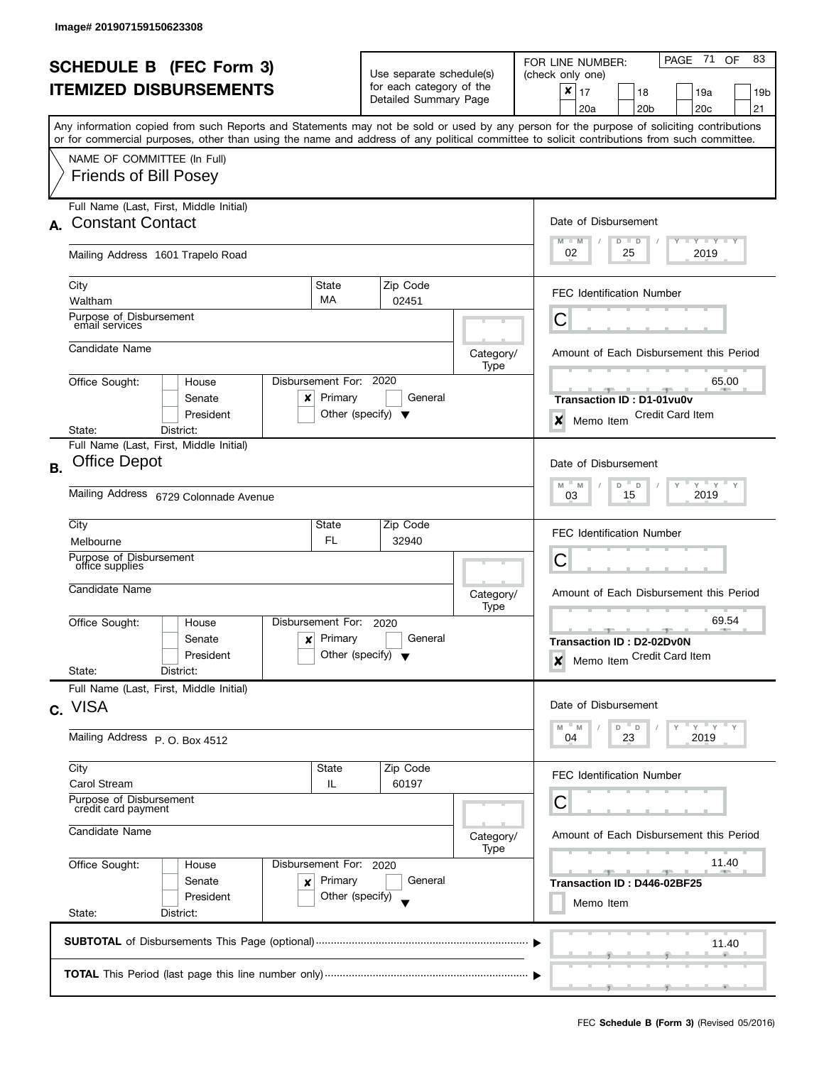|                                                   |                                                                                                                                                                                                                                                                                         |                                                                    |                                                   |                   | PAGE 71<br>83<br>OF<br>FOR LINE NUMBER:              |  |  |
|---------------------------------------------------|-----------------------------------------------------------------------------------------------------------------------------------------------------------------------------------------------------------------------------------------------------------------------------------------|--------------------------------------------------------------------|---------------------------------------------------|-------------------|------------------------------------------------------|--|--|
| <b>SCHEDULE B (FEC Form 3)</b>                    |                                                                                                                                                                                                                                                                                         |                                                                    | Use separate schedule(s)                          |                   | (check only one)                                     |  |  |
|                                                   | <b>ITEMIZED DISBURSEMENTS</b>                                                                                                                                                                                                                                                           |                                                                    | for each category of the<br>Detailed Summary Page |                   | ×<br>17<br>18<br>19a<br>19b                          |  |  |
|                                                   |                                                                                                                                                                                                                                                                                         |                                                                    |                                                   |                   | 20a<br>20 <sub>b</sub><br>20c<br>21                  |  |  |
|                                                   | Any information copied from such Reports and Statements may not be sold or used by any person for the purpose of soliciting contributions<br>or for commercial purposes, other than using the name and address of any political committee to solicit contributions from such committee. |                                                                    |                                                   |                   |                                                      |  |  |
|                                                   | NAME OF COMMITTEE (In Full)                                                                                                                                                                                                                                                             |                                                                    |                                                   |                   |                                                      |  |  |
|                                                   | <b>Friends of Bill Posey</b>                                                                                                                                                                                                                                                            |                                                                    |                                                   |                   |                                                      |  |  |
|                                                   | Full Name (Last, First, Middle Initial)                                                                                                                                                                                                                                                 |                                                                    |                                                   |                   |                                                      |  |  |
| A.                                                | <b>Constant Contact</b>                                                                                                                                                                                                                                                                 |                                                                    |                                                   |                   | Date of Disbursement                                 |  |  |
|                                                   | Mailing Address 1601 Trapelo Road                                                                                                                                                                                                                                                       |                                                                    |                                                   |                   | Y TY TY TY<br>$M - M$<br>$D$ $D$<br>02<br>25<br>2019 |  |  |
|                                                   | City                                                                                                                                                                                                                                                                                    | State                                                              | Zip Code                                          |                   |                                                      |  |  |
|                                                   | Waltham                                                                                                                                                                                                                                                                                 | <b>MA</b>                                                          | 02451                                             |                   | <b>FEC Identification Number</b>                     |  |  |
|                                                   | Purpose of Disbursement<br>email services                                                                                                                                                                                                                                               |                                                                    |                                                   |                   | С                                                    |  |  |
|                                                   | Candidate Name                                                                                                                                                                                                                                                                          |                                                                    |                                                   | Category/<br>Type | Amount of Each Disbursement this Period              |  |  |
|                                                   | Disbursement For:<br>Office Sought:<br>House                                                                                                                                                                                                                                            |                                                                    | 2020                                              |                   | 65.00                                                |  |  |
|                                                   | Senate<br>x                                                                                                                                                                                                                                                                             | Primary                                                            | General                                           |                   | Transaction ID: D1-01vu0v                            |  |  |
|                                                   | President                                                                                                                                                                                                                                                                               | Other (specify) $\blacktriangledown$                               |                                                   |                   | <b>Credit Card Item</b><br>×<br>Memo Item            |  |  |
|                                                   | State:<br>District:                                                                                                                                                                                                                                                                     |                                                                    |                                                   |                   |                                                      |  |  |
|                                                   | Full Name (Last, First, Middle Initial)<br><b>Office Depot</b>                                                                                                                                                                                                                          |                                                                    |                                                   |                   | Date of Disbursement                                 |  |  |
| <b>B.</b>                                         |                                                                                                                                                                                                                                                                                         |                                                                    |                                                   |                   |                                                      |  |  |
|                                                   | Mailing Address 6729 Colonnade Avenue                                                                                                                                                                                                                                                   | $Y$ $Y$ $Y$<br>Y<br>M<br>M<br>D<br>$\mathsf D$<br>2019<br>15<br>03 |                                                   |                   |                                                      |  |  |
|                                                   |                                                                                                                                                                                                                                                                                         |                                                                    |                                                   |                   |                                                      |  |  |
|                                                   | City<br>Melbourne                                                                                                                                                                                                                                                                       | State<br>FL                                                        | Zip Code<br>32940                                 |                   | <b>FEC Identification Number</b>                     |  |  |
|                                                   | Purpose of Disbursement                                                                                                                                                                                                                                                                 |                                                                    |                                                   |                   | С                                                    |  |  |
|                                                   | office supplies                                                                                                                                                                                                                                                                         |                                                                    |                                                   |                   |                                                      |  |  |
|                                                   | Candidate Name                                                                                                                                                                                                                                                                          |                                                                    |                                                   | Category/<br>Type | Amount of Each Disbursement this Period              |  |  |
|                                                   | Disbursement For:<br>Office Sought:<br>House                                                                                                                                                                                                                                            |                                                                    | 2020                                              |                   | 69.54                                                |  |  |
|                                                   | Senate<br>x                                                                                                                                                                                                                                                                             | Primary                                                            | General                                           |                   | <u>____</u><br><b>Transaction ID: D2-02Dv0N</b>      |  |  |
|                                                   | President                                                                                                                                                                                                                                                                               | Other (specify) $\blacktriangledown$                               |                                                   |                   | Memo Item Credit Card Item<br>$\boldsymbol{x}$       |  |  |
|                                                   | State:<br>District:<br>Full Name (Last, First, Middle Initial)                                                                                                                                                                                                                          |                                                                    |                                                   |                   |                                                      |  |  |
|                                                   | c. VISA                                                                                                                                                                                                                                                                                 |                                                                    |                                                   |                   | Date of Disbursement                                 |  |  |
|                                                   | Mailing Address P.O. Box 4512                                                                                                                                                                                                                                                           |                                                                    |                                                   |                   | Y<br>$-Y$<br>D<br>M<br>'N.<br>D<br>23<br>2019<br>04  |  |  |
|                                                   |                                                                                                                                                                                                                                                                                         |                                                                    |                                                   |                   |                                                      |  |  |
|                                                   | City<br><b>Carol Stream</b>                                                                                                                                                                                                                                                             | State<br>IL                                                        | Zip Code<br>60197                                 |                   | <b>FEC Identification Number</b>                     |  |  |
|                                                   | Purpose of Disbursement<br>credit card payment                                                                                                                                                                                                                                          |                                                                    |                                                   |                   | С                                                    |  |  |
|                                                   | Candidate Name                                                                                                                                                                                                                                                                          |                                                                    |                                                   |                   |                                                      |  |  |
|                                                   |                                                                                                                                                                                                                                                                                         |                                                                    |                                                   | Category/<br>Type | Amount of Each Disbursement this Period              |  |  |
| Office Sought:<br>Disbursement For: 2020<br>House |                                                                                                                                                                                                                                                                                         |                                                                    |                                                   |                   | 11.40<br>$-1$                                        |  |  |
|                                                   | Senate<br>×                                                                                                                                                                                                                                                                             | Primary                                                            | General                                           |                   | ு<br>Transaction ID: D446-02BF25                     |  |  |
|                                                   | President                                                                                                                                                                                                                                                                               | Other (specify)                                                    |                                                   |                   | Memo Item                                            |  |  |
|                                                   | State:<br>District:                                                                                                                                                                                                                                                                     |                                                                    |                                                   |                   |                                                      |  |  |
|                                                   |                                                                                                                                                                                                                                                                                         |                                                                    |                                                   |                   | 11.40                                                |  |  |
|                                                   |                                                                                                                                                                                                                                                                                         |                                                                    |                                                   |                   |                                                      |  |  |
|                                                   |                                                                                                                                                                                                                                                                                         |                                                                    |                                                   |                   |                                                      |  |  |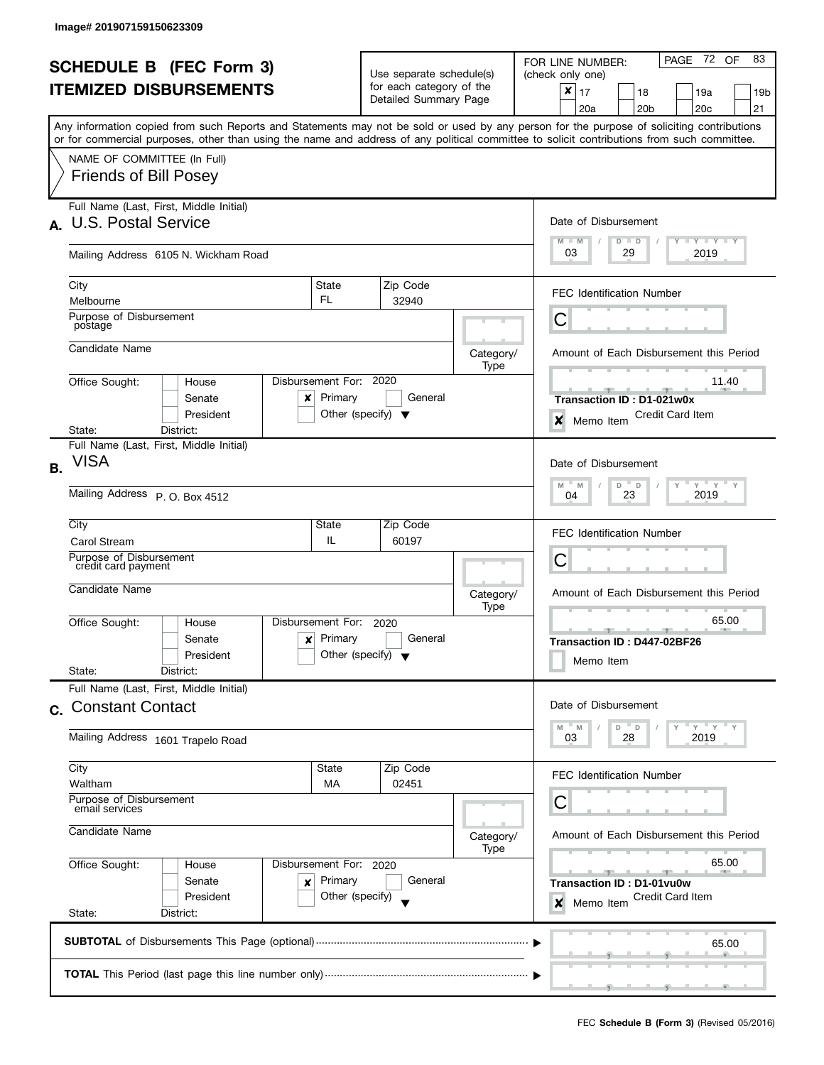|           | <b>SCHEDULE B (FEC Form 3)</b>                                                                                                             |                                       |                                                      |                                         | PAGE 72 OF<br>83<br>FOR LINE NUMBER:                                                          |  |  |
|-----------|--------------------------------------------------------------------------------------------------------------------------------------------|---------------------------------------|------------------------------------------------------|-----------------------------------------|-----------------------------------------------------------------------------------------------|--|--|
|           |                                                                                                                                            |                                       | Use separate schedule(s)<br>for each category of the |                                         | (check only one)                                                                              |  |  |
|           | <b>ITEMIZED DISBURSEMENTS</b>                                                                                                              |                                       | Detailed Summary Page                                |                                         | $\boldsymbol{x}$<br>17<br>18<br>19a<br>19b<br>21<br>20a<br>20 <sub>b</sub><br>20 <sub>c</sub> |  |  |
|           | Any information copied from such Reports and Statements may not be sold or used by any person for the purpose of soliciting contributions  |                                       |                                                      |                                         |                                                                                               |  |  |
|           | or for commercial purposes, other than using the name and address of any political committee to solicit contributions from such committee. |                                       |                                                      |                                         |                                                                                               |  |  |
|           | NAME OF COMMITTEE (In Full)<br><b>Friends of Bill Posey</b>                                                                                |                                       |                                                      |                                         |                                                                                               |  |  |
|           |                                                                                                                                            |                                       |                                                      |                                         |                                                                                               |  |  |
|           | Full Name (Last, First, Middle Initial)                                                                                                    |                                       |                                                      |                                         |                                                                                               |  |  |
| $\Delta$  | <b>U.S. Postal Service</b>                                                                                                                 |                                       |                                                      |                                         | Date of Disbursement<br>$T - Y$ $T - Y$ $T - Y$                                               |  |  |
|           | Mailing Address 6105 N. Wickham Road                                                                                                       |                                       |                                                      |                                         | $M - M$<br>$D$ $D$<br>03<br>29<br>2019                                                        |  |  |
|           |                                                                                                                                            |                                       |                                                      |                                         |                                                                                               |  |  |
|           | City<br>Melbourne                                                                                                                          | State<br>FL.                          | Zip Code<br>32940                                    |                                         | <b>FEC Identification Number</b>                                                              |  |  |
|           | Purpose of Disbursement                                                                                                                    |                                       |                                                      |                                         | С                                                                                             |  |  |
|           | postage                                                                                                                                    |                                       |                                                      |                                         |                                                                                               |  |  |
|           | Candidate Name                                                                                                                             |                                       |                                                      | Category/<br>Type                       | Amount of Each Disbursement this Period                                                       |  |  |
|           | Office Sought:<br>House                                                                                                                    | Disbursement For: 2020                |                                                      |                                         | 11.40                                                                                         |  |  |
|           | Senate<br>x                                                                                                                                | Primary                               | General                                              |                                         | Transaction ID: D1-021w0x                                                                     |  |  |
|           | President<br>District:<br>State:                                                                                                           | Other (specify) $\blacktriangledown$  |                                                      |                                         | <b>Credit Card Item</b><br>$\boldsymbol{x}$<br>Memo Item                                      |  |  |
|           | Full Name (Last, First, Middle Initial)                                                                                                    |                                       |                                                      |                                         |                                                                                               |  |  |
| <b>B.</b> | VISA                                                                                                                                       |                                       |                                                      |                                         | Date of Disbursement                                                                          |  |  |
|           | Mailing Address P.O. Box 4512                                                                                                              | $Y$ $Y$<br>M<br>D<br>Υ<br>M<br>$\Box$ |                                                      |                                         |                                                                                               |  |  |
|           |                                                                                                                                            | 23<br>2019<br>04                      |                                                      |                                         |                                                                                               |  |  |
|           | City                                                                                                                                       | State                                 | Zip Code                                             |                                         | <b>FEC Identification Number</b>                                                              |  |  |
|           | Carol Stream<br>Purpose of Disbursement                                                                                                    | IL.                                   | 60197                                                |                                         |                                                                                               |  |  |
|           | credit card payment                                                                                                                        |                                       |                                                      |                                         | С                                                                                             |  |  |
|           | Candidate Name                                                                                                                             |                                       |                                                      | Category/                               | Amount of Each Disbursement this Period                                                       |  |  |
|           | Office Sought:<br>House                                                                                                                    | Disbursement For:                     | 2020                                                 | Type                                    | 65.00                                                                                         |  |  |
|           | Senate<br>x                                                                                                                                | Primary                               | General                                              |                                         | $-$ 30 $-$<br>Transaction ID: D447-02BF26                                                     |  |  |
|           | President                                                                                                                                  | Other (specify) $\blacktriangledown$  |                                                      |                                         | Memo Item                                                                                     |  |  |
|           | State:<br>District:                                                                                                                        |                                       |                                                      |                                         |                                                                                               |  |  |
|           | Full Name (Last, First, Middle Initial)<br><b>Constant Contact</b>                                                                         |                                       |                                                      |                                         | Date of Disbursement                                                                          |  |  |
| C.        |                                                                                                                                            |                                       |                                                      |                                         | $Y'$ $Y'$<br>" M<br>D<br>$\mathbb D$<br>M                                                     |  |  |
|           | Mailing Address 1601 Trapelo Road                                                                                                          |                                       |                                                      |                                         | 2019<br>03<br>28                                                                              |  |  |
|           | City                                                                                                                                       | <b>State</b>                          | Zip Code                                             |                                         |                                                                                               |  |  |
|           | Waltham                                                                                                                                    | MA                                    | 02451                                                |                                         | <b>FEC Identification Number</b>                                                              |  |  |
|           | Purpose of Disbursement<br>email services                                                                                                  |                                       |                                                      |                                         | С                                                                                             |  |  |
|           | Candidate Name                                                                                                                             |                                       | Category/                                            | Amount of Each Disbursement this Period |                                                                                               |  |  |
|           |                                                                                                                                            |                                       |                                                      | Type                                    |                                                                                               |  |  |
|           | Office Sought:<br>House                                                                                                                    | Disbursement For: 2020                |                                                      |                                         | 65.00<br>$-$<br>$-1$                                                                          |  |  |
|           | Senate<br>×<br>President                                                                                                                   | Primary<br>Other (specify)            | General                                              |                                         | Transaction ID: D1-01vu0w<br>Credit Card Item                                                 |  |  |
|           | State:<br>District:                                                                                                                        |                                       |                                                      |                                         | Memo Item<br>×                                                                                |  |  |
|           |                                                                                                                                            |                                       |                                                      |                                         |                                                                                               |  |  |
|           |                                                                                                                                            |                                       |                                                      |                                         | 65.00                                                                                         |  |  |
|           |                                                                                                                                            |                                       |                                                      |                                         |                                                                                               |  |  |
|           |                                                                                                                                            |                                       |                                                      |                                         |                                                                                               |  |  |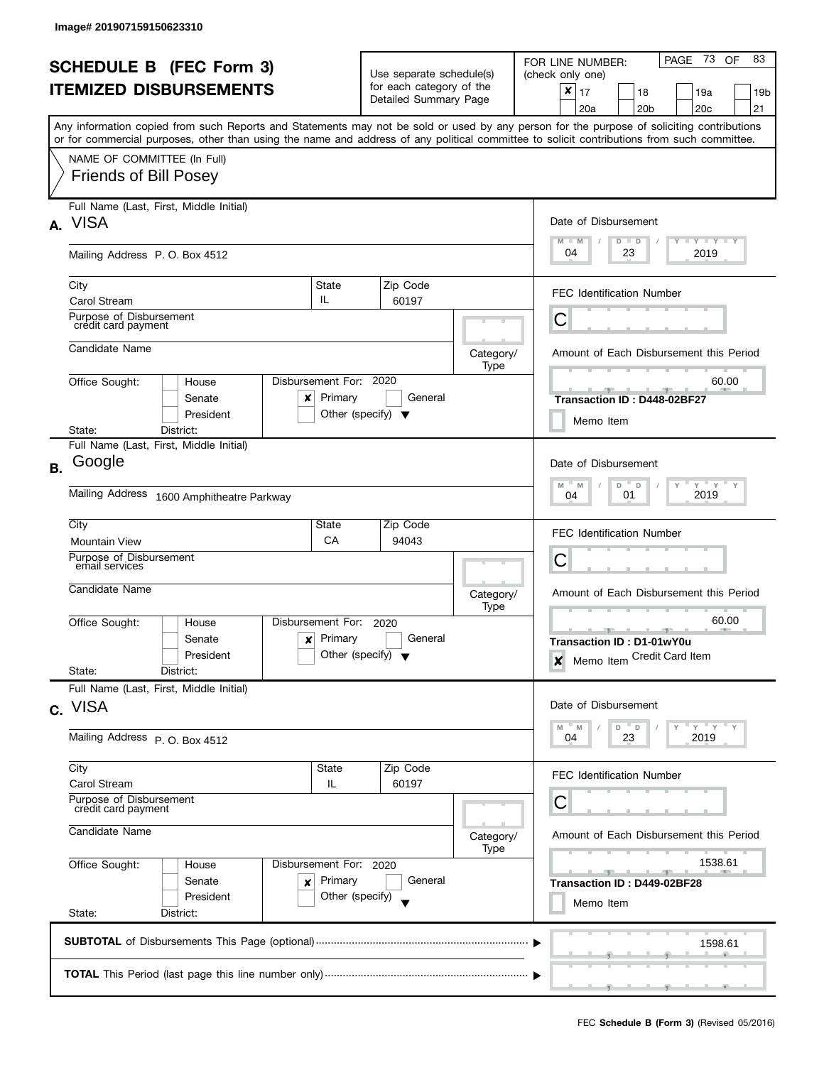| <b>SCHEDULE B (FEC Form 3)</b> |                                                                                                                                                                                                                                                                                         |                                                      | Use separate schedule(s)                                |                   | PAGE 73<br>83<br>OF<br>FOR LINE NUMBER:<br>(check only one)                    |  |
|--------------------------------|-----------------------------------------------------------------------------------------------------------------------------------------------------------------------------------------------------------------------------------------------------------------------------------------|------------------------------------------------------|---------------------------------------------------------|-------------------|--------------------------------------------------------------------------------|--|
|                                | <b>ITEMIZED DISBURSEMENTS</b>                                                                                                                                                                                                                                                           |                                                      | for each category of the<br>Detailed Summary Page       |                   | X<br>17<br>18<br>19a<br>19 <sub>b</sub><br>21<br>20a<br>20 <sub>b</sub><br>20c |  |
|                                | Any information copied from such Reports and Statements may not be sold or used by any person for the purpose of soliciting contributions<br>or for commercial purposes, other than using the name and address of any political committee to solicit contributions from such committee. |                                                      |                                                         |                   |                                                                                |  |
|                                | NAME OF COMMITTEE (In Full)<br><b>Friends of Bill Posey</b>                                                                                                                                                                                                                             |                                                      |                                                         |                   |                                                                                |  |
|                                | Full Name (Last, First, Middle Initial)<br>A. VISA                                                                                                                                                                                                                                      |                                                      |                                                         |                   | Date of Disbursement                                                           |  |
|                                | Mailing Address P.O. Box 4512                                                                                                                                                                                                                                                           |                                                      |                                                         |                   | Y FY FY FY<br>$M - M$<br>$D$ $D$<br>04<br>23<br>2019                           |  |
|                                | City<br><b>Carol Stream</b>                                                                                                                                                                                                                                                             | State<br>IL                                          | Zip Code<br>60197                                       |                   | <b>FEC Identification Number</b>                                               |  |
|                                | Purpose of Disbursement<br>crédit card payment                                                                                                                                                                                                                                          |                                                      |                                                         |                   | С                                                                              |  |
|                                | Candidate Name                                                                                                                                                                                                                                                                          |                                                      |                                                         | Category/<br>Type | Amount of Each Disbursement this Period                                        |  |
|                                | Office Sought:<br>House<br>Senate<br>x<br>President                                                                                                                                                                                                                                     | Disbursement For: 2020<br>Primary                    | General<br>Other (specify) $\blacktriangledown$         |                   | 60.00<br>Transaction ID: D448-02BF27<br>Memo Item                              |  |
|                                | District:<br>State:<br>Full Name (Last, First, Middle Initial)                                                                                                                                                                                                                          |                                                      |                                                         |                   |                                                                                |  |
| <b>B.</b>                      | Google                                                                                                                                                                                                                                                                                  |                                                      |                                                         |                   | Date of Disbursement<br>$Y = Y$<br>$M$ =<br>M<br>D<br>$\Box$                   |  |
|                                | <b>Mailing Address</b><br>1600 Amphitheatre Parkway                                                                                                                                                                                                                                     | 2019<br>04<br>01                                     |                                                         |                   |                                                                                |  |
|                                | City<br><b>Mountain View</b>                                                                                                                                                                                                                                                            | State<br>СA                                          | Zip Code<br>94043                                       |                   | <b>FEC Identification Number</b>                                               |  |
|                                | Purpose of Disbursement<br>email services                                                                                                                                                                                                                                               |                                                      |                                                         |                   | С                                                                              |  |
|                                | Candidate Name                                                                                                                                                                                                                                                                          |                                                      |                                                         | Category/<br>Type | Amount of Each Disbursement this Period                                        |  |
|                                | Office Sought:<br>House<br>Senate<br>×<br>President<br>State:<br>District:                                                                                                                                                                                                              | Disbursement For:<br>Primary                         | 2020<br>General<br>Other (specify) $\blacktriangledown$ |                   | 60.00<br>Transaction ID: D1-01wY0u<br>Memo Item Credit Card Item<br>X          |  |
|                                | Full Name (Last, First, Middle Initial)<br>c. VISA                                                                                                                                                                                                                                      |                                                      |                                                         |                   | Date of Disbursement                                                           |  |
|                                | Mailing Address P.O. Box 4512                                                                                                                                                                                                                                                           | $Y = Y = Y$<br>" M<br>D<br>D<br>2019<br>04<br>23     |                                                         |                   |                                                                                |  |
|                                | City<br>Carol Stream                                                                                                                                                                                                                                                                    | State<br>IL                                          | Zip Code<br>60197                                       |                   | <b>FEC Identification Number</b>                                               |  |
|                                | Purpose of Disbursement<br>credit card payment                                                                                                                                                                                                                                          |                                                      | С                                                       |                   |                                                                                |  |
|                                | Candidate Name                                                                                                                                                                                                                                                                          | Amount of Each Disbursement this Period<br>Category/ |                                                         |                   |                                                                                |  |
|                                | Office Sought:<br>Disbursement For: 2020<br>House<br>Senate<br>x<br>President                                                                                                                                                                                                           |                                                      | 1538.61<br>Transaction ID: D449-02BF28                  |                   |                                                                                |  |
|                                | State:<br>District:                                                                                                                                                                                                                                                                     | Other (specify)                                      |                                                         |                   | Memo Item                                                                      |  |
|                                |                                                                                                                                                                                                                                                                                         |                                                      |                                                         |                   | 1598.61                                                                        |  |
|                                |                                                                                                                                                                                                                                                                                         |                                                      |                                                         |                   |                                                                                |  |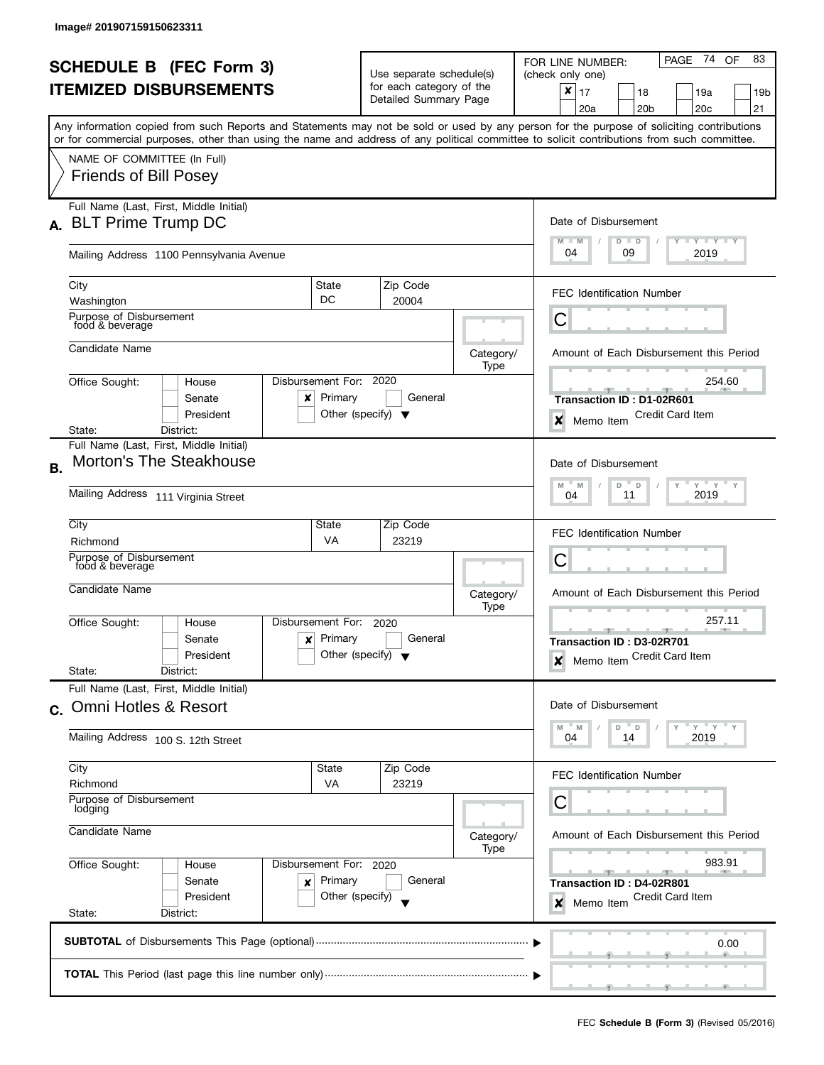| <b>SCHEDULE B</b> (FEC Form 3) |                                                                                                                                            |                                      | Use separate schedule(s) |                       |                   | PAGE 74<br>83<br>OF<br>FOR LINE NUMBER:<br>(check only one)                                                                               |  |  |  |
|--------------------------------|--------------------------------------------------------------------------------------------------------------------------------------------|--------------------------------------|--------------------------|-----------------------|-------------------|-------------------------------------------------------------------------------------------------------------------------------------------|--|--|--|
| <b>ITEMIZED DISBURSEMENTS</b>  |                                                                                                                                            |                                      | for each category of the |                       |                   | ×<br>17<br>18<br>19a<br>19b                                                                                                               |  |  |  |
|                                |                                                                                                                                            |                                      |                          | Detailed Summary Page |                   | 20a<br>20 <sub>b</sub><br>20 <sub>c</sub><br>21                                                                                           |  |  |  |
|                                |                                                                                                                                            |                                      |                          |                       |                   | Any information copied from such Reports and Statements may not be sold or used by any person for the purpose of soliciting contributions |  |  |  |
|                                | or for commercial purposes, other than using the name and address of any political committee to solicit contributions from such committee. |                                      |                          |                       |                   |                                                                                                                                           |  |  |  |
|                                | NAME OF COMMITTEE (In Full)                                                                                                                |                                      |                          |                       |                   |                                                                                                                                           |  |  |  |
|                                | <b>Friends of Bill Posey</b>                                                                                                               |                                      |                          |                       |                   |                                                                                                                                           |  |  |  |
|                                |                                                                                                                                            |                                      |                          |                       |                   |                                                                                                                                           |  |  |  |
|                                | Full Name (Last, First, Middle Initial)                                                                                                    |                                      |                          |                       |                   |                                                                                                                                           |  |  |  |
| А.                             | <b>BLT Prime Trump DC</b>                                                                                                                  |                                      |                          |                       |                   | Date of Disbursement                                                                                                                      |  |  |  |
|                                |                                                                                                                                            |                                      |                          |                       |                   | Y TY TY TY<br>$M - M$<br>$D$ $D$<br>04<br>09<br>2019                                                                                      |  |  |  |
|                                | Mailing Address 1100 Pennsylvania Avenue                                                                                                   |                                      |                          |                       |                   |                                                                                                                                           |  |  |  |
|                                | City                                                                                                                                       | State                                |                          | Zip Code              |                   |                                                                                                                                           |  |  |  |
|                                | Washington                                                                                                                                 | DC                                   |                          | 20004                 |                   | <b>FEC Identification Number</b>                                                                                                          |  |  |  |
|                                | Purpose of Disbursement<br>food & beverage                                                                                                 |                                      |                          |                       |                   | C                                                                                                                                         |  |  |  |
|                                |                                                                                                                                            |                                      |                          |                       |                   |                                                                                                                                           |  |  |  |
|                                | Candidate Name                                                                                                                             |                                      |                          |                       | Category/         | Amount of Each Disbursement this Period                                                                                                   |  |  |  |
|                                |                                                                                                                                            |                                      |                          |                       | Type              |                                                                                                                                           |  |  |  |
|                                | Office Sought:<br>House<br>Senate                                                                                                          | Disbursement For:<br>Primary         |                          | 2020<br>General       |                   | 254.60                                                                                                                                    |  |  |  |
|                                | x<br>President                                                                                                                             | Other (specify) $\blacktriangledown$ |                          |                       |                   | Transaction ID: D1-02R601<br><b>Credit Card Item</b>                                                                                      |  |  |  |
|                                | State:<br>District:                                                                                                                        |                                      |                          |                       |                   | x<br>Memo Item                                                                                                                            |  |  |  |
|                                | Full Name (Last, First, Middle Initial)                                                                                                    |                                      |                          |                       |                   |                                                                                                                                           |  |  |  |
| В.                             | <b>Morton's The Steakhouse</b>                                                                                                             |                                      |                          |                       |                   | Date of Disbursement                                                                                                                      |  |  |  |
|                                |                                                                                                                                            | $Y$ $Y$ $Y$ $Y$<br>M<br>M<br>D<br>D  |                          |                       |                   |                                                                                                                                           |  |  |  |
|                                | Mailing Address 111 Virginia Street                                                                                                        | 2019<br>11<br>04                     |                          |                       |                   |                                                                                                                                           |  |  |  |
|                                | City                                                                                                                                       | State                                |                          | Zip Code              |                   |                                                                                                                                           |  |  |  |
|                                | Richmond                                                                                                                                   | VA                                   |                          | 23219                 |                   | <b>FEC Identification Number</b>                                                                                                          |  |  |  |
|                                | Purpose of Disbursement                                                                                                                    |                                      |                          |                       |                   | С                                                                                                                                         |  |  |  |
|                                | food & beverage                                                                                                                            |                                      |                          |                       |                   |                                                                                                                                           |  |  |  |
|                                | Candidate Name                                                                                                                             |                                      |                          |                       | Category/         | Amount of Each Disbursement this Period                                                                                                   |  |  |  |
|                                |                                                                                                                                            |                                      |                          |                       | Type              |                                                                                                                                           |  |  |  |
|                                | Office Sought:<br>House                                                                                                                    | Disbursement For:                    | 2020                     |                       |                   | 257.11<br><u> 1959 - 1959</u><br><b>AREA</b>                                                                                              |  |  |  |
|                                | Senate<br>$\boldsymbol{x}$                                                                                                                 | Primary                              |                          | General               |                   | Transaction ID: D3-02R701                                                                                                                 |  |  |  |
|                                | President                                                                                                                                  | Other (specify) $\blacktriangledown$ |                          |                       |                   | Memo Item Credit Card Item<br>$\boldsymbol{x}$                                                                                            |  |  |  |
|                                | State:<br>District:<br>Full Name (Last, First, Middle Initial)                                                                             |                                      |                          |                       |                   |                                                                                                                                           |  |  |  |
|                                | <b>Omni Hotles &amp; Resort</b>                                                                                                            |                                      |                          |                       |                   | Date of Disbursement                                                                                                                      |  |  |  |
| $C_{1}$                        |                                                                                                                                            |                                      |                          |                       |                   |                                                                                                                                           |  |  |  |
|                                | Mailing Address 100 S. 12th Street                                                                                                         |                                      |                          |                       |                   | $Y = Y$<br>D<br>D<br><sup>M</sup><br>2019<br>04<br>14                                                                                     |  |  |  |
|                                |                                                                                                                                            |                                      |                          |                       |                   |                                                                                                                                           |  |  |  |
|                                | City                                                                                                                                       | State                                |                          | Zip Code              |                   | <b>FEC Identification Number</b>                                                                                                          |  |  |  |
|                                | Richmond                                                                                                                                   | <b>VA</b>                            |                          | 23219                 |                   |                                                                                                                                           |  |  |  |
|                                | Purpose of Disbursement<br>lodging<br>Candidate Name<br>Disbursement For: 2020<br>Office Sought:<br>House                                  |                                      |                          |                       |                   | С                                                                                                                                         |  |  |  |
|                                |                                                                                                                                            |                                      |                          |                       |                   |                                                                                                                                           |  |  |  |
|                                |                                                                                                                                            |                                      |                          |                       | Category/<br>Type | Amount of Each Disbursement this Period                                                                                                   |  |  |  |
|                                |                                                                                                                                            |                                      |                          |                       |                   | 983.91                                                                                                                                    |  |  |  |
|                                | Senate<br>x                                                                                                                                | Primary                              |                          | General               |                   | Transaction ID: D4-02R801                                                                                                                 |  |  |  |
|                                | President                                                                                                                                  | Other (specify)                      |                          |                       |                   | Credit Card Item<br>Memo Item<br>×                                                                                                        |  |  |  |
|                                | State:<br>District:                                                                                                                        |                                      |                          |                       |                   |                                                                                                                                           |  |  |  |
|                                |                                                                                                                                            |                                      |                          |                       |                   |                                                                                                                                           |  |  |  |
|                                |                                                                                                                                            |                                      |                          |                       |                   | 0.00                                                                                                                                      |  |  |  |
|                                |                                                                                                                                            |                                      |                          |                       |                   |                                                                                                                                           |  |  |  |
|                                |                                                                                                                                            |                                      |                          |                       |                   |                                                                                                                                           |  |  |  |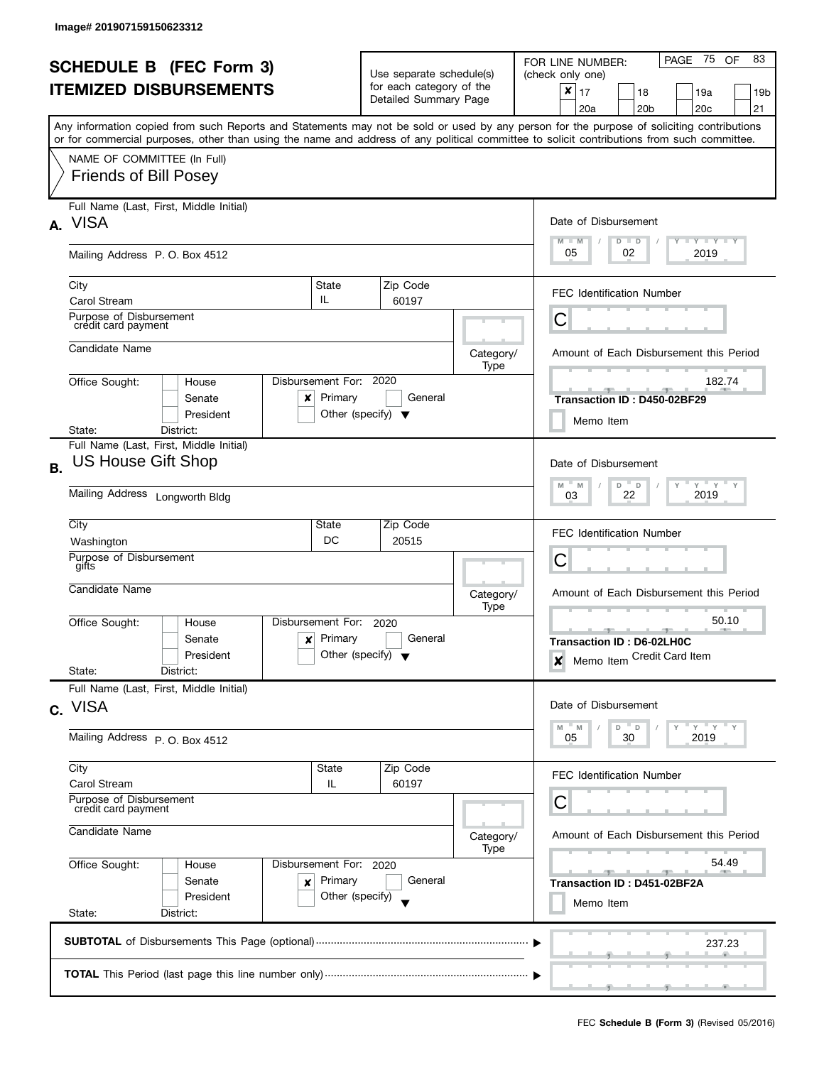| <b>SCHEDULE B (FEC Form 3)</b> |                                                                                                                                            |                                                               |                                                      |                   | PAGE 75<br>83<br>OF<br>FOR LINE NUMBER:                                                                                                   |  |  |
|--------------------------------|--------------------------------------------------------------------------------------------------------------------------------------------|---------------------------------------------------------------|------------------------------------------------------|-------------------|-------------------------------------------------------------------------------------------------------------------------------------------|--|--|
| <b>ITEMIZED DISBURSEMENTS</b>  |                                                                                                                                            |                                                               | Use separate schedule(s)<br>for each category of the |                   | (check only one)<br>×                                                                                                                     |  |  |
|                                |                                                                                                                                            |                                                               | Detailed Summary Page                                |                   | 17<br>18<br>19a<br>19b<br>20c<br>21<br>20a<br>20 <sub>b</sub>                                                                             |  |  |
|                                |                                                                                                                                            |                                                               |                                                      |                   | Any information copied from such Reports and Statements may not be sold or used by any person for the purpose of soliciting contributions |  |  |
|                                | or for commercial purposes, other than using the name and address of any political committee to solicit contributions from such committee. |                                                               |                                                      |                   |                                                                                                                                           |  |  |
|                                | NAME OF COMMITTEE (In Full)<br><b>Friends of Bill Posey</b>                                                                                |                                                               |                                                      |                   |                                                                                                                                           |  |  |
|                                | Full Name (Last, First, Middle Initial)<br>A. VISA                                                                                         |                                                               |                                                      |                   | Date of Disbursement                                                                                                                      |  |  |
|                                | Mailing Address P.O. Box 4512                                                                                                              |                                                               |                                                      |                   | Y I Y I Y I Y<br>$M - M$<br>$D$ $D$<br>05<br>02<br>2019                                                                                   |  |  |
|                                | City<br><b>Carol Stream</b>                                                                                                                | State<br>IL.                                                  | Zip Code<br>60197                                    |                   | <b>FEC Identification Number</b>                                                                                                          |  |  |
|                                | Purpose of Disbursement<br>crédit card payment                                                                                             |                                                               |                                                      |                   | С                                                                                                                                         |  |  |
|                                | Candidate Name                                                                                                                             |                                                               |                                                      | Category/<br>Type | Amount of Each Disbursement this Period                                                                                                   |  |  |
|                                | Office Sought:<br>House<br>Senate<br>x<br>President                                                                                        | Disbursement For: 2020<br>Primary                             | General<br>Other (specify) $\blacktriangledown$      |                   | 182.74<br><u>- The Holland State</u><br>Transaction ID: D450-02BF29                                                                       |  |  |
|                                | District:<br>State:                                                                                                                        |                                                               |                                                      |                   | Memo Item                                                                                                                                 |  |  |
| <b>B.</b>                      | Full Name (Last, First, Middle Initial)<br><b>US House Gift Shop</b>                                                                       |                                                               |                                                      |                   | Date of Disbursement                                                                                                                      |  |  |
|                                | Mailing Address Longworth Bldg                                                                                                             | $Y$ $Y$ $Y$<br>M<br>M<br>D<br>$\Box$<br>Y<br>2019<br>22<br>03 |                                                      |                   |                                                                                                                                           |  |  |
|                                | City<br>Washington                                                                                                                         | State<br>DC                                                   | Zip Code<br>20515                                    |                   | <b>FEC Identification Number</b>                                                                                                          |  |  |
|                                | Purpose of Disbursement<br>gifts                                                                                                           |                                                               |                                                      |                   | С                                                                                                                                         |  |  |
|                                | Candidate Name                                                                                                                             |                                                               |                                                      | Category/<br>Type | Amount of Each Disbursement this Period                                                                                                   |  |  |
|                                | Office Sought:<br>House<br>Senate<br>×<br>President<br>State:<br>District:                                                                 | Disbursement For:<br>Primary                                  | 2020<br>General<br>Other (specify) $\sqrt{}$         |                   | 50.10<br>Transaction ID: D6-02LH0C<br>Memo Item Credit Card Item<br>$\boldsymbol{x}$                                                      |  |  |
|                                | Full Name (Last, First, Middle Initial)                                                                                                    |                                                               |                                                      |                   |                                                                                                                                           |  |  |
|                                | c. VISA                                                                                                                                    |                                                               |                                                      |                   | Date of Disbursement                                                                                                                      |  |  |
|                                | Mailing Address P.O. Box 4512                                                                                                              | $Y = Y = Y$<br>M<br>- M<br>D.<br>$\Box$<br>30<br>2019<br>05   |                                                      |                   |                                                                                                                                           |  |  |
|                                | City<br><b>Carol Stream</b>                                                                                                                | State<br>IL                                                   | Zip Code<br>60197                                    |                   | <b>FEC Identification Number</b>                                                                                                          |  |  |
|                                | Purpose of Disbursement<br>credit card payment                                                                                             | С                                                             |                                                      |                   |                                                                                                                                           |  |  |
|                                | Candidate Name                                                                                                                             |                                                               |                                                      | Category/<br>Type | Amount of Each Disbursement this Period                                                                                                   |  |  |
|                                | Office Sought:<br>House                                                                                                                    | Disbursement For: 2020                                        |                                                      |                   | 54.49                                                                                                                                     |  |  |
|                                | Senate<br>×<br>President                                                                                                                   | Primary<br>Other (specify)                                    | General                                              |                   | Transaction ID: D451-02BF2A<br>Memo Item                                                                                                  |  |  |
|                                | State:<br>District:                                                                                                                        |                                                               |                                                      |                   |                                                                                                                                           |  |  |
|                                |                                                                                                                                            |                                                               |                                                      |                   | 237.23                                                                                                                                    |  |  |
|                                |                                                                                                                                            |                                                               |                                                      |                   |                                                                                                                                           |  |  |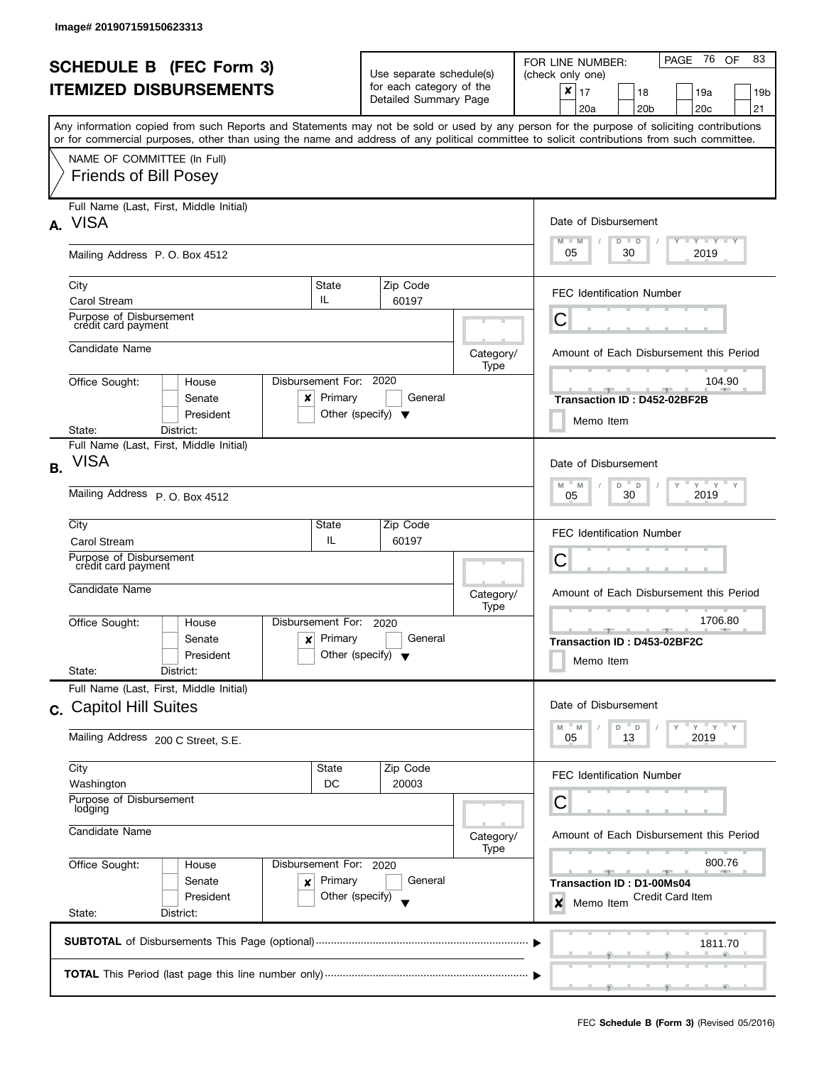| <b>SCHEDULE B (FEC Form 3)</b> |                                                                                                                                                                                                                                                                                         |                                                                           | Use separate schedule(s)                          |                   | PAGE 76<br>83<br>OF<br>FOR LINE NUMBER:<br>(check only one)                                |
|--------------------------------|-----------------------------------------------------------------------------------------------------------------------------------------------------------------------------------------------------------------------------------------------------------------------------------------|---------------------------------------------------------------------------|---------------------------------------------------|-------------------|--------------------------------------------------------------------------------------------|
|                                | <b>ITEMIZED DISBURSEMENTS</b>                                                                                                                                                                                                                                                           |                                                                           | for each category of the<br>Detailed Summary Page |                   | $\pmb{\times}$<br>17<br>18<br>19a<br>19b<br>21<br>20c<br>20a<br>20 <sub>b</sub>            |
|                                | Any information copied from such Reports and Statements may not be sold or used by any person for the purpose of soliciting contributions<br>or for commercial purposes, other than using the name and address of any political committee to solicit contributions from such committee. |                                                                           |                                                   |                   |                                                                                            |
|                                | NAME OF COMMITTEE (In Full)<br><b>Friends of Bill Posey</b>                                                                                                                                                                                                                             |                                                                           |                                                   |                   |                                                                                            |
|                                | Full Name (Last, First, Middle Initial)<br>A. VISA                                                                                                                                                                                                                                      |                                                                           |                                                   |                   | Date of Disbursement<br>$T$ $Y$ $T$ $Y$ $T$ $Y$<br>$M - M$<br>$D$ $D$                      |
|                                | Mailing Address P.O. Box 4512                                                                                                                                                                                                                                                           |                                                                           |                                                   |                   | 05<br>30<br>2019                                                                           |
|                                | City<br><b>Carol Stream</b>                                                                                                                                                                                                                                                             | State<br>IL.                                                              | Zip Code<br>60197                                 |                   | <b>FEC Identification Number</b>                                                           |
|                                | Purpose of Disbursement<br>crédit card payment                                                                                                                                                                                                                                          |                                                                           |                                                   |                   | С                                                                                          |
|                                | Candidate Name                                                                                                                                                                                                                                                                          |                                                                           |                                                   | Category/<br>Type | Amount of Each Disbursement this Period                                                    |
|                                | Office Sought:<br>House<br>Senate<br>x<br>President                                                                                                                                                                                                                                     | Disbursement For: 2020<br>Primary<br>Other (specify) $\blacktriangledown$ | General                                           |                   | 104.90<br><b>Service Controller Controller</b><br>Transaction ID: D452-02BF2B<br>Memo Item |
|                                | District:<br>State:<br>Full Name (Last, First, Middle Initial)                                                                                                                                                                                                                          |                                                                           |                                                   |                   |                                                                                            |
| <b>B.</b>                      | <b>VISA</b>                                                                                                                                                                                                                                                                             |                                                                           |                                                   |                   | Date of Disbursement                                                                       |
|                                | Mailing Address P. O. Box 4512                                                                                                                                                                                                                                                          | $Y$ $Y$ $Y$<br>M<br>M<br>D<br>$\Box$<br>$\vee$<br>2019<br>30<br>05        |                                                   |                   |                                                                                            |
|                                | City<br>Carol Stream                                                                                                                                                                                                                                                                    | State<br>IL                                                               | Zip Code<br>60197                                 |                   | <b>FEC Identification Number</b>                                                           |
|                                | Purpose of Disbursement<br>credit card payment                                                                                                                                                                                                                                          |                                                                           |                                                   |                   | C                                                                                          |
|                                | Candidate Name                                                                                                                                                                                                                                                                          |                                                                           |                                                   | Category/<br>Type | Amount of Each Disbursement this Period                                                    |
|                                | Disbursement For:<br>Office Sought:<br>House<br>Senate<br>x<br>President<br>State:<br>District:                                                                                                                                                                                         | Primary<br>Other (specify) $\blacktriangledown$                           | 2020<br>General                                   |                   | 1706.80<br>$-1$<br>Transaction ID: D453-02BF2C<br>Memo Item                                |
|                                | Full Name (Last, First, Middle Initial)<br>c. Capitol Hill Suites                                                                                                                                                                                                                       |                                                                           |                                                   |                   | Date of Disbursement                                                                       |
|                                | Mailing Address 200 C Street, S.E.                                                                                                                                                                                                                                                      |                                                                           |                                                   |                   | " ү " ү " ү<br>$-M$<br>M<br>D T<br>D<br>2019<br>05<br>13                                   |
|                                | City<br>Washington                                                                                                                                                                                                                                                                      | State<br>DC                                                               | Zip Code<br>20003                                 |                   | <b>FEC Identification Number</b>                                                           |
|                                | Purpose of Disbursement<br>lodging                                                                                                                                                                                                                                                      |                                                                           |                                                   |                   | C                                                                                          |
|                                | Candidate Name                                                                                                                                                                                                                                                                          |                                                                           |                                                   | Category/<br>Type | Amount of Each Disbursement this Period                                                    |
|                                | Office Sought:<br>House<br>Senate<br>×<br>President                                                                                                                                                                                                                                     | Disbursement For: 2020<br>Primary<br>Other (specify)                      | General                                           |                   | 800.76<br>Transaction ID: D1-00Ms04<br>Credit Card Item<br>×<br>Memo Item                  |
|                                | State:<br>District:                                                                                                                                                                                                                                                                     |                                                                           |                                                   |                   |                                                                                            |
|                                |                                                                                                                                                                                                                                                                                         |                                                                           |                                                   |                   | 1811.70                                                                                    |
|                                |                                                                                                                                                                                                                                                                                         |                                                                           |                                                   |                   |                                                                                            |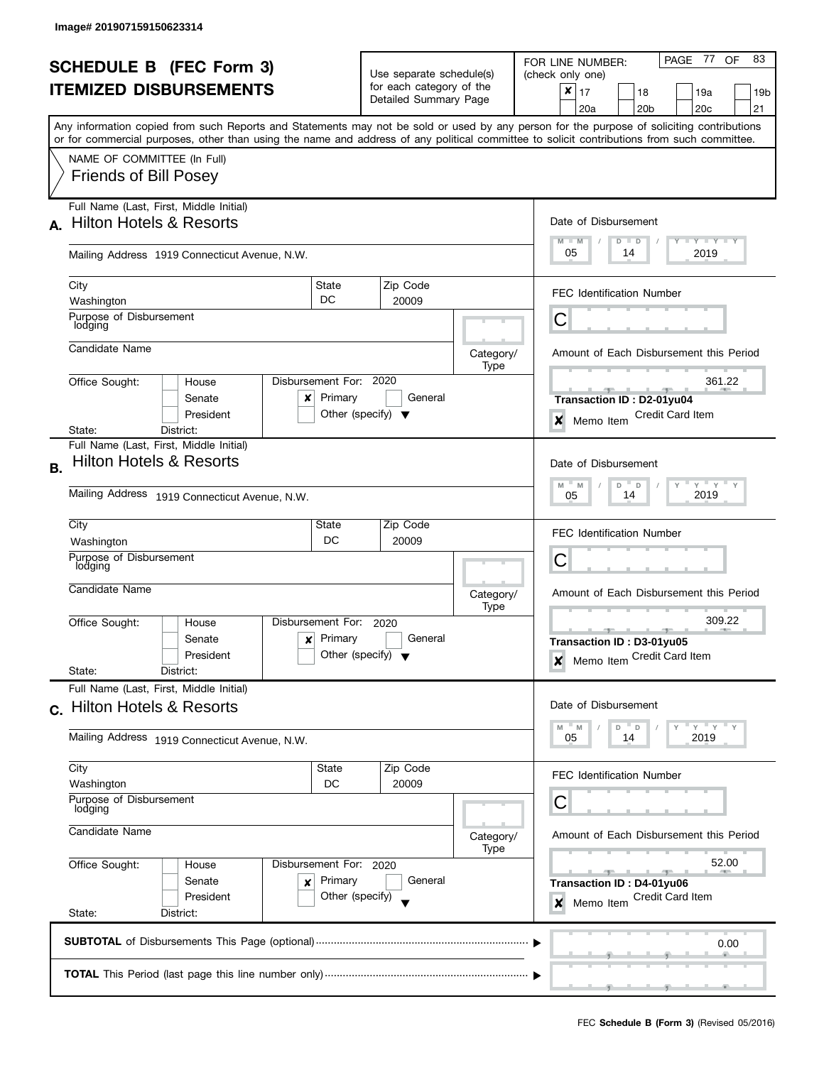| <b>SCHEDULE B (FEC Form 3)</b> |                                                                                                                                            | Use separate schedule(s)        |                                      |         |                          | 83<br>PAGE 77<br><b>OF</b><br>FOR LINE NUMBER:<br>(check only one)                                  |  |  |
|--------------------------------|--------------------------------------------------------------------------------------------------------------------------------------------|---------------------------------|--------------------------------------|---------|--------------------------|-----------------------------------------------------------------------------------------------------|--|--|
| <b>ITEMIZED DISBURSEMENTS</b>  |                                                                                                                                            |                                 | for each category of the             |         |                          | $\pmb{\times}$<br>17<br>18<br>19a<br>19b                                                            |  |  |
|                                |                                                                                                                                            |                                 | Detailed Summary Page                |         |                          | 20 <sub>c</sub><br>21<br>20a<br>20 <sub>b</sub>                                                     |  |  |
|                                | Any information copied from such Reports and Statements may not be sold or used by any person for the purpose of soliciting contributions  |                                 |                                      |         |                          |                                                                                                     |  |  |
|                                | or for commercial purposes, other than using the name and address of any political committee to solicit contributions from such committee. |                                 |                                      |         |                          |                                                                                                     |  |  |
|                                | NAME OF COMMITTEE (In Full)                                                                                                                |                                 |                                      |         |                          |                                                                                                     |  |  |
|                                | <b>Friends of Bill Posey</b>                                                                                                               |                                 |                                      |         |                          |                                                                                                     |  |  |
|                                |                                                                                                                                            |                                 |                                      |         |                          |                                                                                                     |  |  |
|                                | Full Name (Last, First, Middle Initial)                                                                                                    |                                 |                                      |         |                          |                                                                                                     |  |  |
| А.                             | <b>Hilton Hotels &amp; Resorts</b>                                                                                                         |                                 |                                      |         |                          | Date of Disbursement                                                                                |  |  |
|                                |                                                                                                                                            |                                 |                                      |         |                          | $\mathbf{I}$ $\mathbf{Y}$ $\mathbf{I}$ $\mathbf{Y}$ $\mathbf{I}$ $\mathbf{Y}$<br>$M - M$<br>$D$ $D$ |  |  |
|                                | Mailing Address 1919 Connecticut Avenue, N.W.                                                                                              |                                 |                                      |         |                          | 05<br>2019<br>14                                                                                    |  |  |
|                                |                                                                                                                                            |                                 |                                      |         |                          |                                                                                                     |  |  |
|                                | City                                                                                                                                       | State                           | Zip Code                             |         |                          | <b>FEC Identification Number</b>                                                                    |  |  |
|                                | Washington                                                                                                                                 | DC                              | 20009                                |         |                          |                                                                                                     |  |  |
|                                | Purpose of Disbursement<br>lodging                                                                                                         |                                 |                                      |         |                          | C                                                                                                   |  |  |
|                                |                                                                                                                                            |                                 |                                      |         |                          |                                                                                                     |  |  |
|                                | Candidate Name                                                                                                                             |                                 |                                      |         | Category/                | Amount of Each Disbursement this Period                                                             |  |  |
|                                | Office Sought:<br>House                                                                                                                    | Disbursement For: 2020          |                                      |         | Type                     | 361.22                                                                                              |  |  |
|                                | Senate<br>x                                                                                                                                | Primary                         |                                      | General |                          | Transaction ID: D2-01yu04                                                                           |  |  |
|                                | President                                                                                                                                  |                                 | Other (specify) $\blacktriangledown$ |         |                          | <b>Credit Card Item</b>                                                                             |  |  |
|                                | State:<br>District:                                                                                                                        |                                 |                                      |         |                          | ×<br>Memo Item                                                                                      |  |  |
|                                | Full Name (Last, First, Middle Initial)                                                                                                    |                                 |                                      |         |                          |                                                                                                     |  |  |
| В.                             | <b>Hilton Hotels &amp; Resorts</b>                                                                                                         |                                 |                                      |         |                          | Date of Disbursement                                                                                |  |  |
|                                |                                                                                                                                            | $Y$ $Y$ $Y$<br>M<br>M<br>D<br>D |                                      |         |                          |                                                                                                     |  |  |
|                                | Mailing Address 1919 Connecticut Avenue, N.W.                                                                                              | 2019<br>14<br>05                |                                      |         |                          |                                                                                                     |  |  |
|                                |                                                                                                                                            |                                 |                                      |         |                          |                                                                                                     |  |  |
|                                | City                                                                                                                                       | State                           | Zip Code                             |         |                          | <b>FEC Identification Number</b>                                                                    |  |  |
|                                | Washington                                                                                                                                 | DC                              | 20009                                |         |                          |                                                                                                     |  |  |
|                                | Purpose of Disbursement<br>lodging                                                                                                         |                                 |                                      |         |                          | С                                                                                                   |  |  |
|                                | Candidate Name                                                                                                                             |                                 |                                      |         |                          |                                                                                                     |  |  |
|                                |                                                                                                                                            |                                 |                                      |         | Category/<br>Type        | Amount of Each Disbursement this Period                                                             |  |  |
|                                | Office Sought:<br>House                                                                                                                    | Disbursement For:               | 2020                                 |         |                          | 309.22                                                                                              |  |  |
|                                | Senate<br>$\boldsymbol{x}$                                                                                                                 | Primary                         |                                      | General |                          | <b>AND IN</b><br>Transaction ID: D3-01yu05                                                          |  |  |
|                                | President                                                                                                                                  |                                 | Other (specify) $\blacktriangledown$ |         |                          | Memo Item Credit Card Item                                                                          |  |  |
|                                | State:<br>District:                                                                                                                        |                                 |                                      |         |                          | $\boldsymbol{x}$                                                                                    |  |  |
|                                | Full Name (Last, First, Middle Initial)                                                                                                    |                                 |                                      |         |                          |                                                                                                     |  |  |
|                                | c. Hilton Hotels & Resorts                                                                                                                 |                                 |                                      |         |                          | Date of Disbursement                                                                                |  |  |
|                                |                                                                                                                                            |                                 |                                      |         |                          | $Y$ $Y$<br>D<br>D<br>M<br>M                                                                         |  |  |
|                                | Mailing Address 1919 Connecticut Avenue, N.W.                                                                                              |                                 |                                      |         |                          | 2019<br>05<br>14                                                                                    |  |  |
|                                |                                                                                                                                            |                                 |                                      |         |                          |                                                                                                     |  |  |
|                                | City                                                                                                                                       | State                           | Zip Code                             |         |                          | <b>FEC Identification Number</b>                                                                    |  |  |
|                                | Washington                                                                                                                                 | DC                              | 20009                                |         |                          |                                                                                                     |  |  |
|                                | Purpose of Disbursement<br>lodging                                                                                                         |                                 |                                      |         |                          | С                                                                                                   |  |  |
|                                | Candidate Name<br>Office Sought:<br>Disbursement For: 2020<br>House                                                                        |                                 |                                      |         |                          |                                                                                                     |  |  |
|                                |                                                                                                                                            |                                 |                                      |         | Category/<br><b>Type</b> | Amount of Each Disbursement this Period                                                             |  |  |
|                                |                                                                                                                                            |                                 |                                      |         |                          | 52.00                                                                                               |  |  |
|                                | Senate<br>x                                                                                                                                | Primary                         |                                      | General |                          | Transaction ID: D4-01yu06                                                                           |  |  |
|                                | President                                                                                                                                  | Other (specify)                 |                                      |         |                          | Credit Card Item<br>$\boldsymbol{x}$<br>Memo Item                                                   |  |  |
|                                | State:<br>District:                                                                                                                        |                                 |                                      |         |                          |                                                                                                     |  |  |
|                                |                                                                                                                                            |                                 |                                      |         |                          |                                                                                                     |  |  |
|                                |                                                                                                                                            | 0.00                            |                                      |         |                          |                                                                                                     |  |  |
|                                |                                                                                                                                            |                                 |                                      |         |                          |                                                                                                     |  |  |
|                                |                                                                                                                                            |                                 |                                      |         |                          |                                                                                                     |  |  |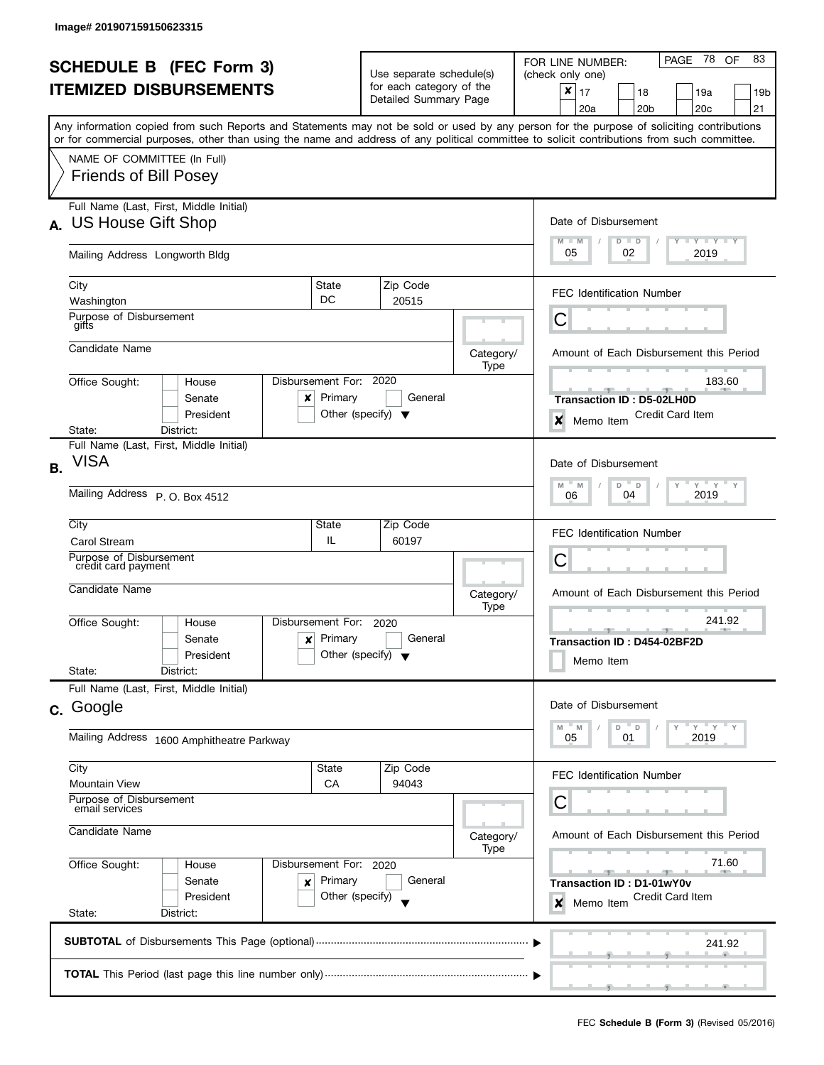| <b>SCHEDULE B</b> (FEC Form 3) |                                                                                                                                                                                                                                                                                         |                                                                           | Use separate schedule(s)                          |                   |                   | PAGE 78<br>83<br>OF<br>FOR LINE NUMBER:<br>(check only one)                                            |
|--------------------------------|-----------------------------------------------------------------------------------------------------------------------------------------------------------------------------------------------------------------------------------------------------------------------------------------|---------------------------------------------------------------------------|---------------------------------------------------|-------------------|-------------------|--------------------------------------------------------------------------------------------------------|
| <b>ITEMIZED DISBURSEMENTS</b>  |                                                                                                                                                                                                                                                                                         |                                                                           | for each category of the<br>Detailed Summary Page |                   |                   | $\boldsymbol{x}$<br>17<br>18<br>19a<br>19b<br>21<br>20 <sub>b</sub><br>20 <sub>c</sub><br>20a          |
|                                | Any information copied from such Reports and Statements may not be sold or used by any person for the purpose of soliciting contributions<br>or for commercial purposes, other than using the name and address of any political committee to solicit contributions from such committee. |                                                                           |                                                   |                   |                   |                                                                                                        |
|                                | NAME OF COMMITTEE (In Full)<br><b>Friends of Bill Posey</b>                                                                                                                                                                                                                             |                                                                           |                                                   |                   |                   |                                                                                                        |
|                                | Full Name (Last, First, Middle Initial)<br>A. US House Gift Shop                                                                                                                                                                                                                        |                                                                           |                                                   |                   |                   | Date of Disbursement                                                                                   |
|                                | Mailing Address Longworth Bldg                                                                                                                                                                                                                                                          |                                                                           |                                                   |                   |                   | $T - Y = Y + Y$<br>$M - M$<br>$D$ $D$<br>05<br>02<br>2019                                              |
|                                | City<br>Washington                                                                                                                                                                                                                                                                      | State<br>DC                                                               |                                                   | Zip Code<br>20515 |                   | <b>FEC Identification Number</b>                                                                       |
|                                | Purpose of Disbursement<br>gifts                                                                                                                                                                                                                                                        |                                                                           |                                                   |                   |                   | С                                                                                                      |
|                                | Candidate Name                                                                                                                                                                                                                                                                          |                                                                           |                                                   |                   | Category/<br>Type | Amount of Each Disbursement this Period                                                                |
|                                | Office Sought:<br>House<br>Senate<br>x<br>President                                                                                                                                                                                                                                     | Disbursement For: 2020<br>Primary<br>Other (specify) $\blacktriangledown$ |                                                   | General           |                   | 183.60<br><b>Transaction ID: D5-02LH0D</b><br><b>Credit Card Item</b><br>$\boldsymbol{x}$<br>Memo Item |
|                                | District:<br>State:<br>Full Name (Last, First, Middle Initial)                                                                                                                                                                                                                          |                                                                           |                                                   |                   |                   |                                                                                                        |
| <b>B.</b>                      | <b>VISA</b>                                                                                                                                                                                                                                                                             |                                                                           |                                                   |                   |                   | Date of Disbursement                                                                                   |
|                                | Mailing Address P. O. Box 4512                                                                                                                                                                                                                                                          | $Y$ $Y$<br>$\overline{a}$<br>M<br>D<br>Υ<br>M<br>2019<br>04<br>06         |                                                   |                   |                   |                                                                                                        |
|                                | City<br><b>Carol Stream</b>                                                                                                                                                                                                                                                             | State<br>IL.                                                              |                                                   | Zip Code<br>60197 |                   | <b>FEC Identification Number</b>                                                                       |
|                                | Purpose of Disbursement<br>credit card payment                                                                                                                                                                                                                                          |                                                                           |                                                   |                   |                   | C                                                                                                      |
|                                | Candidate Name                                                                                                                                                                                                                                                                          |                                                                           |                                                   |                   | Category/<br>Type | Amount of Each Disbursement this Period                                                                |
|                                | Office Sought:<br>House<br>Senate<br>x<br>President<br>State:<br>District:                                                                                                                                                                                                              | Disbursement For:<br>Primary<br>Other (specify) $\blacktriangledown$      |                                                   | 2020<br>General   |                   | 241.92<br>Transaction ID: D454-02BF2D<br>Memo Item                                                     |
|                                | Full Name (Last, First, Middle Initial)                                                                                                                                                                                                                                                 |                                                                           |                                                   |                   |                   |                                                                                                        |
|                                | c. Google                                                                                                                                                                                                                                                                               |                                                                           |                                                   |                   |                   | Date of Disbursement                                                                                   |
|                                | Mailing Address 1600 Amphitheatre Parkway                                                                                                                                                                                                                                               |                                                                           |                                                   |                   |                   | $Y$ $Y$<br>$^{\circ}$ D<br>M<br>$-M$<br>D<br>2019<br>05<br>01                                          |
|                                | City<br><b>Mountain View</b>                                                                                                                                                                                                                                                            | State<br>CA                                                               |                                                   | Zip Code<br>94043 |                   | <b>FEC Identification Number</b>                                                                       |
|                                | Purpose of Disbursement<br>email services                                                                                                                                                                                                                                               |                                                                           |                                                   |                   |                   | С                                                                                                      |
|                                | Candidate Name                                                                                                                                                                                                                                                                          |                                                                           |                                                   |                   |                   | Amount of Each Disbursement this Period<br>Category/                                                   |
|                                | Office Sought:<br>House<br>Senate<br>×<br>President                                                                                                                                                                                                                                     | Disbursement For: 2020<br>Primary<br>Other (specify)                      |                                                   | General           |                   | 71.60<br>$-$<br>Transaction ID: D1-01wY0v<br>Credit Card Item<br>$\boldsymbol{x}$<br>Memo Item         |
|                                | State:<br>District:                                                                                                                                                                                                                                                                     |                                                                           |                                                   |                   |                   |                                                                                                        |
|                                |                                                                                                                                                                                                                                                                                         |                                                                           |                                                   |                   |                   | 241.92                                                                                                 |
|                                |                                                                                                                                                                                                                                                                                         |                                                                           |                                                   |                   |                   |                                                                                                        |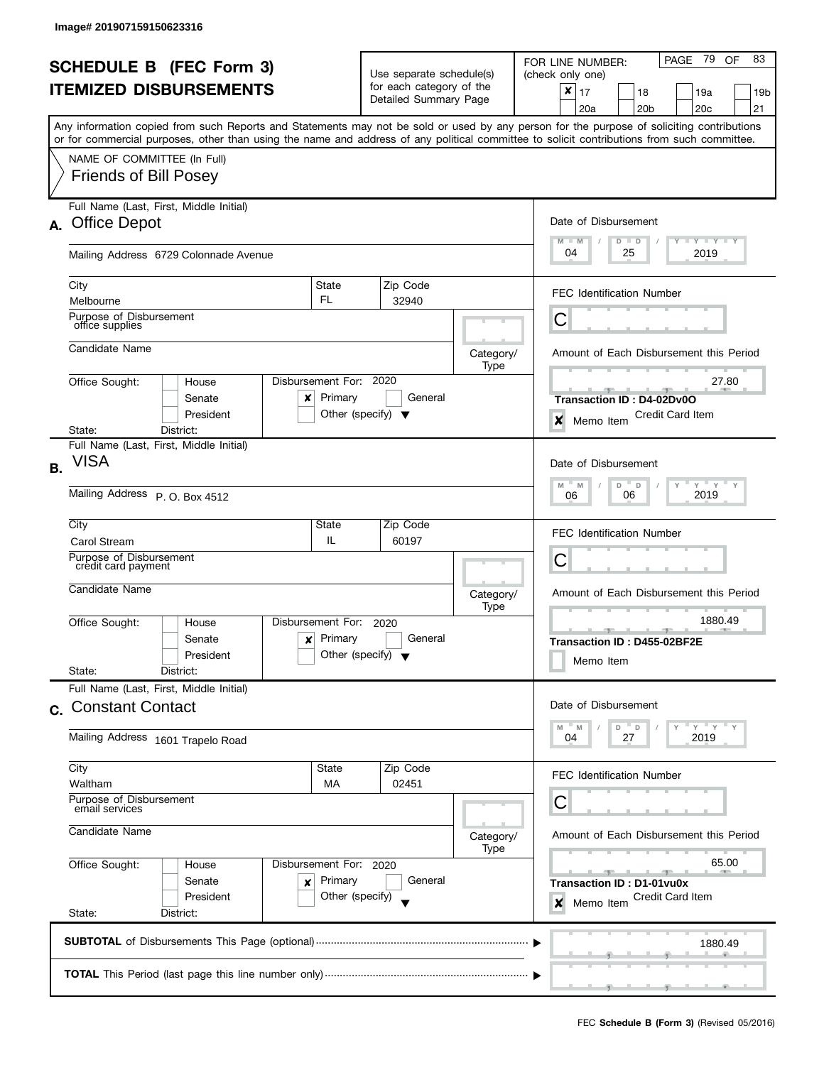|           | <b>SCHEDULE B</b> (FEC Form 3)<br><b>ITEMIZED DISBURSEMENTS</b><br>Any information copied from such Reports and Statements may not be sold or used by any person for the purpose of soliciting contributions |                                                                                   | Use separate schedule(s)<br>for each category of the<br>Detailed Summary Page                    |                   | 83<br>PAGE 79<br>OF<br>FOR LINE NUMBER:<br>(check only one)<br>$\pmb{\times}$<br>17<br>18<br>19a<br>19b<br>20 <sub>b</sub><br>20 <sub>c</sub><br>21<br>20a |
|-----------|--------------------------------------------------------------------------------------------------------------------------------------------------------------------------------------------------------------|-----------------------------------------------------------------------------------|--------------------------------------------------------------------------------------------------|-------------------|------------------------------------------------------------------------------------------------------------------------------------------------------------|
|           | or for commercial purposes, other than using the name and address of any political committee to solicit contributions from such committee.<br>NAME OF COMMITTEE (In Full)<br><b>Friends of Bill Posey</b>    |                                                                                   |                                                                                                  |                   |                                                                                                                                                            |
|           | Full Name (Last, First, Middle Initial)<br>A. Office Depot<br>Mailing Address 6729 Colonnade Avenue                                                                                                          | Date of Disbursement<br>$M - M$<br><b>LY LY LY</b><br>$D$ $D$<br>04<br>25<br>2019 |                                                                                                  |                   |                                                                                                                                                            |
|           | City<br>Melbourne<br>Purpose of Disbursement<br>office supplies                                                                                                                                              | State<br>FL.                                                                      | Zip Code<br>32940                                                                                |                   | <b>FEC Identification Number</b><br>С                                                                                                                      |
|           | Candidate Name<br>Office Sought:<br>House<br>Senate<br>x<br>President                                                                                                                                        | Disbursement For: 2020<br>Primary                                                 | General<br>Other (specify) $\blacktriangledown$                                                  | Category/<br>Type | Amount of Each Disbursement this Period<br>27.80<br>Transaction ID: D4-02Dv0O<br>Credit Card Item<br>$\boldsymbol{x}$<br>Memo Item                         |
| <b>B.</b> | District:<br>State:<br>Full Name (Last, First, Middle Initial)<br><b>VISA</b><br>Mailing Address P. O. Box 4512                                                                                              |                                                                                   | Date of Disbursement<br>$Y$ $Y$ $Y$<br>M<br>D<br>Υ<br>$\mathsf{Y}$<br>M<br>D<br>2019<br>06<br>06 |                   |                                                                                                                                                            |
|           | City<br><b>Carol Stream</b><br>Purpose of Disbursement<br>credit card payment<br>Candidate Name                                                                                                              | State<br>IL                                                                       | Zip Code<br>60197                                                                                | Category/         | FEC Identification Number<br>С<br>Amount of Each Disbursement this Period                                                                                  |
|           | Office Sought:<br>House<br>Senate<br>x<br>President<br>State:<br>District:                                                                                                                                   | Disbursement For:<br>Primary                                                      | 2020<br>General<br>Other (specify) $\blacktriangledown$                                          | Type              | 1880.49<br>$-1$<br>Transaction ID: D455-02BF2E<br>Memo Item                                                                                                |
|           | Full Name (Last, First, Middle Initial)<br>c. Constant Contact<br>Mailing Address 1601 Trapelo Road                                                                                                          |                                                                                   |                                                                                                  |                   | Date of Disbursement<br>" ү " ү " ү<br>M<br>$-M$<br>D<br>$\mathbb D$<br>04<br>27<br>2019                                                                   |
|           | City<br>Waltham<br>Purpose of Disbursement<br>email services<br>Candidate Name                                                                                                                               | State<br>МA                                                                       | Zip Code<br>02451                                                                                | Category/<br>Type | FEC Identification Number<br>С<br>Amount of Each Disbursement this Period                                                                                  |
|           | Office Sought:<br>House<br>Senate<br>×<br>President<br>State:<br>District:                                                                                                                                   | Disbursement For: 2020<br>Primary<br>Other (specify)                              | General                                                                                          |                   | 65.00<br>$-1$<br>Transaction ID: D1-01vu0x<br>Credit Card Item<br>$\boldsymbol{x}$<br>Memo Item                                                            |
|           |                                                                                                                                                                                                              |                                                                                   |                                                                                                  |                   | 1880.49                                                                                                                                                    |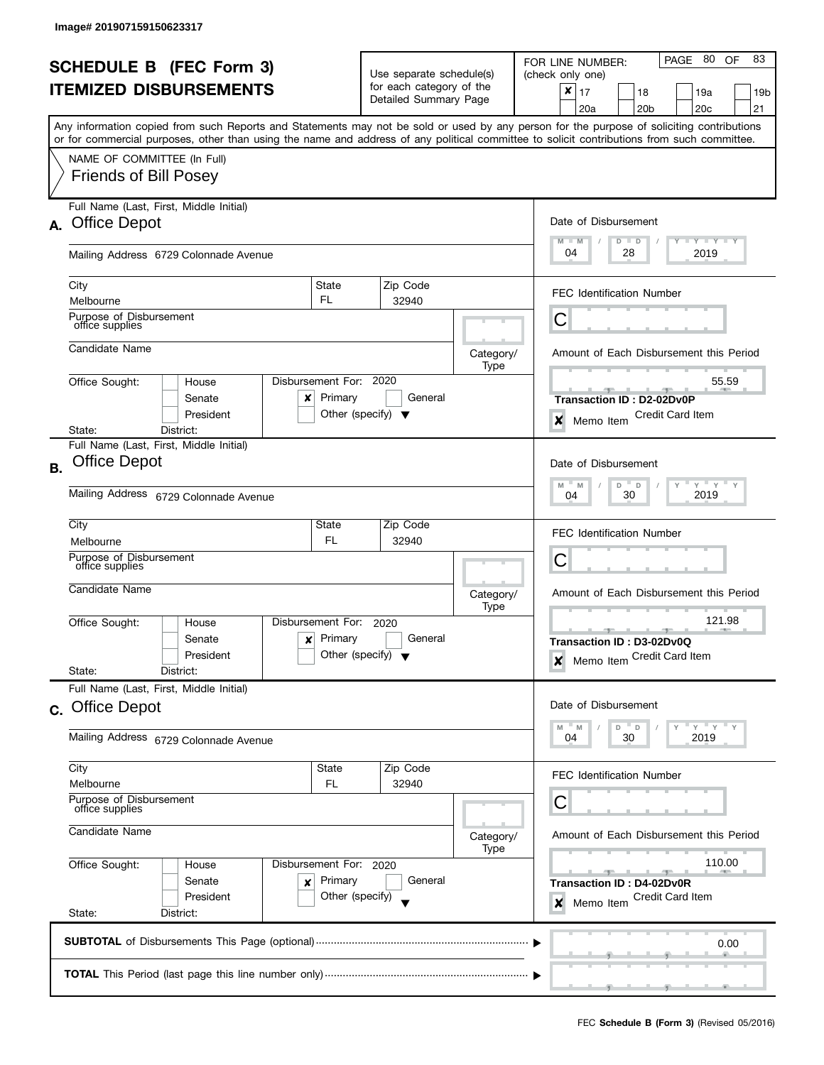|                                |                                                                                                                                            |                                                                                               |                                      |                   | PAGE 80<br>83<br>OF<br>FOR LINE NUMBER:              |
|--------------------------------|--------------------------------------------------------------------------------------------------------------------------------------------|-----------------------------------------------------------------------------------------------|--------------------------------------|-------------------|------------------------------------------------------|
| <b>SCHEDULE B</b> (FEC Form 3) |                                                                                                                                            |                                                                                               | Use separate schedule(s)             |                   | (check only one)                                     |
| <b>ITEMIZED DISBURSEMENTS</b>  |                                                                                                                                            |                                                                                               | for each category of the             |                   | ×<br>17<br>18<br>19a<br>19b                          |
|                                |                                                                                                                                            |                                                                                               | Detailed Summary Page                |                   | 20 <sub>b</sub><br>20c<br>21<br>20a                  |
|                                | Any information copied from such Reports and Statements may not be sold or used by any person for the purpose of soliciting contributions  |                                                                                               |                                      |                   |                                                      |
|                                | or for commercial purposes, other than using the name and address of any political committee to solicit contributions from such committee. |                                                                                               |                                      |                   |                                                      |
|                                | NAME OF COMMITTEE (In Full)                                                                                                                |                                                                                               |                                      |                   |                                                      |
|                                | <b>Friends of Bill Posey</b>                                                                                                               |                                                                                               |                                      |                   |                                                      |
|                                |                                                                                                                                            |                                                                                               |                                      |                   |                                                      |
|                                | Full Name (Last, First, Middle Initial)                                                                                                    |                                                                                               |                                      |                   |                                                      |
|                                | A. Office Depot                                                                                                                            |                                                                                               |                                      |                   | Date of Disbursement                                 |
|                                |                                                                                                                                            |                                                                                               |                                      |                   | Y Y FY FY<br>$M - M$<br>$D$ $D$                      |
|                                | Mailing Address 6729 Colonnade Avenue                                                                                                      |                                                                                               |                                      |                   | 04<br>28<br>2019                                     |
|                                | City                                                                                                                                       | State                                                                                         | Zip Code                             |                   |                                                      |
|                                | Melbourne                                                                                                                                  | FL.                                                                                           | 32940                                |                   | <b>FEC Identification Number</b>                     |
|                                | Purpose of Disbursement                                                                                                                    |                                                                                               |                                      |                   | С                                                    |
|                                | office supplies                                                                                                                            |                                                                                               |                                      |                   |                                                      |
|                                | Candidate Name                                                                                                                             |                                                                                               |                                      | Category/         | Amount of Each Disbursement this Period              |
|                                |                                                                                                                                            |                                                                                               |                                      | Type              |                                                      |
|                                | Disbursement For: 2020<br>Office Sought:<br>House                                                                                          |                                                                                               |                                      |                   | 55.59                                                |
|                                | Senate<br>x                                                                                                                                | Primary                                                                                       | General                              |                   | Transaction ID: D2-02Dv0P                            |
|                                | President                                                                                                                                  |                                                                                               | Other (specify) $\blacktriangledown$ |                   | <b>Credit Card Item</b><br>×<br>Memo Item            |
|                                | District:<br>State:                                                                                                                        |                                                                                               |                                      |                   |                                                      |
|                                | Full Name (Last, First, Middle Initial)                                                                                                    |                                                                                               |                                      |                   |                                                      |
| <b>B.</b>                      | <b>Office Depot</b>                                                                                                                        | Date of Disbursement                                                                          |                                      |                   |                                                      |
|                                | Mailing Address 6729 Colonnade Avenue                                                                                                      | $Y$ <sup><math>\top</math></sup><br>$Y$ $Y$ $Y$<br>D<br>$-$ D<br>M<br>- M<br>30<br>2019<br>04 |                                      |                   |                                                      |
|                                |                                                                                                                                            |                                                                                               |                                      |                   |                                                      |
|                                | City                                                                                                                                       | State                                                                                         | Zip Code                             |                   | <b>FEC Identification Number</b>                     |
|                                | Melbourne                                                                                                                                  | FL.                                                                                           | 32940                                |                   |                                                      |
|                                | Purpose of Disbursement<br>office supplies                                                                                                 |                                                                                               |                                      |                   | С                                                    |
|                                | Candidate Name                                                                                                                             |                                                                                               |                                      |                   |                                                      |
|                                |                                                                                                                                            |                                                                                               |                                      | Category/<br>Type | Amount of Each Disbursement this Period              |
|                                | Office Sought:<br>Disbursement For:<br>House                                                                                               |                                                                                               | 2020                                 |                   | 121.98                                               |
|                                | Senate<br>x                                                                                                                                | Primary                                                                                       | General                              |                   | $-1$<br>Transaction ID: D3-02Dv0Q                    |
|                                | President                                                                                                                                  |                                                                                               | Other (specify) $\blacktriangledown$ |                   | Memo Item Credit Card Item<br>$\boldsymbol{x}$       |
|                                | State:<br>District:                                                                                                                        |                                                                                               |                                      |                   |                                                      |
|                                | Full Name (Last, First, Middle Initial)                                                                                                    |                                                                                               |                                      |                   |                                                      |
|                                | c. Office Depot                                                                                                                            |                                                                                               |                                      |                   | Date of Disbursement                                 |
|                                |                                                                                                                                            |                                                                                               |                                      |                   | $Y'$ $Y'$ $Y$<br>" M<br>D<br>$^-$ D<br>M             |
|                                | Mailing Address 6729 Colonnade Avenue                                                                                                      |                                                                                               | 30<br>2019<br>04                     |                   |                                                      |
|                                | City                                                                                                                                       | <b>State</b>                                                                                  | Zip Code                             |                   |                                                      |
|                                | Melbourne                                                                                                                                  | FL                                                                                            | 32940                                |                   | FEC Identification Number                            |
|                                | Purpose of Disbursement                                                                                                                    | С                                                                                             |                                      |                   |                                                      |
|                                | office supplies                                                                                                                            |                                                                                               |                                      |                   |                                                      |
|                                | Candidate Name                                                                                                                             | Amount of Each Disbursement this Period<br>Category/                                          |                                      |                   |                                                      |
|                                | Disbursement For: 2020                                                                                                                     | 110.00                                                                                        |                                      |                   |                                                      |
|                                | Office Sought:<br>House<br>Senate                                                                                                          | Primary                                                                                       | General                              |                   |                                                      |
|                                | ×<br>President                                                                                                                             | Other (specify)                                                                               |                                      |                   | Transaction ID: D4-02Dv0R<br><b>Credit Card Item</b> |
|                                | State:<br>District:                                                                                                                        |                                                                                               |                                      |                   | Memo Item<br>×                                       |
|                                |                                                                                                                                            |                                                                                               |                                      |                   |                                                      |
|                                |                                                                                                                                            |                                                                                               |                                      |                   | 0.00                                                 |
|                                |                                                                                                                                            |                                                                                               |                                      |                   |                                                      |
|                                |                                                                                                                                            |                                                                                               |                                      |                   |                                                      |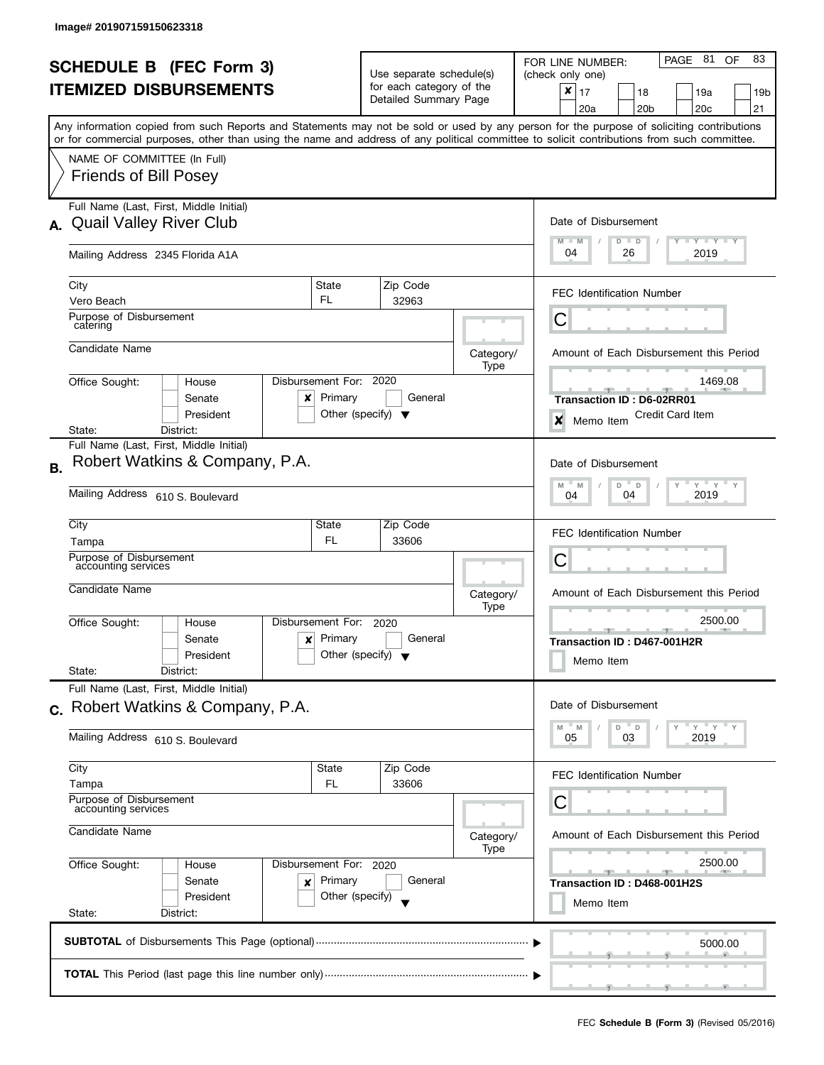| <b>SCHEDULE B</b> (FEC Form 3)                                         |                                                                                                                                                                                                                                                                                         |                                   | Use separate schedule(s)                                |                   | PAGE 81<br>83<br>OF<br>FOR LINE NUMBER:<br>(check only one)                                 |
|------------------------------------------------------------------------|-----------------------------------------------------------------------------------------------------------------------------------------------------------------------------------------------------------------------------------------------------------------------------------------|-----------------------------------|---------------------------------------------------------|-------------------|---------------------------------------------------------------------------------------------|
|                                                                        | <b>ITEMIZED DISBURSEMENTS</b>                                                                                                                                                                                                                                                           |                                   | for each category of the<br>Detailed Summary Page       |                   | $\pmb{\times}$<br>17<br>18<br>19a<br>19 <sub>b</sub><br>20 <sub>b</sub><br>20c<br>21<br>20a |
|                                                                        | Any information copied from such Reports and Statements may not be sold or used by any person for the purpose of soliciting contributions<br>or for commercial purposes, other than using the name and address of any political committee to solicit contributions from such committee. |                                   |                                                         |                   |                                                                                             |
|                                                                        | NAME OF COMMITTEE (In Full)<br><b>Friends of Bill Posey</b>                                                                                                                                                                                                                             |                                   |                                                         |                   |                                                                                             |
| А.                                                                     | Full Name (Last, First, Middle Initial)<br><b>Quail Valley River Club</b>                                                                                                                                                                                                               |                                   |                                                         |                   | Date of Disbursement<br>$T - Y = T - Y$<br>$M - M$<br>$D$ $D$                               |
|                                                                        | Mailing Address 2345 Florida A1A                                                                                                                                                                                                                                                        |                                   |                                                         |                   | 04<br>26<br>2019                                                                            |
|                                                                        | City<br>Vero Beach                                                                                                                                                                                                                                                                      | State<br>FL                       | Zip Code<br>32963                                       |                   | <b>FEC Identification Number</b>                                                            |
|                                                                        | Purpose of Disbursement<br>catering                                                                                                                                                                                                                                                     |                                   |                                                         |                   | С                                                                                           |
|                                                                        | Candidate Name                                                                                                                                                                                                                                                                          |                                   |                                                         | Category/<br>Type | Amount of Each Disbursement this Period                                                     |
|                                                                        | Office Sought:<br>House<br>Senate<br>x<br>President                                                                                                                                                                                                                                     | Disbursement For: 2020<br>Primary | General<br>Other (specify) $\blacktriangledown$         |                   | 1469.08<br><b>Transaction ID: D6-02RR01</b><br><b>Credit Card Item</b><br>X<br>Memo Item    |
|                                                                        | District:<br>State:<br>Full Name (Last, First, Middle Initial)                                                                                                                                                                                                                          |                                   |                                                         |                   |                                                                                             |
| В.                                                                     | Robert Watkins & Company, P.A.                                                                                                                                                                                                                                                          |                                   |                                                         |                   | Date of Disbursement<br>$Y$ $Y$<br>M<br>D<br>Y<br>M<br>$\Box$                               |
|                                                                        | Mailing Address 610 S. Boulevard                                                                                                                                                                                                                                                        | 2019<br>04<br>04                  |                                                         |                   |                                                                                             |
|                                                                        | City<br>Tampa                                                                                                                                                                                                                                                                           | State<br>FL                       | Zip Code<br>33606                                       |                   | <b>FEC Identification Number</b>                                                            |
|                                                                        | Purpose of Disbursement<br>accounting services                                                                                                                                                                                                                                          |                                   |                                                         |                   | C                                                                                           |
|                                                                        | Candidate Name                                                                                                                                                                                                                                                                          |                                   |                                                         | Category/<br>Type | Amount of Each Disbursement this Period                                                     |
|                                                                        | Office Sought:<br>House<br>Senate<br>x<br>President<br>State:<br>District:                                                                                                                                                                                                              | Disbursement For:<br>Primary      | 2020<br>General<br>Other (specify) $\blacktriangledown$ |                   | 2500.00<br>$-9-$<br>Transaction ID: D467-001H2R<br>Memo Item                                |
|                                                                        | Full Name (Last, First, Middle Initial)<br>c. Robert Watkins & Company, P.A.                                                                                                                                                                                                            |                                   |                                                         |                   | Date of Disbursement                                                                        |
|                                                                        | Mailing Address 610 S. Boulevard                                                                                                                                                                                                                                                        |                                   |                                                         |                   | $Y = Y$<br>M<br>D<br>$\mathsf D$<br>M<br>2019<br>05<br>03                                   |
|                                                                        | City<br>Tampa                                                                                                                                                                                                                                                                           | State<br>FL                       | Zip Code<br>33606                                       |                   | <b>FEC Identification Number</b>                                                            |
|                                                                        | Purpose of Disbursement<br>accounting services                                                                                                                                                                                                                                          |                                   |                                                         |                   | С                                                                                           |
|                                                                        | Candidate Name                                                                                                                                                                                                                                                                          |                                   |                                                         | Category/<br>Type | Amount of Each Disbursement this Period                                                     |
| Office Sought:<br>Disbursement For: 2020<br>House<br>Primary<br>Senate |                                                                                                                                                                                                                                                                                         |                                   | General                                                 |                   | 2500.00                                                                                     |
|                                                                        | ×<br>President<br>State:<br>District:                                                                                                                                                                                                                                                   | Other (specify)                   |                                                         |                   | Transaction ID: D468-001H2S<br>Memo Item                                                    |
|                                                                        |                                                                                                                                                                                                                                                                                         |                                   |                                                         |                   | 5000.00                                                                                     |
|                                                                        |                                                                                                                                                                                                                                                                                         |                                   |                                                         |                   |                                                                                             |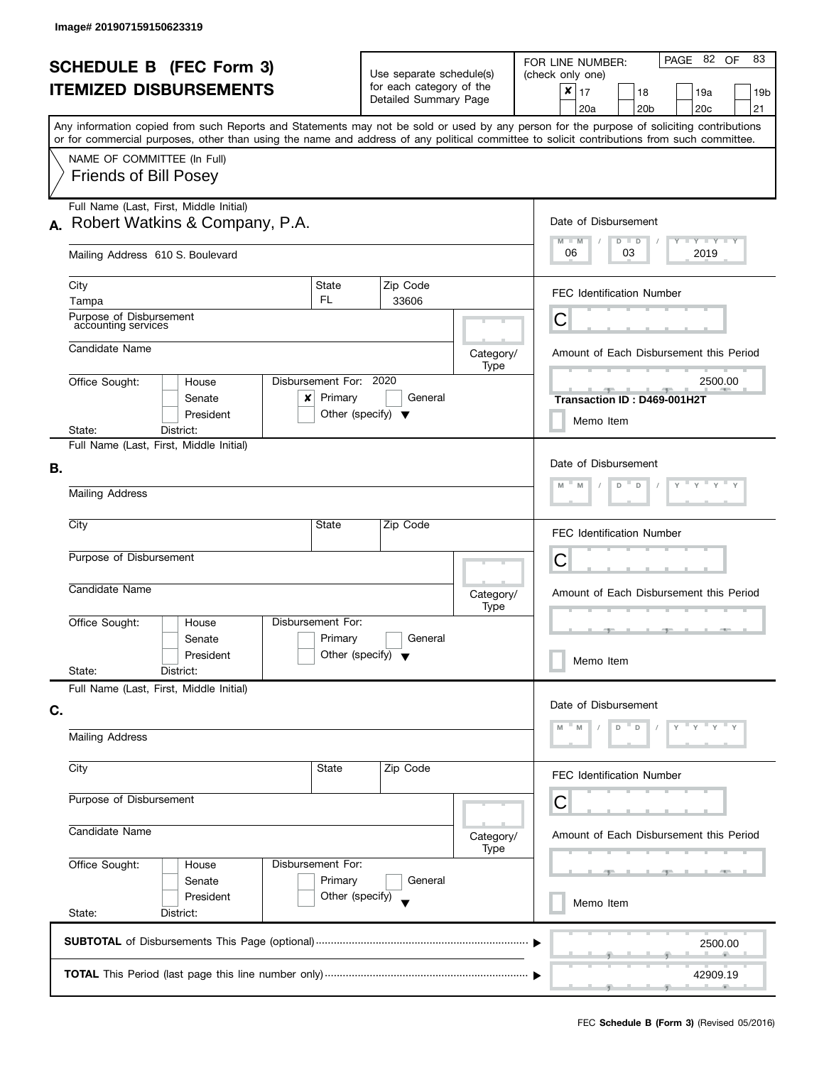|    | <b>SCHEDULE B (FEC Form 3)</b><br><b>ITEMIZED DISBURSEMENTS</b><br>Any information copied from such Reports and Statements may not be sold or used by any person for the purpose of soliciting contributions<br>or for commercial purposes, other than using the name and address of any political committee to solicit contributions from such committee.<br>NAME OF COMMITTEE (In Full)<br><b>Friends of Bill Posey</b> |                                                                                                                   | Use separate schedule(s)<br>for each category of the<br>Detailed Summary Page |                   | PAGE 82 OF<br>83<br>FOR LINE NUMBER:<br>(check only one)<br>$\pmb{\times}$<br>17<br>18<br>19a<br>19 <sub>b</sub><br>20a<br>20 <sub>b</sub><br>20 <sub>c</sub><br>21 |
|----|---------------------------------------------------------------------------------------------------------------------------------------------------------------------------------------------------------------------------------------------------------------------------------------------------------------------------------------------------------------------------------------------------------------------------|-------------------------------------------------------------------------------------------------------------------|-------------------------------------------------------------------------------|-------------------|---------------------------------------------------------------------------------------------------------------------------------------------------------------------|
|    | Full Name (Last, First, Middle Initial)<br>A. Robert Watkins & Company, P.A.<br>Mailing Address 610 S. Boulevard                                                                                                                                                                                                                                                                                                          | Date of Disbursement<br>$M - M$<br>$D$ $D$<br>$\bot$ $\gamma$ $\bot$ $\gamma$ $\bot$ $\gamma$<br>06<br>03<br>2019 |                                                                               |                   |                                                                                                                                                                     |
|    | City<br>Tampa<br>Purpose of Disbursement<br>accounting services<br>Candidate Name                                                                                                                                                                                                                                                                                                                                         | <b>State</b><br><b>FL</b>                                                                                         | Zip Code<br>33606                                                             | Category/         | <b>FEC Identification Number</b><br>C<br>Amount of Each Disbursement this Period                                                                                    |
|    | Disbursement For: 2020<br>Office Sought:<br>House<br>Senate<br>x<br>President<br>District:<br>State:<br>Full Name (Last, First, Middle Initial)                                                                                                                                                                                                                                                                           | Primary<br>Other (specify) $\blacktriangledown$                                                                   | General                                                                       | Type              | 2500.00<br>$-1$<br>Transaction ID: D469-001H2T<br>Memo Item                                                                                                         |
| В. | <b>Mailing Address</b>                                                                                                                                                                                                                                                                                                                                                                                                    |                                                                                                                   |                                                                               |                   | Date of Disbursement<br>$y + y + y + y$<br>$D$ <sup><math>\equiv</math></sup><br>$\Box$<br>M                                                                        |
|    | City<br>Purpose of Disbursement<br>Candidate Name                                                                                                                                                                                                                                                                                                                                                                         | State                                                                                                             | Zip Code                                                                      | Category/<br>Type | FEC Identification Number<br>С<br>Amount of Each Disbursement this Period                                                                                           |
|    | Office Sought:<br>Disbursement For:<br>House<br>Senate<br>President<br>State:<br>District:                                                                                                                                                                                                                                                                                                                                | Primary<br>Other (specify) $\blacktriangledown$                                                                   | General                                                                       |                   | Memo Item                                                                                                                                                           |
| C. | Full Name (Last, First, Middle Initial)<br><b>Mailing Address</b>                                                                                                                                                                                                                                                                                                                                                         |                                                                                                                   |                                                                               |                   | Date of Disbursement<br>D<br>D<br>M                                                                                                                                 |
|    | City<br>State<br>Purpose of Disbursement<br>Candidate Name                                                                                                                                                                                                                                                                                                                                                                | FEC Identification Number<br>С<br>Amount of Each Disbursement this Period<br>Category/                            |                                                                               |                   |                                                                                                                                                                     |
|    | Office Sought:<br>Disbursement For:<br>House<br>Senate<br>President<br>State:<br>District:                                                                                                                                                                                                                                                                                                                                | Primary<br>Other (specify)                                                                                        | General                                                                       | Type              | Memo Item                                                                                                                                                           |
|    |                                                                                                                                                                                                                                                                                                                                                                                                                           |                                                                                                                   |                                                                               |                   | 2500.00<br>42909.19                                                                                                                                                 |